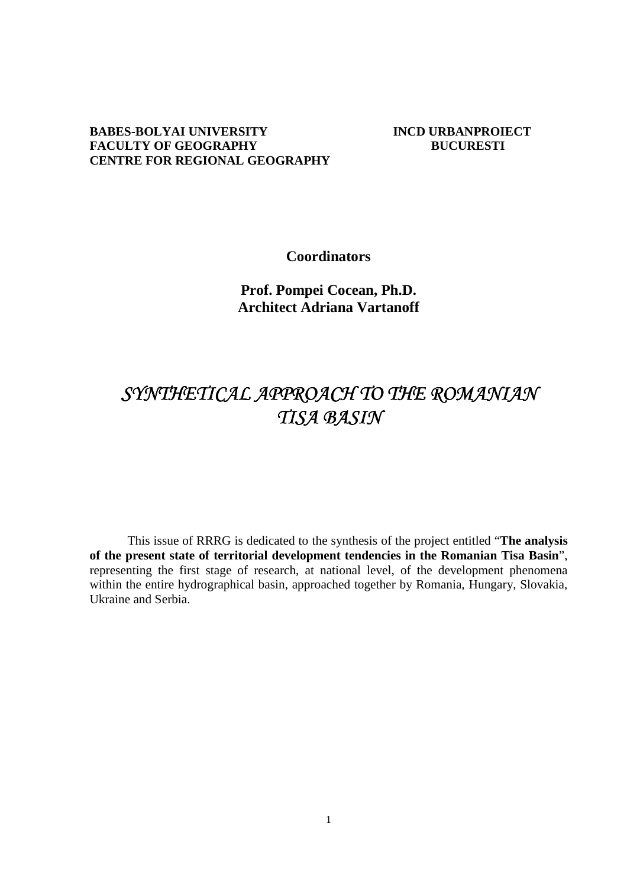## **BABES-BOLYAI UNIVERSITY INCD URBANPROIECT FACULTY OF GEOGRAPHY BUCURESTI CENTRE FOR REGIONAL GEOGRAPHY**

**Coordinators** 

**Prof. Pompei Cocean, Ph.D. Architect Adriana Vartanoff** 

# SYNTHETICAL APPROACH TO THE ROMANIAN **TISA BASIN**

This issue of RRRG is dedicated to the synthesis of the project entitled "**The analysis of the present state of territorial development tendencies in the Romanian Tisa Basin**", representing the first stage of research, at national level, of the development phenomena within the entire hydrographical basin, approached together by Romania, Hungary, Slovakia, Ukraine and Serbia.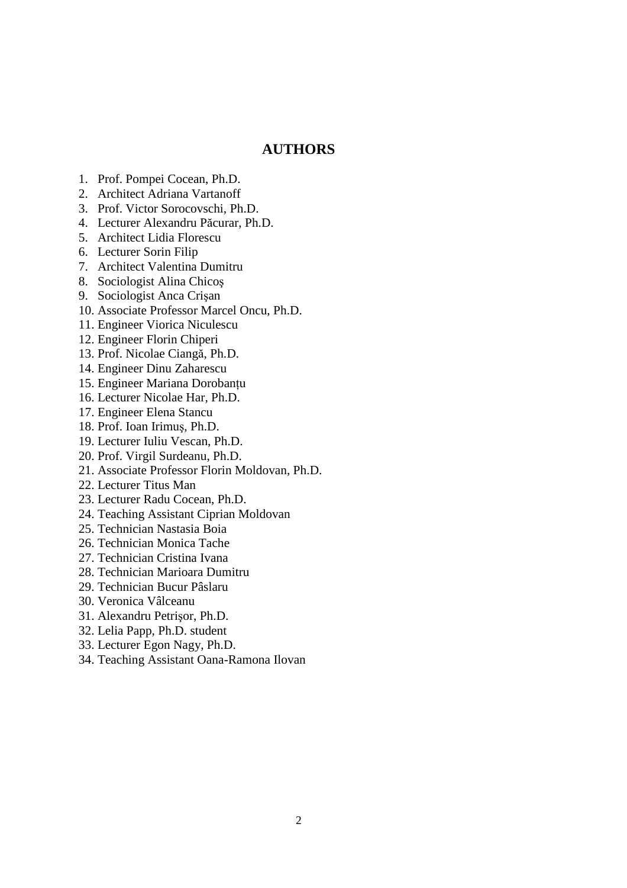## **AUTHORS**

- 1. Prof. Pompei Cocean, Ph.D.
- 2. Architect Adriana Vartanoff
- 3. Prof. Victor Sorocovschi, Ph.D.
- 4. Lecturer Alexandru Păcurar, Ph.D.
- 5. Architect Lidia Florescu
- 6. Lecturer Sorin Filip
- 7. Architect Valentina Dumitru
- 8. Sociologist Alina Chicoş
- 9. Sociologist Anca Crişan
- 10. Associate Professor Marcel Oncu, Ph.D.
- 11. Engineer Viorica Niculescu
- 12. Engineer Florin Chiperi
- 13. Prof. Nicolae Ciangă, Ph.D.
- 14. Engineer Dinu Zaharescu
- 15. Engineer Mariana Dorobanțu
- 16. Lecturer Nicolae Har, Ph.D.
- 17. Engineer Elena Stancu
- 18. Prof. Ioan Irimuş, Ph.D.
- 19. Lecturer Iuliu Vescan, Ph.D.
- 20. Prof. Virgil Surdeanu, Ph.D.
- 21. Associate Professor Florin Moldovan, Ph.D.
- 22. Lecturer Titus Man
- 23. Lecturer Radu Cocean, Ph.D.
- 24. Teaching Assistant Ciprian Moldovan
- 25. Technician Nastasia Boia
- 26. Technician Monica Tache
- 27. Technician Cristina Ivana
- 28. Technician Marioara Dumitru
- 29. Technician Bucur Pâslaru
- 30. Veronica Vâlceanu
- 31. Alexandru Petrişor, Ph.D.
- 32. Lelia Papp, Ph.D. student
- 33. Lecturer Egon Nagy, Ph.D.
- 34. Teaching Assistant Oana-Ramona Ilovan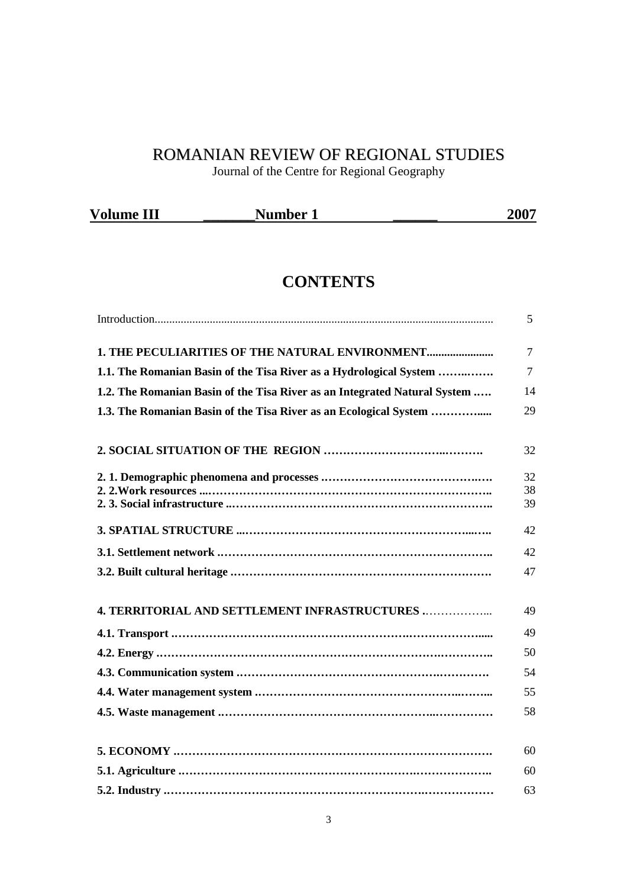## ROMANIAN REVIEW OF REGIONAL STUDIES

Journal of the Centre for Regional Geography

| <b>Volume III</b> | <b>Number</b> | 2007 |
|-------------------|---------------|------|
|                   |               |      |

## **CONTENTS**

|                                                                           | 5              |
|---------------------------------------------------------------------------|----------------|
| 1. THE PECULIARITIES OF THE NATURAL ENVIRONMENT                           | $\overline{7}$ |
| 1.1. The Romanian Basin of the Tisa River as a Hydrological System        | $\tau$         |
| 1.2. The Romanian Basin of the Tisa River as an Integrated Natural System | 14             |
| 1.3. The Romanian Basin of the Tisa River as an Ecological System         | 29             |
|                                                                           | 32             |
|                                                                           | 32             |
|                                                                           | 38<br>39       |
|                                                                           |                |
|                                                                           | 42             |
|                                                                           | 42             |
|                                                                           | 47             |
| <b>4. TERRITORIAL AND SETTLEMENT INFRASTRUCTURES </b>                     | 49             |
|                                                                           | 49             |
|                                                                           | 50             |
|                                                                           | 54             |
|                                                                           | 55             |
|                                                                           | 58             |
|                                                                           |                |
|                                                                           | 60             |
|                                                                           | 60             |
|                                                                           | 63             |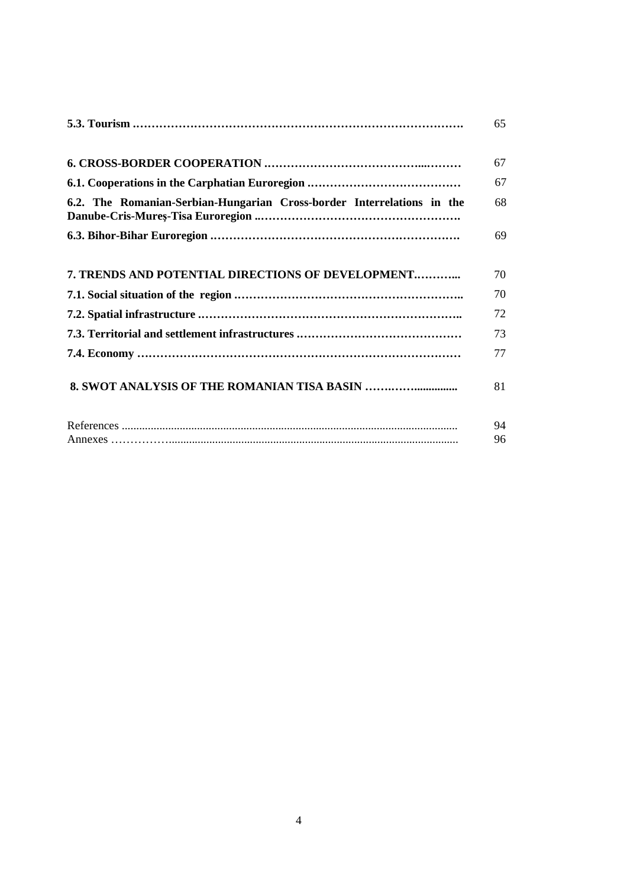|                                                                        | 65       |
|------------------------------------------------------------------------|----------|
|                                                                        | 67       |
|                                                                        | 67       |
| 6.2. The Romanian-Serbian-Hungarian Cross-border Interrelations in the | 68       |
|                                                                        | 69       |
| 7. TRENDS AND POTENTIAL DIRECTIONS OF DEVELOPMENT                      | 70       |
|                                                                        | 70       |
|                                                                        | 72       |
|                                                                        | 73       |
|                                                                        | 77       |
|                                                                        | 81       |
|                                                                        | 94<br>96 |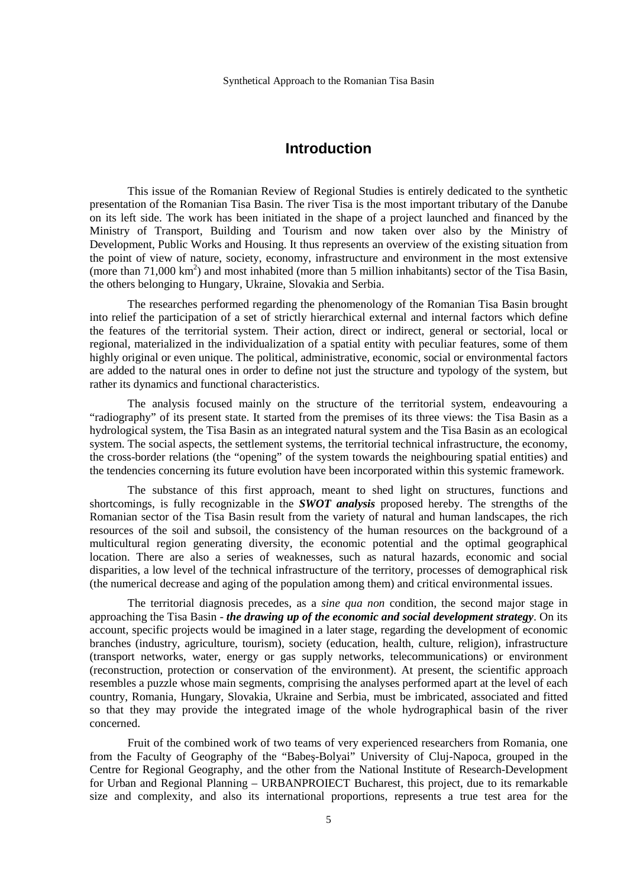## **Introduction**

This issue of the Romanian Review of Regional Studies is entirely dedicated to the synthetic presentation of the Romanian Tisa Basin. The river Tisa is the most important tributary of the Danube on its left side. The work has been initiated in the shape of a project launched and financed by the Ministry of Transport, Building and Tourism and now taken over also by the Ministry of Development, Public Works and Housing. It thus represents an overview of the existing situation from the point of view of nature, society, economy, infrastructure and environment in the most extensive (more than  $71,000 \text{ km}^2$ ) and most inhabited (more than 5 million inhabitants) sector of the Tisa Basin, the others belonging to Hungary, Ukraine, Slovakia and Serbia.

The researches performed regarding the phenomenology of the Romanian Tisa Basin brought into relief the participation of a set of strictly hierarchical external and internal factors which define the features of the territorial system. Their action, direct or indirect, general or sectorial, local or regional, materialized in the individualization of a spatial entity with peculiar features, some of them highly original or even unique. The political, administrative, economic, social or environmental factors are added to the natural ones in order to define not just the structure and typology of the system, but rather its dynamics and functional characteristics.

The analysis focused mainly on the structure of the territorial system, endeavouring a "radiography" of its present state. It started from the premises of its three views: the Tisa Basin as a hydrological system, the Tisa Basin as an integrated natural system and the Tisa Basin as an ecological system. The social aspects, the settlement systems, the territorial technical infrastructure, the economy, the cross-border relations (the "opening" of the system towards the neighbouring spatial entities) and the tendencies concerning its future evolution have been incorporated within this systemic framework.

The substance of this first approach, meant to shed light on structures, functions and shortcomings, is fully recognizable in the *SWOT analysis* proposed hereby. The strengths of the Romanian sector of the Tisa Basin result from the variety of natural and human landscapes, the rich resources of the soil and subsoil, the consistency of the human resources on the background of a multicultural region generating diversity, the economic potential and the optimal geographical location. There are also a series of weaknesses, such as natural hazards, economic and social disparities, a low level of the technical infrastructure of the territory, processes of demographical risk (the numerical decrease and aging of the population among them) and critical environmental issues.

The territorial diagnosis precedes, as a *sine qua non* condition, the second major stage in approaching the Tisa Basin - *the drawing up of the economic and social development strategy*. On its account, specific projects would be imagined in a later stage, regarding the development of economic branches (industry, agriculture, tourism), society (education, health, culture, religion), infrastructure (transport networks, water, energy or gas supply networks, telecommunications) or environment (reconstruction, protection or conservation of the environment). At present, the scientific approach resembles a puzzle whose main segments, comprising the analyses performed apart at the level of each country, Romania, Hungary, Slovakia, Ukraine and Serbia, must be imbricated, associated and fitted so that they may provide the integrated image of the whole hydrographical basin of the river concerned.

Fruit of the combined work of two teams of very experienced researchers from Romania, one from the Faculty of Geography of the "Babeş-Bolyai" University of Cluj-Napoca, grouped in the Centre for Regional Geography, and the other from the National Institute of Research-Development for Urban and Regional Planning – URBANPROIECT Bucharest, this project, due to its remarkable size and complexity, and also its international proportions, represents a true test area for the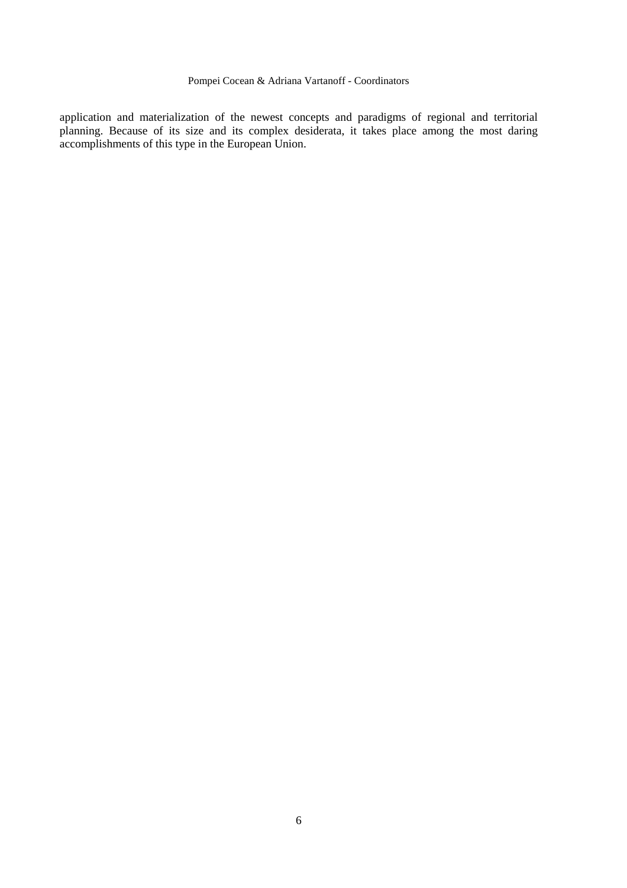application and materialization of the newest concepts and paradigms of regional and territorial planning. Because of its size and its complex desiderata, it takes place among the most daring accomplishments of this type in the European Union.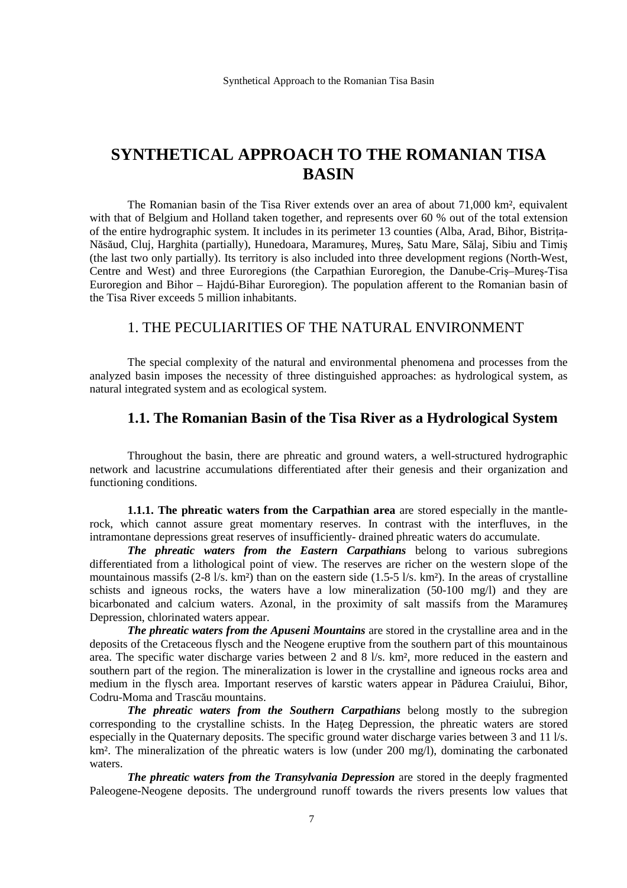## **SYNTHETICAL APPROACH TO THE ROMANIAN TISA BASIN**

The Romanian basin of the Tisa River extends over an area of about 71,000 km², equivalent with that of Belgium and Holland taken together, and represents over 60 % out of the total extension of the entire hydrographic system. It includes in its perimeter 13 counties (Alba, Arad, Bihor, Bistrița-Năsăud, Cluj, Harghita (partially), Hunedoara, Maramureş, Mureş, Satu Mare, Sălaj, Sibiu and Timiş (the last two only partially). Its territory is also included into three development regions (North-West, Centre and West) and three Euroregions (the Carpathian Euroregion, the Danube-Criş–Mureş-Tisa Euroregion and Bihor – Hajdú-Bihar Euroregion). The population afferent to the Romanian basin of the Tisa River exceeds 5 million inhabitants.

## 1. THE PECULIARITIES OF THE NATURAL ENVIRONMENT

 The special complexity of the natural and environmental phenomena and processes from the analyzed basin imposes the necessity of three distinguished approaches: as hydrological system, as natural integrated system and as ecological system.

## **1.1. The Romanian Basin of the Tisa River as a Hydrological System**

Throughout the basin, there are phreatic and ground waters, a well-structured hydrographic network and lacustrine accumulations differentiated after their genesis and their organization and functioning conditions.

**1.1.1. The phreatic waters from the Carpathian area** are stored especially in the mantlerock, which cannot assure great momentary reserves. In contrast with the interfluves, in the intramontane depressions great reserves of insufficiently- drained phreatic waters do accumulate.

*The phreatic waters from the Eastern Carpathians* belong to various subregions differentiated from a lithological point of view. The reserves are richer on the western slope of the mountainous massifs  $(2-8 \frac{1}{s}$ . km²) than on the eastern side  $(1.5-5 \frac{1}{s}$ . km²). In the areas of crystalline schists and igneous rocks, the waters have a low mineralization (50-100 mg/l) and they are bicarbonated and calcium waters. Azonal, in the proximity of salt massifs from the Maramureş Depression, chlorinated waters appear.

*The phreatic waters from the Apuseni Mountains* are stored in the crystalline area and in the deposits of the Cretaceous flysch and the Neogene eruptive from the southern part of this mountainous area. The specific water discharge varies between 2 and 8 l/s. km², more reduced in the eastern and southern part of the region. The mineralization is lower in the crystalline and igneous rocks area and medium in the flysch area. Important reserves of karstic waters appear in Pădurea Craiului, Bihor, Codru-Moma and Trascău mountains.

*The phreatic waters from the Southern Carpathians* belong mostly to the subregion corresponding to the crystalline schists. In the Hateg Depression, the phreatic waters are stored especially in the Quaternary deposits. The specific ground water discharge varies between 3 and 11 l/s. km<sup>2</sup>. The mineralization of the phreatic waters is low (under 200 mg/l), dominating the carbonated waters.

*The phreatic waters from the Transylvania Depression* are stored in the deeply fragmented Paleogene-Neogene deposits. The underground runoff towards the rivers presents low values that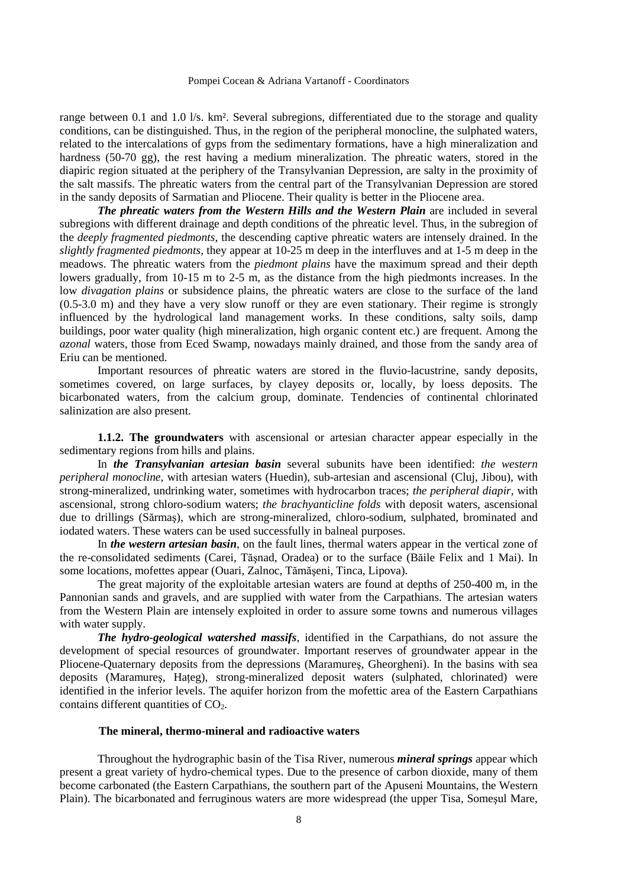range between 0.1 and 1.0 l/s. km². Several subregions, differentiated due to the storage and quality conditions, can be distinguished. Thus, in the region of the peripheral monocline, the sulphated waters, related to the intercalations of gyps from the sedimentary formations, have a high mineralization and hardness (50-70 gg), the rest having a medium mineralization. The phreatic waters, stored in the diapiric region situated at the periphery of the Transylvanian Depression, are salty in the proximity of the salt massifs. The phreatic waters from the central part of the Transylvanian Depression are stored in the sandy deposits of Sarmatian and Pliocene. Their quality is better in the Pliocene area.

*The phreatic waters from the Western Hills and the Western Plain* are included in several subregions with different drainage and depth conditions of the phreatic level. Thus, in the subregion of the *deeply fragmented piedmonts*, the descending captive phreatic waters are intensely drained. In the *slightly fragmented piedmonts*, they appear at 10-25 m deep in the interfluves and at 1-5 m deep in the meadows. The phreatic waters from the *piedmont plains* have the maximum spread and their depth lowers gradually, from 10-15 m to 2-5 m, as the distance from the high piedmonts increases. In the low *divagation plains* or subsidence plains, the phreatic waters are close to the surface of the land (0.5-3.0 m) and they have a very slow runoff or they are even stationary. Their regime is strongly influenced by the hydrological land management works. In these conditions, salty soils, damp buildings, poor water quality (high mineralization, high organic content etc.) are frequent. Among the *azonal* waters, those from Eced Swamp, nowadays mainly drained, and those from the sandy area of Eriu can be mentioned.

 Important resources of phreatic waters are stored in the fluvio-lacustrine, sandy deposits, sometimes covered, on large surfaces, by clayey deposits or, locally, by loess deposits. The bicarbonated waters, from the calcium group, dominate. Tendencies of continental chlorinated salinization are also present.

**1.1.2. The groundwaters** with ascensional or artesian character appear especially in the sedimentary regions from hills and plains.

In *the Transylvanian artesian basin* several subunits have been identified: *the western peripheral monocline*, with artesian waters (Huedin), sub-artesian and ascensional (Cluj, Jibou), with strong-mineralized, undrinking water, sometimes with hydrocarbon traces; *the peripheral diapir*, with ascensional, strong chloro-sodium waters; *the brachyanticline folds* with deposit waters, ascensional due to drillings (Sărmaş), which are strong-mineralized, chloro-sodium, sulphated, brominated and iodated waters. These waters can be used successfully in balneal purposes.

 In *the western artesian basin*, on the fault lines, thermal waters appear in the vertical zone of the re-consolidated sediments (Carei, Tăşnad, Oradea) or to the surface (Băile Felix and 1 Mai). In some locations, mofettes appear (Ouari, Zalnoc, Tămăşeni, Tinca, Lipova).

 The great majority of the exploitable artesian waters are found at depths of 250-400 m, in the Pannonian sands and gravels, and are supplied with water from the Carpathians. The artesian waters from the Western Plain are intensely exploited in order to assure some towns and numerous villages with water supply.

*The hydro-geological watershed massifs*, identified in the Carpathians, do not assure the development of special resources of groundwater. Important reserves of groundwater appear in the Pliocene-Quaternary deposits from the depressions (Maramureş, Gheorgheni). In the basins with sea deposits (Maramures, Hateg), strong-mineralized deposit waters (sulphated, chlorinated) were identified in the inferior levels. The aquifer horizon from the mofettic area of the Eastern Carpathians contains different quantities of  $CO<sub>2</sub>$ .

#### **The mineral, thermo-mineral and radioactive waters**

Throughout the hydrographic basin of the Tisa River, numerous *mineral springs* appear which present a great variety of hydro-chemical types. Due to the presence of carbon dioxide, many of them become carbonated (the Eastern Carpathians, the southern part of the Apuseni Mountains, the Western Plain). The bicarbonated and ferruginous waters are more widespread (the upper Tisa, Someşul Mare,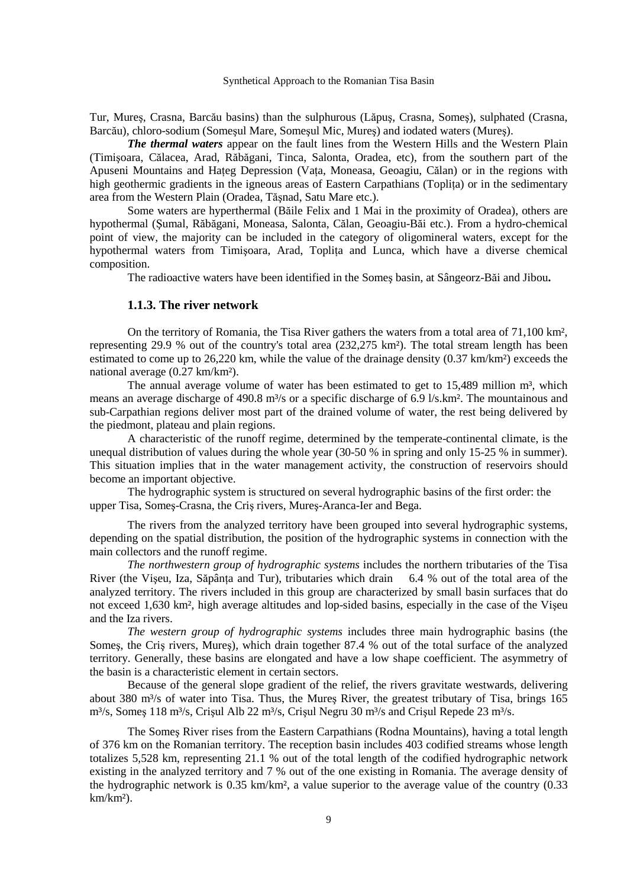Tur, Mureş, Crasna, Barcău basins) than the sulphurous (Lăpuş, Crasna, Someş), sulphated (Crasna, Barcău), chloro-sodium (Someşul Mare, Someşul Mic, Mureş) and iodated waters (Mureş).

*The thermal waters* appear on the fault lines from the Western Hills and the Western Plain (Timişoara, Călacea, Arad, Răbăgani, Tinca, Salonta, Oradea, etc), from the southern part of the Apuseni Mountains and Hateg Depression (Vata, Moneasa, Geoagiu, Călan) or in the regions with high geothermic gradients in the igneous areas of Eastern Carpathians (Toplita) or in the sedimentary area from the Western Plain (Oradea, Tăşnad, Satu Mare etc.).

Some waters are hyperthermal (Băile Felix and 1 Mai in the proximity of Oradea), others are hypothermal (Şumal, Răbăgani, Moneasa, Salonta, Călan, Geoagiu-Băi etc.). From a hydro-chemical point of view, the majority can be included in the category of oligomineral waters, except for the hypothermal waters from Timisoara, Arad, Toplita and Lunca, which have a diverse chemical composition.

The radioactive waters have been identified in the Someş basin, at Sângeorz-Băi and Jibou**.** 

#### **1.1.3. The river network**

On the territory of Romania, the Tisa River gathers the waters from a total area of 71,100 km², representing 29.9 % out of the country's total area (232,275 km²). The total stream length has been estimated to come up to 26,220 km, while the value of the drainage density (0.37 km/km<sup>2</sup>) exceeds the national average (0.27 km/km²).

The annual average volume of water has been estimated to get to  $15,489$  million m<sup>3</sup>, which means an average discharge of 490.8 m<sup>3</sup>/s or a specific discharge of 6.9 l/s.km². The mountainous and sub-Carpathian regions deliver most part of the drained volume of water, the rest being delivered by the piedmont, plateau and plain regions.

 A characteristic of the runoff regime, determined by the temperate-continental climate, is the unequal distribution of values during the whole year (30-50 % in spring and only 15-25 % in summer). This situation implies that in the water management activity, the construction of reservoirs should become an important objective.

 The hydrographic system is structured on several hydrographic basins of the first order: the upper Tisa, Someş-Crasna, the Criş rivers, Mureş-Aranca-Ier and Bega.

 The rivers from the analyzed territory have been grouped into several hydrographic systems, depending on the spatial distribution, the position of the hydrographic systems in connection with the main collectors and the runoff regime.

*The northwestern group of hydrographic systems* includes the northern tributaries of the Tisa River (the Vișeu, Iza, Săpânța and Tur), tributaries which drain 6.4 % out of the total area of the analyzed territory. The rivers included in this group are characterized by small basin surfaces that do not exceed 1,630 km², high average altitudes and lop-sided basins, especially in the case of the Vişeu and the Iza rivers.

*The western group of hydrographic systems* includes three main hydrographic basins (the Someş, the Criş rivers, Mureş), which drain together 87.4 % out of the total surface of the analyzed territory. Generally, these basins are elongated and have a low shape coefficient. The asymmetry of the basin is a characteristic element in certain sectors.

 Because of the general slope gradient of the relief, the rivers gravitate westwards, delivering about 380 m<sup>3</sup>/s of water into Tisa. Thus, the Mures River, the greatest tributary of Tisa, brings  $165$ m<sup>3</sup>/s, Somes 118 m<sup>3</sup>/s, Crisul Alb 22 m<sup>3</sup>/s, Crisul Negru 30 m<sup>3</sup>/s and Crisul Repede 23 m<sup>3</sup>/s.

 The Someş River rises from the Eastern Carpathians (Rodna Mountains), having a total length of 376 km on the Romanian territory. The reception basin includes 403 codified streams whose length totalizes 5,528 km, representing 21.1 % out of the total length of the codified hydrographic network existing in the analyzed territory and 7 % out of the one existing in Romania. The average density of the hydrographic network is 0.35 km/km², a value superior to the average value of the country (0.33  $km/km<sup>2</sup>$ ).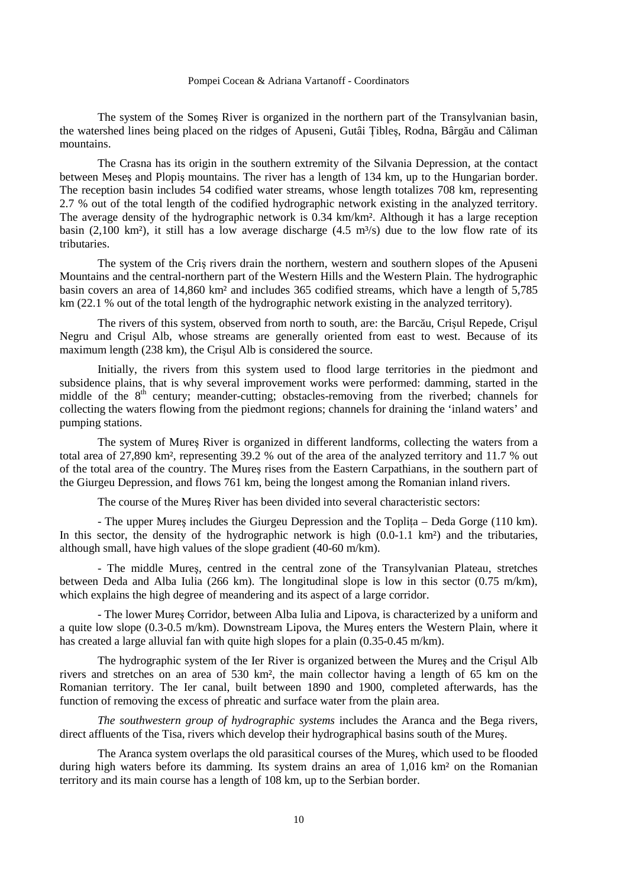The system of the Someş River is organized in the northern part of the Transylvanian basin, the watershed lines being placed on the ridges of Apuseni, Gutâi łibleş, Rodna, Bârgău and Căliman mountains.

 The Crasna has its origin in the southern extremity of the Silvania Depression, at the contact between Meseş and Plopiş mountains. The river has a length of 134 km, up to the Hungarian border. The reception basin includes 54 codified water streams, whose length totalizes 708 km, representing 2.7 % out of the total length of the codified hydrographic network existing in the analyzed territory. The average density of the hydrographic network is 0.34 km/km². Although it has a large reception basin (2,100 km²), it still has a low average discharge (4.5 m<sup>3</sup>/s) due to the low flow rate of its tributaries.

 The system of the Criş rivers drain the northern, western and southern slopes of the Apuseni Mountains and the central-northern part of the Western Hills and the Western Plain. The hydrographic basin covers an area of 14,860 km² and includes 365 codified streams, which have a length of 5,785 km (22.1 % out of the total length of the hydrographic network existing in the analyzed territory).

 The rivers of this system, observed from north to south, are: the Barcău, Crişul Repede, Crişul Negru and Crişul Alb, whose streams are generally oriented from east to west. Because of its maximum length (238 km), the Crişul Alb is considered the source.

 Initially, the rivers from this system used to flood large territories in the piedmont and subsidence plains, that is why several improvement works were performed: damming, started in the middle of the  $8<sup>th</sup>$  century; meander-cutting; obstacles-removing from the riverbed; channels for collecting the waters flowing from the piedmont regions; channels for draining the 'inland waters' and pumping stations.

 The system of Mureş River is organized in different landforms, collecting the waters from a total area of 27,890 km², representing 39.2 % out of the area of the analyzed territory and 11.7 % out of the total area of the country. The Mureş rises from the Eastern Carpathians, in the southern part of the Giurgeu Depression, and flows 761 km, being the longest among the Romanian inland rivers.

The course of the Mureş River has been divided into several characteristic sectors:

- The upper Mures includes the Giurgeu Depression and the Toplița – Deda Gorge (110 km). In this sector, the density of the hydrographic network is high  $(0.0-1.1 \text{ km}^2)$  and the tributaries, although small, have high values of the slope gradient (40-60 m/km).

 - The middle Mureş, centred in the central zone of the Transylvanian Plateau, stretches between Deda and Alba Iulia (266 km). The longitudinal slope is low in this sector (0.75 m/km), which explains the high degree of meandering and its aspect of a large corridor.

- The lower Mureş Corridor, between Alba Iulia and Lipova, is characterized by a uniform and a quite low slope (0.3-0.5 m/km). Downstream Lipova, the Mureş enters the Western Plain, where it has created a large alluvial fan with quite high slopes for a plain (0.35-0.45 m/km).

 The hydrographic system of the Ier River is organized between the Mureş and the Crişul Alb rivers and stretches on an area of 530 km², the main collector having a length of 65 km on the Romanian territory. The Ier canal, built between 1890 and 1900, completed afterwards, has the function of removing the excess of phreatic and surface water from the plain area.

*The southwestern group of hydrographic systems* includes the Aranca and the Bega rivers, direct affluents of the Tisa, rivers which develop their hydrographical basins south of the Mureş.

 The Aranca system overlaps the old parasitical courses of the Mureş, which used to be flooded during high waters before its damming. Its system drains an area of 1,016 km<sup>2</sup> on the Romanian territory and its main course has a length of 108 km, up to the Serbian border.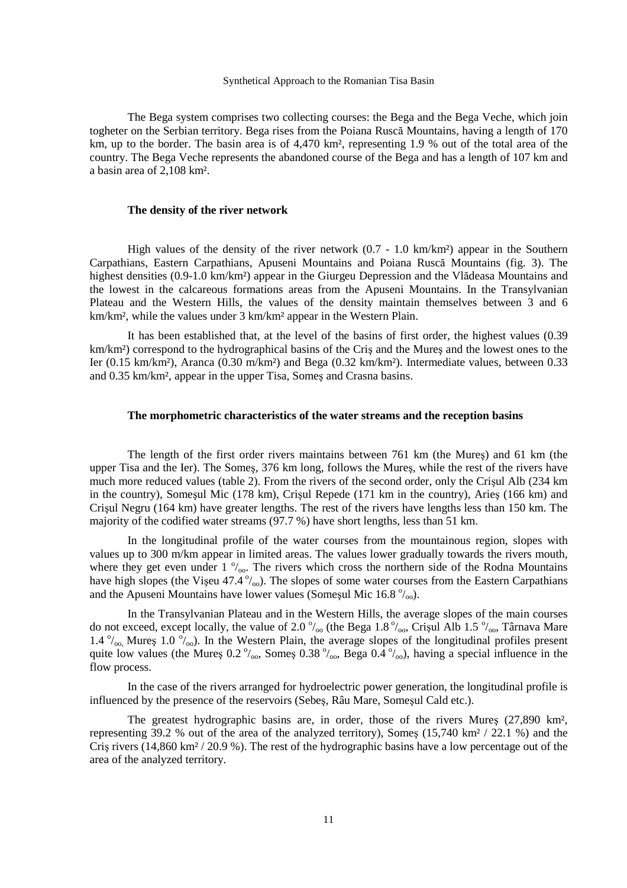The Bega system comprises two collecting courses: the Bega and the Bega Veche, which join togheter on the Serbian territory. Bega rises from the Poiana Ruscă Mountains, having a length of 170 km, up to the border. The basin area is of 4,470 km<sup>2</sup>, representing 1.9 % out of the total area of the country. The Bega Veche represents the abandoned course of the Bega and has a length of 107 km and a basin area of 2,108 km².

#### **The density of the river network**

High values of the density of the river network (0.7 - 1.0 km/km<sup>2</sup>) appear in the Southern Carpathians, Eastern Carpathians, Apuseni Mountains and Poiana Ruscă Mountains (fig. 3). The highest densities (0.9-1.0 km/km²) appear in the Giurgeu Depression and the Vlădeasa Mountains and the lowest in the calcareous formations areas from the Apuseni Mountains. In the Transylvanian Plateau and the Western Hills, the values of the density maintain themselves between 3 and 6 km/km², while the values under 3 km/km² appear in the Western Plain.

 It has been established that, at the level of the basins of first order, the highest values (0.39 km/km²) correspond to the hydrographical basins of the Criş and the Mureş and the lowest ones to the Ier (0.15 km/km²), Aranca (0.30 m/km²) and Bega (0.32 km/km²). Intermediate values, between 0.33 and 0.35 km/km², appear in the upper Tisa, Someş and Crasna basins.

#### **The morphometric characteristics of the water streams and the reception basins**

The length of the first order rivers maintains between 761 km (the Mureş) and 61 km (the upper Tisa and the Ier). The Someş, 376 km long, follows the Mureş, while the rest of the rivers have much more reduced values (table 2). From the rivers of the second order, only the Crişul Alb (234 km in the country), Someşul Mic (178 km), Crişul Repede (171 km in the country), Arieş (166 km) and Crişul Negru (164 km) have greater lengths. The rest of the rivers have lengths less than 150 km. The majority of the codified water streams (97.7 %) have short lengths, less than 51 km.

 In the longitudinal profile of the water courses from the mountainous region, slopes with values up to 300 m/km appear in limited areas. The values lower gradually towards the rivers mouth, where they get even under 1  $\frac{0}{00}$ . The rivers which cross the northern side of the Rodna Mountains have high slopes (the Vişeu  $47.4\degree/_{\odot}$ ). The slopes of some water courses from the Eastern Carpathians and the Apuseni Mountains have lower values (Someșul Mic 16.8  $\frac{\delta}{\delta}$ ).

 In the Transylvanian Plateau and in the Western Hills, the average slopes of the main courses do not exceed, except locally, the value of 2.0  $\frac{0}{0}$  (the Bega 1.8  $\frac{0}{0}$ , Crisul Alb 1.5  $\frac{0}{0}$ , Tâmava Mare 1.4 $\frac{\partial}{\partial \omega}$ , Mureş 1.0 $\frac{\partial}{\partial \omega}$ ). In the Western Plain, the average slopes of the longitudinal profiles present quite low values (the Mures 0.2 $\frac{\gamma_{\text{oo}}}{\gamma_{\text{oo}}}$ , Somes 0.38 $\frac{\gamma_{\text{oo}}}{\gamma_{\text{oo}}}$ , Bega 0.4 $\frac{\gamma_{\text{oo}}}{\gamma_{\text{oo}}}$ ), having a special influence in the flow process.

 In the case of the rivers arranged for hydroelectric power generation, the longitudinal profile is influenced by the presence of the reservoirs (Sebeş, Râu Mare, Someşul Cald etc.).

 The greatest hydrographic basins are, in order, those of the rivers Mureş (27,890 km², representing 39.2 % out of the area of the analyzed territory), Somes  $(15,740 \text{ km}^2 / 22.1 \text{ %})$  and the Criş rivers (14,860 km² / 20.9 %). The rest of the hydrographic basins have a low percentage out of the area of the analyzed territory.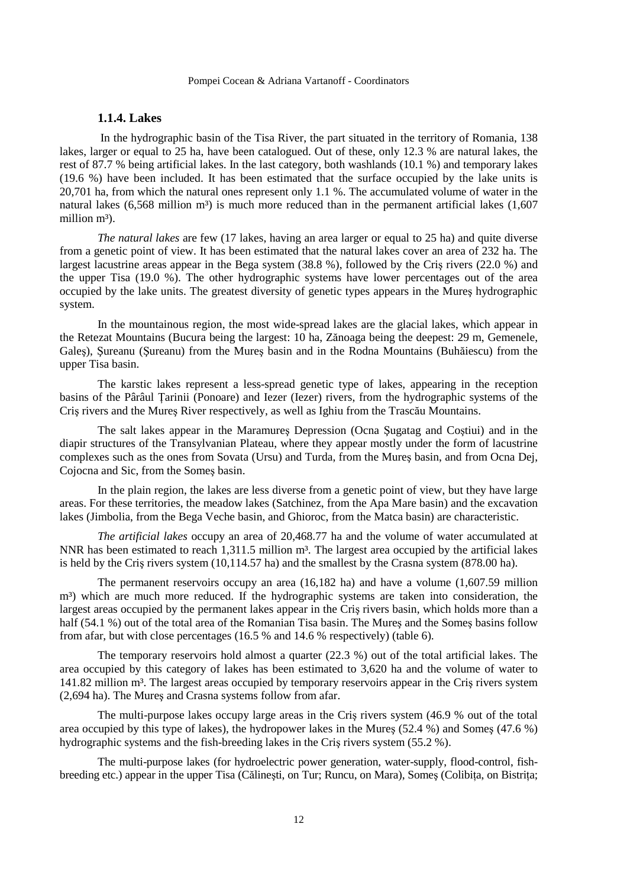#### **1.1.4. Lakes**

 In the hydrographic basin of the Tisa River, the part situated in the territory of Romania, 138 lakes, larger or equal to 25 ha, have been catalogued. Out of these, only 12.3 % are natural lakes, the rest of 87.7 % being artificial lakes. In the last category, both washlands (10.1 %) and temporary lakes (19.6 %) have been included. It has been estimated that the surface occupied by the lake units is 20,701 ha, from which the natural ones represent only 1.1 %. The accumulated volume of water in the natural lakes  $(6,568$  million m<sup>3</sup>) is much more reduced than in the permanent artificial lakes  $(1,607)$ million m<sup>3</sup>).

*The natural lakes* are few (17 lakes, having an area larger or equal to 25 ha) and quite diverse from a genetic point of view. It has been estimated that the natural lakes cover an area of 232 ha. The largest lacustrine areas appear in the Bega system (38.8 %), followed by the Criş rivers (22.0 %) and the upper Tisa (19.0 %). The other hydrographic systems have lower percentages out of the area occupied by the lake units. The greatest diversity of genetic types appears in the Mureş hydrographic system.

 In the mountainous region, the most wide-spread lakes are the glacial lakes, which appear in the Retezat Mountains (Bucura being the largest: 10 ha, Zănoaga being the deepest: 29 m, Gemenele, Galeş), Şureanu (Şureanu) from the Mureş basin and in the Rodna Mountains (Buhăiescu) from the upper Tisa basin.

 The karstic lakes represent a less-spread genetic type of lakes, appearing in the reception basins of the Pârâul łarinii (Ponoare) and Iezer (Iezer) rivers, from the hydrographic systems of the Criş rivers and the Mureş River respectively, as well as Ighiu from the Trascău Mountains.

 The salt lakes appear in the Maramureş Depression (Ocna Şugatag and Coştiui) and in the diapir structures of the Transylvanian Plateau, where they appear mostly under the form of lacustrine complexes such as the ones from Sovata (Ursu) and Turda, from the Mureş basin, and from Ocna Dej, Cojocna and Sic, from the Someş basin.

 In the plain region, the lakes are less diverse from a genetic point of view, but they have large areas. For these territories, the meadow lakes (Satchinez, from the Apa Mare basin) and the excavation lakes (Jimbolia, from the Bega Veche basin, and Ghioroc, from the Matca basin) are characteristic.

*The artificial lakes* occupy an area of 20,468.77 ha and the volume of water accumulated at NNR has been estimated to reach 1,311.5 million m<sup>3</sup>. The largest area occupied by the artificial lakes is held by the Cris rivers system (10,114.57 ha) and the smallest by the Crasna system (878.00 ha).

 The permanent reservoirs occupy an area (16,182 ha) and have a volume (1,607.59 million m<sup>3</sup>) which are much more reduced. If the hydrographic systems are taken into consideration, the largest areas occupied by the permanent lakes appear in the Cris rivers basin, which holds more than a half (54.1 %) out of the total area of the Romanian Tisa basin. The Mures and the Somes basins follow from afar, but with close percentages (16.5 % and 14.6 % respectively) (table 6).

 The temporary reservoirs hold almost a quarter (22.3 %) out of the total artificial lakes. The area occupied by this category of lakes has been estimated to 3,620 ha and the volume of water to 141.82 million m<sup>3</sup>. The largest areas occupied by temporary reservoirs appear in the Cris rivers system (2,694 ha). The Mureş and Crasna systems follow from afar.

 The multi-purpose lakes occupy large areas in the Criş rivers system (46.9 % out of the total area occupied by this type of lakes), the hydropower lakes in the Mureş (52.4 %) and Someş (47.6 %) hydrographic systems and the fish-breeding lakes in the Criş rivers system (55.2 %).

 The multi-purpose lakes (for hydroelectric power generation, water-supply, flood-control, fishbreeding etc.) appear in the upper Tisa (Călinesti, on Tur; Runcu, on Mara), Somes (Colibita, on Bistrita;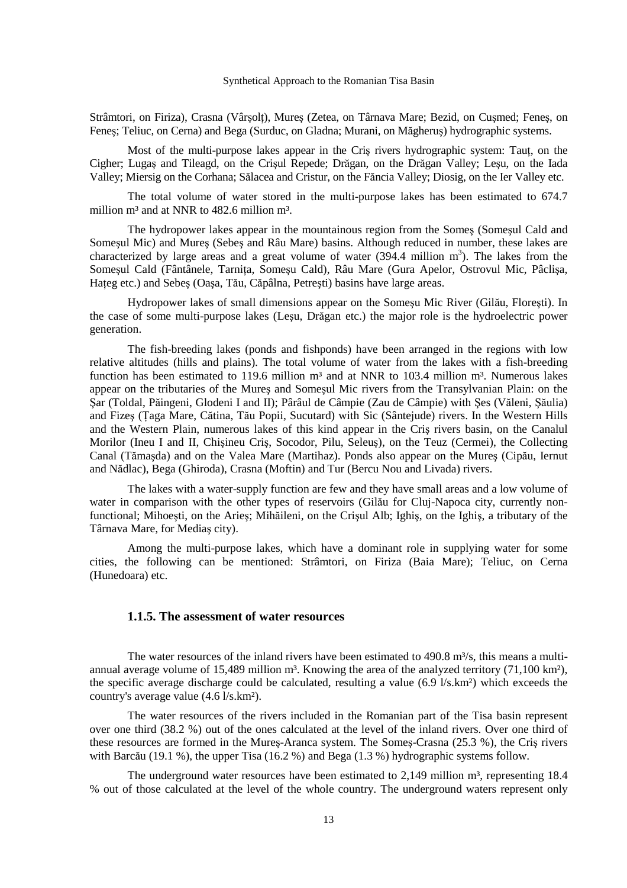Strâmtori, on Firiza), Crasna (Vârșolț), Mureș (Zetea, on Târnava Mare; Bezid, on Cușmed; Feneș, on Feneş; Teliuc, on Cerna) and Bega (Surduc, on Gladna; Murani, on Măgheruş) hydrographic systems.

Most of the multi-purpose lakes appear in the Cris rivers hydrographic system: Taut, on the Cigher; Lugaş and Tileagd, on the Crişul Repede; Drăgan, on the Drăgan Valley; Leşu, on the Iada Valley; Miersig on the Corhana; Sălacea and Cristur, on the Făncia Valley; Diosig, on the Ier Valley etc.

 The total volume of water stored in the multi-purpose lakes has been estimated to 674.7 million  $m<sup>3</sup>$  and at NNR to 482.6 million  $m<sup>3</sup>$ .

The hydropower lakes appear in the mountainous region from the Someş (Someşul Cald and Someşul Mic) and Mureş (Sebeş and Râu Mare) basins. Although reduced in number, these lakes are characterized by large areas and a great volume of water  $(394.4 \text{ million m}^3)$ . The lakes from the Somesul Cald (Fântânele, Tarnita, Somesu Cald), Râu Mare (Gura Apelor, Ostrovul Mic, Pâclisa, Hateg etc.) and Sebes (Oasa, Tău, Căpâlna, Petrești) basins have large areas.

Hydropower lakes of small dimensions appear on the Someşu Mic River (Gilău, Floreşti). In the case of some multi-purpose lakes (Leşu, Drăgan etc.) the major role is the hydroelectric power generation.

 The fish-breeding lakes (ponds and fishponds) have been arranged in the regions with low relative altitudes (hills and plains). The total volume of water from the lakes with a fish-breeding function has been estimated to 119.6 million  $m<sup>3</sup>$  and at NNR to 103.4 million  $m<sup>3</sup>$ . Numerous lakes appear on the tributaries of the Mureş and Someşul Mic rivers from the Transylvanian Plain: on the Şar (Toldal, Păingeni, Glodeni I and II); Pârâul de Câmpie (Zau de Câmpie) with Şes (Văleni, Şăulia) and Fizeş (łaga Mare, Cătina, Tău Popii, Sucutard) with Sic (Sântejude) rivers. In the Western Hills and the Western Plain, numerous lakes of this kind appear in the Criş rivers basin, on the Canalul Morilor (Ineu I and II, Chişineu Criş, Socodor, Pilu, Seleuş), on the Teuz (Cermei), the Collecting Canal (Tămaşda) and on the Valea Mare (Martihaz). Ponds also appear on the Mureş (Cipău, Iernut and Nădlac), Bega (Ghiroda), Crasna (Moftin) and Tur (Bercu Nou and Livada) rivers.

 The lakes with a water-supply function are few and they have small areas and a low volume of water in comparison with the other types of reservoirs (Gilău for Cluj-Napoca city, currently nonfunctional; Mihoeşti, on the Arieş; Mihăileni, on the Crişul Alb; Ighiş, on the Ighiş, a tributary of the Târnava Mare, for Mediaş city).

 Among the multi-purpose lakes, which have a dominant role in supplying water for some cities, the following can be mentioned: Strâmtori, on Firiza (Baia Mare); Teliuc, on Cerna (Hunedoara) etc.

#### **1.1.5. The assessment of water resources**

The water resources of the inland rivers have been estimated to  $490.8 \text{ m}^3$ /s, this means a multiannual average volume of 15,489 million  $m^3$ . Knowing the area of the analyzed territory (71,100 km<sup>2</sup>), the specific average discharge could be calculated, resulting a value (6.9 l/s.km²) which exceeds the country's average value (4.6 l/s.km²).

 The water resources of the rivers included in the Romanian part of the Tisa basin represent over one third (38.2 %) out of the ones calculated at the level of the inland rivers. Over one third of these resources are formed in the Mureş-Aranca system. The Someş-Crasna (25.3 %), the Criş rivers with Barcău (19.1 %), the upper Tisa (16.2 %) and Bega (1.3 %) hydrographic systems follow.

The underground water resources have been estimated to  $2,149$  million m<sup>3</sup>, representing 18.4 % out of those calculated at the level of the whole country. The underground waters represent only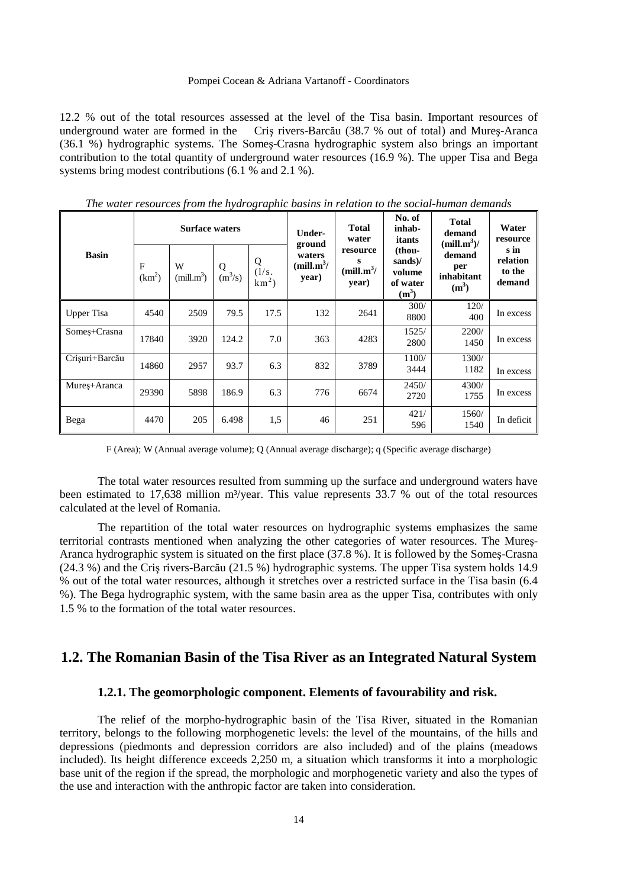12.2 % out of the total resources assessed at the level of the Tisa basin. Important resources of underground water are formed in the Criş rivers-Barcău (38.7 % out of total) and Mureş-Aranca (36.1 %) hydrographic systems. The Someş-Crasna hydrographic system also brings an important contribution to the total quantity of underground water resources (16.9 %). The upper Tisa and Bega systems bring modest contributions (6.1 % and 2.1 %).

|                |                         | <b>Surface waters</b>       |                                           |                        | Under-<br>ground                          | <b>Total</b><br>water                            | No. of<br>inhab-<br>itants                         | <b>Total</b><br>demand<br>$(mill.m3)$ / | Water<br>resource                    |
|----------------|-------------------------|-----------------------------|-------------------------------------------|------------------------|-------------------------------------------|--------------------------------------------------|----------------------------------------------------|-----------------------------------------|--------------------------------------|
| <b>Basin</b>   | F<br>(km <sup>2</sup> ) | W<br>(mill.m <sup>3</sup> ) | Q<br>$\overline{\mathrm{m}^3/\mathrm{s}}$ | Q<br>(1/s.<br>$km^2$ ) | waters<br>(mill.m <sup>3</sup> /<br>year) | resource<br>s<br>(mill.m <sup>3</sup> )<br>year) | (thou-<br>sands)/<br>volume<br>of water<br>$(m^3)$ | demand<br>per<br>inhabitant<br>$(m^3)$  | s in<br>relation<br>to the<br>demand |
| Upper Tisa     | 4540                    | 2509                        | 79.5                                      | 17.5                   | 132                                       | 2641                                             | 300/<br>8800                                       | 120/<br>400                             | In excess                            |
| Somes+Crasna   | 17840                   | 3920                        | 124.2                                     | 7.0                    | 363                                       | 4283                                             | 1525/<br>2800                                      | 2200/<br>1450                           | In excess                            |
| Crișuri+Barcău | 14860                   | 2957                        | 93.7                                      | 6.3                    | 832                                       | 3789                                             | 1100/<br>3444                                      | 1300/<br>1182                           | In excess                            |
| Mures+Aranca   | 29390                   | 5898                        | 186.9                                     | 6.3                    | 776                                       | 6674                                             | 2450/<br>2720                                      | 4300/<br>1755                           | In excess                            |
| Bega           | 4470                    | 205                         | 6.498                                     | 1,5                    | 46                                        | 251                                              | 421/<br>596                                        | 1560/<br>1540                           | In deficit                           |

*The water resources from the hydrographic basins in relation to the social-human demands* 

F (Area); W (Annual average volume); Q (Annual average discharge); q (Specific average discharge)

The total water resources resulted from summing up the surface and underground waters have been estimated to 17.638 million m<sup>3</sup>/year. This value represents 33.7 % out of the total resources calculated at the level of Romania.

 The repartition of the total water resources on hydrographic systems emphasizes the same territorial contrasts mentioned when analyzing the other categories of water resources. The Mureş-Aranca hydrographic system is situated on the first place (37.8 %). It is followed by the Someş-Crasna (24.3 %) and the Criş rivers-Barcău (21.5 %) hydrographic systems. The upper Tisa system holds 14.9 % out of the total water resources, although it stretches over a restricted surface in the Tisa basin (6.4 %). The Bega hydrographic system, with the same basin area as the upper Tisa, contributes with only 1.5 % to the formation of the total water resources.

## **1.2. The Romanian Basin of the Tisa River as an Integrated Natural System**

## **1.2.1. The geomorphologic component. Elements of favourability and risk.**

The relief of the morpho-hydrographic basin of the Tisa River, situated in the Romanian territory, belongs to the following morphogenetic levels: the level of the mountains, of the hills and depressions (piedmonts and depression corridors are also included) and of the plains (meadows included). Its height difference exceeds 2,250 m, a situation which transforms it into a morphologic base unit of the region if the spread, the morphologic and morphogenetic variety and also the types of the use and interaction with the anthropic factor are taken into consideration.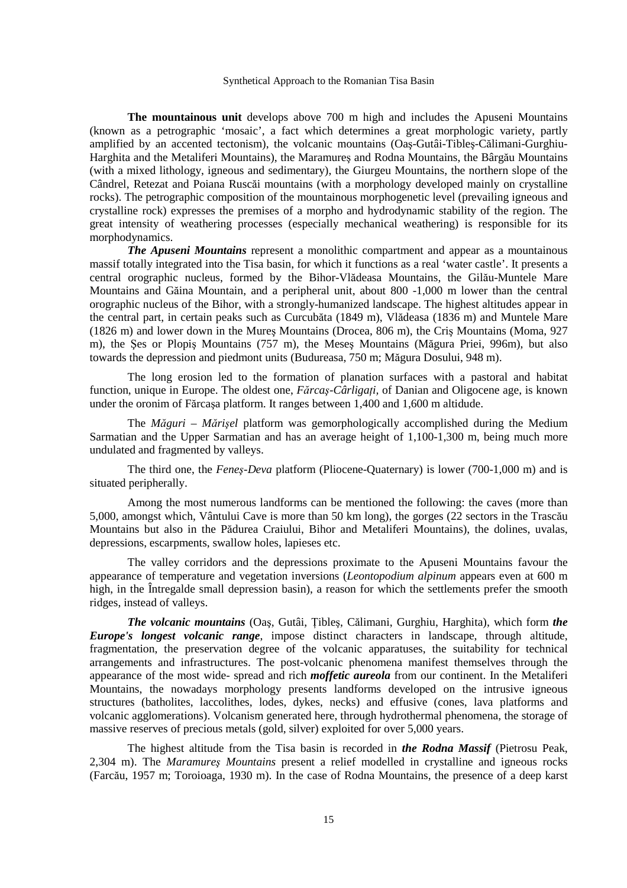**The mountainous unit** develops above 700 m high and includes the Apuseni Mountains (known as a petrographic 'mosaic', a fact which determines a great morphologic variety, partly amplified by an accented tectonism), the volcanic mountains (Oaş-Gutâi-Tibleş-Călimani-Gurghiu-Harghita and the Metaliferi Mountains), the Maramureş and Rodna Mountains, the Bârgău Mountains (with a mixed lithology, igneous and sedimentary), the Giurgeu Mountains, the northern slope of the Cândrel, Retezat and Poiana Ruscăi mountains (with a morphology developed mainly on crystalline rocks). The petrographic composition of the mountainous morphogenetic level (prevailing igneous and crystalline rock) expresses the premises of a morpho and hydrodynamic stability of the region. The great intensity of weathering processes (especially mechanical weathering) is responsible for its morphodynamics.

*The Apuseni Mountains* represent a monolithic compartment and appear as a mountainous massif totally integrated into the Tisa basin, for which it functions as a real 'water castle'. It presents a central orographic nucleus, formed by the Bihor-Vlădeasa Mountains, the Gilău-Muntele Mare Mountains and Găina Mountain, and a peripheral unit, about 800 -1,000 m lower than the central orographic nucleus of the Bihor, with a strongly-humanized landscape. The highest altitudes appear in the central part, in certain peaks such as Curcubăta (1849 m), Vlădeasa (1836 m) and Muntele Mare (1826 m) and lower down in the Mureş Mountains (Drocea, 806 m), the Criş Mountains (Moma, 927 m), the Şes or Plopiş Mountains (757 m), the Meseş Mountains (Măgura Priei, 996m), but also towards the depression and piedmont units (Budureasa, 750 m; Măgura Dosului, 948 m).

 The long erosion led to the formation of planation surfaces with a pastoral and habitat function, unique in Europe. The oldest one, *Fărcaş-CârligaŃi,* of Danian and Oligocene age, is known under the oronim of Fărcaşa platform. It ranges between 1,400 and 1,600 m altidude.

The *Măguri – Mărişel* platform was gemorphologically accomplished during the Medium Sarmatian and the Upper Sarmatian and has an average height of 1,100-1,300 m, being much more undulated and fragmented by valleys.

 The third one, the *Feneş-Deva* platform (Pliocene-Quaternary) is lower (700-1,000 m) and is situated peripherally.

 Among the most numerous landforms can be mentioned the following: the caves (more than 5,000, amongst which, Vântului Cave is more than 50 km long), the gorges (22 sectors in the Trascău Mountains but also in the Pădurea Craiului, Bihor and Metaliferi Mountains), the dolines, uvalas, depressions, escarpments, swallow holes, lapieses etc.

 The valley corridors and the depressions proximate to the Apuseni Mountains favour the appearance of temperature and vegetation inversions (*Leontopodium alpinum* appears even at 600 m high, in the Intregalde small depression basin), a reason for which the settlements prefer the smooth ridges, instead of valleys.

*The volcanic mountains* (Oaș, Gutâi, Țibleș, Călimani, Gurghiu, Harghita), which form *the Europe's longest volcanic range*, impose distinct characters in landscape, through altitude, fragmentation, the preservation degree of the volcanic apparatuses, the suitability for technical arrangements and infrastructures. The post-volcanic phenomena manifest themselves through the appearance of the most wide- spread and rich *moffetic aureola* from our continent. In the Metaliferi Mountains, the nowadays morphology presents landforms developed on the intrusive igneous structures (batholites, laccolithes, lodes, dykes, necks) and effusive (cones, lava platforms and volcanic agglomerations). Volcanism generated here, through hydrothermal phenomena, the storage of massive reserves of precious metals (gold, silver) exploited for over 5,000 years.

 The highest altitude from the Tisa basin is recorded in *the Rodna Massif* (Pietrosu Peak, 2,304 m). The *Maramureş Mountains* present a relief modelled in crystalline and igneous rocks (Farcău, 1957 m; Toroioaga, 1930 m). In the case of Rodna Mountains, the presence of a deep karst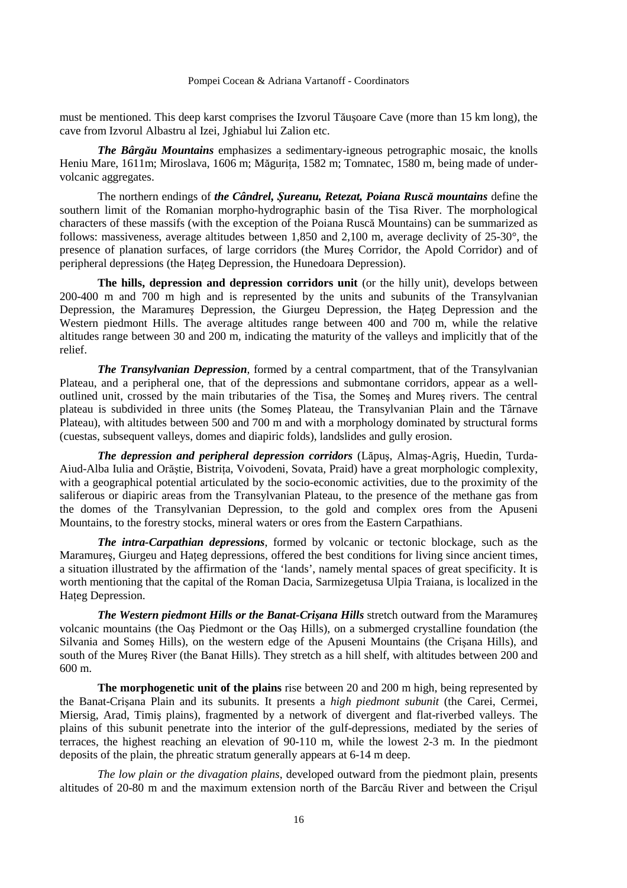must be mentioned. This deep karst comprises the Izvorul Tăuşoare Cave (more than 15 km long), the cave from Izvorul Albastru al Izei, Jghiabul lui Zalion etc.

*The Bârgău Mountains* emphasizes a sedimentary-igneous petrographic mosaic, the knolls Heniu Mare, 1611m; Miroslava, 1606 m; Măgurița, 1582 m; Tomnatec, 1580 m, being made of undervolcanic aggregates.

 The northern endings of *the Cândrel, Şureanu, Retezat, Poiana Ruscă mountains* define the southern limit of the Romanian morpho-hydrographic basin of the Tisa River. The morphological characters of these massifs (with the exception of the Poiana Ruscă Mountains) can be summarized as follows: massiveness, average altitudes between 1,850 and 2,100 m, average declivity of 25-30°, the presence of planation surfaces, of large corridors (the Mureş Corridor, the Apold Corridor) and of peripheral depressions (the Hateg Depression, the Hunedoara Depression).

**The hills, depression and depression corridors unit** (or the hilly unit), develops between 200-400 m and 700 m high and is represented by the units and subunits of the Transylvanian Depression, the Maramures Depression, the Giurgeu Depression, the Hateg Depression and the Western piedmont Hills. The average altitudes range between 400 and 700 m, while the relative altitudes range between 30 and 200 m, indicating the maturity of the valleys and implicitly that of the relief.

*The Transylvanian Depression*, formed by a central compartment, that of the Transylvanian Plateau, and a peripheral one, that of the depressions and submontane corridors, appear as a welloutlined unit, crossed by the main tributaries of the Tisa, the Someş and Mureş rivers. The central plateau is subdivided in three units (the Someş Plateau, the Transylvanian Plain and the Târnave Plateau), with altitudes between 500 and 700 m and with a morphology dominated by structural forms (cuestas, subsequent valleys, domes and diapiric folds), landslides and gully erosion.

*The depression and peripheral depression corridors* (Lăpuş, Almaş-Agriş, Huedin, Turda-Aiud-Alba Iulia and Orăștie, Bistrița, Voivodeni, Sovata, Praid) have a great morphologic complexity, with a geographical potential articulated by the socio-economic activities, due to the proximity of the saliferous or diapiric areas from the Transylvanian Plateau, to the presence of the methane gas from the domes of the Transylvanian Depression, to the gold and complex ores from the Apuseni Mountains, to the forestry stocks, mineral waters or ores from the Eastern Carpathians.

*The intra-Carpathian depressions*, formed by volcanic or tectonic blockage, such as the Maramures, Giurgeu and Hateg depressions, offered the best conditions for living since ancient times, a situation illustrated by the affirmation of the 'lands', namely mental spaces of great specificity. It is worth mentioning that the capital of the Roman Dacia, Sarmizegetusa Ulpia Traiana, is localized in the Hateg Depression.

*The Western piedmont Hills or the Banat-Crişana Hills* stretch outward from the Maramureş volcanic mountains (the Oaş Piedmont or the Oaş Hills), on a submerged crystalline foundation (the Silvania and Someş Hills), on the western edge of the Apuseni Mountains (the Crişana Hills), and south of the Mureş River (the Banat Hills). They stretch as a hill shelf, with altitudes between 200 and 600 m.

**The morphogenetic unit of the plains** rise between 20 and 200 m high, being represented by the Banat-Crişana Plain and its subunits. It presents a *high piedmont subunit* (the Carei, Cermei, Miersig, Arad, Timiş plains), fragmented by a network of divergent and flat-riverbed valleys. The plains of this subunit penetrate into the interior of the gulf-depressions, mediated by the series of terraces, the highest reaching an elevation of 90-110 m, while the lowest 2-3 m. In the piedmont deposits of the plain, the phreatic stratum generally appears at 6-14 m deep.

*The low plain or the divagation plains*, developed outward from the piedmont plain, presents altitudes of 20-80 m and the maximum extension north of the Barcău River and between the Crişul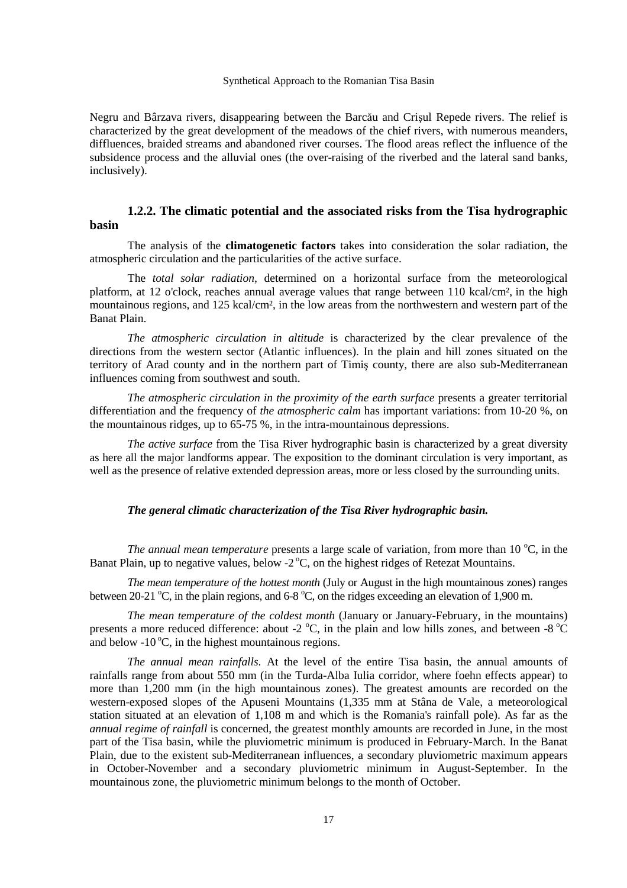Negru and Bârzava rivers, disappearing between the Barcău and Crişul Repede rivers. The relief is characterized by the great development of the meadows of the chief rivers, with numerous meanders, diffluences, braided streams and abandoned river courses. The flood areas reflect the influence of the subsidence process and the alluvial ones (the over-raising of the riverbed and the lateral sand banks, inclusively).

## **1.2.2. The climatic potential and the associated risks from the Tisa hydrographic basin**

The analysis of the **climatogenetic factors** takes into consideration the solar radiation, the atmospheric circulation and the particularities of the active surface.

 The *total solar radiation*, determined on a horizontal surface from the meteorological platform, at 12 o'clock, reaches annual average values that range between 110 kcal/cm², in the high mountainous regions, and 125 kcal/cm², in the low areas from the northwestern and western part of the Banat Plain.

*The atmospheric circulation in altitude* is characterized by the clear prevalence of the directions from the western sector (Atlantic influences). In the plain and hill zones situated on the territory of Arad county and in the northern part of Timiş county, there are also sub-Mediterranean influences coming from southwest and south.

*The atmospheric circulation in the proximity of the earth surface* presents a greater territorial differentiation and the frequency of *the atmospheric calm* has important variations: from 10-20 %, on the mountainous ridges, up to 65-75 %, in the intra-mountainous depressions.

*The active surface* from the Tisa River hydrographic basin is characterized by a great diversity as here all the major landforms appear. The exposition to the dominant circulation is very important, as well as the presence of relative extended depression areas, more or less closed by the surrounding units.

#### *The general climatic characterization of the Tisa River hydrographic basin.*

*The annual mean temperature* presents a large scale of variation, from more than 10 °C, in the Banat Plain, up to negative values, below  $-2^{\circ}C$ , on the highest ridges of Retezat Mountains.

*The mean temperature of the hottest month* (July or August in the high mountainous zones) ranges between 20-21  $^{\circ}$ C, in the plain regions, and 6-8  $^{\circ}$ C, on the ridges exceeding an elevation of 1,900 m.

*The mean temperature of the coldest month* (January or January-February, in the mountains) presents a more reduced difference: about -2  $^{\circ}$ C, in the plain and low hills zones, and between -8  $^{\circ}$ C and below  $-10^{\circ}$ C, in the highest mountainous regions.

*The annual mean rainfalls*. At the level of the entire Tisa basin, the annual amounts of rainfalls range from about 550 mm (in the Turda-Alba Iulia corridor, where foehn effects appear) to more than 1,200 mm (in the high mountainous zones). The greatest amounts are recorded on the western-exposed slopes of the Apuseni Mountains (1,335 mm at Stâna de Vale, a meteorological station situated at an elevation of 1,108 m and which is the Romania's rainfall pole). As far as the *annual regime of rainfall* is concerned, the greatest monthly amounts are recorded in June, in the most part of the Tisa basin, while the pluviometric minimum is produced in February-March. In the Banat Plain, due to the existent sub-Mediterranean influences, a secondary pluviometric maximum appears in October-November and a secondary pluviometric minimum in August-September. In the mountainous zone, the pluviometric minimum belongs to the month of October.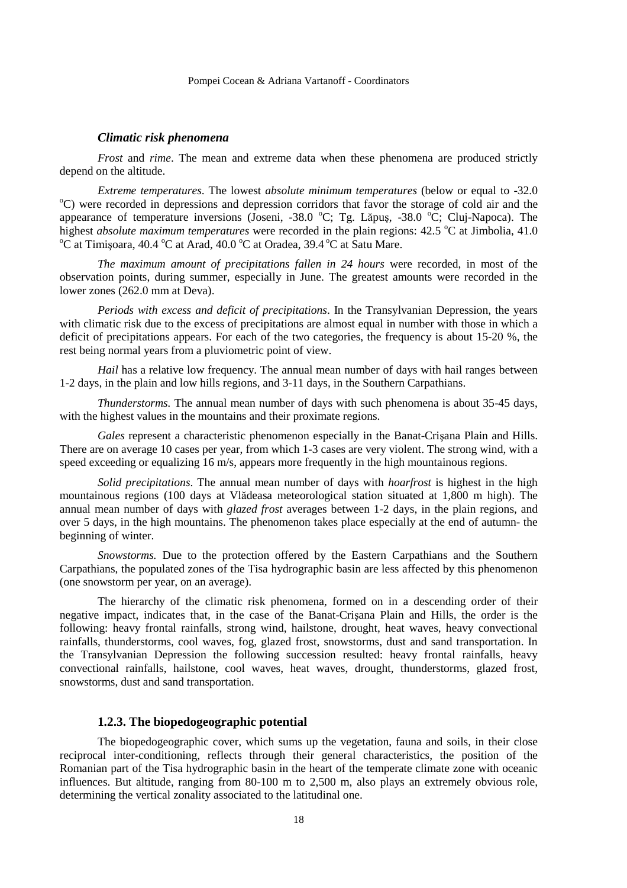#### *Climatic risk phenomena*

*Frost* and *rime*. The mean and extreme data when these phenomena are produced strictly depend on the altitude.

*Extreme temperatures*. The lowest *absolute minimum temperatures* (below or equal to -32.0 <sup>o</sup>C) were recorded in depressions and depression corridors that favor the storage of cold air and the appearance of temperature inversions (Joseni,  $-38.0$  °C; Tg. Lăpuş,  $-38.0$  °C; Cluj-Napoca). The highest *absolute maximum temperatures* were recorded in the plain regions: 42.5 °C at Jimbolia, 41.0  $\rm{^{\circ}C}$  at Timișoara, 40.4  $\rm{^{\circ}C}$  at Arad, 40.0  $\rm{^{\circ}C}$  at Oradea, 39.4  $\rm{^{\circ}C}$  at Satu Mare.

*The maximum amount of precipitations fallen in 24 hours* were recorded, in most of the observation points, during summer, especially in June. The greatest amounts were recorded in the lower zones (262.0 mm at Deva).

*Periods with excess and deficit of precipitations*. In the Transylvanian Depression, the years with climatic risk due to the excess of precipitations are almost equal in number with those in which a deficit of precipitations appears. For each of the two categories, the frequency is about 15-20 %, the rest being normal years from a pluviometric point of view.

*Hail* has a relative low frequency. The annual mean number of days with hail ranges between 1-2 days, in the plain and low hills regions, and 3-11 days, in the Southern Carpathians.

*Thunderstorms.* The annual mean number of days with such phenomena is about 35-45 days, with the highest values in the mountains and their proximate regions.

*Gales* represent a characteristic phenomenon especially in the Banat-Crişana Plain and Hills. There are on average 10 cases per year, from which 1-3 cases are very violent. The strong wind, with a speed exceeding or equalizing 16 m/s, appears more frequently in the high mountainous regions.

*Solid precipitations*. The annual mean number of days with *hoarfrost* is highest in the high mountainous regions (100 days at Vlădeasa meteorological station situated at 1,800 m high). The annual mean number of days with *glazed frost* averages between 1-2 days, in the plain regions, and over 5 days, in the high mountains. The phenomenon takes place especially at the end of autumn- the beginning of winter.

*Snowstorms.* Due to the protection offered by the Eastern Carpathians and the Southern Carpathians, the populated zones of the Tisa hydrographic basin are less affected by this phenomenon (one snowstorm per year, on an average).

 The hierarchy of the climatic risk phenomena, formed on in a descending order of their negative impact, indicates that, in the case of the Banat-Crişana Plain and Hills, the order is the following: heavy frontal rainfalls, strong wind, hailstone, drought, heat waves, heavy convectional rainfalls, thunderstorms, cool waves, fog, glazed frost, snowstorms, dust and sand transportation. In the Transylvanian Depression the following succession resulted: heavy frontal rainfalls, heavy convectional rainfalls, hailstone, cool waves, heat waves, drought, thunderstorms, glazed frost, snowstorms, dust and sand transportation.

### **1.2.3. The biopedogeographic potential**

The biopedogeographic cover, which sums up the vegetation, fauna and soils, in their close reciprocal inter-conditioning, reflects through their general characteristics, the position of the Romanian part of the Tisa hydrographic basin in the heart of the temperate climate zone with oceanic influences. But altitude, ranging from 80-100 m to 2,500 m, also plays an extremely obvious role, determining the vertical zonality associated to the latitudinal one.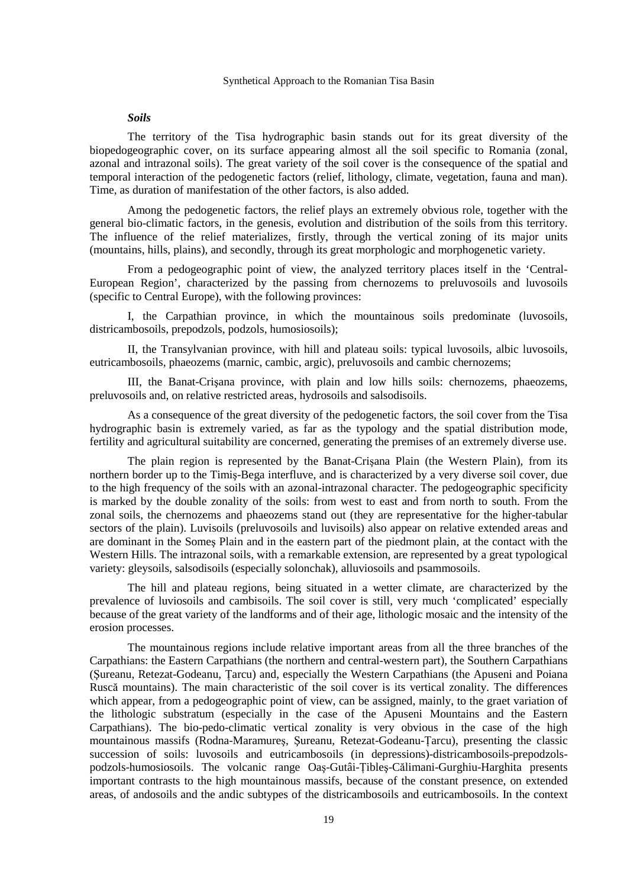#### *Soils*

The territory of the Tisa hydrographic basin stands out for its great diversity of the biopedogeographic cover, on its surface appearing almost all the soil specific to Romania (zonal, azonal and intrazonal soils). The great variety of the soil cover is the consequence of the spatial and temporal interaction of the pedogenetic factors (relief, lithology, climate, vegetation, fauna and man). Time, as duration of manifestation of the other factors, is also added.

 Among the pedogenetic factors, the relief plays an extremely obvious role, together with the general bio-climatic factors, in the genesis, evolution and distribution of the soils from this territory. The influence of the relief materializes, firstly, through the vertical zoning of its major units (mountains, hills, plains), and secondly, through its great morphologic and morphogenetic variety.

 From a pedogeographic point of view, the analyzed territory places itself in the 'Central-European Region', characterized by the passing from chernozems to preluvosoils and luvosoils (specific to Central Europe), with the following provinces:

 I, the Carpathian province, in which the mountainous soils predominate (luvosoils, districambosoils, prepodzols, podzols, humosiosoils);

 II, the Transylvanian province, with hill and plateau soils: typical luvosoils, albic luvosoils, eutricambosoils, phaeozems (marnic, cambic, argic), preluvosoils and cambic chernozems;

 III, the Banat-Crişana province, with plain and low hills soils: chernozems, phaeozems, preluvosoils and, on relative restricted areas, hydrosoils and salsodisoils.

 As a consequence of the great diversity of the pedogenetic factors, the soil cover from the Tisa hydrographic basin is extremely varied, as far as the typology and the spatial distribution mode, fertility and agricultural suitability are concerned, generating the premises of an extremely diverse use.

 The plain region is represented by the Banat-Crişana Plain (the Western Plain), from its northern border up to the Timiş-Bega interfluve, and is characterized by a very diverse soil cover, due to the high frequency of the soils with an azonal-intrazonal character. The pedogeographic specificity is marked by the double zonality of the soils: from west to east and from north to south. From the zonal soils, the chernozems and phaeozems stand out (they are representative for the higher-tabular sectors of the plain). Luvisoils (preluvosoils and luvisoils) also appear on relative extended areas and are dominant in the Someş Plain and in the eastern part of the piedmont plain, at the contact with the Western Hills. The intrazonal soils, with a remarkable extension, are represented by a great typological variety: gleysoils, salsodisoils (especially solonchak), alluviosoils and psammosoils.

 The hill and plateau regions, being situated in a wetter climate, are characterized by the prevalence of luviosoils and cambisoils. The soil cover is still, very much 'complicated' especially because of the great variety of the landforms and of their age, lithologic mosaic and the intensity of the erosion processes.

 The mountainous regions include relative important areas from all the three branches of the Carpathians: the Eastern Carpathians (the northern and central-western part), the Southern Carpathians (Sureanu, Retezat-Godeanu, Țarcu) and, especially the Western Carpathians (the Apuseni and Poiana Ruscă mountains). The main characteristic of the soil cover is its vertical zonality. The differences which appear, from a pedogeographic point of view, can be assigned, mainly, to the graet variation of the lithologic substratum (especially in the case of the Apuseni Mountains and the Eastern Carpathians). The bio-pedo-climatic vertical zonality is very obvious in the case of the high mountainous massifs (Rodna-Maramureș, Șureanu, Retezat-Godeanu-Țarcu), presenting the classic succession of soils: luvosoils and eutricambosoils (in depressions)-districambosoils-prepodzolspodzols-humosiosoils. The volcanic range Oas-Gutâi-Tibles-Călimani-Gurghiu-Harghita presents important contrasts to the high mountainous massifs, because of the constant presence, on extended areas, of andosoils and the andic subtypes of the districambosoils and eutricambosoils. In the context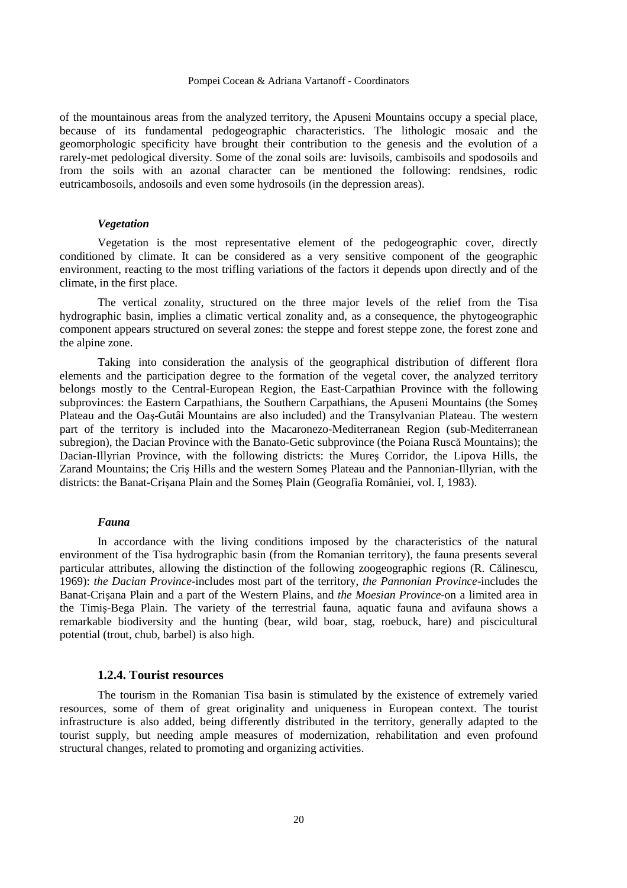of the mountainous areas from the analyzed territory, the Apuseni Mountains occupy a special place, because of its fundamental pedogeographic characteristics. The lithologic mosaic and the geomorphologic specificity have brought their contribution to the genesis and the evolution of a rarely-met pedological diversity. Some of the zonal soils are: luvisoils, cambisoils and spodosoils and from the soils with an azonal character can be mentioned the following: rendsines, rodic eutricambosoils, andosoils and even some hydrosoils (in the depression areas).

#### *Vegetation*

Vegetation is the most representative element of the pedogeographic cover, directly conditioned by climate. It can be considered as a very sensitive component of the geographic environment, reacting to the most trifling variations of the factors it depends upon directly and of the climate, in the first place.

The vertical zonality, structured on the three major levels of the relief from the Tisa hydrographic basin, implies a climatic vertical zonality and, as a consequence, the phytogeographic component appears structured on several zones: the steppe and forest steppe zone, the forest zone and the alpine zone.

Taking into consideration the analysis of the geographical distribution of different flora elements and the participation degree to the formation of the vegetal cover, the analyzed territory belongs mostly to the Central-European Region, the East-Carpathian Province with the following subprovinces: the Eastern Carpathians, the Southern Carpathians, the Apuseni Mountains (the Someş Plateau and the Oaş-Gutâi Mountains are also included) and the Transylvanian Plateau. The western part of the territory is included into the Macaronezo-Mediterranean Region (sub-Mediterranean subregion), the Dacian Province with the Banato-Getic subprovince (the Poiana Ruscă Mountains); the Dacian-Illyrian Province, with the following districts: the Mureş Corridor, the Lipova Hills, the Zarand Mountains; the Criş Hills and the western Someş Plateau and the Pannonian-Illyrian, with the districts: the Banat-Crişana Plain and the Someş Plain (Geografia României, vol. I, 1983).

#### *Fauna*

 In accordance with the living conditions imposed by the characteristics of the natural environment of the Tisa hydrographic basin (from the Romanian territory), the fauna presents several particular attributes, allowing the distinction of the following zoogeographic regions (R. Călinescu, 1969): *the Dacian Province*-includes most part of the territory, *the Pannonian Province*-includes the Banat-Crişana Plain and a part of the Western Plains, and *the Moesian Province*-on a limited area in the Timiş-Bega Plain. The variety of the terrestrial fauna, aquatic fauna and avifauna shows a remarkable biodiversity and the hunting (bear, wild boar, stag, roebuck, hare) and piscicultural potential (trout, chub, barbel) is also high.

#### **1.2.4. Tourist resources**

The tourism in the Romanian Tisa basin is stimulated by the existence of extremely varied resources, some of them of great originality and uniqueness in European context. The tourist infrastructure is also added, being differently distributed in the territory, generally adapted to the tourist supply, but needing ample measures of modernization, rehabilitation and even profound structural changes, related to promoting and organizing activities.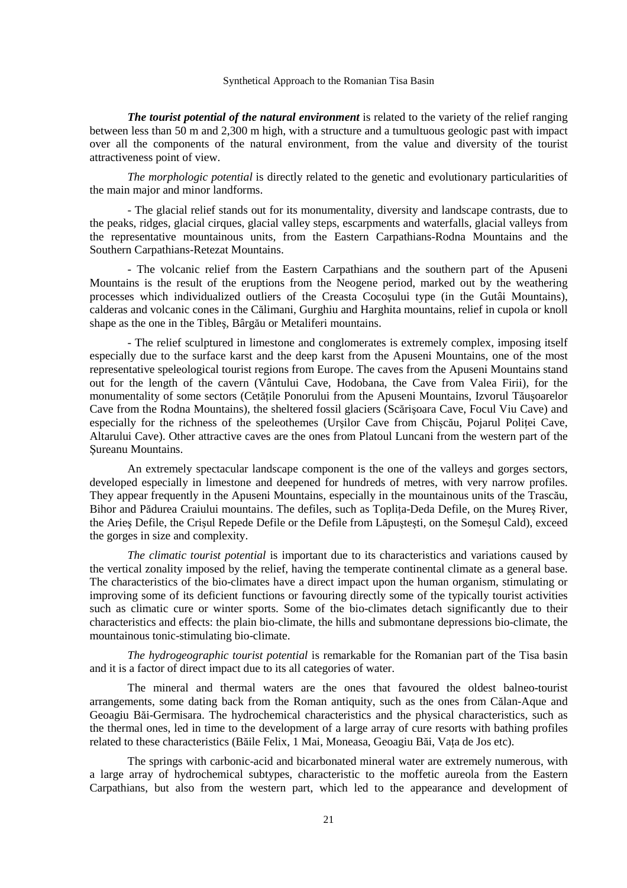*The tourist potential of the natural environment* is related to the variety of the relief ranging between less than 50 m and 2,300 m high, with a structure and a tumultuous geologic past with impact over all the components of the natural environment, from the value and diversity of the tourist attractiveness point of view.

*The morphologic potential* is directly related to the genetic and evolutionary particularities of the main major and minor landforms.

 - The glacial relief stands out for its monumentality, diversity and landscape contrasts, due to the peaks, ridges, glacial cirques, glacial valley steps, escarpments and waterfalls, glacial valleys from the representative mountainous units, from the Eastern Carpathians-Rodna Mountains and the Southern Carpathians-Retezat Mountains.

 - The volcanic relief from the Eastern Carpathians and the southern part of the Apuseni Mountains is the result of the eruptions from the Neogene period, marked out by the weathering processes which individualized outliers of the Creasta Cocoşului type (in the Gutâi Mountains), calderas and volcanic cones in the Călimani, Gurghiu and Harghita mountains, relief in cupola or knoll shape as the one in the Tibleş, Bârgău or Metaliferi mountains.

 - The relief sculptured in limestone and conglomerates is extremely complex, imposing itself especially due to the surface karst and the deep karst from the Apuseni Mountains, one of the most representative speleological tourist regions from Europe. The caves from the Apuseni Mountains stand out for the length of the cavern (Vântului Cave, Hodobana, the Cave from Valea Firii), for the monumentality of some sectors (Cetătile Ponorului from the Apuseni Mountains, Izvorul Tăusoarelor Cave from the Rodna Mountains), the sheltered fossil glaciers (Scărişoara Cave, Focul Viu Cave) and especially for the richness of the speleothemes (Ursilor Cave from Chiscău, Pojarul Politei Cave, Altarului Cave). Other attractive caves are the ones from Platoul Luncani from the western part of the Şureanu Mountains.

An extremely spectacular landscape component is the one of the valleys and gorges sectors, developed especially in limestone and deepened for hundreds of metres, with very narrow profiles. They appear frequently in the Apuseni Mountains, especially in the mountainous units of the Trascău, Bihor and Pădurea Craiului mountains. The defiles, such as Toplița-Deda Defile, on the Mureș River, the Arieş Defile, the Crişul Repede Defile or the Defile from Lăpuşteşti, on the Someşul Cald), exceed the gorges in size and complexity.

*The climatic tourist potential* is important due to its characteristics and variations caused by the vertical zonality imposed by the relief, having the temperate continental climate as a general base. The characteristics of the bio-climates have a direct impact upon the human organism, stimulating or improving some of its deficient functions or favouring directly some of the typically tourist activities such as climatic cure or winter sports. Some of the bio-climates detach significantly due to their characteristics and effects: the plain bio-climate, the hills and submontane depressions bio-climate, the mountainous tonic-stimulating bio-climate.

*The hydrogeographic tourist potential* is remarkable for the Romanian part of the Tisa basin and it is a factor of direct impact due to its all categories of water.

 The mineral and thermal waters are the ones that favoured the oldest balneo-tourist arrangements, some dating back from the Roman antiquity, such as the ones from Călan-Aque and Geoagiu Băi-Germisara. The hydrochemical characteristics and the physical characteristics, such as the thermal ones, led in time to the development of a large array of cure resorts with bathing profiles related to these characteristics (Băile Felix, 1 Mai, Moneasa, Geoagiu Băi, Vața de Jos etc).

 The springs with carbonic-acid and bicarbonated mineral water are extremely numerous, with a large array of hydrochemical subtypes, characteristic to the moffetic aureola from the Eastern Carpathians, but also from the western part, which led to the appearance and development of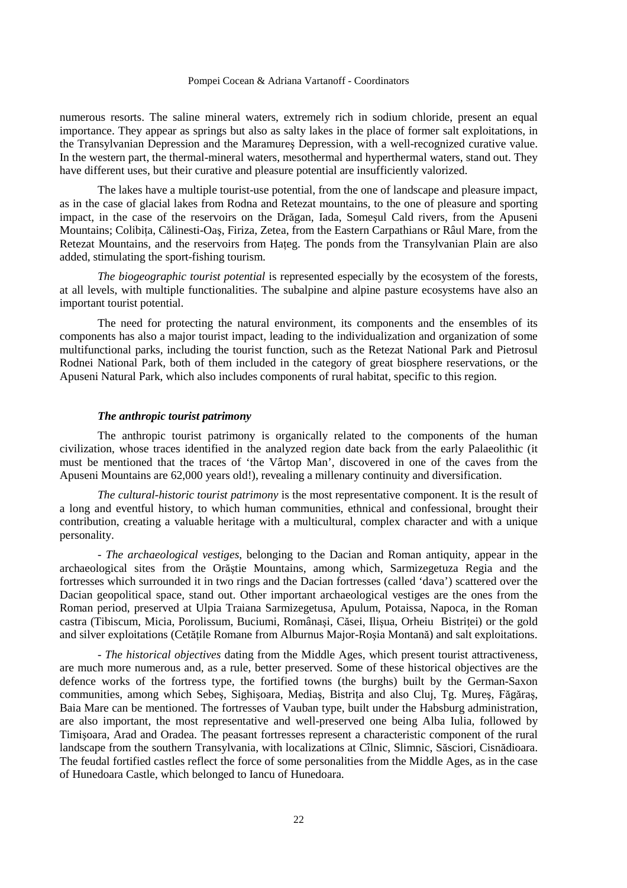numerous resorts. The saline mineral waters, extremely rich in sodium chloride, present an equal importance. They appear as springs but also as salty lakes in the place of former salt exploitations, in the Transylvanian Depression and the Maramureş Depression, with a well-recognized curative value. In the western part, the thermal-mineral waters, mesothermal and hyperthermal waters, stand out. They have different uses, but their curative and pleasure potential are insufficiently valorized.

 The lakes have a multiple tourist-use potential, from the one of landscape and pleasure impact, as in the case of glacial lakes from Rodna and Retezat mountains, to the one of pleasure and sporting impact, in the case of the reservoirs on the Drăgan, Iada, Someşul Cald rivers, from the Apuseni Mountains; Colibita, Călinesti-Oas, Firiza, Zetea, from the Eastern Carpathians or Râul Mare, from the Retezat Mountains, and the reservoirs from Hateg. The ponds from the Transylvanian Plain are also added, stimulating the sport-fishing tourism.

*The biogeographic tourist potential* is represented especially by the ecosystem of the forests, at all levels, with multiple functionalities. The subalpine and alpine pasture ecosystems have also an important tourist potential.

 The need for protecting the natural environment, its components and the ensembles of its components has also a major tourist impact, leading to the individualization and organization of some multifunctional parks, including the tourist function, such as the Retezat National Park and Pietrosul Rodnei National Park, both of them included in the category of great biosphere reservations, or the Apuseni Natural Park, which also includes components of rural habitat, specific to this region.

#### *The anthropic tourist patrimony*

The anthropic tourist patrimony is organically related to the components of the human civilization, whose traces identified in the analyzed region date back from the early Palaeolithic (it must be mentioned that the traces of 'the Vârtop Man', discovered in one of the caves from the Apuseni Mountains are 62,000 years old!), revealing a millenary continuity and diversification.

*The cultural-historic tourist patrimony* is the most representative component. It is the result of a long and eventful history, to which human communities, ethnical and confessional, brought their contribution, creating a valuable heritage with a multicultural, complex character and with a unique personality.

 - *The archaeological vestiges*, belonging to the Dacian and Roman antiquity, appear in the archaeological sites from the Orăştie Mountains, among which, Sarmizegetuza Regia and the fortresses which surrounded it in two rings and the Dacian fortresses (called 'dava') scattered over the Dacian geopolitical space, stand out. Other important archaeological vestiges are the ones from the Roman period, preserved at Ulpia Traiana Sarmizegetusa, Apulum, Potaissa, Napoca, in the Roman castra (Tibiscum, Micia, Porolissum, Buciumi, Românași, Căsei, Ilișua, Orheiu Bistritei) or the gold and silver exploitations (Cetățile Romane from Alburnus Major-Roșia Montană) and salt exploitations.

 - *The historical objectives* dating from the Middle Ages, which present tourist attractiveness, are much more numerous and, as a rule, better preserved. Some of these historical objectives are the defence works of the fortress type, the fortified towns (the burghs) built by the German-Saxon communities, among which Sebes, Sighișoara, Mediaș, Bistrița and also Cluj, Tg. Mureș, Făgăraș, Baia Mare can be mentioned. The fortresses of Vauban type, built under the Habsburg administration, are also important, the most representative and well-preserved one being Alba Iulia, followed by Timişoara, Arad and Oradea. The peasant fortresses represent a characteristic component of the rural landscape from the southern Transylvania, with localizations at Cîlnic, Slimnic, Săsciori, Cisnădioara. The feudal fortified castles reflect the force of some personalities from the Middle Ages, as in the case of Hunedoara Castle, which belonged to Iancu of Hunedoara.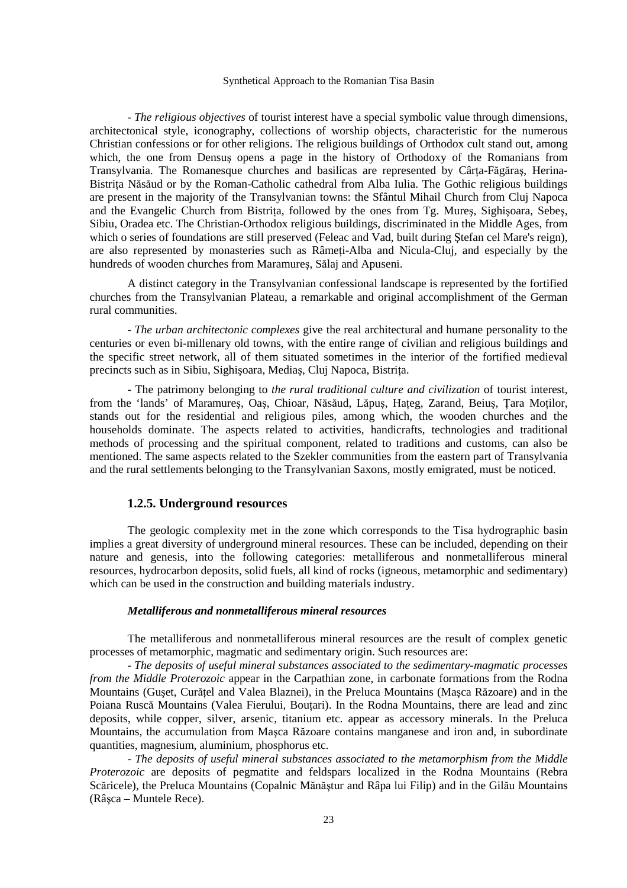- *The religious objectives* of tourist interest have a special symbolic value through dimensions, architectonical style, iconography, collections of worship objects, characteristic for the numerous Christian confessions or for other religions. The religious buildings of Orthodox cult stand out, among which, the one from Densuş opens a page in the history of Orthodoxy of the Romanians from Transylvania. The Romanesque churches and basilicas are represented by Cârta-Făgăraş, Herina-Bistrita Năsăud or by the Roman-Catholic cathedral from Alba Iulia. The Gothic religious buildings are present in the majority of the Transylvanian towns: the Sfântul Mihail Church from Cluj Napoca and the Evangelic Church from Bistrita, followed by the ones from Tg. Mures, Sighisoara, Sebes, Sibiu, Oradea etc. The Christian-Orthodox religious buildings, discriminated in the Middle Ages, from which o series of foundations are still preserved (Feleac and Vad, built during Stefan cel Mare's reign), are also represented by monasteries such as Râmeti-Alba and Nicula-Cluj, and especially by the hundreds of wooden churches from Maramureş, Sălaj and Apuseni.

 A distinct category in the Transylvanian confessional landscape is represented by the fortified churches from the Transylvanian Plateau, a remarkable and original accomplishment of the German rural communities.

 - *The urban architectonic complexes* give the real architectural and humane personality to the centuries or even bi-millenary old towns, with the entire range of civilian and religious buildings and the specific street network, all of them situated sometimes in the interior of the fortified medieval precincts such as in Sibiu, Sighisoara, Medias, Cluj Napoca, Bistrita.

 - The patrimony belonging to *the rural traditional culture and civilization* of tourist interest, from the 'lands' of Maramures, Oas, Chioar, Năsăud, Lăpus, Hateg, Zarand, Beius, Tara Motilor, stands out for the residential and religious piles, among which, the wooden churches and the households dominate. The aspects related to activities, handicrafts, technologies and traditional methods of processing and the spiritual component, related to traditions and customs, can also be mentioned. The same aspects related to the Szekler communities from the eastern part of Transylvania and the rural settlements belonging to the Transylvanian Saxons, mostly emigrated, must be noticed.

#### **1.2.5. Underground resources**

The geologic complexity met in the zone which corresponds to the Tisa hydrographic basin implies a great diversity of underground mineral resources. These can be included, depending on their nature and genesis, into the following categories: metalliferous and nonmetalliferous mineral resources, hydrocarbon deposits, solid fuels, all kind of rocks (igneous, metamorphic and sedimentary) which can be used in the construction and building materials industry.

#### *Metalliferous and nonmetalliferous mineral resources*

The metalliferous and nonmetalliferous mineral resources are the result of complex genetic processes of metamorphic, magmatic and sedimentary origin. Such resources are:

- *The deposits of useful mineral substances associated to the sedimentary-magmatic processes from the Middle Proterozoic* appear in the Carpathian zone, in carbonate formations from the Rodna Mountains (Guset, Curătel and Valea Blaznei), in the Preluca Mountains (Masca Răzoare) and in the Poiana Ruscă Mountains (Valea Fierului, Bouțari). In the Rodna Mountains, there are lead and zinc deposits, while copper, silver, arsenic, titanium etc. appear as accessory minerals. In the Preluca Mountains, the accumulation from Maşca Răzoare contains manganese and iron and, in subordinate quantities, magnesium, aluminium, phosphorus etc.

- *The deposits of useful mineral substances associated to the metamorphism from the Middle Proterozoic* are deposits of pegmatite and feldspars localized in the Rodna Mountains (Rebra Scăricele), the Preluca Mountains (Copalnic Mănăştur and Râpa lui Filip) and in the Gilău Mountains (Râşca – Muntele Rece).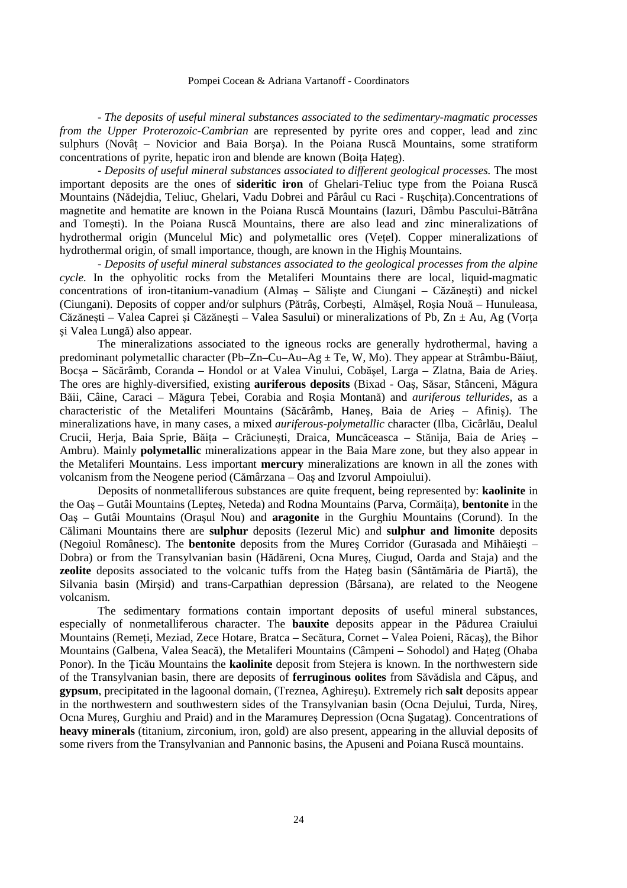- *The deposits of useful mineral substances associated to the sedimentary-magmatic processes from the Upper Proterozoic-Cambrian* are represented by pyrite ores and copper, lead and zinc sulphurs (Novâț – Novicior and Baia Borșa). In the Poiana Ruscă Mountains, some stratiform concentrations of pyrite, hepatic iron and blende are known (Boita Hateg).

- *Deposits of useful mineral substances associated to different geological processes.* The most important deposits are the ones of **sideritic iron** of Ghelari-Teliuc type from the Poiana Ruscă Mountains (Nădejdia, Teliuc, Ghelari, Vadu Dobrei and Pârâul cu Raci - Ruschița).Concentrations of magnetite and hematite are known in the Poiana Ruscă Mountains (Iazuri, Dâmbu Pascului-Bătrâna and Tomeşti). In the Poiana Ruscă Mountains, there are also lead and zinc mineralizations of hydrothermal origin (Muncelul Mic) and polymetallic ores (Vetel). Copper mineralizations of hydrothermal origin, of small importance, though, are known in the Highiş Mountains.

 - *Deposits of useful mineral substances associated to the geological processes from the alpine cycle.* In the ophyolitic rocks from the Metaliferi Mountains there are local, liquid-magmatic concentrations of iron-titanium-vanadium (Almaş – Sălişte and Ciungani – Căzăneşti) and nickel (Ciungani). Deposits of copper and/or sulphurs (Pătrâş, Corbeşti, Almăşel, Roşia Nouă – Hunuleasa, Căzănești – Valea Caprei și Căzănești – Valea Sasului) or mineralizations of Pb, Zn  $\pm$  Au, Ag (Vorța şi Valea Lungă) also appear.

 The mineralizations associated to the igneous rocks are generally hydrothermal, having a predominant polymetallic character (Pb–Zn–Cu–Au–Ag  $\pm$  Te, W, Mo). They appear at Strâmbu-Băiut, Bocşa – Săcărâmb, Coranda – Hondol or at Valea Vinului, Cobăşel, Larga – Zlatna, Baia de Arieş. The ores are highly-diversified, existing **auriferous deposits** (Bixad - Oaş, Săsar, Stânceni, Măgura Băii, Câine, Caraci – Măgura Țebei, Corabia and Roșia Montană) and *auriferous tellurides*, as a characteristic of the Metaliferi Mountains (Săcărâmb, Haneş, Baia de Arieş – Afiniş). The mineralizations have, in many cases, a mixed *auriferous-polymetallic* character (Ilba, Cicârlău, Dealul Crucii, Herja, Baia Sprie, Băița - Crăciunești, Draica, Muncăceasca - Stănija, Baia de Aries -Ambru). Mainly **polymetallic** mineralizations appear in the Baia Mare zone, but they also appear in the Metaliferi Mountains. Less important **mercury** mineralizations are known in all the zones with volcanism from the Neogene period (Cămârzana – Oaş and Izvorul Ampoiului).

 Deposits of nonmetalliferous substances are quite frequent, being represented by: **kaolinite** in the Oas – Gutâi Mountains (Leptes, Neteda) and Rodna Mountains (Parva, Cormăița), **bentonite** in the Oaş – Gutâi Mountains (Oraşul Nou) and **aragonite** in the Gurghiu Mountains (Corund). In the Călimani Mountains there are **sulphur** deposits (Iezerul Mic) and **sulphur and limonite** deposits (Negoiul Românesc). The **bentonite** deposits from the Mureş Corridor (Gurasada and Mihăieşti – Dobra) or from the Transylvanian basin (Hădăreni, Ocna Mureş, Ciugud, Oarda and Staja) and the **zeolite** deposits associated to the volcanic tuffs from the Hateg basin (Sântămăria de Piartă), the Silvania basin (Mirşid) and trans-Carpathian depression (Bârsana), are related to the Neogene volcanism.

 The sedimentary formations contain important deposits of useful mineral substances, especially of nonmetalliferous character. The **bauxite** deposits appear in the Pădurea Craiului Mountains (Remeți, Meziad, Zece Hotare, Bratca – Secătura, Cornet – Valea Poieni, Răcaș), the Bihor Mountains (Galbena, Valea Seacă), the Metaliferi Mountains (Câmpeni – Sohodol) and Hateg (Ohaba Ponor). In the Ticău Mountains the **kaolinite** deposit from Stejera is known. In the northwestern side of the Transylvanian basin, there are deposits of **ferruginous oolites** from Săvădisla and Căpuş, and **gypsum**, precipitated in the lagoonal domain, (Treznea, Aghireşu). Extremely rich **salt** deposits appear in the northwestern and southwestern sides of the Transylvanian basin (Ocna Dejului, Turda, Nireş, Ocna Mureş, Gurghiu and Praid) and in the Maramureş Depression (Ocna Şugatag). Concentrations of **heavy minerals** (titanium, zirconium, iron, gold) are also present, appearing in the alluvial deposits of some rivers from the Transylvanian and Pannonic basins, the Apuseni and Poiana Ruscă mountains.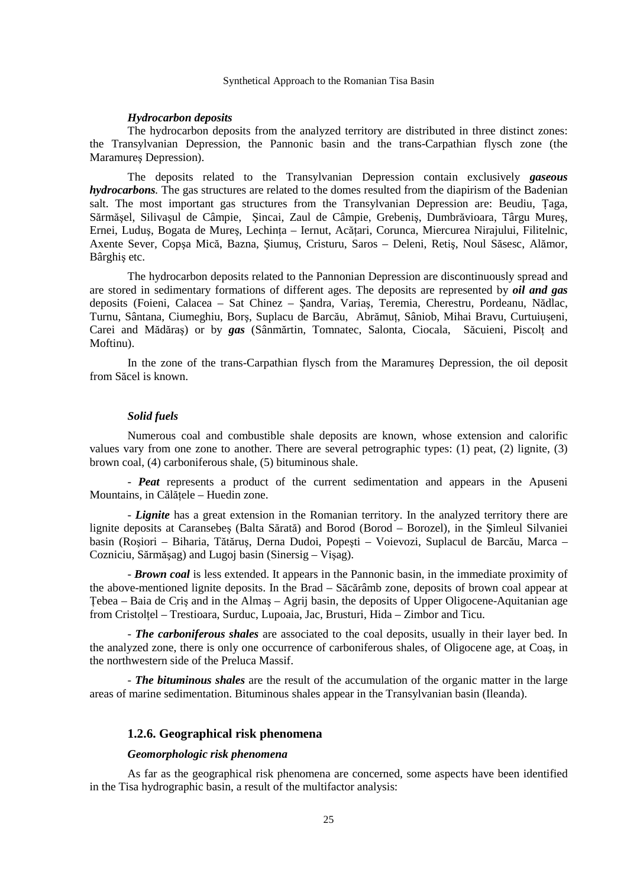#### *Hydrocarbon deposits*

 The hydrocarbon deposits from the analyzed territory are distributed in three distinct zones: the Transylvanian Depression, the Pannonic basin and the trans-Carpathian flysch zone (the Maramureş Depression).

 The deposits related to the Transylvanian Depression contain exclusively *gaseous hydrocarbons.* The gas structures are related to the domes resulted from the diapirism of the Badenian salt. The most important gas structures from the Transylvanian Depression are: Beudiu, Taga, Sărmăşel, Silivaşul de Câmpie, Şincai, Zaul de Câmpie, Grebeniş, Dumbrăvioara, Târgu Mureş, Ernei, Ludus, Bogata de Mures, Lechinta – Iernut, Acătari, Corunca, Miercurea Nirajului, Filitelnic, Axente Sever, Copşa Mică, Bazna, Şiumuş, Cristuru, Saros – Deleni, Retiş, Noul Săsesc, Alămor, Bârghiş etc.

 The hydrocarbon deposits related to the Pannonian Depression are discontinuously spread and are stored in sedimentary formations of different ages. The deposits are represented by *oil and gas* deposits (Foieni, Calacea – Sat Chinez – Şandra, Variaş, Teremia, Cherestru, Pordeanu, Nădlac, Turnu, Sântana, Ciumeghiu, Borș, Suplacu de Barcău, Abrămuț, Sâniob, Mihai Bravu, Curtuiușeni, Carei and Mădăras) or by *gas* (Sânmărtin, Tomnatec, Salonta, Ciocala, Săcuieni, Piscolt and Moftinu).

 In the zone of the trans-Carpathian flysch from the Maramureş Depression, the oil deposit from Săcel is known.

#### *Solid fuels*

Numerous coal and combustible shale deposits are known, whose extension and calorific values vary from one zone to another. There are several petrographic types: (1) peat, (2) lignite, (3) brown coal, (4) carboniferous shale, (5) bituminous shale.

 - *Peat* represents a product of the current sedimentation and appears in the Apuseni Mountains, in Călătele – Huedin zone.

 - *Lignite* has a great extension in the Romanian territory. In the analyzed territory there are lignite deposits at Caransebeş (Balta Sărată) and Borod (Borod – Borozel), in the Şimleul Silvaniei basin (Roşiori – Biharia, Tătăruş, Derna Dudoi, Popeşti – Voievozi, Suplacul de Barcău, Marca – Cozniciu, Sărmăşag) and Lugoj basin (Sinersig – Vişag).

 - *Brown coal* is less extended. It appears in the Pannonic basin, in the immediate proximity of the above-mentioned lignite deposits. In the Brad – Săcărâmb zone, deposits of brown coal appear at Tebea – Baia de Criș and in the Almaș – Agrij basin, the deposits of Upper Oligocene-Aquitanian age from Cristolțel – Trestioara, Surduc, Lupoaia, Jac, Brusturi, Hida – Zimbor and Ticu.

 - *The carboniferous shales* are associated to the coal deposits, usually in their layer bed. In the analyzed zone, there is only one occurrence of carboniferous shales, of Oligocene age, at Coaş, in the northwestern side of the Preluca Massif.

- *The bituminous shales* are the result of the accumulation of the organic matter in the large areas of marine sedimentation. Bituminous shales appear in the Transylvanian basin (Ileanda).

#### **1.2.6. Geographical risk phenomena**

#### *Geomorphologic risk phenomena*

 As far as the geographical risk phenomena are concerned, some aspects have been identified in the Tisa hydrographic basin, a result of the multifactor analysis: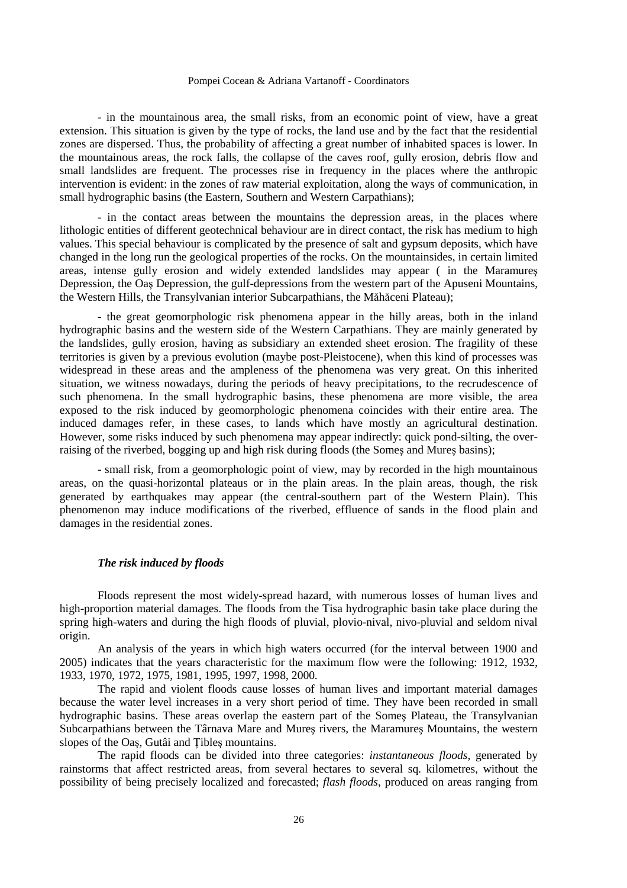- in the mountainous area, the small risks, from an economic point of view, have a great extension. This situation is given by the type of rocks, the land use and by the fact that the residential zones are dispersed. Thus, the probability of affecting a great number of inhabited spaces is lower. In the mountainous areas, the rock falls, the collapse of the caves roof, gully erosion, debris flow and small landslides are frequent. The processes rise in frequency in the places where the anthropic intervention is evident: in the zones of raw material exploitation, along the ways of communication, in small hydrographic basins (the Eastern, Southern and Western Carpathians);

 - in the contact areas between the mountains the depression areas, in the places where lithologic entities of different geotechnical behaviour are in direct contact, the risk has medium to high values. This special behaviour is complicated by the presence of salt and gypsum deposits, which have changed in the long run the geological properties of the rocks. On the mountainsides, in certain limited areas, intense gully erosion and widely extended landslides may appear ( in the Maramureş Depression, the Oaş Depression, the gulf-depressions from the western part of the Apuseni Mountains, the Western Hills, the Transylvanian interior Subcarpathians, the Măhăceni Plateau);

 - the great geomorphologic risk phenomena appear in the hilly areas, both in the inland hydrographic basins and the western side of the Western Carpathians. They are mainly generated by the landslides, gully erosion, having as subsidiary an extended sheet erosion. The fragility of these territories is given by a previous evolution (maybe post-Pleistocene), when this kind of processes was widespread in these areas and the ampleness of the phenomena was very great. On this inherited situation, we witness nowadays, during the periods of heavy precipitations, to the recrudescence of such phenomena. In the small hydrographic basins, these phenomena are more visible, the area exposed to the risk induced by geomorphologic phenomena coincides with their entire area. The induced damages refer, in these cases, to lands which have mostly an agricultural destination. However, some risks induced by such phenomena may appear indirectly: quick pond-silting, the overraising of the riverbed, bogging up and high risk during floods (the Somes and Mures basins);

 - small risk, from a geomorphologic point of view, may by recorded in the high mountainous areas, on the quasi-horizontal plateaus or in the plain areas. In the plain areas, though, the risk generated by earthquakes may appear (the central-southern part of the Western Plain). This phenomenon may induce modifications of the riverbed, effluence of sands in the flood plain and damages in the residential zones.

### *The risk induced by floods*

Floods represent the most widely-spread hazard, with numerous losses of human lives and high-proportion material damages. The floods from the Tisa hydrographic basin take place during the spring high-waters and during the high floods of pluvial, plovio-nival, nivo-pluvial and seldom nival origin.

 An analysis of the years in which high waters occurred (for the interval between 1900 and 2005) indicates that the years characteristic for the maximum flow were the following: 1912, 1932, 1933, 1970, 1972, 1975, 1981, 1995, 1997, 1998, 2000.

 The rapid and violent floods cause losses of human lives and important material damages because the water level increases in a very short period of time. They have been recorded in small hydrographic basins. These areas overlap the eastern part of the Someş Plateau, the Transylvanian Subcarpathians between the Târnava Mare and Mureş rivers, the Maramureş Mountains, the western slopes of the Oas, Gutâi and Tibles mountains.

 The rapid floods can be divided into three categories: *instantaneous floods*, generated by rainstorms that affect restricted areas, from several hectares to several sq. kilometres, without the possibility of being precisely localized and forecasted; *flash floods*, produced on areas ranging from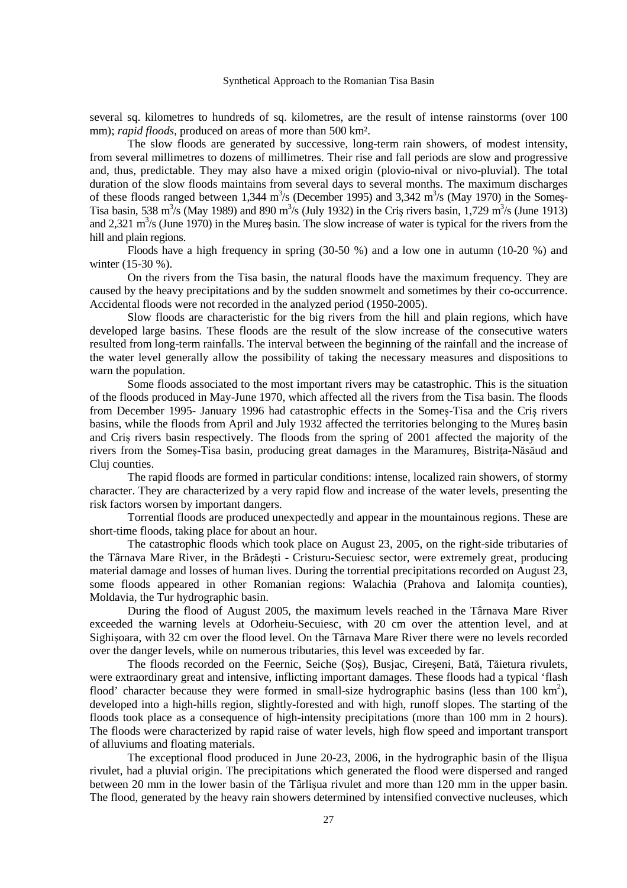several sq. kilometres to hundreds of sq. kilometres, are the result of intense rainstorms (over 100 mm); *rapid floods*, produced on areas of more than 500 km<sup>2</sup>.

 The slow floods are generated by successive, long-term rain showers, of modest intensity, from several millimetres to dozens of millimetres. Their rise and fall periods are slow and progressive and, thus, predictable. They may also have a mixed origin (plovio-nival or nivo-pluvial). The total duration of the slow floods maintains from several days to several months. The maximum discharges of these floods ranged between 1,344  $\text{m}^3\text{/s}$  (December 1995) and 3,342  $\text{m}^3\text{/s}$  (May 1970) in the Somes-Tisa basin, 538 m<sup>3</sup>/s (May 1989) and 890 m<sup>3</sup>/s (July 1932) in the Cris rivers basin, 1,729 m<sup>3</sup>/s (June 1913) and 2,321  $\text{m}^3$ /s (June 1970) in the Mureş basin. The slow increase of water is typical for the rivers from the hill and plain regions.

 Floods have a high frequency in spring (30-50 %) and a low one in autumn (10-20 %) and winter (15-30 %).

 On the rivers from the Tisa basin, the natural floods have the maximum frequency. They are caused by the heavy precipitations and by the sudden snowmelt and sometimes by their co-occurrence. Accidental floods were not recorded in the analyzed period (1950-2005).

 Slow floods are characteristic for the big rivers from the hill and plain regions, which have developed large basins. These floods are the result of the slow increase of the consecutive waters resulted from long-term rainfalls. The interval between the beginning of the rainfall and the increase of the water level generally allow the possibility of taking the necessary measures and dispositions to warn the population.

 Some floods associated to the most important rivers may be catastrophic. This is the situation of the floods produced in May-June 1970, which affected all the rivers from the Tisa basin. The floods from December 1995- January 1996 had catastrophic effects in the Someş-Tisa and the Criş rivers basins, while the floods from April and July 1932 affected the territories belonging to the Mureş basin and Criş rivers basin respectively. The floods from the spring of 2001 affected the majority of the rivers from the Somes-Tisa basin, producing great damages in the Maramures, Bistrița-Năsăud and Cluj counties.

 The rapid floods are formed in particular conditions: intense, localized rain showers, of stormy character. They are characterized by a very rapid flow and increase of the water levels, presenting the risk factors worsen by important dangers.

 Torrential floods are produced unexpectedly and appear in the mountainous regions. These are short-time floods, taking place for about an hour.

 The catastrophic floods which took place on August 23, 2005, on the right-side tributaries of the Târnava Mare River, in the Brădeşti - Cristuru-Secuiesc sector, were extremely great, producing material damage and losses of human lives. During the torrential precipitations recorded on August 23, some floods appeared in other Romanian regions: Walachia (Prahova and Ialomita counties), Moldavia, the Tur hydrographic basin.

 During the flood of August 2005, the maximum levels reached in the Târnava Mare River exceeded the warning levels at Odorheiu-Secuiesc, with 20 cm over the attention level, and at Sighişoara, with 32 cm over the flood level. On the Târnava Mare River there were no levels recorded over the danger levels, while on numerous tributaries, this level was exceeded by far.

 The floods recorded on the Feernic, Seiche (Şoş), Busjac, Cireşeni, Bată, Tăietura rivulets, were extraordinary great and intensive, inflicting important damages. These floods had a typical 'flash flood' character because they were formed in small-size hydrographic basins (less than  $100 \text{ km}^2$ ), developed into a high-hills region, slightly-forested and with high, runoff slopes. The starting of the floods took place as a consequence of high-intensity precipitations (more than 100 mm in 2 hours). The floods were characterized by rapid raise of water levels, high flow speed and important transport of alluviums and floating materials.

 The exceptional flood produced in June 20-23, 2006, in the hydrographic basin of the Ilişua rivulet, had a pluvial origin. The precipitations which generated the flood were dispersed and ranged between 20 mm in the lower basin of the Târlişua rivulet and more than 120 mm in the upper basin. The flood, generated by the heavy rain showers determined by intensified convective nucleuses, which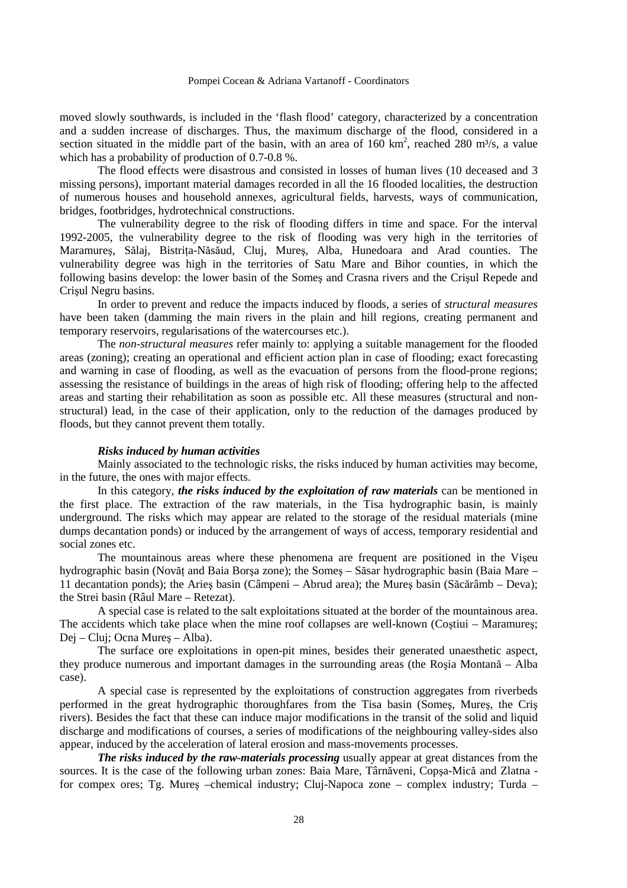moved slowly southwards, is included in the 'flash flood' category, characterized by a concentration and a sudden increase of discharges. Thus, the maximum discharge of the flood, considered in a section situated in the middle part of the basin, with an area of  $160 \text{ km}^2$ , reached 280 m<sup>3</sup>/s, a value which has a probability of production of 0.7-0.8 %.

 The flood effects were disastrous and consisted in losses of human lives (10 deceased and 3 missing persons), important material damages recorded in all the 16 flooded localities, the destruction of numerous houses and household annexes, agricultural fields, harvests, ways of communication, bridges, footbridges, hydrotechnical constructions.

 The vulnerability degree to the risk of flooding differs in time and space. For the interval 1992-2005, the vulnerability degree to the risk of flooding was very high in the territories of Maramures, Sălaj, Bistrita-Năsăud, Cluj, Mures, Alba, Hunedoara and Arad counties. The vulnerability degree was high in the territories of Satu Mare and Bihor counties, in which the following basins develop: the lower basin of the Someş and Crasna rivers and the Crişul Repede and Crişul Negru basins.

 In order to prevent and reduce the impacts induced by floods, a series of *structural measures* have been taken (damming the main rivers in the plain and hill regions, creating permanent and temporary reservoirs, regularisations of the watercourses etc.).

 The *non-structural measures* refer mainly to: applying a suitable management for the flooded areas (zoning); creating an operational and efficient action plan in case of flooding; exact forecasting and warning in case of flooding, as well as the evacuation of persons from the flood-prone regions; assessing the resistance of buildings in the areas of high risk of flooding; offering help to the affected areas and starting their rehabilitation as soon as possible etc. All these measures (structural and nonstructural) lead, in the case of their application, only to the reduction of the damages produced by floods, but they cannot prevent them totally.

#### *Risks induced by human activities*

Mainly associated to the technologic risks, the risks induced by human activities may become, in the future, the ones with major effects.

 In this category, *the risks induced by the exploitation of raw materials* can be mentioned in the first place. The extraction of the raw materials, in the Tisa hydrographic basin, is mainly underground. The risks which may appear are related to the storage of the residual materials (mine dumps decantation ponds) or induced by the arrangement of ways of access, temporary residential and social zones etc.

 The mountainous areas where these phenomena are frequent are positioned in the Vişeu hydrographic basin (Novăt and Baia Borsa zone); the Somes – Săsar hydrographic basin (Baia Mare – 11 decantation ponds); the Arieş basin (Câmpeni – Abrud area); the Mureş basin (Săcărâmb – Deva); the Strei basin (Râul Mare – Retezat).

 A special case is related to the salt exploitations situated at the border of the mountainous area. The accidents which take place when the mine roof collapses are well-known (Coştiui – Maramureş; Dej – Cluj; Ocna Mureş – Alba).

 The surface ore exploitations in open-pit mines, besides their generated unaesthetic aspect, they produce numerous and important damages in the surrounding areas (the Roşia Montană – Alba case).

 A special case is represented by the exploitations of construction aggregates from riverbeds performed in the great hydrographic thoroughfares from the Tisa basin (Someş, Mureş, the Criş rivers). Besides the fact that these can induce major modifications in the transit of the solid and liquid discharge and modifications of courses, a series of modifications of the neighbouring valley-sides also appear, induced by the acceleration of lateral erosion and mass-movements processes.

*The risks induced by the raw-materials processing* usually appear at great distances from the sources. It is the case of the following urban zones: Baia Mare, Târnăveni, Copşa-Mică and Zlatna for compex ores; Tg. Mureş –chemical industry; Cluj-Napoca zone – complex industry; Turda –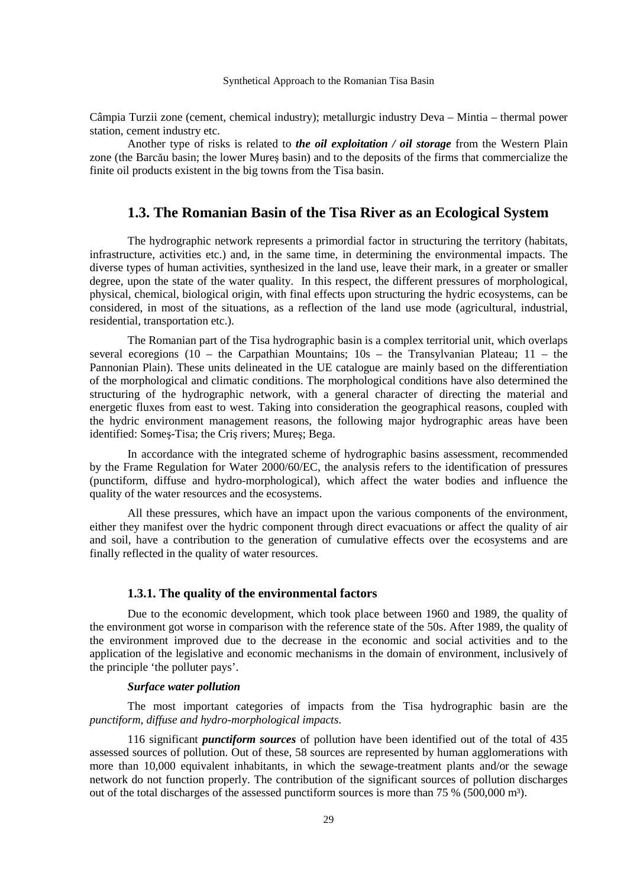Câmpia Turzii zone (cement, chemical industry); metallurgic industry Deva – Mintia – thermal power station, cement industry etc.

 Another type of risks is related to *the oil exploitation / oil storage* from the Western Plain zone (the Barcău basin; the lower Mureş basin) and to the deposits of the firms that commercialize the finite oil products existent in the big towns from the Tisa basin.

## **1.3. The Romanian Basin of the Tisa River as an Ecological System**

 The hydrographic network represents a primordial factor in structuring the territory (habitats, infrastructure, activities etc.) and, in the same time, in determining the environmental impacts. The diverse types of human activities, synthesized in the land use, leave their mark, in a greater or smaller degree, upon the state of the water quality. In this respect, the different pressures of morphological, physical, chemical, biological origin, with final effects upon structuring the hydric ecosystems, can be considered, in most of the situations, as a reflection of the land use mode (agricultural, industrial, residential, transportation etc.).

 The Romanian part of the Tisa hydrographic basin is a complex territorial unit, which overlaps several ecoregions (10 – the Carpathian Mountains;  $10s$  – the Transylvanian Plateau;  $11$  – the Pannonian Plain). These units delineated in the UE catalogue are mainly based on the differentiation of the morphological and climatic conditions. The morphological conditions have also determined the structuring of the hydrographic network, with a general character of directing the material and energetic fluxes from east to west. Taking into consideration the geographical reasons, coupled with the hydric environment management reasons, the following major hydrographic areas have been identified: Someş-Tisa; the Criş rivers; Mureş; Bega.

 In accordance with the integrated scheme of hydrographic basins assessment, recommended by the Frame Regulation for Water 2000/60/EC, the analysis refers to the identification of pressures (punctiform, diffuse and hydro-morphological), which affect the water bodies and influence the quality of the water resources and the ecosystems.

 All these pressures, which have an impact upon the various components of the environment, either they manifest over the hydric component through direct evacuations or affect the quality of air and soil, have a contribution to the generation of cumulative effects over the ecosystems and are finally reflected in the quality of water resources.

#### **1.3.1. The quality of the environmental factors**

Due to the economic development, which took place between 1960 and 1989, the quality of the environment got worse in comparison with the reference state of the 50s. After 1989, the quality of the environment improved due to the decrease in the economic and social activities and to the application of the legislative and economic mechanisms in the domain of environment, inclusively of the principle 'the polluter pays'.

#### *Surface water pollution*

The most important categories of impacts from the Tisa hydrographic basin are the *punctiform, diffuse and hydro-morphological impacts*.

 116 significant *punctiform sources* of pollution have been identified out of the total of 435 assessed sources of pollution. Out of these, 58 sources are represented by human agglomerations with more than 10,000 equivalent inhabitants, in which the sewage-treatment plants and/or the sewage network do not function properly. The contribution of the significant sources of pollution discharges out of the total discharges of the assessed punctiform sources is more than  $75\%$  (500,000 m<sup>3</sup>).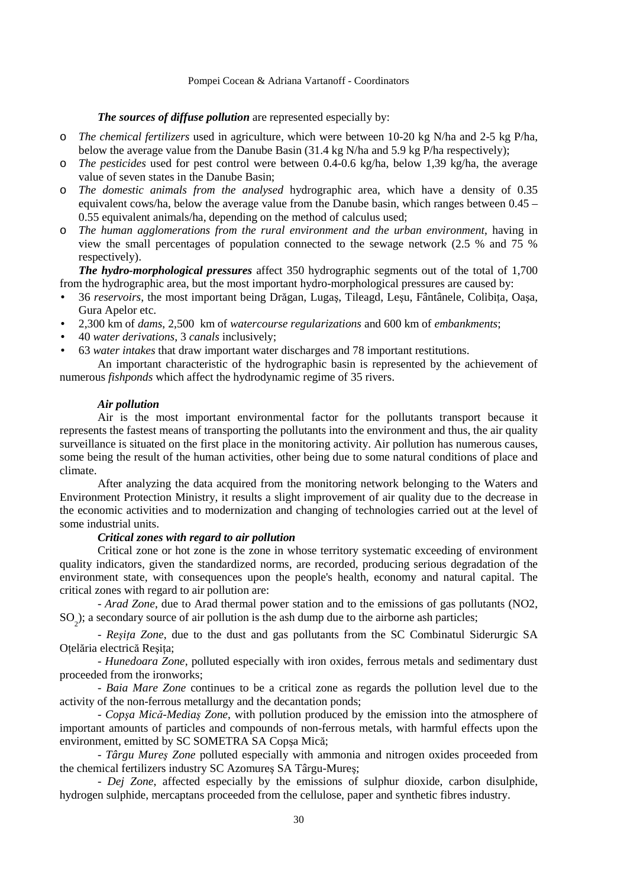#### *The sources of diffuse pollution* are represented especially by:

- o *The chemical fertilizers* used in agriculture, which were between 10-20 kg N/ha and 2-5 kg P/ha, below the average value from the Danube Basin (31.4 kg N/ha and 5.9 kg P/ha respectively);
- o *The pesticides* used for pest control were between 0.4-0.6 kg/ha, below 1,39 kg/ha, the average value of seven states in the Danube Basin;
- o *The domestic animals from the analysed* hydrographic area, which have a density of 0.35 equivalent cows/ha, below the average value from the Danube basin, which ranges between 0.45 – 0.55 equivalent animals/ha, depending on the method of calculus used;
- o *The human agglomerations from the rural environment and the urban environment*, having in view the small percentages of population connected to the sewage network (2.5 % and 75 % respectively).

*The hydro-morphological pressures* affect 350 hydrographic segments out of the total of 1,700 from the hydrographic area, but the most important hydro-morphological pressures are caused by:

- 36 *reservoirs*, the most important being Drăgan, Lugas, Tileagd, Lesu, Fântânele, Colibita, Oașa, Gura Apelor etc.
- 2,300 km of *dams*, 2,500 km of *watercourse regularizations* and 600 km of *embankments*;
- 40 *water derivations*, 3 *canals* inclusively;
- 63 *water intakes* that draw important water discharges and 78 important restitutions.

An important characteristic of the hydrographic basin is represented by the achievement of numerous *fishponds* which affect the hydrodynamic regime of 35 rivers.

#### *Air pollution*

Air is the most important environmental factor for the pollutants transport because it represents the fastest means of transporting the pollutants into the environment and thus, the air quality surveillance is situated on the first place in the monitoring activity. Air pollution has numerous causes, some being the result of the human activities, other being due to some natural conditions of place and climate.

 After analyzing the data acquired from the monitoring network belonging to the Waters and Environment Protection Ministry, it results a slight improvement of air quality due to the decrease in the economic activities and to modernization and changing of technologies carried out at the level of some industrial units.

## *Critical zones with regard to air pollution*

Critical zone or hot zone is the zone in whose territory systematic exceeding of environment quality indicators, given the standardized norms, are recorded, producing serious degradation of the environment state, with consequences upon the people's health, economy and natural capital. The critical zones with regard to air pollution are:

 - *Arad Zone*, due to Arad thermal power station and to the emissions of gas pollutants (NO2, SO<sub>2</sub>); a secondary source of air pollution is the ash dump due to the airborne ash particles;

- *Reșița Zone*, due to the dust and gas pollutants from the SC Combinatul Siderurgic SA Otelăria electrică Resita;

- *Hunedoara Zone*, polluted especially with iron oxides, ferrous metals and sedimentary dust proceeded from the ironworks;

- *Baia Mare Zone* continues to be a critical zone as regards the pollution level due to the activity of the non-ferrous metallurgy and the decantation ponds;

- *Copşa Mică-Mediaş Zone*, with pollution produced by the emission into the atmosphere of important amounts of particles and compounds of non-ferrous metals, with harmful effects upon the environment, emitted by SC SOMETRA SA Copşa Mică;

 - *Târgu Mureş Zone* polluted especially with ammonia and nitrogen oxides proceeded from the chemical fertilizers industry SC Azomureş SA Târgu-Mureş;

 - *Dej Zone*, affected especially by the emissions of sulphur dioxide, carbon disulphide, hydrogen sulphide, mercaptans proceeded from the cellulose, paper and synthetic fibres industry.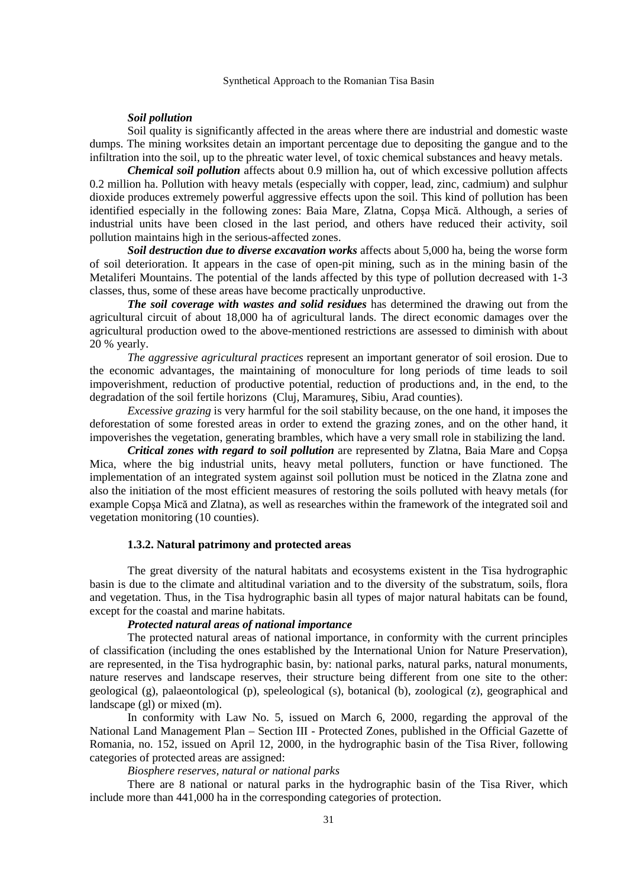#### *Soil pollution*

Soil quality is significantly affected in the areas where there are industrial and domestic waste dumps. The mining worksites detain an important percentage due to depositing the gangue and to the infiltration into the soil, up to the phreatic water level, of toxic chemical substances and heavy metals.

*Chemical soil pollution* affects about 0.9 million ha, out of which excessive pollution affects 0.2 million ha. Pollution with heavy metals (especially with copper, lead, zinc, cadmium) and sulphur dioxide produces extremely powerful aggressive effects upon the soil. This kind of pollution has been identified especially in the following zones: Baia Mare, Zlatna, Copşa Mică. Although, a series of industrial units have been closed in the last period, and others have reduced their activity, soil pollution maintains high in the serious-affected zones.

*Soil destruction due to diverse excavation works* affects about 5,000 ha, being the worse form of soil deterioration. It appears in the case of open-pit mining, such as in the mining basin of the Metaliferi Mountains. The potential of the lands affected by this type of pollution decreased with 1-3 classes, thus, some of these areas have become practically unproductive.

*The soil coverage with wastes and solid residues* has determined the drawing out from the agricultural circuit of about 18,000 ha of agricultural lands. The direct economic damages over the agricultural production owed to the above-mentioned restrictions are assessed to diminish with about 20 % yearly.

*The aggressive agricultural practices* represent an important generator of soil erosion. Due to the economic advantages, the maintaining of monoculture for long periods of time leads to soil impoverishment, reduction of productive potential, reduction of productions and, in the end, to the degradation of the soil fertile horizons (Cluj, Maramureş, Sibiu, Arad counties).

*Excessive grazing* is very harmful for the soil stability because, on the one hand, it imposes the deforestation of some forested areas in order to extend the grazing zones, and on the other hand, it impoverishes the vegetation, generating brambles, which have a very small role in stabilizing the land.

*Critical zones with regard to soil pollution* are represented by Zlatna, Baia Mare and Copşa Mica, where the big industrial units, heavy metal polluters, function or have functioned. The implementation of an integrated system against soil pollution must be noticed in the Zlatna zone and also the initiation of the most efficient measures of restoring the soils polluted with heavy metals (for example Copşa Mică and Zlatna), as well as researches within the framework of the integrated soil and vegetation monitoring (10 counties).

#### **1.3.2. Natural patrimony and protected areas**

 The great diversity of the natural habitats and ecosystems existent in the Tisa hydrographic basin is due to the climate and altitudinal variation and to the diversity of the substratum, soils, flora and vegetation. Thus, in the Tisa hydrographic basin all types of major natural habitats can be found, except for the coastal and marine habitats.

#### *Protected natural areas of national importance*

 The protected natural areas of national importance, in conformity with the current principles of classification (including the ones established by the International Union for Nature Preservation), are represented, in the Tisa hydrographic basin, by: national parks, natural parks, natural monuments, nature reserves and landscape reserves, their structure being different from one site to the other: geological (g), palaeontological (p), speleological (s), botanical (b), zoological (z), geographical and landscape (gl) or mixed (m).

In conformity with Law No. 5, issued on March 6, 2000, regarding the approval of the National Land Management Plan – Section III - Protected Zones, published in the Official Gazette of Romania, no. 152, issued on April 12, 2000, in the hydrographic basin of the Tisa River, following categories of protected areas are assigned:

### *Biosphere reserves, natural or national parks*

There are 8 national or natural parks in the hydrographic basin of the Tisa River, which include more than 441,000 ha in the corresponding categories of protection.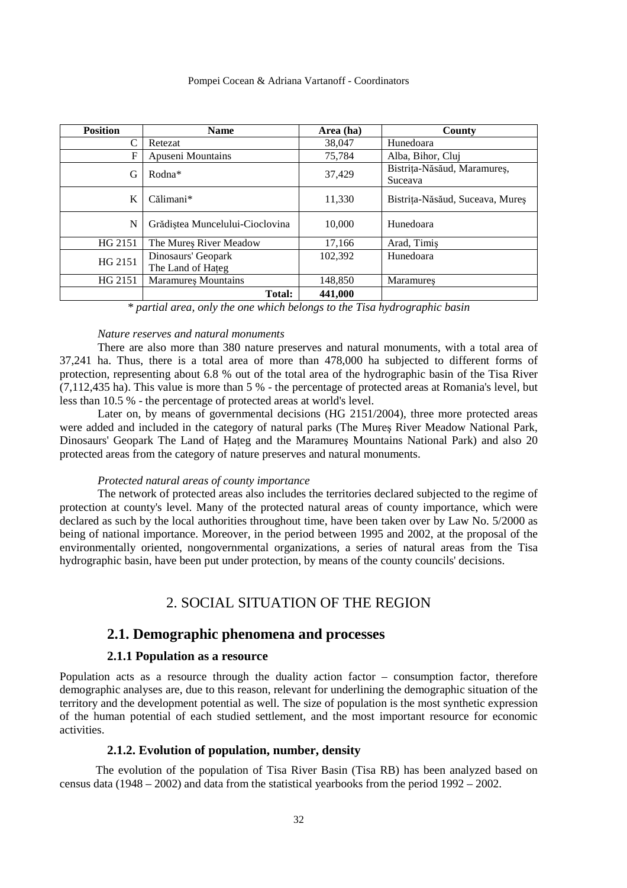| <b>Position</b> | <b>Name</b>                             | Area (ha) | County                                 |
|-----------------|-----------------------------------------|-----------|----------------------------------------|
|                 | Retezat                                 | 38,047    | Hunedoara                              |
| F               | Apuseni Mountains                       | 75,784    | Alba, Bihor, Cluj                      |
| G               | Rodna*                                  | 37,429    | Bistrița-Năsăud, Maramureș,<br>Suceava |
| K               | Călimani*                               | 11,330    | Bistrița-Năsăud, Suceava, Mureș        |
| N               | Grădiștea Muncelului-Cioclovina         | 10,000    | Hunedoara                              |
| HG 2151         | The Mures River Meadow                  | 17,166    | Arad, Timiş                            |
| HG 2151         | Dinosaurs' Geopark<br>The Land of Hateg | 102.392   | Hunedoara                              |
| HG 2151         | <b>Maramures Mountains</b>              | 148,850   | <b>Maramures</b>                       |
|                 | Total:                                  | 441,000   |                                        |

*\* partial area, only the one which belongs to the Tisa hydrographic basin* 

#### *Nature reserves and natural monuments*

 There are also more than 380 nature preserves and natural monuments, with a total area of 37,241 ha. Thus, there is a total area of more than 478,000 ha subjected to different forms of protection, representing about 6.8 % out of the total area of the hydrographic basin of the Tisa River (7,112,435 ha). This value is more than 5 % - the percentage of protected areas at Romania's level, but less than 10.5 % - the percentage of protected areas at world's level.

Later on, by means of governmental decisions (HG 2151/2004), three more protected areas were added and included in the category of natural parks (The Mureş River Meadow National Park, Dinosaurs' Geopark The Land of Hateg and the Maramures Mountains National Park) and also 20 protected areas from the category of nature preserves and natural monuments.

#### *Protected natural areas of county importance*

The network of protected areas also includes the territories declared subjected to the regime of protection at county's level. Many of the protected natural areas of county importance, which were declared as such by the local authorities throughout time, have been taken over by Law No. 5/2000 as being of national importance. Moreover, in the period between 1995 and 2002, at the proposal of the environmentally oriented, nongovernmental organizations, a series of natural areas from the Tisa hydrographic basin, have been put under protection, by means of the county councils' decisions.

## 2. SOCIAL SITUATION OF THE REGION

## **2.1. Demographic phenomena and processes**

#### **2.1.1 Population as a resource**

Population acts as a resource through the duality action factor – consumption factor, therefore demographic analyses are, due to this reason, relevant for underlining the demographic situation of the territory and the development potential as well. The size of population is the most synthetic expression of the human potential of each studied settlement, and the most important resource for economic activities.

## **2.1.2. Evolution of population, number, density**

The evolution of the population of Tisa River Basin (Tisa RB) has been analyzed based on census data (1948 – 2002) and data from the statistical yearbooks from the period 1992 – 2002.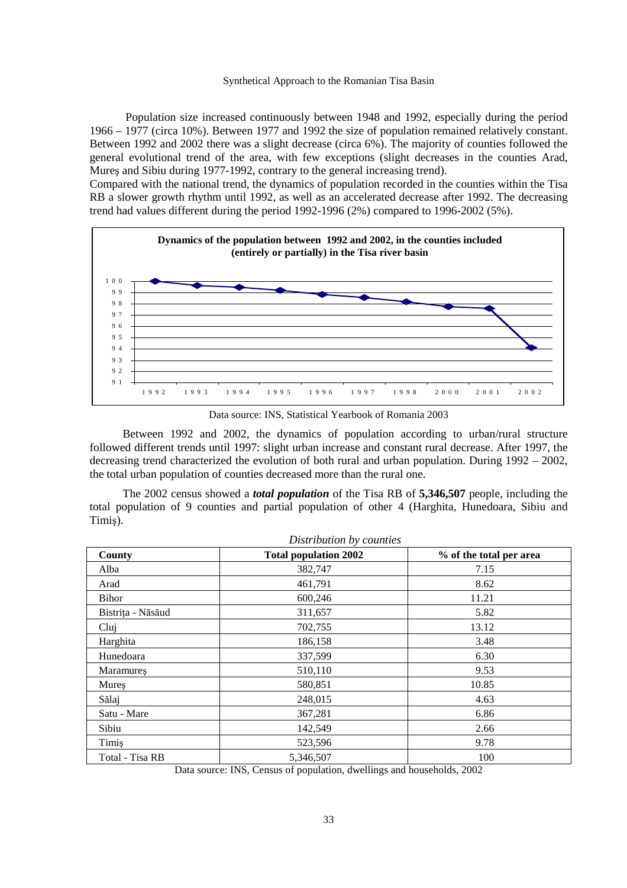Population size increased continuously between 1948 and 1992, especially during the period 1966 – 1977 (circa 10%). Between 1977 and 1992 the size of population remained relatively constant. Between 1992 and 2002 there was a slight decrease (circa 6%). The majority of counties followed the general evolutional trend of the area, with few exceptions (slight decreases in the counties Arad, Mureş and Sibiu during 1977-1992, contrary to the general increasing trend).

Compared with the national trend, the dynamics of population recorded in the counties within the Tisa RB a slower growth rhythm until 1992, as well as an accelerated decrease after 1992. The decreasing trend had values different during the period  $1992-1996 (2%)$  compared to  $1996-2002 (5%).$ 



Data source: INS, Statistical Yearbook of Romania 2003

Between 1992 and 2002, the dynamics of population according to urban/rural structure followed different trends until 1997: slight urban increase and constant rural decrease. After 1997, the decreasing trend characterized the evolution of both rural and urban population. During 1992 – 2002, the total urban population of counties decreased more than the rural one.

The 2002 census showed a *total population* of the Tisa RB of **5,346,507** people, including the total population of 9 counties and partial population of other 4 (Harghita, Hunedoara, Sibiu and Timiş).

| County            | <b>Total population 2002</b> | % of the total per area |
|-------------------|------------------------------|-------------------------|
| Alba              | 382,747                      | 7.15                    |
| Arad              | 461,791                      | 8.62                    |
| Bihor             | 600,246                      | 11.21                   |
| Bistrița - Năsăud | 311,657                      | 5.82                    |
| Clui              | 702,755                      | 13.12                   |
| Harghita          | 186,158                      | 3.48                    |
| Hunedoara         | 337,599                      | 6.30                    |
| Maramures         | 510,110                      | 9.53                    |
| Mures             | 580,851                      | 10.85                   |
| Sălaj             | 248,015                      | 4.63                    |
| Satu - Mare       | 367,281                      | 6.86                    |
| Sibiu             | 142,549                      | 2.66                    |
| Timis             | 523,596                      | 9.78                    |
| Total - Tisa RB   | 5,346,507                    | 100                     |

Data source: INS, Census of population, dwellings and households, 2002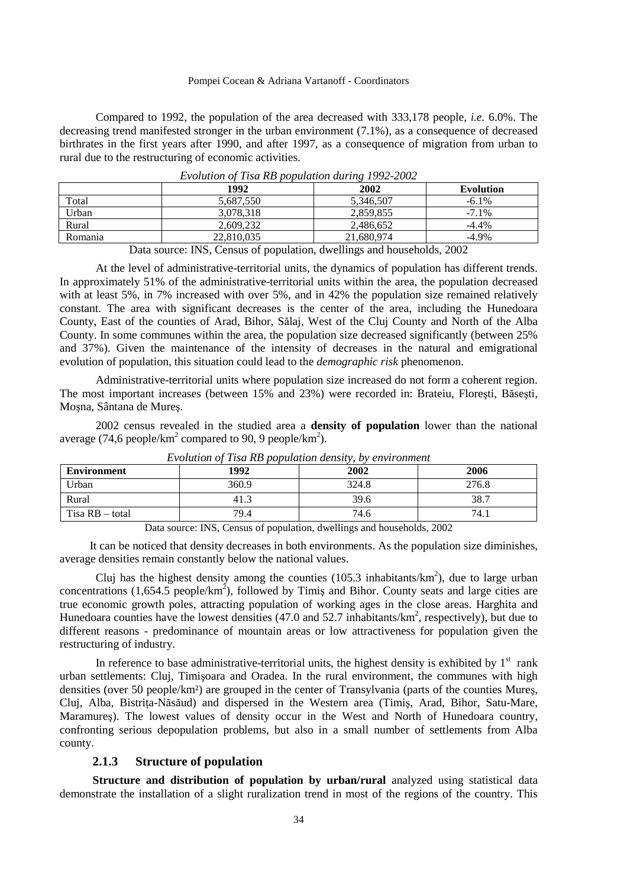Compared to 1992, the population of the area decreased with 333,178 people, *i.e.* 6.0%. The decreasing trend manifested stronger in the urban environment (7.1%), as a consequence of decreased birthrates in the first years after 1990, and after 1997, as a consequence of migration from urban to rural due to the restructuring of economic activities.

| _              |            |            |                  |  |  |
|----------------|------------|------------|------------------|--|--|
|                | 1992       | 2002       | <b>Evolution</b> |  |  |
| Total          | 5.687.550  | 5,346,507  | $-6.1\%$         |  |  |
| Urban          | 3.078.318  | 2,859,855  | $-7.1\%$         |  |  |
| Rural          | 2.609.232  | 2,486,652  | $-4.4\%$         |  |  |
| <b>Romania</b> | 22,810,035 | 21,680,974 | $-4.9\%$         |  |  |

*Evolution of Tisa RB population during 1992-2002*

Data source: INS, Census of population, dwellings and households, 2002

At the level of administrative-territorial units, the dynamics of population has different trends. In approximately 51% of the administrative-territorial units within the area, the population decreased with at least 5%, in 7% increased with over 5%, and in 42% the population size remained relatively constant. The area with significant decreases is the center of the area, including the Hunedoara County, East of the counties of Arad, Bihor, Sălaj, West of the Cluj County and North of the Alba County. In some communes within the area, the population size decreased significantly (between 25% and 37%). Given the maintenance of the intensity of decreases in the natural and emigrational evolution of population, this situation could lead to the *demographic risk* phenomenon.

Administrative-territorial units where population size increased do not form a coherent region. The most important increases (between 15% and 23%) were recorded in: Brateiu, Floreşti, Băseşti, Moşna, Sântana de Mureş.

2002 census revealed in the studied area a **density of population** lower than the national average (74,6 people/km<sup>2</sup> compared to 90, 9 people/km<sup>2</sup>).

| <b>Environment</b> | 1992  | 2002  | 2006  |
|--------------------|-------|-------|-------|
| Urban              | 360.9 | 324.8 | 276.8 |
| Rural              | 41.3  | 39.6  | 38.7  |
| Tisa RB – total    | 79.4  | 74.6  | 74.1  |

*Evolution of Tisa RB population density, by environment* 

Data source: INS, Census of population, dwellings and households, 2002

It can be noticed that density decreases in both environments. As the population size diminishes, average densities remain constantly below the national values.

Cluj has the highest density among the counties  $(105.3 \text{ inhabitants/km}^2)$ , due to large urban concentrations  $(1,654.5 \text{ people/km}^2)$ , followed by Timiş and Bihor. County seats and large cities are true economic growth poles, attracting population of working ages in the close areas. Harghita and Hunedoara counties have the lowest densities (47.0 and 52.7 inhabitants/ $km^2$ , respectively), but due to different reasons - predominance of mountain areas or low attractiveness for population given the restructuring of industry.

In reference to base administrative-territorial units, the highest density is exhibited by  $1<sup>st</sup>$  rank urban settlements: Cluj, Timişoara and Oradea. In the rural environment, the communes with high densities (over 50 people/km²) are grouped in the center of Transylvania (parts of the counties Mureş, Cluj, Alba, Bistrita-Năsăud) and dispersed in the Western area (Timis, Arad, Bihor, Satu-Mare, Maramureş). The lowest values of density occur in the West and North of Hunedoara country, confronting serious depopulation problems, but also in a small number of settlements from Alba county.

### **2.1.3 Structure of population**

**Structure and distribution of population by urban/rural** analyzed using statistical data demonstrate the installation of a slight ruralization trend in most of the regions of the country. This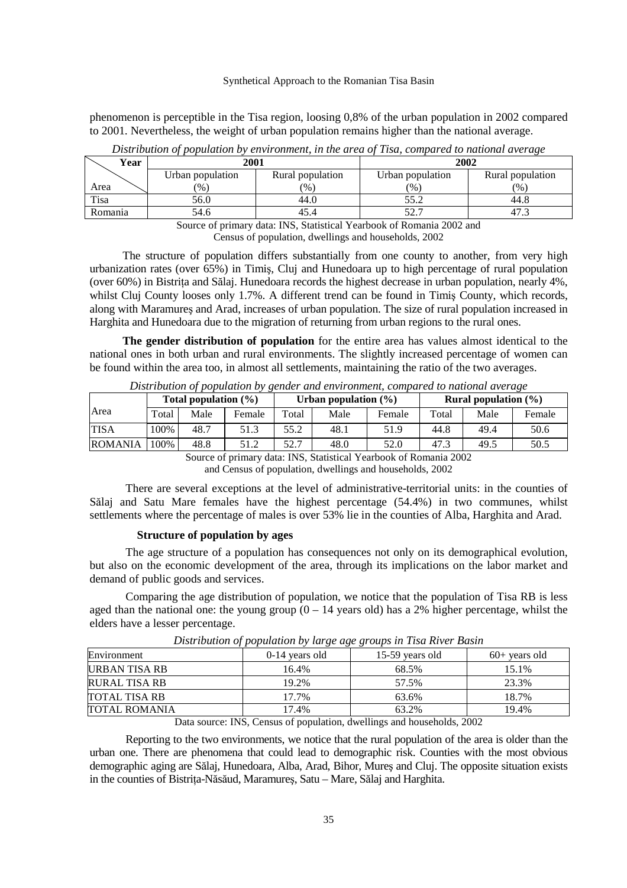phenomenon is perceptible in the Tisa region, loosing 0,8% of the urban population in 2002 compared to 2001. Nevertheless, the weight of urban population remains higher than the national average.

| Year    | 2001             |                  | 2002                                  |                  |  |
|---------|------------------|------------------|---------------------------------------|------------------|--|
|         | Urban population | Rural population |                                       | Rural population |  |
| Area    | (% )             | $\frac{9}{6}$    | $\frac{9}{6}$                         | $\frac{1}{2}$    |  |
| Tisa    | 56.0             | 44.0             | 55.2                                  | 44.8             |  |
| Romania | 54.6             | 45.4             | ، ، ، ،                               |                  |  |
|         | $\sim$<br>$\sim$ | $  -$<br>-----   | $\sim$ $\sim$ $\sim$<br>$\sim$ $\sim$ |                  |  |

*Distribution of population by environment, in the area of Tisa, compared to national average* 

Source of primary data: INS, Statistical Yearbook of Romania 2002 and

Census of population, dwellings and households, 2002

The structure of population differs substantially from one county to another, from very high urbanization rates (over 65%) in Timiş, Cluj and Hunedoara up to high percentage of rural population (over 60%) in Bistrița and Sălaj. Hunedoara records the highest decrease in urban population, nearly 4%, whilst Clui County looses only 1.7%. A different trend can be found in Timis County, which records, along with Maramureş and Arad, increases of urban population. The size of rural population increased in Harghita and Hunedoara due to the migration of returning from urban regions to the rural ones.

**The gender distribution of population** for the entire area has values almost identical to the national ones in both urban and rural environments. The slightly increased percentage of women can be found within the area too, in almost all settlements, maintaining the ratio of the two averages.

|                | Distribution of population by Kenaer and christomicht, compared to national arcraxe<br>Total population $(\% )$ |      |        | Urban population $(\% )$ |      |        | <b>Rural population</b> $(\%)$ |      |        |
|----------------|-----------------------------------------------------------------------------------------------------------------|------|--------|--------------------------|------|--------|--------------------------------|------|--------|
| Area           | Total                                                                                                           | Male | Female | Total                    | Male | Female | Total                          | Male | Female |
| <b>TISA</b>    | 100%                                                                                                            | 48.7 | 51.3   | 55.2                     | 48.1 | 51.9   | 44.8                           | 49.4 | 50.6   |
| <b>ROMANIA</b> | 100%                                                                                                            | 48.8 | 51.2   | 52.7                     | 48.0 | 52.0   | 47.3                           | 49.5 | 50.5   |

*Distribution of population by gender and environment, compared to national average* 

Source of primary data: INS, Statistical Yearbook of Romania 2002

and Census of population, dwellings and households, 2002

There are several exceptions at the level of administrative-territorial units: in the counties of Sălaj and Satu Mare females have the highest percentage (54.4%) in two communes, whilst settlements where the percentage of males is over 53% lie in the counties of Alba, Harghita and Arad.

#### **Structure of population by ages**

The age structure of a population has consequences not only on its demographical evolution, but also on the economic development of the area, through its implications on the labor market and demand of public goods and services.

Comparing the age distribution of population, we notice that the population of Tisa RB is less aged than the national one: the young group  $(0 - 14$  years old) has a 2% higher percentage, whilst the elders have a lesser percentage.

| Environment          | $0-14$ vears old | 15-59 years old | $60+$ years old |
|----------------------|------------------|-----------------|-----------------|
| URBAN TISA RB        | 16.4%            | 68.5%           | 15.1%           |
| <b>RURAL TISA RB</b> | 19.2%            | 57.5%           | 23.3%           |
| <b>TOTAL TISA RB</b> | 17.7%            | 63.6%           | 18.7%           |
| <b>TOTAL ROMANIA</b> | 17.4%            | 63.2%           | 19.4%           |

*Distribution of population by large age groups in Tisa River Basin* 

Data source: INS, Census of population, dwellings and households, 2002

Reporting to the two environments, we notice that the rural population of the area is older than the urban one. There are phenomena that could lead to demographic risk. Counties with the most obvious demographic aging are Sălaj, Hunedoara, Alba, Arad, Bihor, Mureş and Cluj. The opposite situation exists in the counties of Bistrita-Năsăud, Maramures, Satu – Mare, Sălaj and Harghita.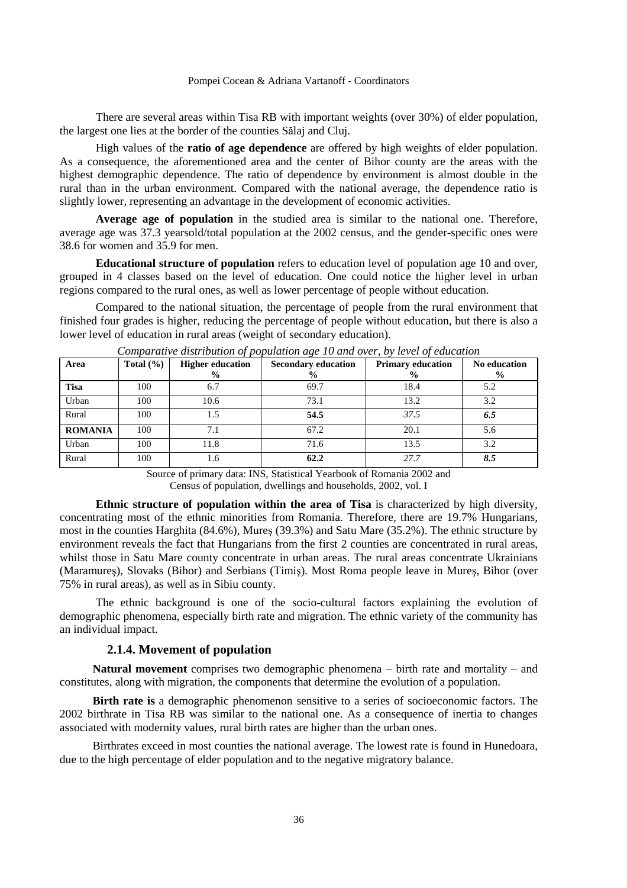There are several areas within Tisa RB with important weights (over 30%) of elder population, the largest one lies at the border of the counties Sălaj and Cluj.

High values of the **ratio of age dependence** are offered by high weights of elder population. As a consequence, the aforementioned area and the center of Bihor county are the areas with the highest demographic dependence. The ratio of dependence by environment is almost double in the rural than in the urban environment. Compared with the national average, the dependence ratio is slightly lower, representing an advantage in the development of economic activities.

**Average age of population** in the studied area is similar to the national one. Therefore, average age was 37.3 yearsold/total population at the 2002 census, and the gender-specific ones were 38.6 for women and 35.9 for men.

**Educational structure of population** refers to education level of population age 10 and over, grouped in 4 classes based on the level of education. One could notice the higher level in urban regions compared to the rural ones, as well as lower percentage of people without education.

Compared to the national situation, the percentage of people from the rural environment that finished four grades is higher, reducing the percentage of people without education, but there is also a lower level of education in rural areas (weight of secondary education).

| Area           | Total $(\% )$ | <b>Higher education</b><br>$\frac{6}{9}$ | <b>Secondary education</b><br>$\frac{0}{0}$ | <b>Primary education</b><br>$\frac{6}{9}$ | No education<br>$\frac{0}{0}$ |
|----------------|---------------|------------------------------------------|---------------------------------------------|-------------------------------------------|-------------------------------|
| <b>Tisa</b>    | 100           | 6.7                                      | 69.7                                        | 18.4                                      | 5.2                           |
| Urban          | 100           | 10.6                                     | 73.1                                        | 13.2                                      | 3.2                           |
| Rural          | 100           | 1.5                                      | 54.5                                        | 37.5                                      | 6.5                           |
| <b>ROMANIA</b> | 100           | 7.1                                      | 67.2                                        | 20.1                                      | 5.6                           |
| Urban          | 100           | 11.8                                     | 71.6                                        | 13.5                                      | 3.2                           |
| Rural          | 100           | 1.6                                      | 62.2                                        | 27.7                                      | 8.5                           |

*Comparative distribution of population age 10 and over, by level of education* 

Source of primary data: INS, Statistical Yearbook of Romania 2002 and Census of population, dwellings and households, 2002, vol. I

**Ethnic structure of population within the area of Tisa** is characterized by high diversity, concentrating most of the ethnic minorities from Romania. Therefore, there are 19.7% Hungarians, most in the counties Harghita (84.6%), Mureş (39.3%) and Satu Mare (35.2%). The ethnic structure by environment reveals the fact that Hungarians from the first 2 counties are concentrated in rural areas, whilst those in Satu Mare county concentrate in urban areas. The rural areas concentrate Ukrainians (Maramureş), Slovaks (Bihor) and Serbians (Timiş). Most Roma people leave in Mureş, Bihor (over 75% in rural areas), as well as in Sibiu county.

The ethnic background is one of the socio-cultural factors explaining the evolution of demographic phenomena, especially birth rate and migration. The ethnic variety of the community has an individual impact.

#### **2.1.4. Movement of population**

**Natural movement** comprises two demographic phenomena – birth rate and mortality – and constitutes, along with migration, the components that determine the evolution of a population.

**Birth rate is** a demographic phenomenon sensitive to a series of socioeconomic factors. The 2002 birthrate in Tisa RB was similar to the national one. As a consequence of inertia to changes associated with modernity values, rural birth rates are higher than the urban ones.

Birthrates exceed in most counties the national average. The lowest rate is found in Hunedoara, due to the high percentage of elder population and to the negative migratory balance.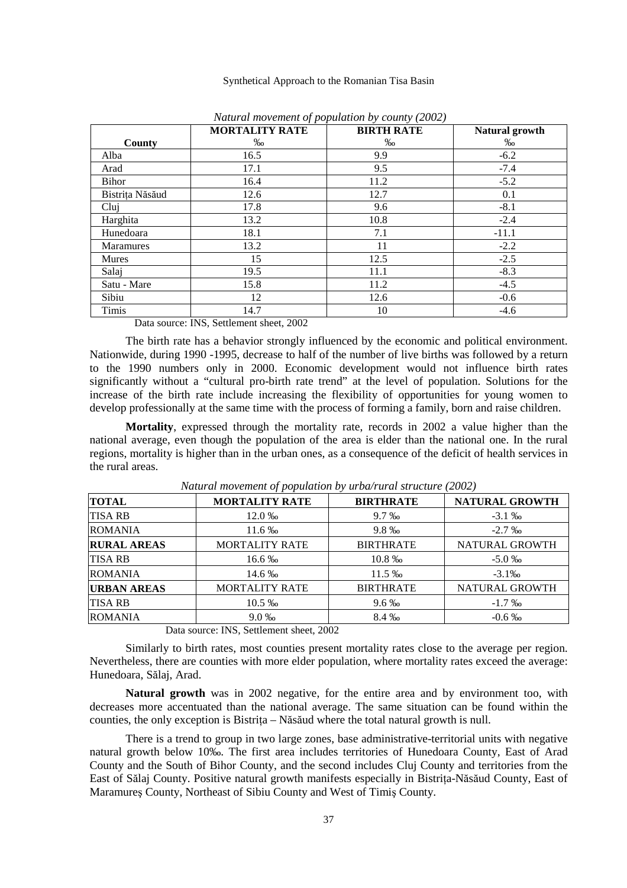|                  | <b>BIRTH RATE</b> | Natural growth |         |
|------------------|-------------------|----------------|---------|
| County           | $\%$              | $\%$           | $\%$ o  |
| Alba             | 16.5              | 9.9            | $-6.2$  |
| Arad             | 17.1              | 9.5            | $-7.4$  |
| <b>Bihor</b>     | 16.4              | 11.2           | $-5.2$  |
| Bistrița Năsăud  | 12.6              | 12.7           | 0.1     |
| Clui             | 17.8              | 9.6            | $-8.1$  |
| Harghita         | 13.2              | 10.8           | $-2.4$  |
| Hunedoara        | 18.1              | 7.1            | $-11.1$ |
| <b>Maramures</b> | 13.2              | 11             | $-2.2$  |
| <b>Mures</b>     | 15                | 12.5           | $-2.5$  |
| Salaj            | 19.5              | 11.1           | $-8.3$  |
| Satu - Mare      | 15.8              | 11.2           | $-4.5$  |
| Sibiu            | 12                | 12.6           | $-0.6$  |
| Timis            | 14.7              | 10             | $-4.6$  |

*Natural movement of population by county (2002)* 

Data source: INS, Settlement sheet, 2002

The birth rate has a behavior strongly influenced by the economic and political environment. Nationwide, during 1990 -1995, decrease to half of the number of live births was followed by a return to the 1990 numbers only in 2000. Economic development would not influence birth rates significantly without a "cultural pro-birth rate trend" at the level of population. Solutions for the increase of the birth rate include increasing the flexibility of opportunities for young women to develop professionally at the same time with the process of forming a family, born and raise children.

**Mortality**, expressed through the mortality rate, records in 2002 a value higher than the national average, even though the population of the area is elder than the national one. In the rural regions, mortality is higher than in the urban ones, as a consequence of the deficit of health services in the rural areas.

| <b>MORTALITY RATE</b> | <b>BIRTHRATE</b> | <b>NATURAL GROWTH</b>                           |  |
|-----------------------|------------------|-------------------------------------------------|--|
| 12.0 ‰                | $9.7\%$          | $-3.1\%$                                        |  |
| $11.6\%$              |                  | $-2.7\%$                                        |  |
| <b>MORTALITY RATE</b> | <b>BIRTHRATE</b> | NATURAL GROWTH                                  |  |
| 16.6 ‰                | 10.8%            | $-5.0 \%$                                       |  |
| 14.6 ‰                | 11.5 ‰           | $-3.1\%$                                        |  |
| <b>MORTALITY RATE</b> | <b>BIRTHRATE</b> | NATURAL GROWTH                                  |  |
| $10.5\%$              | $9.6\%$          | $-1.7\%$                                        |  |
| $9.0\%$               | 8.4 ‰            | $-0.6\%$                                        |  |
|                       |                  | 9.8%<br>$\mathbf{u}$ $\alpha$ $\alpha$ $\alpha$ |  |

*Natural movement of population by urba/rural structure (2002)* 

Data source: INS, Settlement sheet, 2002

Similarly to birth rates, most counties present mortality rates close to the average per region. Nevertheless, there are counties with more elder population, where mortality rates exceed the average: Hunedoara, Sălaj, Arad.

**Natural growth** was in 2002 negative, for the entire area and by environment too, with decreases more accentuated than the national average. The same situation can be found within the counties, the only exception is Bistrita – Năsăud where the total natural growth is null.

There is a trend to group in two large zones, base administrative-territorial units with negative natural growth below 10‰. The first area includes territories of Hunedoara County, East of Arad County and the South of Bihor County, and the second includes Cluj County and territories from the East of Sălaj County. Positive natural growth manifests especially in Bistrita-Năsăud County, East of Maramureş County, Northeast of Sibiu County and West of Timiş County.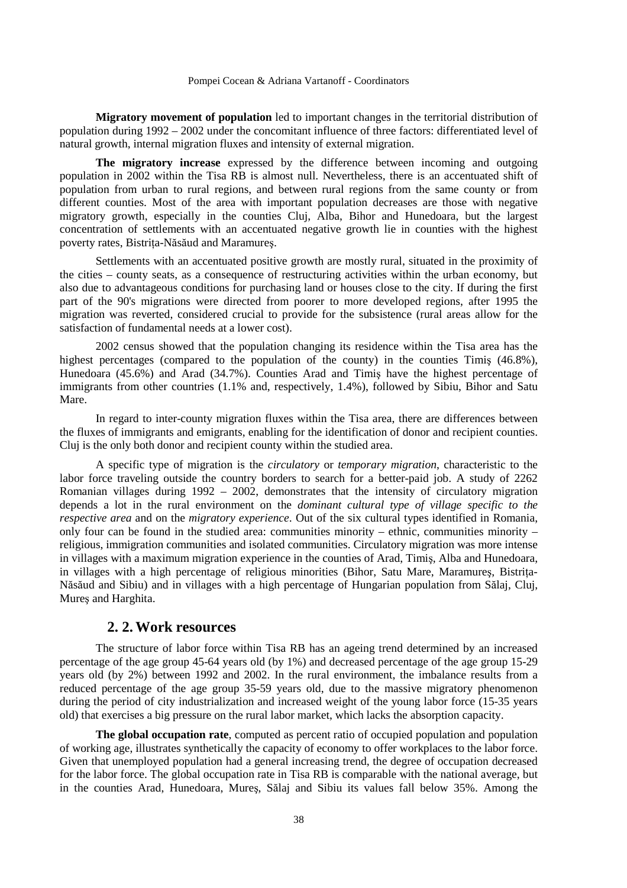**Migratory movement of population** led to important changes in the territorial distribution of population during 1992 – 2002 under the concomitant influence of three factors: differentiated level of natural growth, internal migration fluxes and intensity of external migration.

**The migratory increase** expressed by the difference between incoming and outgoing population in 2002 within the Tisa RB is almost null. Nevertheless, there is an accentuated shift of population from urban to rural regions, and between rural regions from the same county or from different counties. Most of the area with important population decreases are those with negative migratory growth, especially in the counties Cluj, Alba, Bihor and Hunedoara, but the largest concentration of settlements with an accentuated negative growth lie in counties with the highest poverty rates, Bistrița-Năsăud and Maramureș.

Settlements with an accentuated positive growth are mostly rural, situated in the proximity of the cities – county seats, as a consequence of restructuring activities within the urban economy, but also due to advantageous conditions for purchasing land or houses close to the city. If during the first part of the 90's migrations were directed from poorer to more developed regions, after 1995 the migration was reverted, considered crucial to provide for the subsistence (rural areas allow for the satisfaction of fundamental needs at a lower cost).

2002 census showed that the population changing its residence within the Tisa area has the highest percentages (compared to the population of the county) in the counties Timis (46.8%), Hunedoara (45.6%) and Arad (34.7%). Counties Arad and Timiş have the highest percentage of immigrants from other countries (1.1% and, respectively, 1.4%), followed by Sibiu, Bihor and Satu Mare.

In regard to inter-county migration fluxes within the Tisa area, there are differences between the fluxes of immigrants and emigrants, enabling for the identification of donor and recipient counties. Cluj is the only both donor and recipient county within the studied area.

A specific type of migration is the *circulatory* or *temporary migration*, characteristic to the labor force traveling outside the country borders to search for a better-paid job. A study of 2262 Romanian villages during 1992 – 2002, demonstrates that the intensity of circulatory migration depends a lot in the rural environment on the *dominant cultural type of village specific to the respective area* and on the *migratory experience*. Out of the six cultural types identified in Romania, only four can be found in the studied area: communities minority – ethnic, communities minority – religious, immigration communities and isolated communities. Circulatory migration was more intense in villages with a maximum migration experience in the counties of Arad, Timiş, Alba and Hunedoara, in villages with a high percentage of religious minorities (Bihor, Satu Mare, Maramures, Bistrita-Năsăud and Sibiu) and in villages with a high percentage of Hungarian population from Sălaj, Cluj, Mureş and Harghita.

# **2. 2. Work resources**

The structure of labor force within Tisa RB has an ageing trend determined by an increased percentage of the age group 45-64 years old (by 1%) and decreased percentage of the age group 15-29 years old (by 2%) between 1992 and 2002. In the rural environment, the imbalance results from a reduced percentage of the age group 35-59 years old, due to the massive migratory phenomenon during the period of city industrialization and increased weight of the young labor force (15-35 years old) that exercises a big pressure on the rural labor market, which lacks the absorption capacity.

**The global occupation rate**, computed as percent ratio of occupied population and population of working age, illustrates synthetically the capacity of economy to offer workplaces to the labor force. Given that unemployed population had a general increasing trend, the degree of occupation decreased for the labor force. The global occupation rate in Tisa RB is comparable with the national average, but in the counties Arad, Hunedoara, Mureş, Sălaj and Sibiu its values fall below 35%. Among the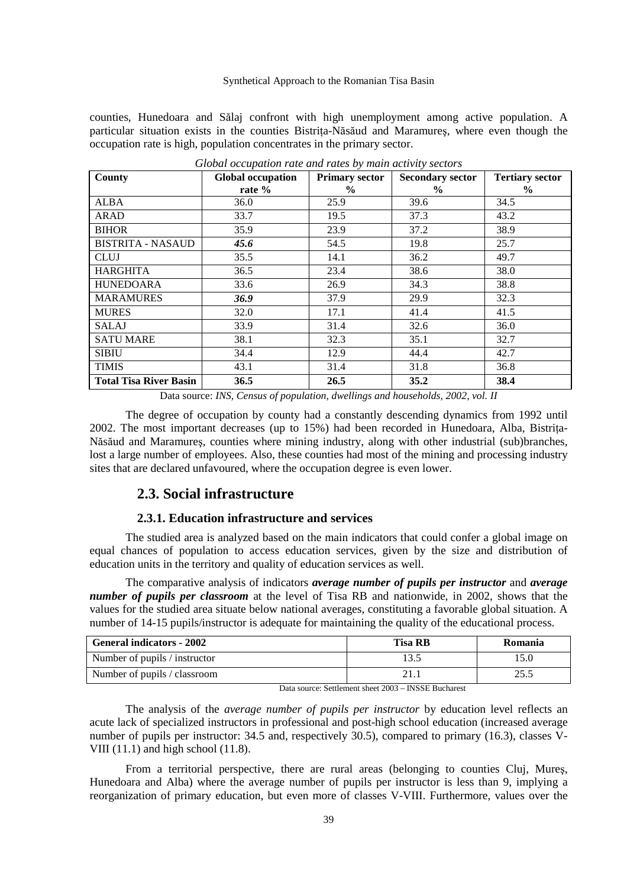counties, Hunedoara and Sălaj confront with high unemployment among active population. A particular situation exists in the counties Bistrita-Năsăud and Maramures, where even though the occupation rate is high, population concentrates in the primary sector.

| County                        | <b>Global occupation</b> | <b>Primary sector</b> | <b>Secondary sector</b> | <b>Tertiary sector</b> |
|-------------------------------|--------------------------|-----------------------|-------------------------|------------------------|
|                               | rate %                   | $\%$                  | $\%$                    | $\%$                   |
| <b>ALBA</b>                   | 36.0                     | 25.9                  | 39.6                    | 34.5                   |
| <b>ARAD</b>                   | 33.7                     | 19.5                  | 37.3                    | 43.2                   |
| <b>BIHOR</b>                  | 35.9                     | 23.9                  | 37.2                    | 38.9                   |
| <b>BISTRITA - NASAUD</b>      | 45.6                     | 54.5                  | 19.8                    | 25.7                   |
| <b>CLUJ</b>                   | 35.5                     | 14.1                  | 36.2                    | 49.7                   |
| <b>HARGHITA</b>               | 36.5                     | 23.4                  | 38.6                    | 38.0                   |
| <b>HUNEDOARA</b>              | 33.6                     | 26.9                  | 34.3                    | 38.8                   |
| <b>MARAMURES</b>              | 36.9                     | 37.9                  | 29.9                    | 32.3                   |
| <b>MURES</b>                  | 32.0                     | 17.1                  | 41.4                    | 41.5                   |
| <b>SALAJ</b>                  | 33.9                     | 31.4                  | 32.6                    | 36.0                   |
| <b>SATU MARE</b>              | 38.1                     | 32.3                  | 35.1                    | 32.7                   |
| <b>SIBIU</b>                  | 34.4                     | 12.9                  | 44.4                    | 42.7                   |
| <b>TIMIS</b>                  | 43.1                     | 31.4                  | 31.8                    | 36.8                   |
| <b>Total Tisa River Basin</b> | 36.5                     | 26.5                  | 35.2                    | 38.4                   |

*Global occupation rate and rates by main activity sectors*

The degree of occupation by county had a constantly descending dynamics from 1992 until 2002. The most important decreases (up to 15%) had been recorded in Hunedoara, Alba, Bistrița-Năsăud and Maramureş, counties where mining industry, along with other industrial (sub)branches, lost a large number of employees. Also, these counties had most of the mining and processing industry sites that are declared unfavoured, where the occupation degree is even lower.

## **2.3. Social infrastructure**

## **2.3.1. Education infrastructure and services**

The studied area is analyzed based on the main indicators that could confer a global image on equal chances of population to access education services, given by the size and distribution of education units in the territory and quality of education services as well.

The comparative analysis of indicators *average number of pupils per instructor* and *average number of pupils per classroom* at the level of Tisa RB and nationwide, in 2002, shows that the values for the studied area situate below national averages, constituting a favorable global situation. A number of 14-15 pupils/instructor is adequate for maintaining the quality of the educational process.

| <b>General indicators - 2002</b> | <b>Tisa RB</b> | Romania |
|----------------------------------|----------------|---------|
| Number of pupils / instructor    | 13.5           | l 5.0   |
| Number of pupils / classroom     |                | 25.5    |

Data source: Settlement sheet 2003 – INSSE Bucharest

The analysis of the *average number of pupils per instructor* by education level reflects an acute lack of specialized instructors in professional and post-high school education (increased average number of pupils per instructor: 34.5 and, respectively 30.5), compared to primary (16.3), classes V-VIII  $(11.1)$  and high school  $(11.8)$ .

From a territorial perspective, there are rural areas (belonging to counties Cluj, Mureş, Hunedoara and Alba) where the average number of pupils per instructor is less than 9, implying a reorganization of primary education, but even more of classes V-VIII. Furthermore, values over the

Data source: *INS, Census of population, dwellings and households, 2002, vol. II*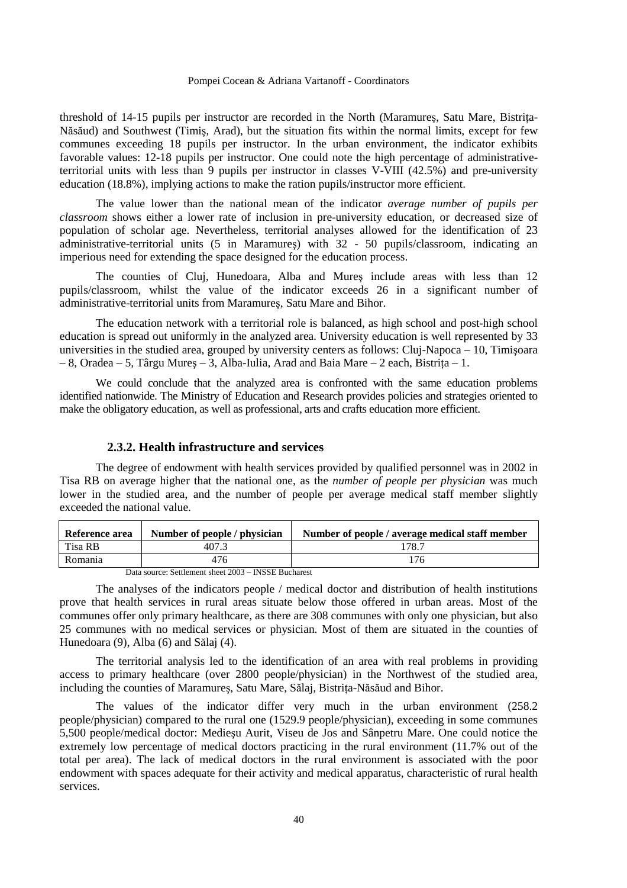threshold of 14-15 pupils per instructor are recorded in the North (Maramures, Satu Mare, Bistrița-Năsăud) and Southwest (Timiş, Arad), but the situation fits within the normal limits, except for few communes exceeding 18 pupils per instructor. In the urban environment, the indicator exhibits favorable values: 12-18 pupils per instructor. One could note the high percentage of administrativeterritorial units with less than 9 pupils per instructor in classes V-VIII (42.5%) and pre-university education (18.8%), implying actions to make the ration pupils/instructor more efficient.

The value lower than the national mean of the indicator *average number of pupils per classroom* shows either a lower rate of inclusion in pre-university education, or decreased size of population of scholar age. Nevertheless, territorial analyses allowed for the identification of 23 administrative-territorial units (5 in Maramureş) with 32 - 50 pupils/classroom, indicating an imperious need for extending the space designed for the education process.

The counties of Cluj, Hunedoara, Alba and Mureş include areas with less than 12 pupils/classroom, whilst the value of the indicator exceeds 26 in a significant number of administrative-territorial units from Maramureş, Satu Mare and Bihor.

The education network with a territorial role is balanced, as high school and post-high school education is spread out uniformly in the analyzed area. University education is well represented by 33 universities in the studied area, grouped by university centers as follows: Cluj-Napoca – 10, Timişoara – 8, Oradea – 5, Târgu Mureș – 3, Alba-Iulia, Arad and Baia Mare – 2 each, Bistrița – 1.

We could conclude that the analyzed area is confronted with the same education problems identified nationwide. The Ministry of Education and Research provides policies and strategies oriented to make the obligatory education, as well as professional, arts and crafts education more efficient.

## **2.3.2. Health infrastructure and services**

The degree of endowment with health services provided by qualified personnel was in 2002 in Tisa RB on average higher that the national one, as the *number of people per physician* was much lower in the studied area, and the number of people per average medical staff member slightly exceeded the national value.

| Reference area | Number of people / physician                             | Number of people / average medical staff member |
|----------------|----------------------------------------------------------|-------------------------------------------------|
| Tisa RB        | 407.3                                                    | 178.7                                           |
| Romania        | 476                                                      | 176                                             |
| $\mathbf{r}$ . | $0.2002$ <b>DIGCD</b> $\overline{D}$<br>$\alpha$ $\beta$ |                                                 |

Data source: Settlement sheet 2003 – INSSE Bucharest

The analyses of the indicators people / medical doctor and distribution of health institutions prove that health services in rural areas situate below those offered in urban areas. Most of the communes offer only primary healthcare, as there are 308 communes with only one physician, but also 25 communes with no medical services or physician. Most of them are situated in the counties of Hunedoara (9), Alba (6) and Sălaj (4).

The territorial analysis led to the identification of an area with real problems in providing access to primary healthcare (over 2800 people/physician) in the Northwest of the studied area, including the counties of Maramures, Satu Mare, Sălai, Bistrita-Năsăud and Bihor.

The values of the indicator differ very much in the urban environment (258.2 people/physician) compared to the rural one (1529.9 people/physician), exceeding in some communes 5,500 people/medical doctor: Medieşu Aurit, Viseu de Jos and Sânpetru Mare. One could notice the extremely low percentage of medical doctors practicing in the rural environment (11.7% out of the total per area). The lack of medical doctors in the rural environment is associated with the poor endowment with spaces adequate for their activity and medical apparatus, characteristic of rural health services.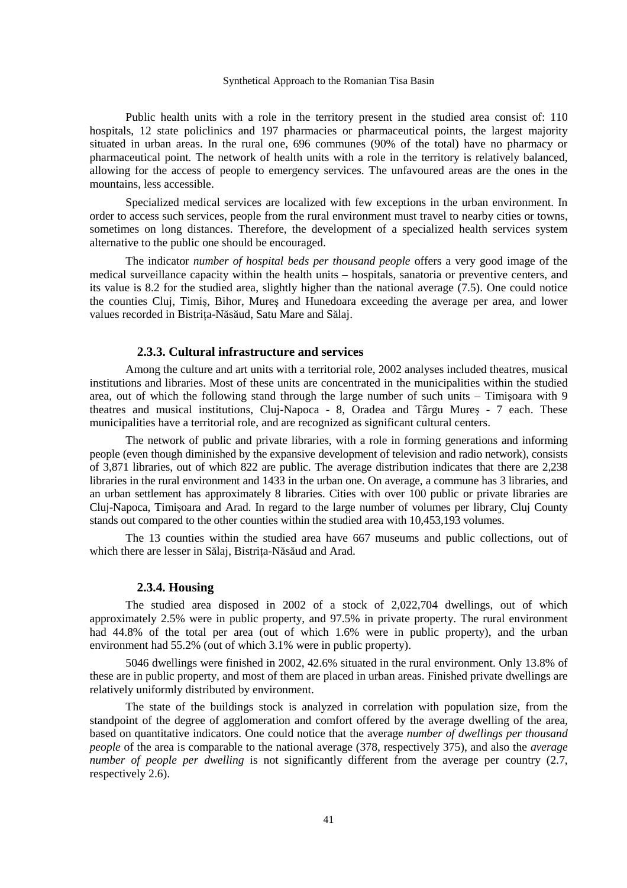Public health units with a role in the territory present in the studied area consist of: 110 hospitals, 12 state policlinics and 197 pharmacies or pharmaceutical points, the largest majority situated in urban areas. In the rural one, 696 communes (90% of the total) have no pharmacy or pharmaceutical point*.* The network of health units with a role in the territory is relatively balanced, allowing for the access of people to emergency services. The unfavoured areas are the ones in the mountains, less accessible.

Specialized medical services are localized with few exceptions in the urban environment. In order to access such services, people from the rural environment must travel to nearby cities or towns, sometimes on long distances. Therefore, the development of a specialized health services system alternative to the public one should be encouraged.

The indicator *number of hospital beds per thousand people* offers a very good image of the medical surveillance capacity within the health units – hospitals, sanatoria or preventive centers, and its value is 8.2 for the studied area, slightly higher than the national average (7.5). One could notice the counties Cluj, Timiş, Bihor, Mureş and Hunedoara exceeding the average per area, and lower values recorded in Bistrița-Năsăud, Satu Mare and Sălaj.

## **2.3.3. Cultural infrastructure and services**

Among the culture and art units with a territorial role, 2002 analyses included theatres, musical institutions and libraries. Most of these units are concentrated in the municipalities within the studied area, out of which the following stand through the large number of such units – Timişoara with 9 theatres and musical institutions, Cluj-Napoca - 8, Oradea and Târgu Mureş - 7 each. These municipalities have a territorial role, and are recognized as significant cultural centers.

The network of public and private libraries, with a role in forming generations and informing people (even though diminished by the expansive development of television and radio network), consists of 3,871 libraries, out of which 822 are public. The average distribution indicates that there are 2,238 libraries in the rural environment and 1433 in the urban one. On average, a commune has 3 libraries, and an urban settlement has approximately 8 libraries. Cities with over 100 public or private libraries are Cluj-Napoca, Timişoara and Arad. In regard to the large number of volumes per library, Cluj County stands out compared to the other counties within the studied area with 10,453,193 volumes.

The 13 counties within the studied area have 667 museums and public collections, out of which there are lesser in Sălaj, Bistrita-Năsăud and Arad.

## **2.3.4. Housing**

The studied area disposed in 2002 of a stock of 2,022,704 dwellings, out of which approximately 2.5% were in public property, and 97.5% in private property. The rural environment had 44.8% of the total per area (out of which 1.6% were in public property), and the urban environment had 55.2% (out of which 3.1% were in public property).

5046 dwellings were finished in 2002, 42.6% situated in the rural environment. Only 13.8% of these are in public property, and most of them are placed in urban areas. Finished private dwellings are relatively uniformly distributed by environment.

The state of the buildings stock is analyzed in correlation with population size, from the standpoint of the degree of agglomeration and comfort offered by the average dwelling of the area, based on quantitative indicators. One could notice that the average *number of dwellings per thousand people* of the area is comparable to the national average (378, respectively 375), and also the *average number of people per dwelling* is not significantly different from the average per country (2.7, respectively 2.6).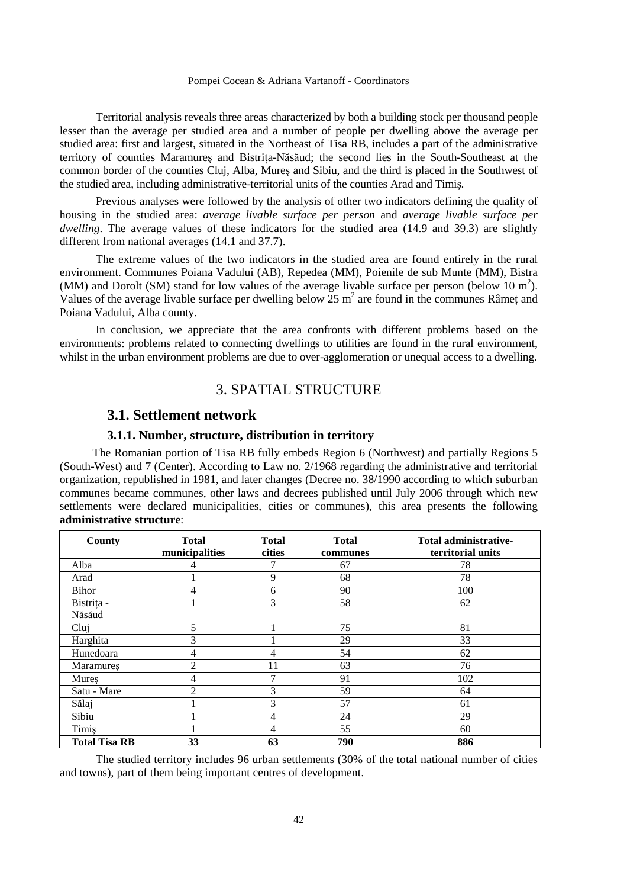Territorial analysis reveals three areas characterized by both a building stock per thousand people lesser than the average per studied area and a number of people per dwelling above the average per studied area: first and largest, situated in the Northeast of Tisa RB, includes a part of the administrative territory of counties Maramures and Bistrita-Năsăud; the second lies in the South-Southeast at the common border of the counties Cluj, Alba, Mureş and Sibiu, and the third is placed in the Southwest of the studied area, including administrative-territorial units of the counties Arad and Timiş*.*

Previous analyses were followed by the analysis of other two indicators defining the quality of housing in the studied area: *average livable surface per person* and *average livable surface per dwelling*. The average values of these indicators for the studied area (14.9 and 39.3) are slightly different from national averages (14.1 and 37.7).

The extreme values of the two indicators in the studied area are found entirely in the rural environment. Communes Poiana Vadului (AB), Repedea (MM), Poienile de sub Munte (MM), Bistra (MM) and Dorolt (SM) stand for low values of the average livable surface per person (below 10  $m<sup>2</sup>$ ). Values of the average livable surface per dwelling below  $25 \text{ m}^2$  are found in the communes Râmeț and Poiana Vadului, Alba county.

In conclusion, we appreciate that the area confronts with different problems based on the environments: problems related to connecting dwellings to utilities are found in the rural environment, whilst in the urban environment problems are due to over-agglomeration or unequal access to a dwelling.

# 3. SPATIAL STRUCTURE

## **3.1. Settlement network**

## **3.1.1. Number, structure, distribution in territory**

The Romanian portion of Tisa RB fully embeds Region 6 (Northwest) and partially Regions 5 (South-West) and 7 (Center). According to Law no. 2/1968 regarding the administrative and territorial organization, republished in 1981, and later changes (Decree no. 38/1990 according to which suburban communes became communes, other laws and decrees published until July 2006 through which new settlements were declared municipalities, cities or communes), this area presents the following **administrative structure**:

| <b>County</b>        | <b>Total</b><br>municipalities | <b>Total</b><br>cities | <b>Total</b><br>communes | <b>Total administrative-</b><br>territorial units |
|----------------------|--------------------------------|------------------------|--------------------------|---------------------------------------------------|
| Alba                 | 4                              |                        | 67                       | 78                                                |
| Arad                 |                                | 9                      | 68                       | 78                                                |
| Bihor                | 4                              | 6                      | 90                       | 100                                               |
| Bistrița -           |                                | 3                      | 58                       | 62                                                |
| Năsăud               |                                |                        |                          |                                                   |
| Clui                 | 5                              |                        | 75                       | 81                                                |
| Harghita             | 3                              |                        | 29                       | 33                                                |
| Hunedoara            | 4                              | 4                      | 54                       | 62                                                |
| Maramures            | $\overline{2}$                 | 11                     | 63                       | 76                                                |
| Mures                | 4                              | 7                      | 91                       | 102                                               |
| Satu - Mare          | $\overline{c}$                 | 3                      | 59                       | 64                                                |
| Sălaj                |                                | 3                      | 57                       | 61                                                |
| Sibiu                |                                | 4                      | 24                       | 29                                                |
| Timis                |                                | 4                      | 55                       | 60                                                |
| <b>Total Tisa RB</b> | 33                             | 63                     | 790                      | 886                                               |

The studied territory includes 96 urban settlements (30% of the total national number of cities and towns), part of them being important centres of development.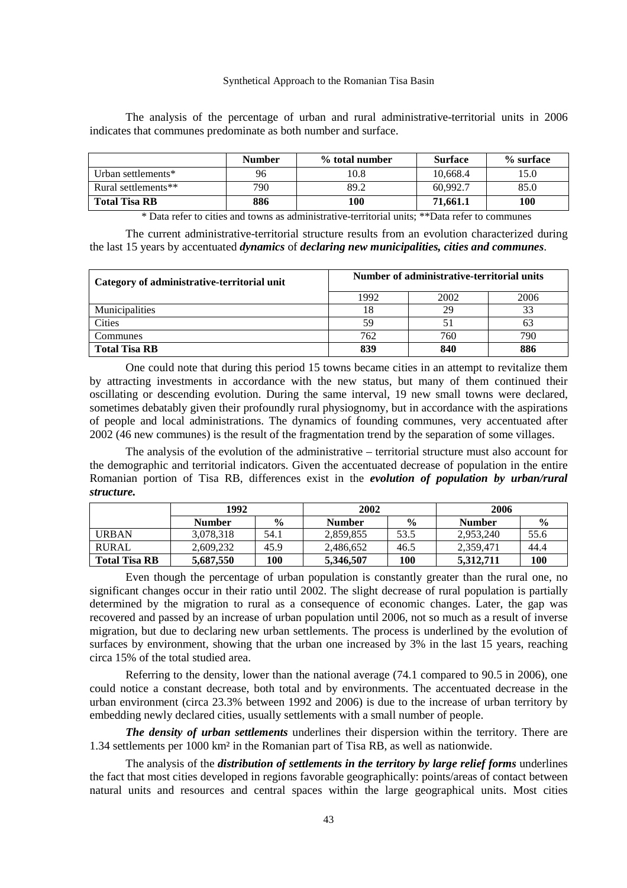The analysis of the percentage of urban and rural administrative-territorial units in 2006 indicates that communes predominate as both number and surface.

|                      | <b>Number</b> | % total number | <b>Surface</b> | % surface |
|----------------------|---------------|----------------|----------------|-----------|
| Urban settlements*   | 96            | 0.8            | 10.668.4       | 15.0      |
| Rural settlements**  | 790           | 89.2           | 60.992.7       | 85.0      |
| <b>Total Tisa RB</b> | 886           | 100            | 71.661.1       | 100       |

\* Data refer to cities and towns as administrative-territorial units; \*\*Data refer to communes

The current administrative-territorial structure results from an evolution characterized during the last 15 years by accentuated *dynamics* of *declaring new municipalities, cities and communes*.

| Category of administrative-territorial unit | Number of administrative-territorial units |     |     |  |  |
|---------------------------------------------|--------------------------------------------|-----|-----|--|--|
|                                             | 1992<br>2002<br>2006                       |     |     |  |  |
| <b>Municipalities</b>                       |                                            | 29  |     |  |  |
| <b>Cities</b>                               | 59                                         |     | 63  |  |  |
| Communes                                    | 762                                        | 760 | 790 |  |  |
| <b>Total Tisa RB</b>                        | 840<br>839<br>886                          |     |     |  |  |

One could note that during this period 15 towns became cities in an attempt to revitalize them by attracting investments in accordance with the new status, but many of them continued their oscillating or descending evolution. During the same interval, 19 new small towns were declared, sometimes debatably given their profoundly rural physiognomy, but in accordance with the aspirations of people and local administrations. The dynamics of founding communes, very accentuated after  $2002$  (46 new communes) is the result of the fragmentation trend by the separation of some villages.

The analysis of the evolution of the administrative – territorial structure must also account for the demographic and territorial indicators. Given the accentuated decrease of population in the entire Romanian portion of Tisa RB, differences exist in the *evolution of population by urban/rural structure.*

|                      | 1992          |               | 2002          |               | 2006          |               |
|----------------------|---------------|---------------|---------------|---------------|---------------|---------------|
|                      | <b>Number</b> | $\frac{6}{9}$ | <b>Number</b> | $\frac{0}{0}$ | <b>Number</b> | $\frac{6}{9}$ |
| URBAN                | 3.078.318     | 54.1          | 2.859.855     | 53.5          | 2.953.240     | 55.6          |
| <b>RURAL</b>         | 2.609.232     | 45.9          | 2.486.652     | 46.5          | 2.359.471     | 44.4          |
| <b>Total Tisa RB</b> | 5.687.550     | 100           | 5,346,507     | 100           | 5.312.711     | 100           |

Even though the percentage of urban population is constantly greater than the rural one, no significant changes occur in their ratio until 2002. The slight decrease of rural population is partially determined by the migration to rural as a consequence of economic changes. Later, the gap was recovered and passed by an increase of urban population until 2006, not so much as a result of inverse migration, but due to declaring new urban settlements. The process is underlined by the evolution of surfaces by environment, showing that the urban one increased by 3% in the last 15 years, reaching circa 15% of the total studied area.

Referring to the density, lower than the national average (74.1 compared to 90.5 in 2006), one could notice a constant decrease, both total and by environments. The accentuated decrease in the urban environment (circa 23.3% between 1992 and 2006) is due to the increase of urban territory by embedding newly declared cities, usually settlements with a small number of people.

*The density of urban settlements* underlines their dispersion within the territory. There are 1.34 settlements per 1000 km² in the Romanian part of Tisa RB, as well as nationwide.

The analysis of the *distribution of settlements in the territory by large relief forms* underlines the fact that most cities developed in regions favorable geographically: points/areas of contact between natural units and resources and central spaces within the large geographical units. Most cities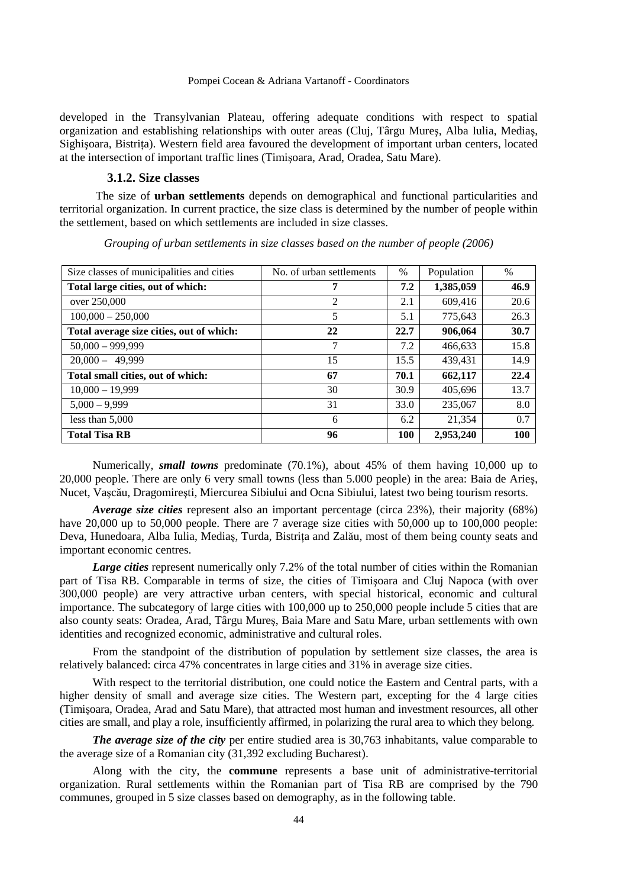developed in the Transylvanian Plateau, offering adequate conditions with respect to spatial organization and establishing relationships with outer areas (Cluj, Târgu Mureş, Alba Iulia, Mediaş, Sighișoara, Bistrița). Western field area favoured the development of important urban centers, located at the intersection of important traffic lines (Timişoara, Arad, Oradea, Satu Mare).

## **3.1.2. Size classes**

The size of **urban settlements** depends on demographical and functional particularities and territorial organization. In current practice, the size class is determined by the number of people within the settlement, based on which settlements are included in size classes.

| Size classes of municipalities and cities | No. of urban settlements | $\%$       | Population | $\%$ |
|-------------------------------------------|--------------------------|------------|------------|------|
| Total large cities, out of which:         | 7                        | 7.2        | 1,385,059  | 46.9 |
| over 250,000                              | 2                        | 2.1        | 609,416    | 20.6 |
| $100,000 - 250,000$                       | 5                        | 5.1        | 775,643    | 26.3 |
| Total average size cities, out of which:  | 22                       | 22.7       | 906,064    | 30.7 |
| $50,000 - 999,999$                        | 7                        | 7.2        | 466,633    | 15.8 |
| $20,000 - 49,999$                         | 15                       | 15.5       | 439.431    | 14.9 |
| Total small cities, out of which:         | 67                       | 70.1       | 662,117    | 22.4 |
| $10,000 - 19,999$                         | 30                       | 30.9       | 405.696    | 13.7 |
| $5.000 - 9.999$                           | 31                       | 33.0       | 235,067    | 8.0  |
| less than $5,000$                         | 6                        | 6.2        | 21.354     | 0.7  |
| <b>Total Tisa RB</b>                      | 96                       | <b>100</b> | 2,953,240  | 100  |

*Grouping of urban settlements in size classes based on the number of people (2006)* 

Numerically, *small towns* predominate (70.1%), about 45% of them having 10,000 up to 20,000 people. There are only 6 very small towns (less than 5.000 people) in the area: Baia de Arieş, Nucet, Vaşcău, Dragomireşti, Miercurea Sibiului and Ocna Sibiului, latest two being tourism resorts.

*Average size cities* represent also an important percentage (circa 23%), their majority (68%) have 20,000 up to 50,000 people. There are 7 average size cities with 50,000 up to 100,000 people: Deva, Hunedoara, Alba Iulia, Mediaş, Turda, Bistrița and Zalău, most of them being county seats and important economic centres.

Large cities represent numerically only 7.2% of the total number of cities within the Romanian part of Tisa RB. Comparable in terms of size, the cities of Timişoara and Cluj Napoca (with over 300,000 people) are very attractive urban centers, with special historical, economic and cultural importance. The subcategory of large cities with 100,000 up to 250,000 people include 5 cities that are also county seats: Oradea, Arad, Târgu Mureş, Baia Mare and Satu Mare, urban settlements with own identities and recognized economic, administrative and cultural roles.

From the standpoint of the distribution of population by settlement size classes, the area is relatively balanced: circa 47% concentrates in large cities and 31% in average size cities.

With respect to the territorial distribution, one could notice the Eastern and Central parts, with a higher density of small and average size cities. The Western part, excepting for the 4 large cities (Timişoara, Oradea, Arad and Satu Mare), that attracted most human and investment resources, all other cities are small, and play a role, insufficiently affirmed, in polarizing the rural area to which they belong.

*The average size of the city* per entire studied area is 30,763 inhabitants, value comparable to the average size of a Romanian city (31,392 excluding Bucharest).

Along with the city, the **commune** represents a base unit of administrative-territorial organization. Rural settlements within the Romanian part of Tisa RB are comprised by the 790 communes, grouped in 5 size classes based on demography, as in the following table.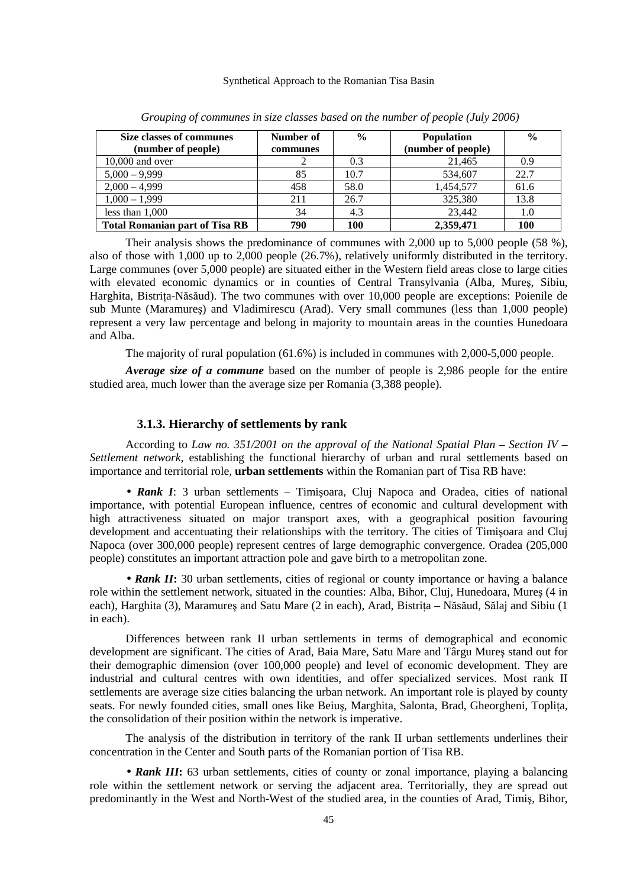| Size classes of communes              | Number of | $\frac{0}{0}$ | Population         | $\frac{0}{0}$ |
|---------------------------------------|-----------|---------------|--------------------|---------------|
| (number of people)                    | communes  |               | (number of people) |               |
| $10,000$ and over                     |           | 0.3           | 21.465             | 0.9           |
| $5,000 - 9,999$                       | 85        | 10.7          | 534,607            | 22.7          |
| $2,000 - 4,999$                       | 458       | 58.0          | 1,454,577          | 61.6          |
| $1,000 - 1,999$                       | 211       | 26.7          | 325,380            | 13.8          |
| less than $1,000$                     | 34        | 4.3           | 23,442             | 1.0           |
| <b>Total Romanian part of Tisa RB</b> | 790       | 100           | 2,359,471          | 100           |

*Grouping of communes in size classes based on the number of people (July 2006)* 

Their analysis shows the predominance of communes with 2,000 up to 5,000 people (58 %), also of those with 1,000 up to 2,000 people (26.7%), relatively uniformly distributed in the territory. Large communes (over 5,000 people) are situated either in the Western field areas close to large cities with elevated economic dynamics or in counties of Central Transylvania (Alba, Mureş, Sibiu, Harghita, Bistrita-Năsăud). The two communes with over 10,000 people are exceptions: Poienile de sub Munte (Maramureş) and Vladimirescu (Arad). Very small communes (less than 1,000 people) represent a very law percentage and belong in majority to mountain areas in the counties Hunedoara and Alba.

The majority of rural population (61.6%) is included in communes with 2,000-5,000 people.

*Average size of a commune* based on the number of people is 2,986 people for the entire studied area, much lower than the average size per Romania (3,388 people).

## **3.1.3. Hierarchy of settlements by rank**

According to *Law no. 351/2001 on the approval of the National Spatial Plan – Section IV – Settlement network*, establishing the functional hierarchy of urban and rural settlements based on importance and territorial role, **urban settlements** within the Romanian part of Tisa RB have:

• *Rank I*: 3 urban settlements – Timișoara, Cluj Napoca and Oradea, cities of national importance, with potential European influence, centres of economic and cultural development with high attractiveness situated on major transport axes, with a geographical position favouring development and accentuating their relationships with the territory. The cities of Timişoara and Cluj Napoca (over 300,000 people) represent centres of large demographic convergence. Oradea (205,000 people) constitutes an important attraction pole and gave birth to a metropolitan zone.

• **Rank II**: 30 urban settlements, cities of regional or county importance or having a balance role within the settlement network, situated in the counties: Alba, Bihor, Cluj, Hunedoara, Mureş (4 in each), Harghita (3), Maramures and Satu Mare (2 in each), Arad, Bistrița – Năsăud, Sălaj and Sibiu (1 in each).

Differences between rank II urban settlements in terms of demographical and economic development are significant. The cities of Arad, Baia Mare, Satu Mare and Târgu Mureş stand out for their demographic dimension (over 100,000 people) and level of economic development. They are industrial and cultural centres with own identities, and offer specialized services. Most rank II settlements are average size cities balancing the urban network. An important role is played by county seats. For newly founded cities, small ones like Beiuş, Marghita, Salonta, Brad, Gheorgheni, Toplița, the consolidation of their position within the network is imperative.

The analysis of the distribution in territory of the rank II urban settlements underlines their concentration in the Center and South parts of the Romanian portion of Tisa RB.

• **Rank III**: 63 urban settlements, cities of county or zonal importance, playing a balancing role within the settlement network or serving the adjacent area. Territorially, they are spread out predominantly in the West and North-West of the studied area, in the counties of Arad, Timiş, Bihor,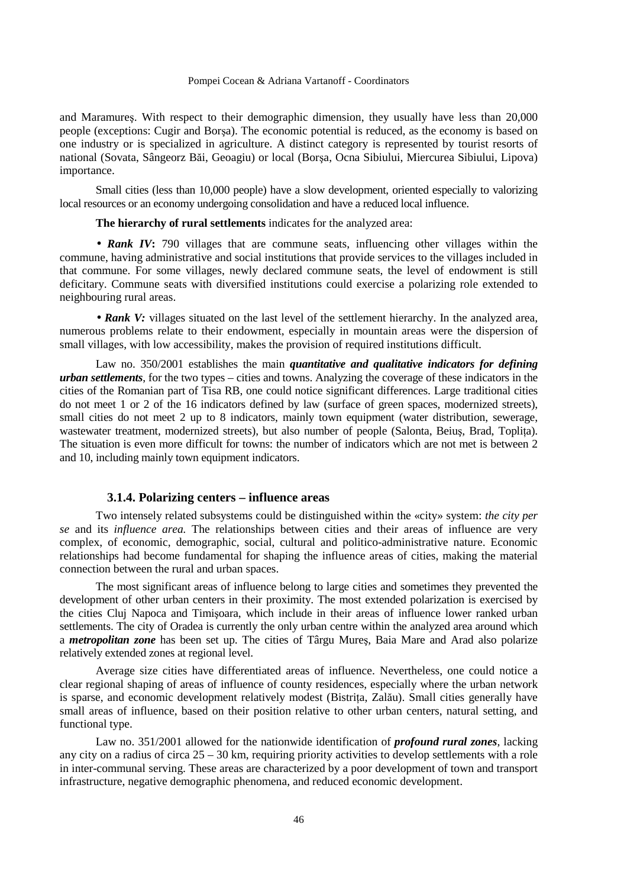and Maramureş. With respect to their demographic dimension, they usually have less than 20,000 people (exceptions: Cugir and Borşa). The economic potential is reduced, as the economy is based on one industry or is specialized in agriculture. A distinct category is represented by tourist resorts of national (Sovata, Sângeorz Băi, Geoagiu) or local (Borşa, Ocna Sibiului, Miercurea Sibiului, Lipova) importance.

Small cities (less than 10,000 people) have a slow development, oriented especially to valorizing local resources or an economy undergoing consolidation and have a reduced local influence.

**The hierarchy of rural settlements** indicates for the analyzed area:

• **Rank IV**: 790 villages that are commune seats, influencing other villages within the commune, having administrative and social institutions that provide services to the villages included in that commune. For some villages, newly declared commune seats, the level of endowment is still deficitary. Commune seats with diversified institutions could exercise a polarizing role extended to neighbouring rural areas.

• **Rank V:** villages situated on the last level of the settlement hierarchy. In the analyzed area, numerous problems relate to their endowment, especially in mountain areas were the dispersion of small villages, with low accessibility, makes the provision of required institutions difficult.

Law no. 350/2001 establishes the main *quantitative and qualitative indicators for defining urban settlements*, for the two types – cities and towns. Analyzing the coverage of these indicators in the cities of the Romanian part of Tisa RB, one could notice significant differences. Large traditional cities do not meet 1 or 2 of the 16 indicators defined by law (surface of green spaces, modernized streets), small cities do not meet 2 up to 8 indicators, mainly town equipment (water distribution, sewerage, wastewater treatment, modernized streets), but also number of people (Salonta, Beius, Brad, Toplita). The situation is even more difficult for towns: the number of indicators which are not met is between 2 and 10, including mainly town equipment indicators.

## **3.1.4. Polarizing centers – influence areas**

Two intensely related subsystems could be distinguished within the «city» system: *the city per se* and its *influence area.* The relationships between cities and their areas of influence are very complex, of economic, demographic, social, cultural and politico-administrative nature. Economic relationships had become fundamental for shaping the influence areas of cities, making the material connection between the rural and urban spaces.

The most significant areas of influence belong to large cities and sometimes they prevented the development of other urban centers in their proximity. The most extended polarization is exercised by the cities Cluj Napoca and Timişoara, which include in their areas of influence lower ranked urban settlements. The city of Oradea is currently the only urban centre within the analyzed area around which a *metropolitan zone* has been set up. The cities of Târgu Mureş, Baia Mare and Arad also polarize relatively extended zones at regional level.

Average size cities have differentiated areas of influence. Nevertheless, one could notice a clear regional shaping of areas of influence of county residences, especially where the urban network is sparse, and economic development relatively modest (Bistrița, Zalău). Small cities generally have small areas of influence, based on their position relative to other urban centers, natural setting, and functional type.

Law no. 351/2001 allowed for the nationwide identification of *profound rural zones*, lacking any city on a radius of circa 25 – 30 km, requiring priority activities to develop settlements with a role in inter-communal serving. These areas are characterized by a poor development of town and transport infrastructure, negative demographic phenomena, and reduced economic development.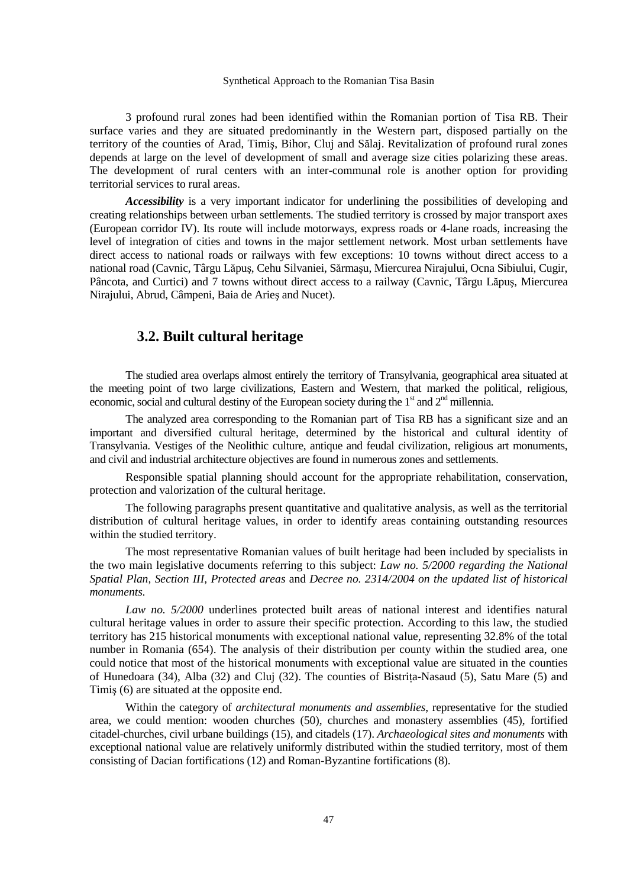3 profound rural zones had been identified within the Romanian portion of Tisa RB. Their surface varies and they are situated predominantly in the Western part, disposed partially on the territory of the counties of Arad, Timiş, Bihor, Cluj and Sălaj. Revitalization of profound rural zones depends at large on the level of development of small and average size cities polarizing these areas. The development of rural centers with an inter-communal role is another option for providing territorial services to rural areas.

*Accessibility* is a very important indicator for underlining the possibilities of developing and creating relationships between urban settlements. The studied territory is crossed by major transport axes (European corridor IV). Its route will include motorways, express roads or 4-lane roads, increasing the level of integration of cities and towns in the major settlement network. Most urban settlements have direct access to national roads or railways with few exceptions: 10 towns without direct access to a national road (Cavnic, Târgu Lăpuş, Cehu Silvaniei, Sărmaşu, Miercurea Nirajului, Ocna Sibiului, Cugir, Pâncota, and Curtici) and 7 towns without direct access to a railway (Cavnic, Târgu Lăpuş, Miercurea Nirajului, Abrud, Câmpeni, Baia de Arieş and Nucet).

# **3.2. Built cultural heritage**

The studied area overlaps almost entirely the territory of Transylvania, geographical area situated at the meeting point of two large civilizations, Eastern and Western, that marked the political, religious, economic, social and cultural destiny of the European society during the  $1<sup>st</sup>$  and  $2<sup>nd</sup>$  millennia.

The analyzed area corresponding to the Romanian part of Tisa RB has a significant size and an important and diversified cultural heritage, determined by the historical and cultural identity of Transylvania. Vestiges of the Neolithic culture, antique and feudal civilization, religious art monuments, and civil and industrial architecture objectives are found in numerous zones and settlements.

Responsible spatial planning should account for the appropriate rehabilitation, conservation, protection and valorization of the cultural heritage.

The following paragraphs present quantitative and qualitative analysis, as well as the territorial distribution of cultural heritage values, in order to identify areas containing outstanding resources within the studied territory.

The most representative Romanian values of built heritage had been included by specialists in the two main legislative documents referring to this subject: *Law no. 5/2000 regarding the National Spatial Plan, Section III, Protected areas* and *Decree no. 2314/2004 on the updated list of historical monuments.* 

*Law no. 5/2000* underlines protected built areas of national interest and identifies natural cultural heritage values in order to assure their specific protection. According to this law, the studied territory has 215 historical monuments with exceptional national value, representing 32.8% of the total number in Romania (654). The analysis of their distribution per county within the studied area, one could notice that most of the historical monuments with exceptional value are situated in the counties of Hunedoara (34), Alba (32) and Cluj (32). The counties of Bistrita-Nasaud (5), Satu Mare (5) and Timiş (6) are situated at the opposite end.

Within the category of *architectural monuments and assemblies*, representative for the studied area, we could mention: wooden churches (50), churches and monastery assemblies (45), fortified citadel-churches, civil urbane buildings (15), and citadels (17). *Archaeological sites and monuments* with exceptional national value are relatively uniformly distributed within the studied territory, most of them consisting of Dacian fortifications (12) and Roman-Byzantine fortifications (8).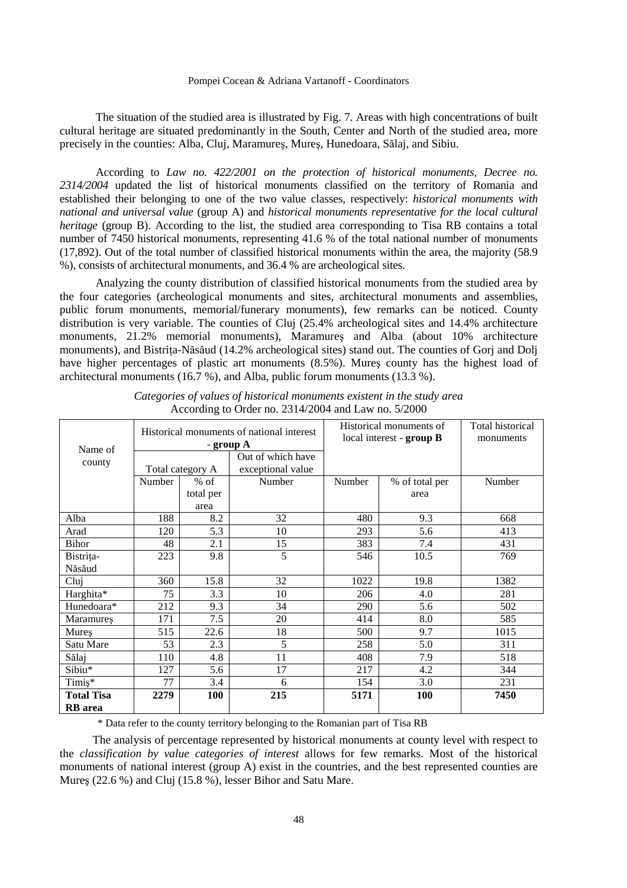The situation of the studied area is illustrated by Fig. 7. Areas with high concentrations of built cultural heritage are situated predominantly in the South, Center and North of the studied area, more precisely in the counties: Alba, Cluj, Maramureş, Mureş, Hunedoara, Sălaj, and Sibiu.

According to *Law no. 422/2001 on the protection of historical monuments, Decree no. 2314/2004* updated the list of historical monuments classified on the territory of Romania and established their belonging to one of the two value classes, respectively: *historical monuments with national and universal value* (group A) and *historical monuments representative for the local cultural heritage* (group B). According to the list, the studied area corresponding to Tisa RB contains a total number of 7450 historical monuments, representing 41.6 % of the total national number of monuments (17,892). Out of the total number of classified historical monuments within the area, the majority (58.9 %), consists of architectural monuments, and 36.4 % are archeological sites.

Analyzing the county distribution of classified historical monuments from the studied area by the four categories (archeological monuments and sites, architectural monuments and assemblies, public forum monuments, memorial/funerary monuments), few remarks can be noticed. County distribution is very variable. The counties of Cluj (25.4% archeological sites and 14.4% architecture monuments, 21.2% memorial monuments), Maramureş and Alba (about 10% architecture monuments), and Bistriţa-Năsăud (14.2% archeological sites) stand out. The counties of Gorj and Dolj have higher percentages of plastic art monuments (8.5%). Mureş county has the highest load of architectural monuments (16.7 %), and Alba, public forum monuments (13.3 %).

| Name of           | Historical monuments of national interest<br>- group A |                  |                   |        | Historical monuments of<br>local interest - group B | Total historical<br>monuments |
|-------------------|--------------------------------------------------------|------------------|-------------------|--------|-----------------------------------------------------|-------------------------------|
| county            |                                                        |                  | Out of which have |        |                                                     |                               |
|                   |                                                        | Total category A | exceptional value |        |                                                     |                               |
|                   | Number                                                 | $%$ of           | Number            | Number | % of total per                                      | Number                        |
|                   |                                                        | total per        |                   |        | area                                                |                               |
|                   |                                                        | area             |                   |        |                                                     |                               |
| Alba              | 188                                                    | 8.2              | 32                | 480    | 9.3                                                 | 668                           |
| Arad              | 120                                                    | 5.3              | 10                | 293    | 5.6                                                 | 413                           |
| <b>Bihor</b>      | 48                                                     | 2.1              | 15                | 383    | 7.4                                                 | 431                           |
| Bistrița-         | 223                                                    | 9.8              | 5                 | 546    | 10.5                                                | 769                           |
| Năsăud            |                                                        |                  |                   |        |                                                     |                               |
| Cluj              | 360                                                    | 15.8             | 32                | 1022   | 19.8                                                | 1382                          |
| Harghita*         | 75                                                     | 3.3              | 10                | 206    | 4.0                                                 | 281                           |
| Hunedoara*        | 212                                                    | 9.3              | 34                | 290    | 5.6                                                 | 502                           |
| Maramures         | 171                                                    | 7.5              | 20                | 414    | 8.0                                                 | 585                           |
| Mures             | 515                                                    | 22.6             | 18                | 500    | 9.7                                                 | 1015                          |
| Satu Mare         | 53                                                     | 2.3              | 5                 | 258    | 5.0                                                 | 311                           |
| Sălaj             | 110                                                    | 4.8              | 11                | 408    | 7.9                                                 | 518                           |
| Sibiu*            | 127                                                    | 5.6              | 17                | 217    | 4.2                                                 | 344                           |
| Timiș*            | 77                                                     | 3.4              | 6                 | 154    | 3.0                                                 | 231                           |
| <b>Total Tisa</b> | 2279                                                   | 100              | 215               | 5171   | <b>100</b>                                          | 7450                          |
| <b>RB</b> area    |                                                        |                  |                   |        |                                                     |                               |

*Categories of values of historical monuments existent in the study area*  According to Order no. 2314/2004 and Law no. 5/2000

\* Data refer to the county territory belonging to the Romanian part of Tisa RB

The analysis of percentage represented by historical monuments at county level with respect to the *classification by value categories of interest* allows for few remarks. Most of the historical monuments of national interest (group A) exist in the countries, and the best represented counties are Mureş (22.6 %) and Cluj (15.8 %), lesser Bihor and Satu Mare.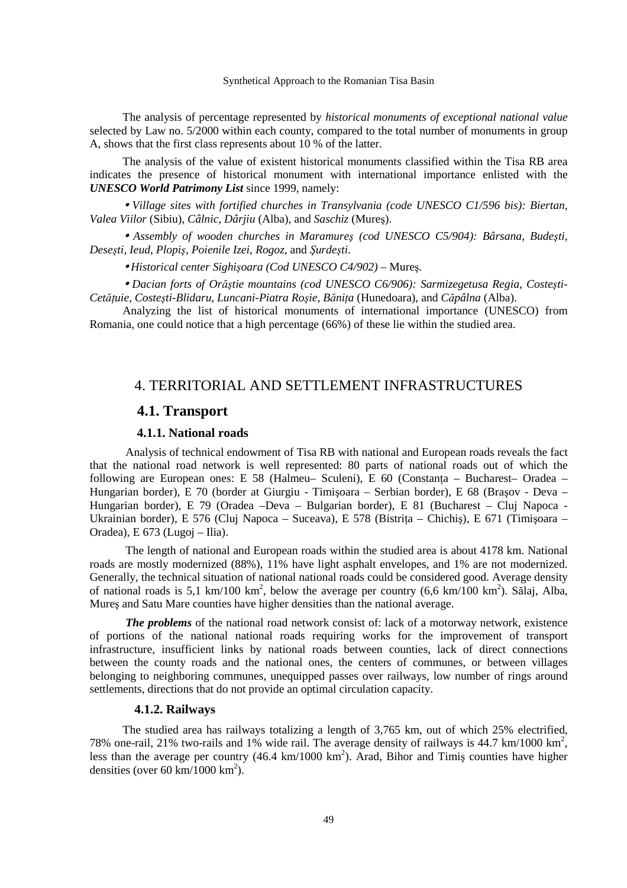The analysis of percentage represented by *historical monuments of exceptional national value* selected by Law no. 5/2000 within each county, compared to the total number of monuments in group A, shows that the first class represents about 10 % of the latter.

The analysis of the value of existent historical monuments classified within the Tisa RB area indicates the presence of historical monument with international importance enlisted with the *UNESCO World Patrimony List* since 1999, namely:

• *Village sites with fortified churches in Transylvania (code UNESCO C1/596 bis): Biertan, Valea Viilor* (Sibiu), *Câlnic, Dârjiu* (Alba), and *Saschiz* (Mureş).

• *Assembly of wooden churches in Maramureş (cod UNESCO C5/904): Bârsana*, *Budeşti, Deseşti*, *Ieud*, *Plopiş*, *Poienile Izei*, *Rogoz*, and *Şurdeşti*.

• *Historical center Sighişoara (Cod UNESCO C4/902)* – Mureş*.* 

• *Dacian forts of Orăştie mountains (cod UNESCO C6/906): Sarmizegetusa Regia*, *Costeşti-CetăŃuie*, *Costeşti-Blidaru*, *Luncani-Piatra Roşie*, *BăniŃa* (Hunedoara), and *Căpâlna* (Alba).

Analyzing the list of historical monuments of international importance (UNESCO) from Romania, one could notice that a high percentage (66%) of these lie within the studied area.

# 4. TERRITORIAL AND SETTLEMENT INFRASTRUCTURES

# **4.1. Transport**

## **4.1.1. National roads**

Analysis of technical endowment of Tisa RB with national and European roads reveals the fact that the national road network is well represented: 80 parts of national roads out of which the following are European ones: E 58 (Halmeu– Sculeni), E 60 (Constanta – Bucharest– Oradea – Hungarian border), E 70 (border at Giurgiu - Timişoara – Serbian border), E 68 (Braşov - Deva – Hungarian border), E 79 (Oradea –Deva – Bulgarian border), E 81 (Bucharest – Cluj Napoca - Ukrainian border), E 576 (Cluj Napoca – Suceava), E 578 (Bistrița – Chichiș), E 671 (Timișoara – Oradea), E 673 (Lugoj – Ilia).

The length of national and European roads within the studied area is about 4178 km. National roads are mostly modernized (88%), 11% have light asphalt envelopes, and 1% are not modernized. Generally, the technical situation of national national roads could be considered good. Average density of national roads is 5,1 km/100 km<sup>2</sup>, below the average per country (6,6 km/100 km<sup>2</sup>). Sălaj, Alba, Mureş and Satu Mare counties have higher densities than the national average.

*The problems* of the national road network consist of: lack of a motorway network, existence of portions of the national national roads requiring works for the improvement of transport infrastructure, insufficient links by national roads between counties, lack of direct connections between the county roads and the national ones, the centers of communes, or between villages belonging to neighboring communes, unequipped passes over railways, low number of rings around settlements, directions that do not provide an optimal circulation capacity.

## **4.1.2. Railways**

The studied area has railways totalizing a length of 3,765 km, out of which 25% electrified, 78% one-rail, 21% two-rails and 1% wide rail. The average density of railways is 44.7 km/1000 km<sup>2</sup>, less than the average per country (46.4 km/1000 km<sup>2</sup>). Arad, Bihor and Timiş counties have higher densities (over 60 km/1000 km<sup>2</sup>).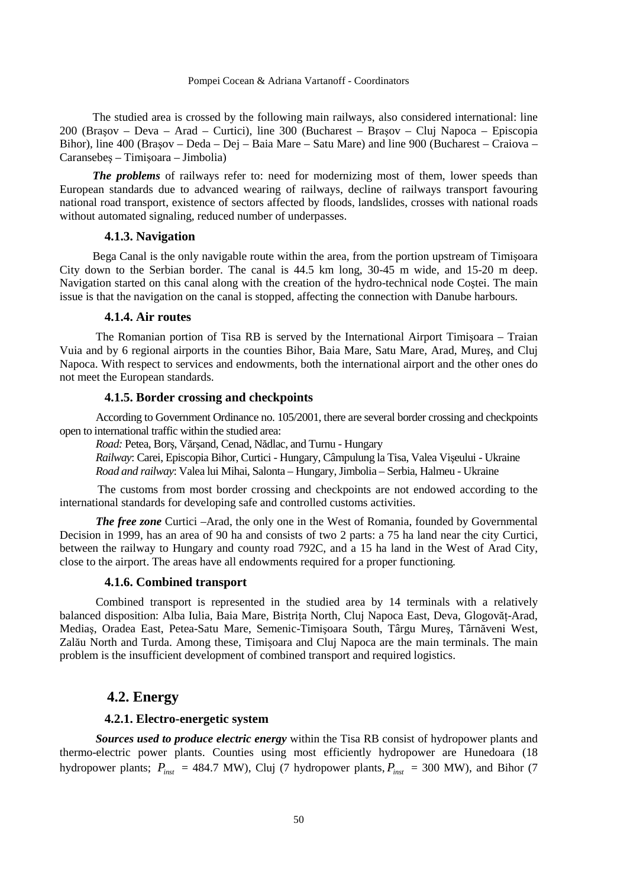The studied area is crossed by the following main railways, also considered international: line 200 (Braşov – Deva – Arad – Curtici), line 300 (Bucharest – Braşov – Cluj Napoca – Episcopia Bihor), line 400 (Braşov – Deda – Dej – Baia Mare – Satu Mare) and line 900 (Bucharest – Craiova – Caransebeş – Timişoara – Jimbolia)

*The problems* of railways refer to: need for modernizing most of them, lower speeds than European standards due to advanced wearing of railways, decline of railways transport favouring national road transport, existence of sectors affected by floods, landslides, crosses with national roads without automated signaling, reduced number of underpasses.

## **4.1.3. Navigation**

Bega Canal is the only navigable route within the area, from the portion upstream of Timişoara City down to the Serbian border. The canal is 44.5 km long, 30-45 m wide, and 15-20 m deep. Navigation started on this canal along with the creation of the hydro-technical node Coştei. The main issue is that the navigation on the canal is stopped, affecting the connection with Danube harbours.

## **4.1.4. Air routes**

The Romanian portion of Tisa RB is served by the International Airport Timişoara – Traian Vuia and by 6 regional airports in the counties Bihor, Baia Mare, Satu Mare, Arad, Mureş, and Cluj Napoca. With respect to services and endowments, both the international airport and the other ones do not meet the European standards.

## **4.1.5. Border crossing and checkpoints**

According to Government Ordinance no. 105/2001, there are several border crossing and checkpoints open to international traffic within the studied area:

*Road:* Petea, Borş, Vărşand, Cenad, Nădlac, and Turnu - Hungary

*Railway*: Carei, Episcopia Bihor, Curtici - Hungary, Câmpulung la Tisa, Valea Vişeului - Ukraine *Road and railway*: Valea lui Mihai, Salonta – Hungary, Jimbolia – Serbia, Halmeu - Ukraine

The customs from most border crossing and checkpoints are not endowed according to the international standards for developing safe and controlled customs activities.

*The free zone* Curtici –Arad, the only one in the West of Romania, founded by Governmental Decision in 1999, has an area of 90 ha and consists of two 2 parts: a 75 ha land near the city Curtici, between the railway to Hungary and county road 792C, and a 15 ha land in the West of Arad City, close to the airport. The areas have all endowments required for a proper functioning*.* 

## **4.1.6. Combined transport**

Combined transport is represented in the studied area by 14 terminals with a relatively balanced disposition: Alba Iulia, Baia Mare, Bistrita North, Cluj Napoca East, Deva, Glogovăt-Arad, Mediaş, Oradea East, Petea-Satu Mare, Semenic-Timişoara South, Târgu Mureş, Târnăveni West, Zalău North and Turda. Among these, Timişoara and Cluj Napoca are the main terminals. The main problem is the insufficient development of combined transport and required logistics.

## **4.2. Energy**

## **4.2.1. Electro-energetic system**

*Sources used to produce electric energy* within the Tisa RB consist of hydropower plants and thermo-electric power plants. Counties using most efficiently hydropower are Hunedoara (18 hydropower plants;  $P_{inst}$  = 484.7 MW), Cluj (7 hydropower plants,  $P_{inst}$  = 300 MW), and Bihor (7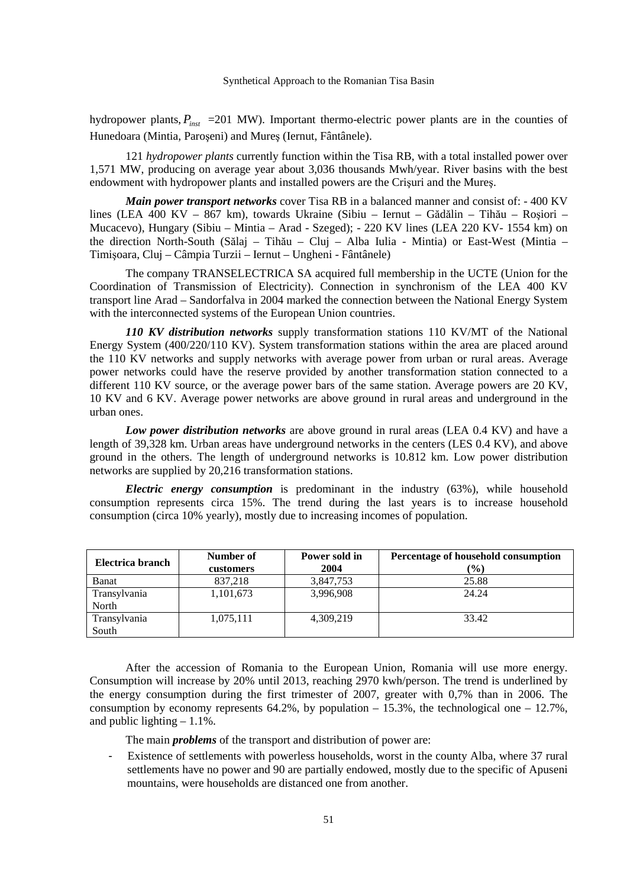hydropower plants,  $P_{\text{inst}}$  =201 MW). Important thermo-electric power plants are in the counties of Hunedoara (Mintia, Paroşeni) and Mureş (Iernut, Fântânele).

121 *hydropower plants* currently function within the Tisa RB, with a total installed power over 1,571 MW, producing on average year about 3,036 thousands Mwh/year. River basins with the best endowment with hydropower plants and installed powers are the Crişuri and the Mureş.

*Main power transport networks* cover Tisa RB in a balanced manner and consist of: - 400 KV lines (LEA 400 KV – 867 km), towards Ukraine (Sibiu – Iernut – Gădălin – Tihău – Roşiori – Mucacevo), Hungary (Sibiu – Mintia – Arad - Szeged); - 220 KV lines (LEA 220 KV- 1554 km) on the direction North-South (Sălaj – Tihău – Cluj – Alba Iulia - Mintia) or East-West (Mintia – Timişoara, Cluj – Câmpia Turzii – Iernut – Ungheni - Fântânele)

The company TRANSELECTRICA SA acquired full membership in the UCTE (Union for the Coordination of Transmission of Electricity). Connection in synchronism of the LEA 400 KV transport line Arad – Sandorfalva in 2004 marked the connection between the National Energy System with the interconnected systems of the European Union countries.

*110 KV distribution networks* supply transformation stations 110 KV/MT of the National Energy System (400/220/110 KV). System transformation stations within the area are placed around the 110 KV networks and supply networks with average power from urban or rural areas. Average power networks could have the reserve provided by another transformation station connected to a different 110 KV source, or the average power bars of the same station. Average powers are 20 KV, 10 KV and 6 KV. Average power networks are above ground in rural areas and underground in the urban ones.

*Low power distribution networks* are above ground in rural areas (LEA 0.4 KV) and have a length of 39,328 km. Urban areas have underground networks in the centers (LES 0.4 KV), and above ground in the others. The length of underground networks is 10.812 km. Low power distribution networks are supplied by 20,216 transformation stations.

*Electric energy consumption* is predominant in the industry (63%), while household consumption represents circa 15%. The trend during the last years is to increase household consumption (circa 10% yearly), mostly due to increasing incomes of population.

| Electrica branch | Number of<br>customers | Power sold in<br>2004 | Percentage of household consumption<br>$(\%)$ |
|------------------|------------------------|-----------------------|-----------------------------------------------|
| Banat            | 837,218                | 3,847,753             | 25.88                                         |
| Transylvania     | 1,101,673              | 3,996,908             | 24.24                                         |
| North            |                        |                       |                                               |
| Transylvania     | 1,075,111              | 4,309,219             | 33.42                                         |
| South            |                        |                       |                                               |

After the accession of Romania to the European Union, Romania will use more energy. Consumption will increase by 20% until 2013, reaching 2970 kwh/person. The trend is underlined by the energy consumption during the first trimester of 2007, greater with 0,7% than in 2006. The consumption by economy represents  $64.2\%$ , by population  $-15.3\%$ , the technological one  $-12.7\%$ , and public lighting  $-1.1\%$ .

The main *problems* of the transport and distribution of power are:

Existence of settlements with powerless households, worst in the county Alba, where 37 rural settlements have no power and 90 are partially endowed, mostly due to the specific of Apuseni mountains, were households are distanced one from another.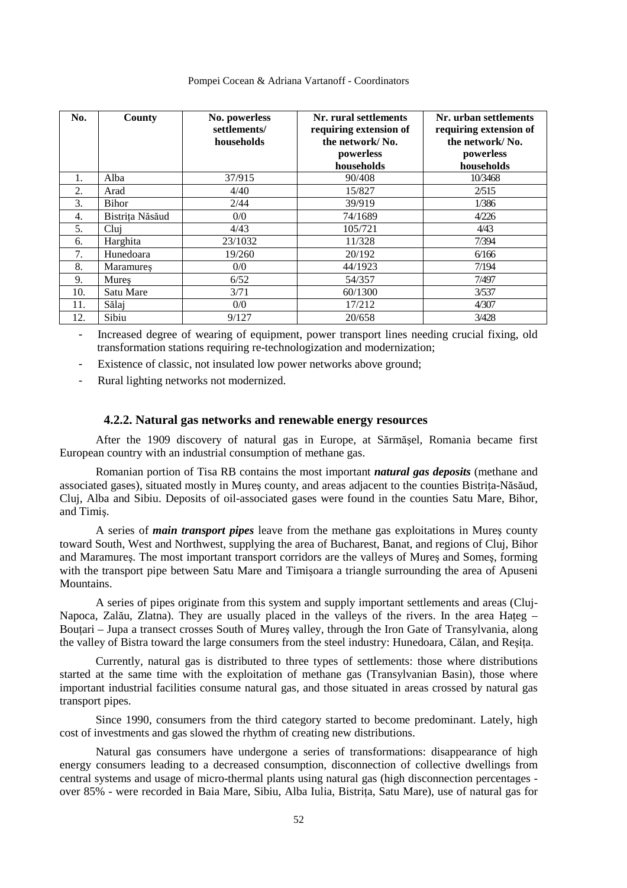| Pompei Cocean & Adriana Vartanoff - Coordinators |  |  |  |
|--------------------------------------------------|--|--|--|
|--------------------------------------------------|--|--|--|

| No. | County           | No. powerless<br>settlements/<br>households | Nr. rural settlements<br>requiring extension of<br>the network/No.<br>powerless<br>households | Nr. urban settlements<br>requiring extension of<br>the network/No.<br>powerless<br>households |
|-----|------------------|---------------------------------------------|-----------------------------------------------------------------------------------------------|-----------------------------------------------------------------------------------------------|
| 1.  | Alba             | 37/915                                      | 90/408                                                                                        | 10/3468                                                                                       |
| 2.  | Arad             | 4/40                                        | 15/827                                                                                        | 2/515                                                                                         |
| 3.  | Bihor            | 2/44                                        | 39/919                                                                                        | 1/386                                                                                         |
| 4.  | Bistrita Năsăud  | 0/0                                         | 74/1689                                                                                       | 4/226                                                                                         |
| 5.  | Clui             | 4/43                                        | 105/721                                                                                       | 4/43                                                                                          |
| 6.  | Harghita         | 23/1032                                     | 11/328                                                                                        | 7/394                                                                                         |
| 7.  | Hunedoara        | 19/260                                      | 20/192                                                                                        | 6/166                                                                                         |
| 8.  | <b>Maramures</b> | 0/0                                         | 44/1923                                                                                       | 7/194                                                                                         |
| 9.  | Mures            | 6/52                                        | 54/357                                                                                        | 7/497                                                                                         |
| 10. | Satu Mare        | 3/71                                        | 60/1300                                                                                       | 3/537                                                                                         |
| 11. | Sălaj            | 0/0                                         | 17/212                                                                                        | 4/307                                                                                         |
| 12. | Sibiu            | 9/127                                       | 20/658                                                                                        | 3/428                                                                                         |

- Increased degree of wearing of equipment, power transport lines needing crucial fixing, old transformation stations requiring re-technologization and modernization;

- Existence of classic, not insulated low power networks above ground;
- Rural lighting networks not modernized.

## **4.2.2. Natural gas networks and renewable energy resources**

After the 1909 discovery of natural gas in Europe, at Sărmăşel, Romania became first European country with an industrial consumption of methane gas.

Romanian portion of Tisa RB contains the most important *natural gas deposits* (methane and associated gases), situated mostly in Mureș county, and areas adjacent to the counties Bistrița-Năsăud, Cluj, Alba and Sibiu. Deposits of oil-associated gases were found in the counties Satu Mare, Bihor, and Timiş.

A series of *main transport pipes* leave from the methane gas exploitations in Mureş county toward South, West and Northwest, supplying the area of Bucharest, Banat, and regions of Cluj, Bihor and Maramureş. The most important transport corridors are the valleys of Mureş and Someş, forming with the transport pipe between Satu Mare and Timişoara a triangle surrounding the area of Apuseni Mountains.

A series of pipes originate from this system and supply important settlements and areas (Cluj-Napoca, Zalău, Zlatna). They are usually placed in the valleys of the rivers. In the area Hateg – Boutari – Jupa a transect crosses South of Mures valley, through the Iron Gate of Transylvania, along the valley of Bistra toward the large consumers from the steel industry: Hunedoara, Călan, and Resita.

Currently, natural gas is distributed to three types of settlements: those where distributions started at the same time with the exploitation of methane gas (Transylvanian Basin), those where important industrial facilities consume natural gas, and those situated in areas crossed by natural gas transport pipes.

Since 1990, consumers from the third category started to become predominant. Lately, high cost of investments and gas slowed the rhythm of creating new distributions.

Natural gas consumers have undergone a series of transformations: disappearance of high energy consumers leading to a decreased consumption, disconnection of collective dwellings from central systems and usage of micro-thermal plants using natural gas (high disconnection percentages over 85% - were recorded in Baia Mare, Sibiu, Alba Iulia, Bistrita, Satu Mare), use of natural gas for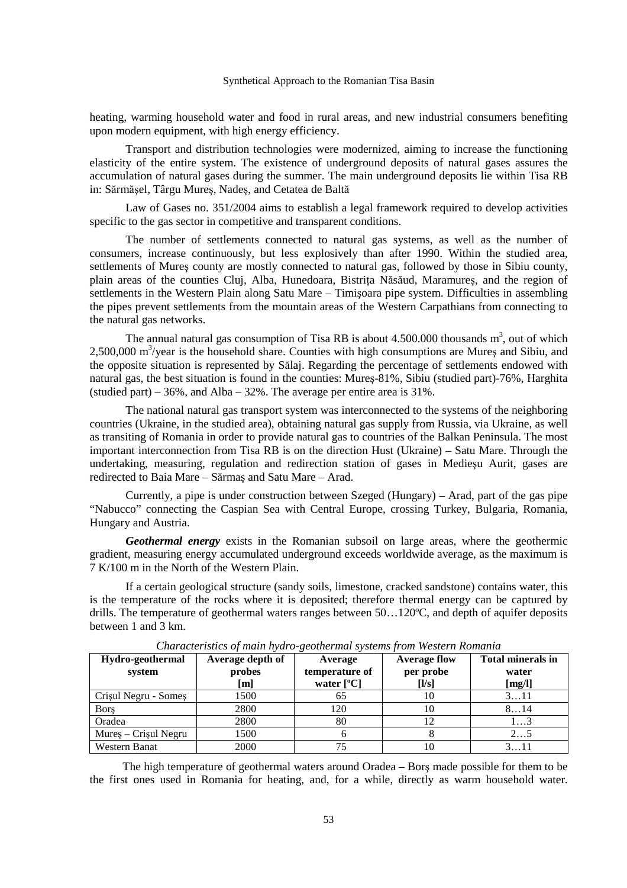heating, warming household water and food in rural areas, and new industrial consumers benefiting upon modern equipment, with high energy efficiency.

Transport and distribution technologies were modernized, aiming to increase the functioning elasticity of the entire system. The existence of underground deposits of natural gases assures the accumulation of natural gases during the summer. The main underground deposits lie within Tisa RB in: Sărmăşel, Târgu Mureş, Nadeş, and Cetatea de Baltă

Law of Gases no. 351/2004 aims to establish a legal framework required to develop activities specific to the gas sector in competitive and transparent conditions.

The number of settlements connected to natural gas systems, as well as the number of consumers, increase continuously, but less explosively than after 1990. Within the studied area, settlements of Mures county are mostly connected to natural gas, followed by those in Sibiu county, plain areas of the counties Cluj, Alba, Hunedoara, Bistrita Năsăud, Maramures, and the region of settlements in the Western Plain along Satu Mare – Timişoara pipe system. Difficulties in assembling the pipes prevent settlements from the mountain areas of the Western Carpathians from connecting to the natural gas networks.

The annual natural gas consumption of Tisa RB is about  $4.500.000$  thousands m<sup>3</sup>, out of which  $2,500,000$  m<sup>3</sup>/year is the household share. Counties with high consumptions are Mures and Sibiu, and the opposite situation is represented by Sălaj. Regarding the percentage of settlements endowed with natural gas, the best situation is found in the counties: Mureş-81%, Sibiu (studied part)-76%, Harghita (studied part) –  $36\%$ , and Alba –  $32\%$ . The average per entire area is  $31\%$ .

The national natural gas transport system was interconnected to the systems of the neighboring countries (Ukraine, in the studied area), obtaining natural gas supply from Russia, via Ukraine, as well as transiting of Romania in order to provide natural gas to countries of the Balkan Peninsula. The most important interconnection from Tisa RB is on the direction Hust (Ukraine) – Satu Mare. Through the undertaking, measuring, regulation and redirection station of gases in Medieşu Aurit, gases are redirected to Baia Mare – Sărmaş and Satu Mare – Arad.

Currently, a pipe is under construction between Szeged (Hungary) – Arad, part of the gas pipe "Nabucco" connecting the Caspian Sea with Central Europe, crossing Turkey, Bulgaria, Romania, Hungary and Austria.

*Geothermal energy* exists in the Romanian subsoil on large areas, where the geothermic gradient, measuring energy accumulated underground exceeds worldwide average, as the maximum is 7 K/100 m in the North of the Western Plain.

If a certain geological structure (sandy soils, limestone, cracked sandstone) contains water, this is the temperature of the rocks where it is deposited; therefore thermal energy can be captured by drills. The temperature of geothermal waters ranges between 50…120ºC, and depth of aquifer deposits between 1 and 3 km.

| Hydro-geothermal<br>system | Average depth of<br>probes<br>[m] | Average<br>temperature of<br>water $[°C]$ | <b>Average flow</b><br>per probe<br>[1/s] | <b>Total minerals in</b><br>water<br>[mg/l] |
|----------------------------|-----------------------------------|-------------------------------------------|-------------------------------------------|---------------------------------------------|
| Crisul Negru - Somes       | 1500                              | 6D                                        | ю                                         | 311                                         |
| <b>Bors</b>                | 2800                              | 120                                       | 10                                        | 814                                         |
| Oradea                     | 2800                              | 80                                        |                                           | 13                                          |
| $Mures - Crisul Negru$     | 1500                              |                                           |                                           | 25                                          |
| <b>Western Banat</b>       | 2000                              |                                           |                                           | 3. 11                                       |

*Characteristics of main hydro-geothermal systems from Western Romania*

The high temperature of geothermal waters around Oradea – Borş made possible for them to be the first ones used in Romania for heating, and, for a while, directly as warm household water.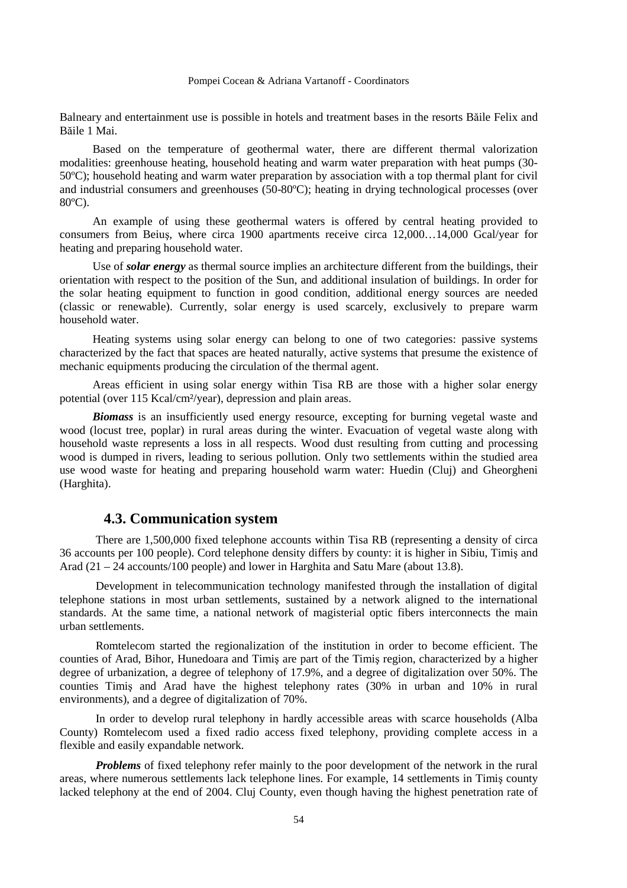Balneary and entertainment use is possible in hotels and treatment bases in the resorts Băile Felix and Băile 1 Mai.

Based on the temperature of geothermal water, there are different thermal valorization modalities: greenhouse heating, household heating and warm water preparation with heat pumps (30- 50ºC); household heating and warm water preparation by association with a top thermal plant for civil and industrial consumers and greenhouses (50-80ºC); heating in drying technological processes (over 80ºC).

An example of using these geothermal waters is offered by central heating provided to consumers from Beiuş, where circa 1900 apartments receive circa 12,000…14,000 Gcal/year for heating and preparing household water.

Use of *solar energy* as thermal source implies an architecture different from the buildings, their orientation with respect to the position of the Sun, and additional insulation of buildings. In order for the solar heating equipment to function in good condition, additional energy sources are needed (classic or renewable). Currently, solar energy is used scarcely, exclusively to prepare warm household water.

Heating systems using solar energy can belong to one of two categories: passive systems characterized by the fact that spaces are heated naturally, active systems that presume the existence of mechanic equipments producing the circulation of the thermal agent.

Areas efficient in using solar energy within Tisa RB are those with a higher solar energy potential (over 115 Kcal/cm²/year), depression and plain areas.

*Biomass* is an insufficiently used energy resource, excepting for burning vegetal waste and wood (locust tree, poplar) in rural areas during the winter. Evacuation of vegetal waste along with household waste represents a loss in all respects. Wood dust resulting from cutting and processing wood is dumped in rivers, leading to serious pollution. Only two settlements within the studied area use wood waste for heating and preparing household warm water: Huedin (Cluj) and Gheorgheni (Harghita).

## **4.3. Communication system**

There are 1,500,000 fixed telephone accounts within Tisa RB (representing a density of circa 36 accounts per 100 people). Cord telephone density differs by county: it is higher in Sibiu, Timiş and Arad (21 – 24 accounts/100 people) and lower in Harghita and Satu Mare (about 13.8).

Development in telecommunication technology manifested through the installation of digital telephone stations in most urban settlements, sustained by a network aligned to the international standards. At the same time, a national network of magisterial optic fibers interconnects the main urban settlements.

Romtelecom started the regionalization of the institution in order to become efficient. The counties of Arad, Bihor, Hunedoara and Timiş are part of the Timiş region, characterized by a higher degree of urbanization, a degree of telephony of 17.9%, and a degree of digitalization over 50%. The counties Timiş and Arad have the highest telephony rates (30% in urban and 10% in rural environments), and a degree of digitalization of 70%.

In order to develop rural telephony in hardly accessible areas with scarce households (Alba County) Romtelecom used a fixed radio access fixed telephony, providing complete access in a flexible and easily expandable network.

**Problems** of fixed telephony refer mainly to the poor development of the network in the rural areas, where numerous settlements lack telephone lines. For example, 14 settlements in Timiş county lacked telephony at the end of 2004. Cluj County, even though having the highest penetration rate of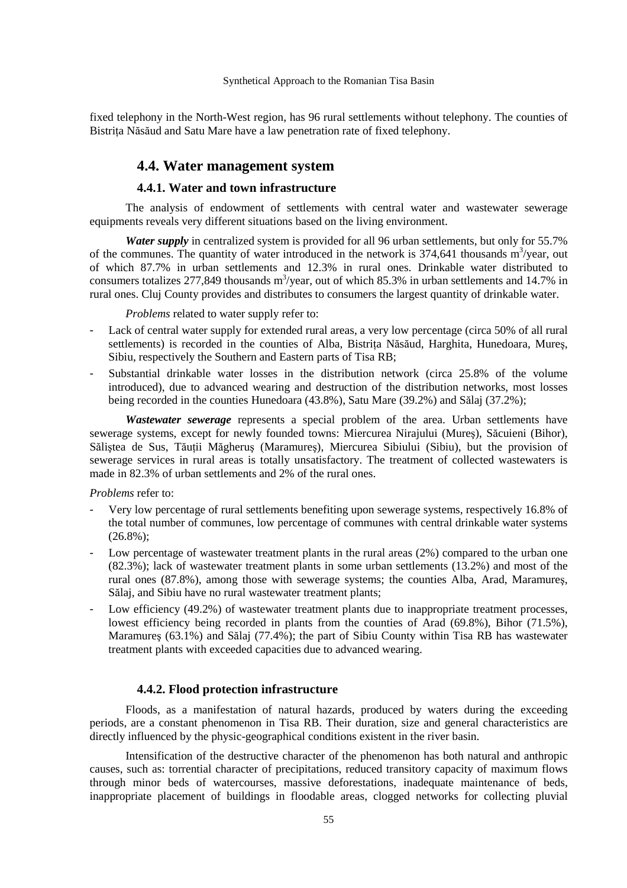fixed telephony in the North-West region, has 96 rural settlements without telephony. The counties of Bistrița Năsăud and Satu Mare have a law penetration rate of fixed telephony.

## **4.4. Water management system**

## **4.4.1. Water and town infrastructure**

The analysis of endowment of settlements with central water and wastewater sewerage equipments reveals very different situations based on the living environment.

*Water supply* in centralized system is provided for all 96 urban settlements, but only for 55.7% of the communes. The quantity of water introduced in the network is  $374,641$  thousands m<sup>3</sup>/year, out of which 87.7% in urban settlements and 12.3% in rural ones. Drinkable water distributed to consumers totalizes 277,849 thousands  $m^3$ /year, out of which 85.3% in urban settlements and 14.7% in rural ones. Cluj County provides and distributes to consumers the largest quantity of drinkable water.

*Problems* related to water supply refer to:

- Lack of central water supply for extended rural areas, a very low percentage (circa 50% of all rural settlements) is recorded in the counties of Alba, Bistrita Năsăud, Harghita, Hunedoara, Mures, Sibiu, respectively the Southern and Eastern parts of Tisa RB;
- Substantial drinkable water losses in the distribution network (circa 25.8% of the volume introduced), due to advanced wearing and destruction of the distribution networks, most losses being recorded in the counties Hunedoara (43.8%), Satu Mare (39.2%) and Sălaj (37.2%);

*Wastewater sewerage* represents a special problem of the area. Urban settlements have sewerage systems, except for newly founded towns: Miercurea Nirajului (Mureş), Săcuieni (Bihor), Sălistea de Sus, Tăutii Măgherus (Maramures), Miercurea Sibiului (Sibiu), but the provision of sewerage services in rural areas is totally unsatisfactory. The treatment of collected wastewaters is made in 82.3% of urban settlements and 2% of the rural ones.

## *Problems* refer to:

- Very low percentage of rural settlements benefiting upon sewerage systems, respectively 16.8% of the total number of communes, low percentage of communes with central drinkable water systems (26.8%);
- Low percentage of wastewater treatment plants in the rural areas (2%) compared to the urban one (82.3%); lack of wastewater treatment plants in some urban settlements (13.2%) and most of the rural ones (87.8%), among those with sewerage systems; the counties Alba, Arad, Maramureş, Sălaj, and Sibiu have no rural wastewater treatment plants;
- Low efficiency (49.2%) of wastewater treatment plants due to inappropriate treatment processes, lowest efficiency being recorded in plants from the counties of Arad (69.8%), Bihor (71.5%), Maramureş (63.1%) and Sălaj (77.4%); the part of Sibiu County within Tisa RB has wastewater treatment plants with exceeded capacities due to advanced wearing.

## **4.4.2. Flood protection infrastructure**

Floods, as a manifestation of natural hazards, produced by waters during the exceeding periods, are a constant phenomenon in Tisa RB. Their duration, size and general characteristics are directly influenced by the physic-geographical conditions existent in the river basin.

Intensification of the destructive character of the phenomenon has both natural and anthropic causes, such as: torrential character of precipitations, reduced transitory capacity of maximum flows through minor beds of watercourses, massive deforestations, inadequate maintenance of beds, inappropriate placement of buildings in floodable areas, clogged networks for collecting pluvial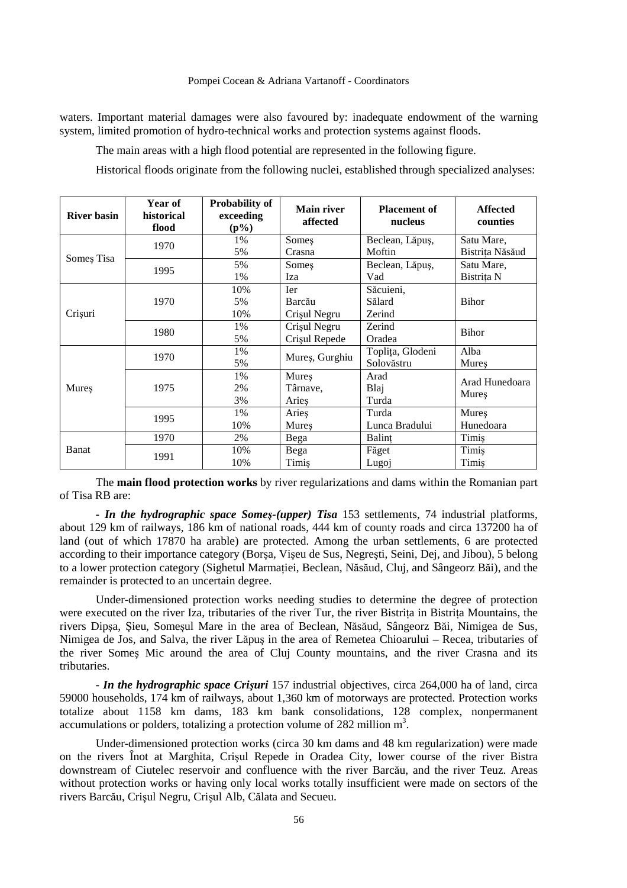waters. Important material damages were also favoured by: inadequate endowment of the warning system, limited promotion of hydro-technical works and protection systems against floods.

The main areas with a high flood potential are represented in the following figure.

Historical floods originate from the following nuclei, established through specialized analyses:

| <b>River basin</b> | Year of<br>historical<br>flood | <b>Probability of</b><br>exceeding<br>$(p\%)$ | <b>Main river</b><br>affected | <b>Placement of</b><br>nucleus | <b>Affected</b><br>counties |  |
|--------------------|--------------------------------|-----------------------------------------------|-------------------------------|--------------------------------|-----------------------------|--|
|                    | 1970                           | 1%                                            | Somes                         | Beclean, Lăpuș,                | Satu Mare,                  |  |
| Somes Tisa         |                                | 5%                                            | Crasna                        | Moftin                         | Bistrița Năsăud             |  |
|                    | 1995                           | 5%                                            | Someş                         | Beclean, Lăpuș,                | Satu Mare,                  |  |
|                    |                                | 1%                                            | Iza                           | Vad                            | Bistrița N                  |  |
|                    |                                | 10%                                           | Ier                           | Săcuieni,                      |                             |  |
|                    | 1970                           | 5%                                            | Barcău                        | Sălard                         | Bihor                       |  |
| Crișuri            |                                | 10%                                           | Crișul Negru                  | Zerind                         |                             |  |
|                    | 1980                           | 1%                                            | Zerind<br>Crișul Negru        |                                | Bihor                       |  |
|                    |                                | 5%                                            | Crișul Repede                 | Oradea                         |                             |  |
|                    | 1970                           | 1%                                            | Mureș, Gurghiu                | Toplița, Glodeni               | Alba                        |  |
|                    |                                | 5%                                            |                               | Solovăstru                     | Mures                       |  |
| Mures              |                                | 1%                                            | Mures                         | Arad                           | Arad Hunedoara              |  |
|                    | 1975                           | 2%                                            | Târnave,                      | Blaj                           | Mures                       |  |
|                    |                                | 3%                                            | Aries                         | Turda                          |                             |  |
|                    | 1995                           | 1%                                            | Aries                         | Turda                          | Mures                       |  |
|                    |                                | 10%                                           | Mures                         | Lunca Bradului                 | Hunedoara                   |  |
| Banat              | 1970                           | 2%                                            | Bega                          | Balint                         | Timis                       |  |
|                    | 1991                           | 10%                                           | Bega                          | Făget                          | Timiş                       |  |
|                    |                                | 10%                                           | Timiş                         | Lugoj                          | Timiş                       |  |

The **main flood protection works** by river regularizations and dams within the Romanian part of Tisa RB are:

*- In the hydrographic space Someş-(upper) Tisa* 153 settlements, 74 industrial platforms, about 129 km of railways, 186 km of national roads, 444 km of county roads and circa 137200 ha of land (out of which 17870 ha arable) are protected. Among the urban settlements, 6 are protected according to their importance category (Borşa, Vişeu de Sus, Negreşti, Seini, Dej, and Jibou), 5 belong to a lower protection category (Sighetul Marmatiei, Beclean, Năsăud, Cluj, and Sângeorz Băi), and the remainder is protected to an uncertain degree.

Under-dimensioned protection works needing studies to determine the degree of protection were executed on the river Iza, tributaries of the river Tur, the river Bistrita in Bistrita Mountains, the rivers Dipşa, Şieu, Someşul Mare in the area of Beclean, Năsăud, Sângeorz Băi, Nimigea de Sus, Nimigea de Jos, and Salva, the river Lăpuş in the area of Remetea Chioarului – Recea, tributaries of the river Someş Mic around the area of Cluj County mountains, and the river Crasna and its tributaries.

*- In the hydrographic space Crişuri* 157 industrial objectives, circa 264,000 ha of land, circa 59000 households, 174 km of railways, about 1,360 km of motorways are protected. Protection works totalize about 1158 km dams, 183 km bank consolidations, 128 complex, nonpermanent accumulations or polders, totalizing a protection volume of 282 million  $m^3$ .

Under-dimensioned protection works (circa 30 km dams and 48 km regularization) were made on the rivers Înot at Marghita, Crişul Repede in Oradea City, lower course of the river Bistra downstream of Ciutelec reservoir and confluence with the river Barcău, and the river Teuz. Areas without protection works or having only local works totally insufficient were made on sectors of the rivers Barcău, Crişul Negru, Crişul Alb, Călata and Secueu.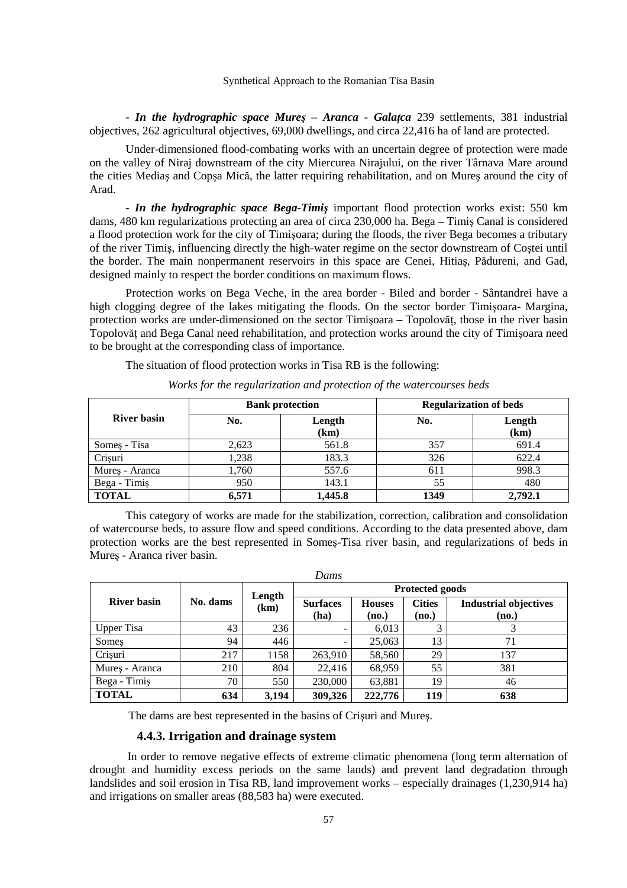**- In the hydrographic space Mures** – Aranca - Gala<sub>*ica* 239 settlements, 381 industrial</sub> objectives, 262 agricultural objectives, 69,000 dwellings, and circa 22,416 ha of land are protected.

Under-dimensioned flood-combating works with an uncertain degree of protection were made on the valley of Niraj downstream of the city Miercurea Nirajului, on the river Târnava Mare around the cities Mediaş and Copşa Mică, the latter requiring rehabilitation, and on Mureş around the city of Arad.

*- In the hydrographic space Bega-Timiş* important flood protection works exist: 550 km dams, 480 km regularizations protecting an area of circa 230,000 ha. Bega – Timiş Canal is considered a flood protection work for the city of Timişoara; during the floods, the river Bega becomes a tributary of the river Timiş, influencing directly the high-water regime on the sector downstream of Coştei until the border. The main nonpermanent reservoirs in this space are Cenei, Hitiaş, Pădureni, and Gad, designed mainly to respect the border conditions on maximum flows.

Protection works on Bega Veche, in the area border - Biled and border - Sântandrei have a high clogging degree of the lakes mitigating the floods. On the sector border Timisoara- Margina, protection works are under-dimensioned on the sector Timișoara – Topolovăt, those in the river basin Topolovăt and Bega Canal need rehabilitation, and protection works around the city of Timisoara need to be brought at the corresponding class of importance.

The situation of flood protection works in Tisa RB is the following:

|                    |       | <b>Bank protection</b> | <b>Regularization of beds</b> |                |  |
|--------------------|-------|------------------------|-------------------------------|----------------|--|
| <b>River basin</b> | No.   | Length<br>(km)         | No.                           | Length<br>(km) |  |
| Somes - Tisa       | 2,623 | 561.8                  | 357                           | 691.4          |  |
| Crisuri            | 1,238 | 183.3                  | 326                           | 622.4          |  |
| Mures - Aranca     | 1,760 | 557.6                  | 611                           | 998.3          |  |
| Bega - Timiş       | 950   | 143.1                  | 55                            | 480            |  |
| <b>TOTAL</b>       | 6,571 | 1,445.8                | 1349                          | 2,792.1        |  |

*Works for the regularization and protection of the watercourses beds* 

This category of works are made for the stabilization, correction, calibration and consolidation of watercourse beds, to assure flow and speed conditions. According to the data presented above, dam protection works are the best represented in Someş-Tisa river basin, and regularizations of beds in Mureş - Aranca river basin.

| Dams               |          |                |                         |                        |                        |                                       |
|--------------------|----------|----------------|-------------------------|------------------------|------------------------|---------------------------------------|
|                    | No. dams | Length<br>(km) | <b>Protected goods</b>  |                        |                        |                                       |
| <b>River basin</b> |          |                | <b>Surfaces</b><br>(ha) | <b>Houses</b><br>(no.) | <b>Cities</b><br>(no.) | <b>Industrial objectives</b><br>(no.) |
| <b>Upper Tisa</b>  | 43       | 236            | -                       | 6,013                  |                        |                                       |
| Somes              | 94       | 446            | -                       | 25,063                 | 13                     | 71                                    |
| Crisuri            | 217      | 1158           | 263,910                 | 58,560                 | 29                     | 137                                   |
| Mureș - Aranca     | 210      | 804            | 22,416                  | 68,959                 | 55                     | 381                                   |
| Bega - Timiş       | 70       | 550            | 230,000                 | 63,881                 | 19                     | 46                                    |
| <b>TOTAL</b>       | 634      | 3,194          | 309,326                 | 222,776                | 119                    | 638                                   |

The dams are best represented in the basins of Crişuri and Mureş.

### **4.4.3. Irrigation and drainage system**

In order to remove negative effects of extreme climatic phenomena (long term alternation of drought and humidity excess periods on the same lands) and prevent land degradation through landslides and soil erosion in Tisa RB, land improvement works – especially drainages (1,230,914 ha) and irrigations on smaller areas (88,583 ha) were executed.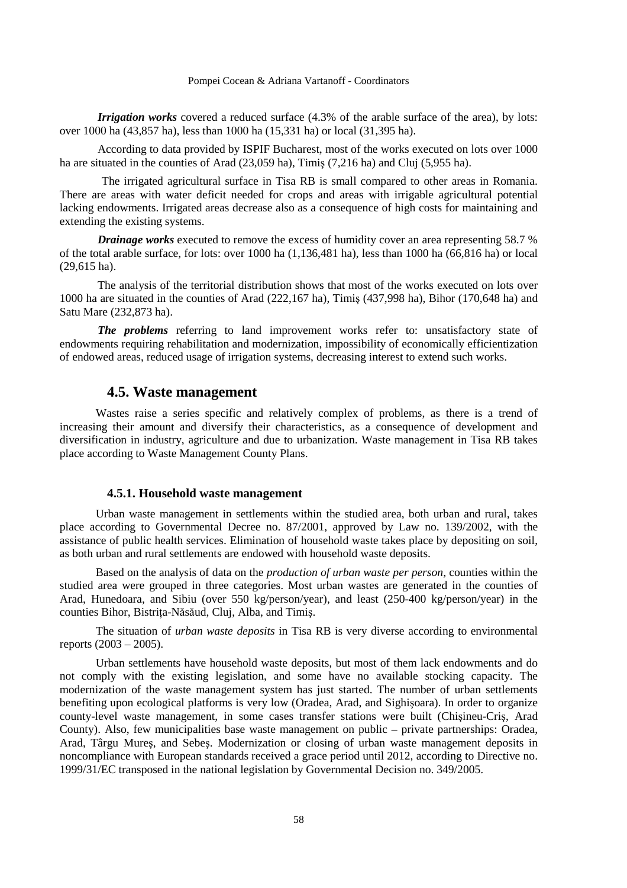*Irrigation works* covered a reduced surface  $(4.3\%$  of the arable surface of the area), by lots: over 1000 ha (43,857 ha), less than 1000 ha (15,331 ha) or local (31,395 ha).

According to data provided by ISPIF Bucharest, most of the works executed on lots over 1000 ha are situated in the counties of Arad (23,059 ha), Timiş (7,216 ha) and Cluj (5,955 ha).

The irrigated agricultural surface in Tisa RB is small compared to other areas in Romania. There are areas with water deficit needed for crops and areas with irrigable agricultural potential lacking endowments. Irrigated areas decrease also as a consequence of high costs for maintaining and extending the existing systems.

*Drainage works* executed to remove the excess of humidity cover an area representing 58.7 % of the total arable surface, for lots: over 1000 ha (1,136,481 ha), less than 1000 ha (66,816 ha) or local (29,615 ha).

The analysis of the territorial distribution shows that most of the works executed on lots over 1000 ha are situated in the counties of Arad (222,167 ha), Timiş (437,998 ha), Bihor (170,648 ha) and Satu Mare (232,873 ha).

*The problems* referring to land improvement works refer to: unsatisfactory state of endowments requiring rehabilitation and modernization, impossibility of economically efficientization of endowed areas, reduced usage of irrigation systems, decreasing interest to extend such works.

## **4.5. Waste management**

Wastes raise a series specific and relatively complex of problems, as there is a trend of increasing their amount and diversify their characteristics, as a consequence of development and diversification in industry, agriculture and due to urbanization. Waste management in Tisa RB takes place according to Waste Management County Plans.

## **4.5.1. Household waste management**

Urban waste management in settlements within the studied area, both urban and rural, takes place according to Governmental Decree no. 87/2001, approved by Law no. 139/2002, with the assistance of public health services. Elimination of household waste takes place by depositing on soil, as both urban and rural settlements are endowed with household waste deposits.

Based on the analysis of data on the *production of urban waste per person*, counties within the studied area were grouped in three categories. Most urban wastes are generated in the counties of Arad, Hunedoara, and Sibiu (over 550 kg/person/year), and least (250-400 kg/person/year) in the counties Bihor, Bistrita-Năsăud, Cluj, Alba, and Timis.

The situation of *urban waste deposits* in Tisa RB is very diverse according to environmental reports (2003 – 2005).

Urban settlements have household waste deposits, but most of them lack endowments and do not comply with the existing legislation, and some have no available stocking capacity. The modernization of the waste management system has just started. The number of urban settlements benefiting upon ecological platforms is very low (Oradea, Arad, and Sighişoara). In order to organize county-level waste management, in some cases transfer stations were built (Chişineu-Criş, Arad County). Also, few municipalities base waste management on public – private partnerships: Oradea, Arad, Târgu Mureş, and Sebeş. Modernization or closing of urban waste management deposits in noncompliance with European standards received a grace period until 2012, according to Directive no. 1999/31/EC transposed in the national legislation by Governmental Decision no. 349/2005.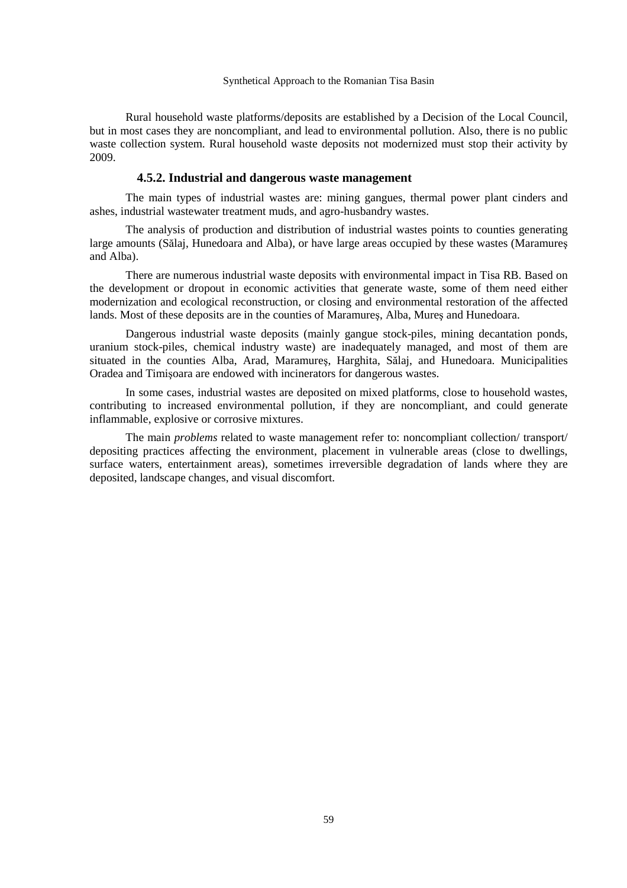Rural household waste platforms/deposits are established by a Decision of the Local Council, but in most cases they are noncompliant, and lead to environmental pollution. Also, there is no public waste collection system. Rural household waste deposits not modernized must stop their activity by 2009.

## **4.5.2. Industrial and dangerous waste management**

The main types of industrial wastes are: mining gangues, thermal power plant cinders and ashes, industrial wastewater treatment muds, and agro-husbandry wastes.

The analysis of production and distribution of industrial wastes points to counties generating large amounts (Sălaj, Hunedoara and Alba), or have large areas occupied by these wastes (Maramureş and Alba).

There are numerous industrial waste deposits with environmental impact in Tisa RB. Based on the development or dropout in economic activities that generate waste, some of them need either modernization and ecological reconstruction, or closing and environmental restoration of the affected lands. Most of these deposits are in the counties of Maramureş, Alba, Mureş and Hunedoara.

Dangerous industrial waste deposits (mainly gangue stock-piles, mining decantation ponds, uranium stock-piles, chemical industry waste) are inadequately managed, and most of them are situated in the counties Alba, Arad, Maramureş, Harghita, Sălaj, and Hunedoara. Municipalities Oradea and Timişoara are endowed with incinerators for dangerous wastes.

In some cases, industrial wastes are deposited on mixed platforms, close to household wastes, contributing to increased environmental pollution, if they are noncompliant, and could generate inflammable, explosive or corrosive mixtures.

The main *problems* related to waste management refer to: noncompliant collection/ transport/ depositing practices affecting the environment, placement in vulnerable areas (close to dwellings, surface waters, entertainment areas), sometimes irreversible degradation of lands where they are deposited, landscape changes, and visual discomfort.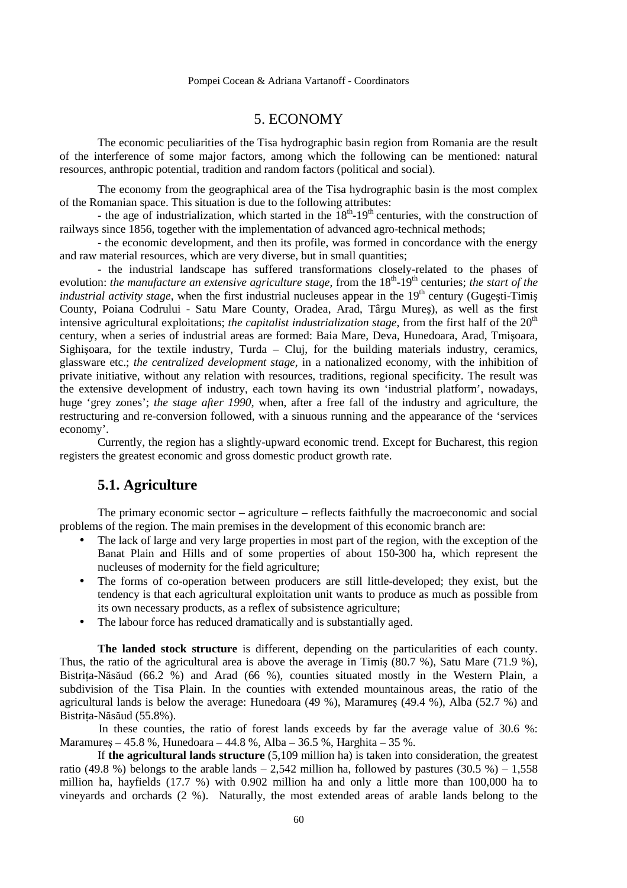## 5. ECONOMY

The economic peculiarities of the Tisa hydrographic basin region from Romania are the result of the interference of some major factors, among which the following can be mentioned: natural resources, anthropic potential, tradition and random factors (political and social).

 The economy from the geographical area of the Tisa hydrographic basin is the most complex of the Romanian space. This situation is due to the following attributes:

- the age of industrialization, which started in the  $18<sup>th</sup>$ -19<sup>th</sup> centuries, with the construction of railways since 1856, together with the implementation of advanced agro-technical methods;

 - the economic development, and then its profile, was formed in concordance with the energy and raw material resources, which are very diverse, but in small quantities;

 - the industrial landscape has suffered transformations closely-related to the phases of evolution: *the manufacture an extensive agriculture stage*, from the 18<sup>th</sup>-19<sup>th</sup> centuries; *the start of the industrial activity stage*, when the first industrial nucleuses appear in the 19<sup>th</sup> century (Gugesti-Timis County, Poiana Codrului - Satu Mare County, Oradea, Arad, Târgu Mureş), as well as the first intensive agricultural exploitations; *the capitalist industrialization stage*, from the first half of the 20<sup>th</sup> century, when a series of industrial areas are formed: Baia Mare, Deva, Hunedoara, Arad, Tmişoara, Sighişoara, for the textile industry, Turda – Cluj, for the building materials industry, ceramics, glassware etc.; *the centralized development stage*, in a nationalized economy, with the inhibition of private initiative, without any relation with resources, traditions, regional specificity. The result was the extensive development of industry, each town having its own 'industrial platform', nowadays, huge 'grey zones'; *the stage after 1990*, when, after a free fall of the industry and agriculture, the restructuring and re-conversion followed, with a sinuous running and the appearance of the 'services economy'.

 Currently, the region has a slightly-upward economic trend. Except for Bucharest, this region registers the greatest economic and gross domestic product growth rate.

# **5.1. Agriculture**

The primary economic sector – agriculture – reflects faithfully the macroeconomic and social problems of the region. The main premises in the development of this economic branch are:

- The lack of large and very large properties in most part of the region, with the exception of the Banat Plain and Hills and of some properties of about 150-300 ha, which represent the nucleuses of modernity for the field agriculture;
- The forms of co-operation between producers are still little-developed; they exist, but the tendency is that each agricultural exploitation unit wants to produce as much as possible from its own necessary products, as a reflex of subsistence agriculture;
- The labour force has reduced dramatically and is substantially aged.

**The landed stock structure** is different, depending on the particularities of each county. Thus, the ratio of the agricultural area is above the average in Timiş (80.7 %), Satu Mare (71.9 %), Bistrita-Năsăud (66.2 %) and Arad (66 %), counties situated mostly in the Western Plain, a subdivision of the Tisa Plain. In the counties with extended mountainous areas, the ratio of the agricultural lands is below the average: Hunedoara (49 %), Maramureş (49.4 %), Alba (52.7 %) and Bistrița-Năsăud (55.8%).

In these counties, the ratio of forest lands exceeds by far the average value of 30.6 %: Maramureş – 45.8 %, Hunedoara – 44.8 %, Alba – 36.5 %, Harghita – 35 %.

 If **the agricultural lands structure** (5,109 million ha) is taken into consideration, the greatest ratio (49.8 %) belongs to the arable lands – 2,542 million ha, followed by pastures (30.5 %) – 1,558 million ha, hayfields (17.7 %) with 0.902 million ha and only a little more than 100,000 ha to vineyards and orchards (2 %). Naturally, the most extended areas of arable lands belong to the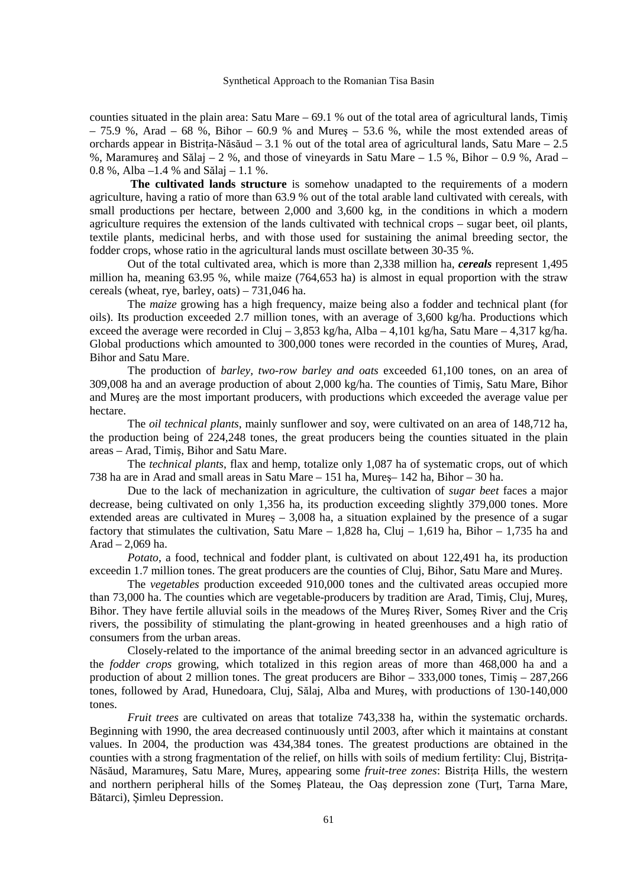counties situated in the plain area: Satu Mare – 69.1 % out of the total area of agricultural lands, Timiş  $-75.9$  %, Arad  $-68$  %, Bihor  $-60.9$  % and Mures  $-53.6$  %, while the most extended areas of orchards appear in Bistrița-Năsăud – 3.1 % out of the total area of agricultural lands, Satu Mare – 2.5 %, Maramures and Sălaj – 2 %, and those of vineyards in Satu Mare – 1.5 %. Bihor – 0.9 %, Arad – 0.8 %, Alba –1.4 % and Sălaj – 1.1 %.

 **The cultivated lands structure** is somehow unadapted to the requirements of a modern agriculture, having a ratio of more than 63.9 % out of the total arable land cultivated with cereals, with small productions per hectare, between 2,000 and 3,600 kg, in the conditions in which a modern agriculture requires the extension of the lands cultivated with technical crops – sugar beet, oil plants, textile plants, medicinal herbs, and with those used for sustaining the animal breeding sector, the fodder crops, whose ratio in the agricultural lands must oscillate between 30-35 %.

 Out of the total cultivated area, which is more than 2,338 million ha, *cereals* represent 1,495 million ha, meaning 63.95 %, while maize (764,653 ha) is almost in equal proportion with the straw cereals (wheat, rye, barley, oats) – 731,046 ha.

 The *maize* growing has a high frequency, maize being also a fodder and technical plant (for oils). Its production exceeded 2.7 million tones, with an average of 3,600 kg/ha. Productions which exceed the average were recorded in Cluj – 3,853 kg/ha, Alba – 4,101 kg/ha, Satu Mare – 4,317 kg/ha. Global productions which amounted to 300,000 tones were recorded in the counties of Mureş, Arad, Bihor and Satu Mare.

 The production of *barley, two-row barley and oats* exceeded 61,100 tones, on an area of 309,008 ha and an average production of about 2,000 kg/ha. The counties of Timiş, Satu Mare, Bihor and Mureş are the most important producers, with productions which exceeded the average value per hectare.

 The *oil technical plants*, mainly sunflower and soy, were cultivated on an area of 148,712 ha, the production being of 224,248 tones, the great producers being the counties situated in the plain areas – Arad, Timiş, Bihor and Satu Mare.

 The *technical plants*, flax and hemp, totalize only 1,087 ha of systematic crops, out of which 738 ha are in Arad and small areas in Satu Mare – 151 ha, Mureş– 142 ha, Bihor – 30 ha.

 Due to the lack of mechanization in agriculture, the cultivation of *sugar beet* faces a major decrease, being cultivated on only 1,356 ha, its production exceeding slightly 379,000 tones. More extended areas are cultivated in Mureş – 3,008 ha, a situation explained by the presence of a sugar factory that stimulates the cultivation, Satu Mare  $-1,828$  ha, Cluj  $-1,619$  ha, Bihor  $-1,735$  ha and Arad – 2,069 ha.

*Potato*, a food, technical and fodder plant, is cultivated on about 122,491 ha, its production exceedin 1.7 million tones. The great producers are the counties of Cluj, Bihor, Satu Mare and Mureş.

 The *vegetables* production exceeded 910,000 tones and the cultivated areas occupied more than 73,000 ha. The counties which are vegetable-producers by tradition are Arad, Timiş, Cluj, Mureş, Bihor. They have fertile alluvial soils in the meadows of the Mureş River, Someş River and the Criş rivers, the possibility of stimulating the plant-growing in heated greenhouses and a high ratio of consumers from the urban areas.

 Closely-related to the importance of the animal breeding sector in an advanced agriculture is the *fodder crops* growing, which totalized in this region areas of more than 468,000 ha and a production of about 2 million tones. The great producers are Bihor – 333,000 tones, Timiş – 287,266 tones, followed by Arad, Hunedoara, Cluj, Sălaj, Alba and Mureş, with productions of 130-140,000 tones.

*Fruit trees* are cultivated on areas that totalize 743,338 ha, within the systematic orchards. Beginning with 1990, the area decreased continuously until 2003, after which it maintains at constant values. In 2004, the production was 434,384 tones. The greatest productions are obtained in the counties with a strong fragmentation of the relief, on hills with soils of medium fertility: Cluj, Bistrita-Năsăud, Maramures, Satu Mare, Mures, appearing some *fruit-tree zones*: Bistrita Hills, the western and northern peripheral hills of the Somes Plateau, the Oas depression zone (Turt, Tarna Mare, Bătarci), Şimleu Depression.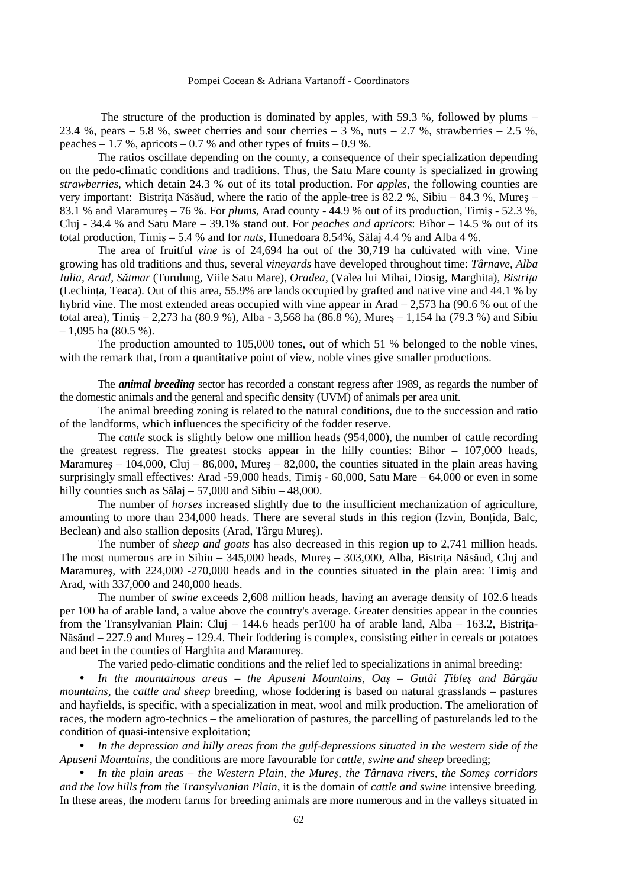The structure of the production is dominated by apples, with 59.3 %, followed by plums – 23.4 %, pears – 5.8 %, sweet cherries and sour cherries – 3 %, nuts – 2.7 %, strawberries – 2.5 %, peaches  $-1.7$  %, apricots  $-0.7$  % and other types of fruits  $-0.9$  %.

 The ratios oscillate depending on the county, a consequence of their specialization depending on the pedo-climatic conditions and traditions. Thus, the Satu Mare county is specialized in growing *strawberries*, which detain 24.3 % out of its total production. For *apples*, the following counties are very important: Bistrița Năsăud, where the ratio of the apple-tree is  $82.2$  %, Sibiu –  $84.3$  %, Mures – 83.1 % and Maramureş – 76 %. For *plums*, Arad county - 44.9 % out of its production, Timiş - 52.3 %, Cluj - 34.4 % and Satu Mare – 39.1% stand out. For *peaches and apricots*: Bihor – 14.5 % out of its total production, Timiş – 5.4 % and for *nuts*, Hunedoara 8.54%, Sălaj 4.4 % and Alba 4 %.

 The area of fruitful *vine* is of 24,694 ha out of the 30,719 ha cultivated with vine. Vine growing has old traditions and thus, several *vineyards* have developed throughout time: *Târnave, Alba Iulia, Arad, Sătmar* (Turulung, Viile Satu Mare), *Oradea*, (Valea lui Mihai, Diosig, Marghita), *Bistrița* (Lechinta, Teaca). Out of this area,  $55.9\%$  are lands occupied by grafted and native vine and 44.1 % by hybrid vine. The most extended areas occupied with vine appear in Arad – 2,573 ha (90.6 % out of the total area), Timiş – 2,273 ha (80.9 %), Alba - 3,568 ha (86.8 %), Mureş – 1,154 ha (79.3 %) and Sibiu  $-1,095$  ha (80.5 %).

 The production amounted to 105,000 tones, out of which 51 % belonged to the noble vines, with the remark that, from a quantitative point of view, noble vines give smaller productions.

 The *animal breeding* sector has recorded a constant regress after 1989, as regards the number of the domestic animals and the general and specific density (UVM) of animals per area unit.

The animal breeding zoning is related to the natural conditions, due to the succession and ratio of the landforms, which influences the specificity of the fodder reserve.

 The *cattle* stock is slightly below one million heads (954,000), the number of cattle recording the greatest regress. The greatest stocks appear in the hilly counties: Bihor – 107,000 heads, Maramures – 104,000, Cluj – 86,000, Mures – 82,000, the counties situated in the plain areas having surprisingly small effectives: Arad -59,000 heads, Timiş - 60,000, Satu Mare – 64,000 or even in some hilly counties such as Sălaj – 57,000 and Sibiu – 48,000.

 The number of *horses* increased slightly due to the insufficient mechanization of agriculture, amounting to more than 234,000 heads. There are several studs in this region (Izvin, Bontida, Balc, Beclean) and also stallion deposits (Arad, Târgu Mureş).

 The number of *sheep and goats* has also decreased in this region up to 2,741 million heads. The most numerous are in Sibiu –  $345,000$  heads, Mures –  $303,000$ , Alba, Bistrița Năsăud, Cluj and Maramures, with 224,000 -270,000 heads and in the counties situated in the plain area: Timis and Arad, with 337,000 and 240,000 heads.

 The number of *swine* exceeds 2,608 million heads, having an average density of 102.6 heads per 100 ha of arable land, a value above the country's average. Greater densities appear in the counties from the Transylvanian Plain: Cluj – 144.6 heads per 100 ha of arable land, Alba – 163.2, Bistrita-Năsăud – 227.9 and Mureş – 129.4. Their foddering is complex, consisting either in cereals or potatoes and beet in the counties of Harghita and Maramureş.

The varied pedo-climatic conditions and the relief led to specializations in animal breeding:

• *In the mountainous areas – the Apuseni Mountains, Oaş – Gutâi łibleş and Bârgău mountains*, the *cattle and sheep* breeding, whose foddering is based on natural grasslands – pastures and hayfields, is specific, with a specialization in meat, wool and milk production. The amelioration of races, the modern agro-technics – the amelioration of pastures, the parcelling of pasturelands led to the condition of quasi-intensive exploitation;

• *In the depression and hilly areas from the gulf-depressions situated in the western side of the Apuseni Mountains*, the conditions are more favourable for *cattle, swine and sheep* breeding;

• *In the plain areas – the Western Plain, the Mureş, the Târnava rivers, the Someş corridors and the low hills from the Transylvanian Plain*, it is the domain of *cattle and swine* intensive breeding*.*  In these areas, the modern farms for breeding animals are more numerous and in the valleys situated in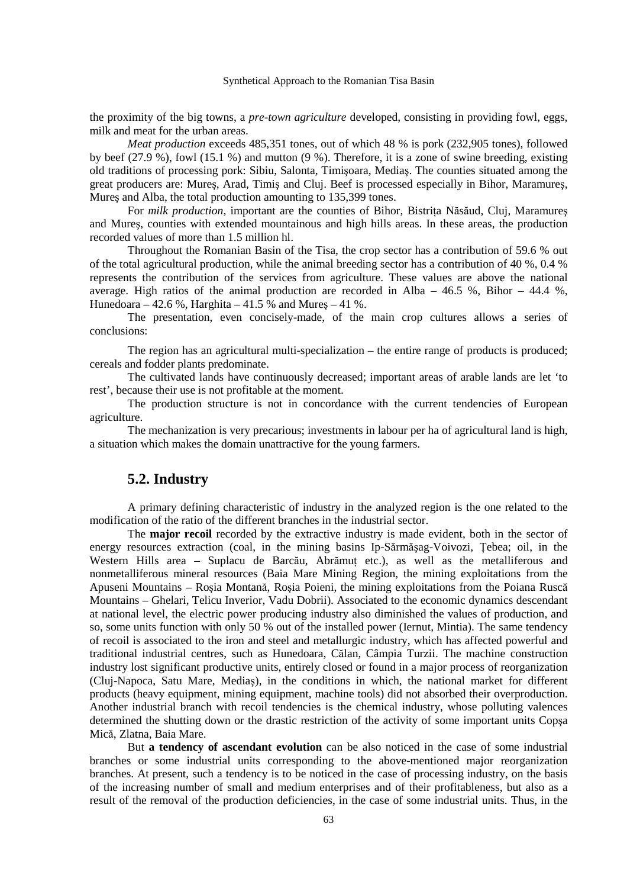the proximity of the big towns, a *pre-town agriculture* developed, consisting in providing fowl, eggs, milk and meat for the urban areas.

*Meat production* exceeds 485,351 tones, out of which 48 % is pork (232,905 tones), followed by beef (27.9 %), fowl (15.1 %) and mutton (9 %). Therefore, it is a zone of swine breeding, existing old traditions of processing pork: Sibiu, Salonta, Timişoara, Mediaş. The counties situated among the great producers are: Mureş, Arad, Timiş and Cluj. Beef is processed especially in Bihor, Maramureş, Mureş and Alba, the total production amounting to 135,399 tones.

For *milk production*, important are the counties of Bihor, Bistrita Năsăud, Cluj, Maramures and Mureş, counties with extended mountainous and high hills areas. In these areas, the production recorded values of more than 1.5 million hl.

 Throughout the Romanian Basin of the Tisa, the crop sector has a contribution of 59.6 % out of the total agricultural production, while the animal breeding sector has a contribution of 40 %, 0.4 % represents the contribution of the services from agriculture. These values are above the national average. High ratios of the animal production are recorded in Alba –  $46.5$  %, Bihor –  $44.4$  %. Hunedoara – 42.6 %, Harghita – 41.5 % and Mures – 41 %.

 The presentation, even concisely-made, of the main crop cultures allows a series of conclusions:

The region has an agricultural multi-specialization – the entire range of products is produced; cereals and fodder plants predominate.

 The cultivated lands have continuously decreased; important areas of arable lands are let 'to rest', because their use is not profitable at the moment.

 The production structure is not in concordance with the current tendencies of European agriculture.

 The mechanization is very precarious; investments in labour per ha of agricultural land is high, a situation which makes the domain unattractive for the young farmers.

# **5.2. Industry**

 A primary defining characteristic of industry in the analyzed region is the one related to the modification of the ratio of the different branches in the industrial sector.

 The **major recoil** recorded by the extractive industry is made evident, both in the sector of energy resources extraction (coal, in the mining basins Ip-Sărmăsag-Voivozi, Tebea; oil, in the Western Hills area – Suplacu de Barcău, Abrămut etc.), as well as the metalliferous and nonmetalliferous mineral resources (Baia Mare Mining Region, the mining exploitations from the Apuseni Mountains – Roşia Montană, Roşia Poieni, the mining exploitations from the Poiana Ruscă Mountains – Ghelari, Telicu Inverior, Vadu Dobrii). Associated to the economic dynamics descendant at national level, the electric power producing industry also diminished the values of production, and so, some units function with only 50 % out of the installed power (Iernut, Mintia). The same tendency of recoil is associated to the iron and steel and metallurgic industry, which has affected powerful and traditional industrial centres, such as Hunedoara, Călan, Câmpia Turzii. The machine construction industry lost significant productive units, entirely closed or found in a major process of reorganization (Cluj-Napoca, Satu Mare, Mediaş), in the conditions in which, the national market for different products (heavy equipment, mining equipment, machine tools) did not absorbed their overproduction. Another industrial branch with recoil tendencies is the chemical industry, whose polluting valences determined the shutting down or the drastic restriction of the activity of some important units Copşa Mică, Zlatna, Baia Mare.

 But **a tendency of ascendant evolution** can be also noticed in the case of some industrial branches or some industrial units corresponding to the above-mentioned major reorganization branches. At present, such a tendency is to be noticed in the case of processing industry, on the basis of the increasing number of small and medium enterprises and of their profitableness, but also as a result of the removal of the production deficiencies, in the case of some industrial units. Thus, in the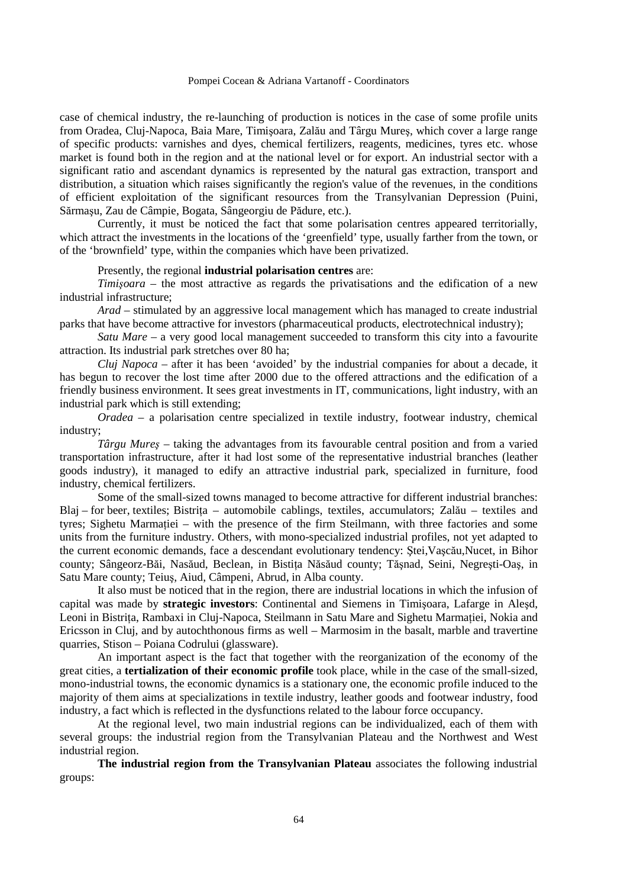case of chemical industry, the re-launching of production is notices in the case of some profile units from Oradea, Cluj-Napoca, Baia Mare, Timişoara, Zalău and Târgu Mureş, which cover a large range of specific products: varnishes and dyes, chemical fertilizers, reagents, medicines, tyres etc. whose market is found both in the region and at the national level or for export. An industrial sector with a significant ratio and ascendant dynamics is represented by the natural gas extraction, transport and distribution, a situation which raises significantly the region's value of the revenues, in the conditions of efficient exploitation of the significant resources from the Transylvanian Depression (Puini, Sărmaşu, Zau de Câmpie, Bogata, Sângeorgiu de Pădure, etc.).

 Currently, it must be noticed the fact that some polarisation centres appeared territorially, which attract the investments in the locations of the 'greenfield' type, usually farther from the town, or of the 'brownfield' type, within the companies which have been privatized.

Presently, the regional **industrial polarisation centres** are:

*Timişoara* – the most attractive as regards the privatisations and the edification of a new industrial infrastructure;

*Arad* – stimulated by an aggressive local management which has managed to create industrial parks that have become attractive for investors (pharmaceutical products, electrotechnical industry);

*Satu Mare* – a very good local management succeeded to transform this city into a favourite attraction. Its industrial park stretches over 80 ha;

*Cluj Napoca* – after it has been 'avoided' by the industrial companies for about a decade, it has begun to recover the lost time after 2000 due to the offered attractions and the edification of a friendly business environment. It sees great investments in IT, communications, light industry, with an industrial park which is still extending;

*Oradea* – a polarisation centre specialized in textile industry, footwear industry, chemical industry;

*Târgu Mureş* – taking the advantages from its favourable central position and from a varied transportation infrastructure, after it had lost some of the representative industrial branches (leather goods industry), it managed to edify an attractive industrial park, specialized in furniture, food industry, chemical fertilizers.

 Some of the small-sized towns managed to become attractive for different industrial branches: Blaj – for beer, textiles; Bistrita – automobile cablings, textiles, accumulators; Zalău – textiles and tyres; Sighetu Marmatiei – with the presence of the firm Steilmann, with three factories and some units from the furniture industry. Others, with mono-specialized industrial profiles, not yet adapted to the current economic demands, face a descendant evolutionary tendency: Ştei,Vaşcău,Nucet, in Bihor county; Sângeorz-Băi, Nasăud, Beclean, in Bistita Năsăud county; Tășnad, Seini, Negrești-Oaș, in Satu Mare county; Teiuş, Aiud, Câmpeni, Abrud, in Alba county.

 It also must be noticed that in the region, there are industrial locations in which the infusion of capital was made by **strategic investors**: Continental and Siemens in Timişoara, Lafarge in Aleşd, Leoni in Bistrița, Rambaxi in Cluj-Napoca, Steilmann in Satu Mare and Sighetu Marmației, Nokia and Ericsson in Cluj, and by autochthonous firms as well – Marmosim in the basalt, marble and travertine quarries, Stison – Poiana Codrului (glassware).

 An important aspect is the fact that together with the reorganization of the economy of the great cities, a **tertialization of their economic profile** took place, while in the case of the small-sized, mono-industrial towns, the economic dynamics is a stationary one, the economic profile induced to the majority of them aims at specializations in textile industry, leather goods and footwear industry, food industry, a fact which is reflected in the dysfunctions related to the labour force occupancy.

 At the regional level, two main industrial regions can be individualized, each of them with several groups: the industrial region from the Transylvanian Plateau and the Northwest and West industrial region.

**The industrial region from the Transylvanian Plateau** associates the following industrial groups: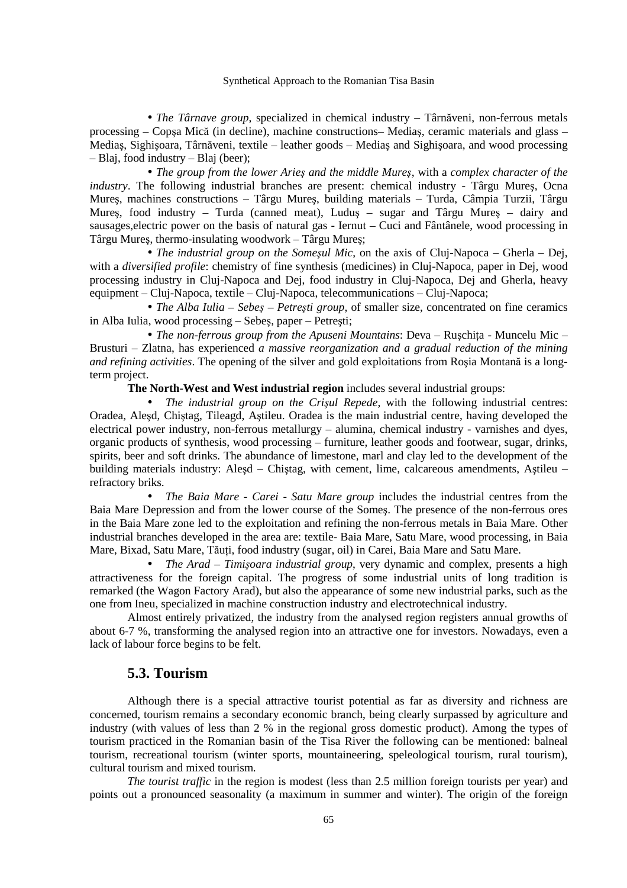• *The Târnave group*, specialized in chemical industry – Târnăveni, non-ferrous metals processing – Copşa Mică (in decline), machine constructions– Mediaş, ceramic materials and glass – Mediaş, Sighişoara, Târnăveni, textile – leather goods – Mediaş and Sighişoara, and wood processing – Blaj, food industry – Blaj (beer);

• *The group from the lower Arieş and the middle Mureş*, with a *complex character of the industry*. The following industrial branches are present: chemical industry - Târgu Mureş, Ocna Mureş, machines constructions – Târgu Mureş, building materials – Turda, Câmpia Turzii, Târgu Mureş, food industry – Turda (canned meat), Luduş – sugar and Târgu Mureş – dairy and sausages,electric power on the basis of natural gas - Iernut – Cuci and Fântânele, wood processing in Târgu Mureş, thermo-insulating woodwork – Târgu Mureş;

• *The industrial group on the Someşul Mic*, on the axis of Cluj-Napoca – Gherla – Dej, with a *diversified profile*: chemistry of fine synthesis (medicines) in Cluj-Napoca, paper in Dej, wood processing industry in Cluj-Napoca and Dej, food industry in Cluj-Napoca, Dej and Gherla, heavy equipment – Cluj-Napoca, textile – Cluj-Napoca, telecommunications – Cluj-Napoca;

• *The Alba Iulia – Sebeş – Petreşti group*, of smaller size, concentrated on fine ceramics in Alba Iulia, wood processing – Sebeş, paper – Petreşti;

• *The non-ferrous group from the Apuseni Mountains*: Deva – Ruschita - Muncelu Mic – Brusturi – Zlatna, has experienced *a massive reorganization and a gradual reduction of the mining and refining activities*. The opening of the silver and gold exploitations from Roşia Montană is a longterm project.

**The North-West and West industrial region** includes several industrial groups:

• *The industrial group on the Crişul Repede*, with the following industrial centres: Oradea, Aleşd, Chiştag, Tileagd, Aştileu. Oradea is the main industrial centre, having developed the electrical power industry, non-ferrous metallurgy – alumina, chemical industry - varnishes and dyes, organic products of synthesis, wood processing – furniture, leather goods and footwear, sugar, drinks, spirits, beer and soft drinks. The abundance of limestone, marl and clay led to the development of the building materials industry: Aleşd – Chiştag, with cement, lime, calcareous amendments, Aştileu – refractory briks.

• *The Baia Mare - Carei - Satu Mare group* includes the industrial centres from the Baia Mare Depression and from the lower course of the Someş. The presence of the non-ferrous ores in the Baia Mare zone led to the exploitation and refining the non-ferrous metals in Baia Mare. Other industrial branches developed in the area are: textile- Baia Mare, Satu Mare, wood processing, in Baia Mare, Bixad, Satu Mare, Tăuți, food industry (sugar, oil) in Carei, Baia Mare and Satu Mare.

• *The Arad – Timişoara industrial group*, very dynamic and complex, presents a high attractiveness for the foreign capital. The progress of some industrial units of long tradition is remarked (the Wagon Factory Arad), but also the appearance of some new industrial parks, such as the one from Ineu, specialized in machine construction industry and electrotechnical industry.

 Almost entirely privatized, the industry from the analysed region registers annual growths of about 6-7 %, transforming the analysed region into an attractive one for investors. Nowadays, even a lack of labour force begins to be felt.

## **5.3. Tourism**

Although there is a special attractive tourist potential as far as diversity and richness are concerned, tourism remains a secondary economic branch, being clearly surpassed by agriculture and industry (with values of less than 2 % in the regional gross domestic product). Among the types of tourism practiced in the Romanian basin of the Tisa River the following can be mentioned: balneal tourism, recreational tourism (winter sports, mountaineering, speleological tourism, rural tourism), cultural tourism and mixed tourism.

*The tourist traffic* in the region is modest (less than 2.5 million foreign tourists per year) and points out a pronounced seasonality (a maximum in summer and winter). The origin of the foreign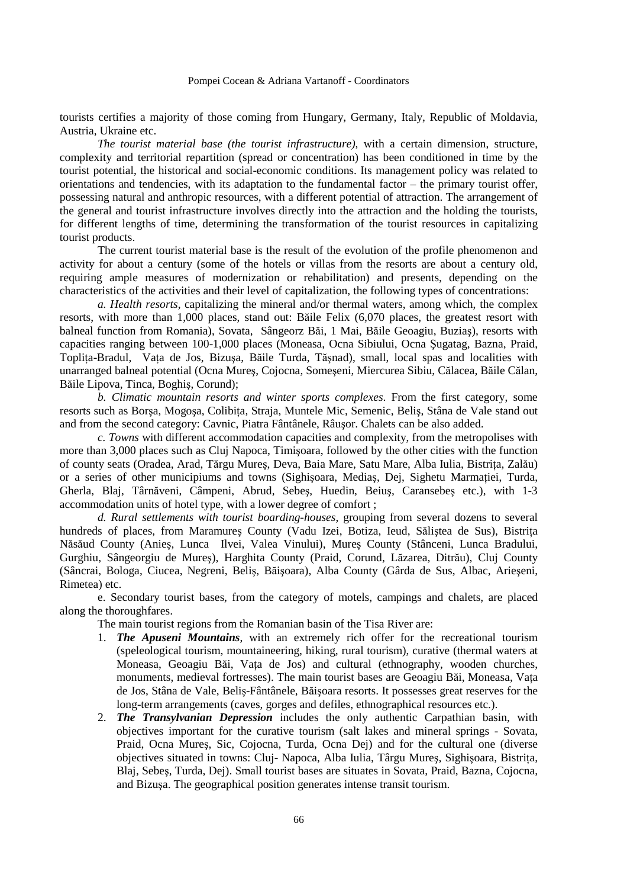tourists certifies a majority of those coming from Hungary, Germany, Italy, Republic of Moldavia, Austria, Ukraine etc.

*The tourist material base (the tourist infrastructure)*, with a certain dimension, structure, complexity and territorial repartition (spread or concentration) has been conditioned in time by the tourist potential, the historical and social-economic conditions. Its management policy was related to orientations and tendencies, with its adaptation to the fundamental factor – the primary tourist offer, possessing natural and anthropic resources, with a different potential of attraction. The arrangement of the general and tourist infrastructure involves directly into the attraction and the holding the tourists, for different lengths of time, determining the transformation of the tourist resources in capitalizing tourist products.

 The current tourist material base is the result of the evolution of the profile phenomenon and activity for about a century (some of the hotels or villas from the resorts are about a century old, requiring ample measures of modernization or rehabilitation) and presents, depending on the characteristics of the activities and their level of capitalization, the following types of concentrations:

 *a. Health resorts*, capitalizing the mineral and/or thermal waters, among which, the complex resorts, with more than 1,000 places, stand out: Băile Felix (6,070 places, the greatest resort with balneal function from Romania), Sovata, Sângeorz Băi, 1 Mai, Băile Geoagiu, Buziaş), resorts with capacities ranging between 100-1,000 places (Moneasa, Ocna Sibiului, Ocna Şugatag, Bazna, Praid, Toplita-Bradul, Vata de Jos, Bizusa, Băile Turda, Tăsnad), small, local spas and localities with unarranged balneal potential (Ocna Mureş, Cojocna, Someşeni, Miercurea Sibiu, Călacea, Băile Călan, Băile Lipova, Tinca, Boghiş, Corund);

*b. Climatic mountain resorts and winter sports complexes*. From the first category, some resorts such as Borsa, Mogosa, Colibita, Straja, Muntele Mic, Semenic, Belis, Stâna de Vale stand out and from the second category: Cavnic, Piatra Fântânele, Râuşor. Chalets can be also added.

*c. Towns* with different accommodation capacities and complexity, from the metropolises with more than 3,000 places such as Cluj Napoca, Timişoara, followed by the other cities with the function of county seats (Oradea, Arad, Tărgu Mures, Deva, Baia Mare, Satu Mare, Alba Iulia, Bistrița, Zalău) or a series of other municipiums and towns (Sighişoara, Mediaş, Dej, Sighetu Marmației, Turda, Gherla, Blaj, Târnăveni, Câmpeni, Abrud, Sebeş, Huedin, Beiuş, Caransebeş etc.), with 1-3 accommodation units of hotel type, with a lower degree of comfort ;

*d. Rural settlements with tourist boarding-houses*, grouping from several dozens to several hundreds of places, from Maramureș County (Vadu Izei, Botiza, Ieud, Săliștea de Sus), Bistrița Năsăud County (Anieş, Lunca Ilvei, Valea Vinului), Mureş County (Stânceni, Lunca Bradului, Gurghiu, Sângeorgiu de Mureş), Harghita County (Praid, Corund, Lăzarea, Ditrău), Cluj County (Sâncrai, Bologa, Ciucea, Negreni, Beliş, Băişoara), Alba County (Gârda de Sus, Albac, Arieşeni, Rimetea) etc.

 e. Secondary tourist bases, from the category of motels, campings and chalets, are placed along the thoroughfares.

The main tourist regions from the Romanian basin of the Tisa River are:

- 1. *The Apuseni Mountains*, with an extremely rich offer for the recreational tourism (speleological tourism, mountaineering, hiking, rural tourism), curative (thermal waters at Moneasa, Geoagiu Băi, Vata de Jos) and cultural (ethnography, wooden churches, monuments, medieval fortresses). The main tourist bases are Geoagiu Băi, Moneasa, Vata de Jos, Stâna de Vale, Beliş-Fântânele, Băişoara resorts. It possesses great reserves for the long-term arrangements (caves, gorges and defiles, ethnographical resources etc.).
- 2. *The Transylvanian Depression* includes the only authentic Carpathian basin, with objectives important for the curative tourism (salt lakes and mineral springs - Sovata, Praid, Ocna Mureş, Sic, Cojocna, Turda, Ocna Dej) and for the cultural one (diverse objectives situated in towns: Cluj- Napoca, Alba Iulia, Târgu Mures, Sighisoara, Bistrita, Blaj, Sebeş, Turda, Dej). Small tourist bases are situates in Sovata, Praid, Bazna, Cojocna, and Bizuşa. The geographical position generates intense transit tourism.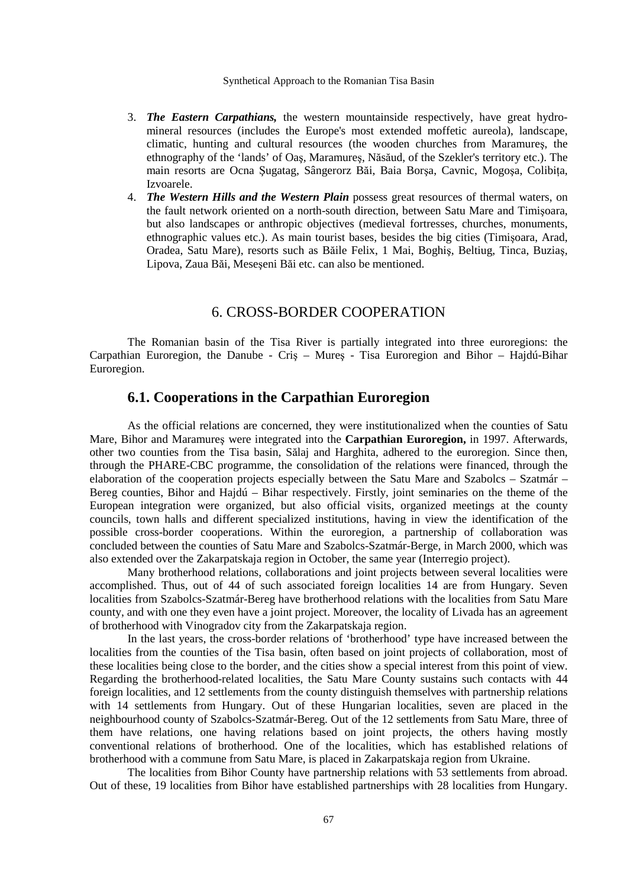- 3. *The Eastern Carpathians,* the western mountainside respectively, have great hydromineral resources (includes the Europe's most extended moffetic aureola), landscape, climatic, hunting and cultural resources (the wooden churches from Maramureş, the ethnography of the 'lands' of Oaş, Maramureş, Năsăud, of the Szekler's territory etc.). The main resorts are Ocna Sugatag, Sângerorz Băi, Baia Borsa, Cavnic, Mogosa, Colibita, Izvoarele.
- 4. *The Western Hills and the Western Plain* possess great resources of thermal waters, on the fault network oriented on a north-south direction, between Satu Mare and Timişoara, but also landscapes or anthropic objectives (medieval fortresses, churches, monuments, ethnographic values etc.). As main tourist bases, besides the big cities (Timişoara, Arad, Oradea, Satu Mare), resorts such as Băile Felix, 1 Mai, Boghiş, Beltiug, Tinca, Buziaş, Lipova, Zaua Băi, Meseşeni Băi etc. can also be mentioned.

# 6. CROSS-BORDER COOPERATION

The Romanian basin of the Tisa River is partially integrated into three euroregions: the Carpathian Euroregion, the Danube - Criş – Mureş - Tisa Euroregion and Bihor – Hajdú-Bihar Euroregion.

# **6.1. Cooperations in the Carpathian Euroregion**

 As the official relations are concerned, they were institutionalized when the counties of Satu Mare, Bihor and Maramureş were integrated into the **Carpathian Euroregion,** in 1997. Afterwards, other two counties from the Tisa basin, Sălaj and Harghita, adhered to the euroregion. Since then, through the PHARE-CBC programme, the consolidation of the relations were financed, through the elaboration of the cooperation projects especially between the Satu Mare and Szabolcs – Szatmár – Bereg counties, Bihor and Hajdú – Bihar respectively. Firstly, joint seminaries on the theme of the European integration were organized, but also official visits, organized meetings at the county councils, town halls and different specialized institutions, having in view the identification of the possible cross-border cooperations. Within the euroregion, a partnership of collaboration was concluded between the counties of Satu Mare and Szabolcs-Szatmár-Berge, in March 2000, which was also extended over the Zakarpatskaja region in October, the same year (Interregio project).

 Many brotherhood relations, collaborations and joint projects between several localities were accomplished. Thus, out of 44 of such associated foreign localities 14 are from Hungary. Seven localities from Szabolcs-Szatmár-Bereg have brotherhood relations with the localities from Satu Mare county, and with one they even have a joint project. Moreover, the locality of Livada has an agreement of brotherhood with Vinogradov city from the Zakarpatskaja region.

 In the last years, the cross-border relations of 'brotherhood' type have increased between the localities from the counties of the Tisa basin, often based on joint projects of collaboration, most of these localities being close to the border, and the cities show a special interest from this point of view. Regarding the brotherhood-related localities, the Satu Mare County sustains such contacts with 44 foreign localities, and 12 settlements from the county distinguish themselves with partnership relations with 14 settlements from Hungary. Out of these Hungarian localities, seven are placed in the neighbourhood county of Szabolcs-Szatmár-Bereg. Out of the 12 settlements from Satu Mare, three of them have relations, one having relations based on joint projects, the others having mostly conventional relations of brotherhood. One of the localities, which has established relations of brotherhood with a commune from Satu Mare, is placed in Zakarpatskaja region from Ukraine.

 The localities from Bihor County have partnership relations with 53 settlements from abroad. Out of these, 19 localities from Bihor have established partnerships with 28 localities from Hungary.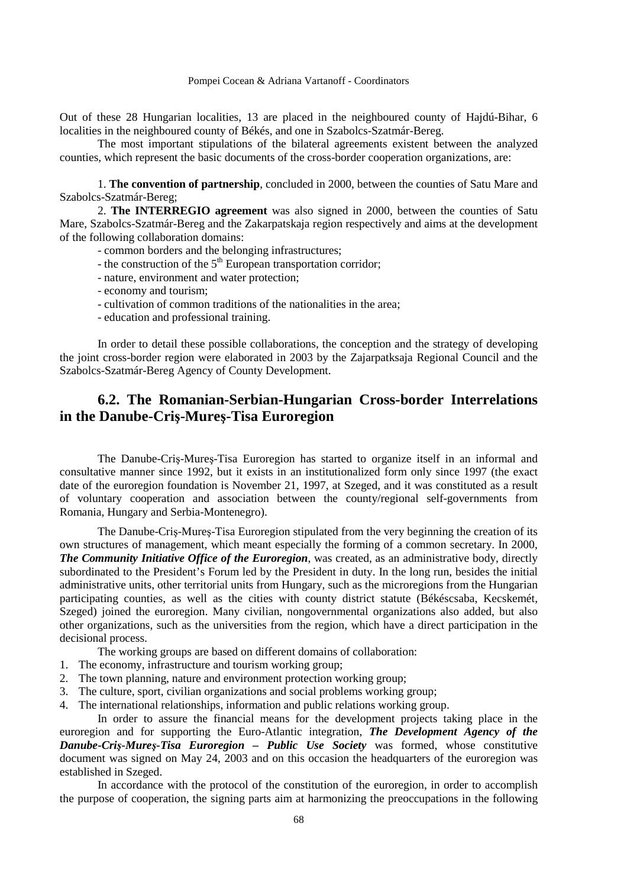Out of these 28 Hungarian localities, 13 are placed in the neighboured county of Hajdú-Bihar, 6 localities in the neighboured county of Békés, and one in Szabolcs-Szatmár-Bereg.

 The most important stipulations of the bilateral agreements existent between the analyzed counties, which represent the basic documents of the cross-border cooperation organizations, are:

1. **The convention of partnership**, concluded in 2000, between the counties of Satu Mare and Szabolcs-Szatmár-Bereg;

2. **The INTERREGIO agreement** was also signed in 2000, between the counties of Satu Mare, Szabolcs-Szatmár-Bereg and the Zakarpatskaja region respectively and aims at the development of the following collaboration domains:

- common borders and the belonging infrastructures;
- the construction of the  $5<sup>th</sup>$  European transportation corridor;
- nature, environment and water protection;
- economy and tourism;
- cultivation of common traditions of the nationalities in the area;
- education and professional training.

 In order to detail these possible collaborations, the conception and the strategy of developing the joint cross-border region were elaborated in 2003 by the Zajarpatksaja Regional Council and the Szabolcs-Szatmár-Bereg Agency of County Development.

# **6.2. The Romanian-Serbian-Hungarian Cross-border Interrelations in the Danube-Criş-Mureş-Tisa Euroregion**

The Danube-Criş-Mureş-Tisa Euroregion has started to organize itself in an informal and consultative manner since 1992, but it exists in an institutionalized form only since 1997 (the exact date of the euroregion foundation is November 21, 1997, at Szeged, and it was constituted as a result of voluntary cooperation and association between the county/regional self-governments from Romania, Hungary and Serbia-Montenegro).

 The Danube-Criş-Mureş-Tisa Euroregion stipulated from the very beginning the creation of its own structures of management, which meant especially the forming of a common secretary. In 2000, *The Community Initiative Office of the Euroregion*, was created, as an administrative body, directly subordinated to the President's Forum led by the President in duty. In the long run, besides the initial administrative units, other territorial units from Hungary, such as the microregions from the Hungarian participating counties, as well as the cities with county district statute (Békéscsaba, Kecskemét, Szeged) joined the euroregion. Many civilian, nongovernmental organizations also added, but also other organizations, such as the universities from the region, which have a direct participation in the decisional process.

The working groups are based on different domains of collaboration:

- 1. The economy, infrastructure and tourism working group;
- 2. The town planning, nature and environment protection working group;
- 3. The culture, sport, civilian organizations and social problems working group;
- 4. The international relationships, information and public relations working group.

In order to assure the financial means for the development projects taking place in the euroregion and for supporting the Euro-Atlantic integration, *The Development Agency of the Danube-Criş-Mureş-Tisa Euroregion – Public Use Society* was formed, whose constitutive document was signed on May 24, 2003 and on this occasion the headquarters of the euroregion was established in Szeged.

 In accordance with the protocol of the constitution of the euroregion, in order to accomplish the purpose of cooperation, the signing parts aim at harmonizing the preoccupations in the following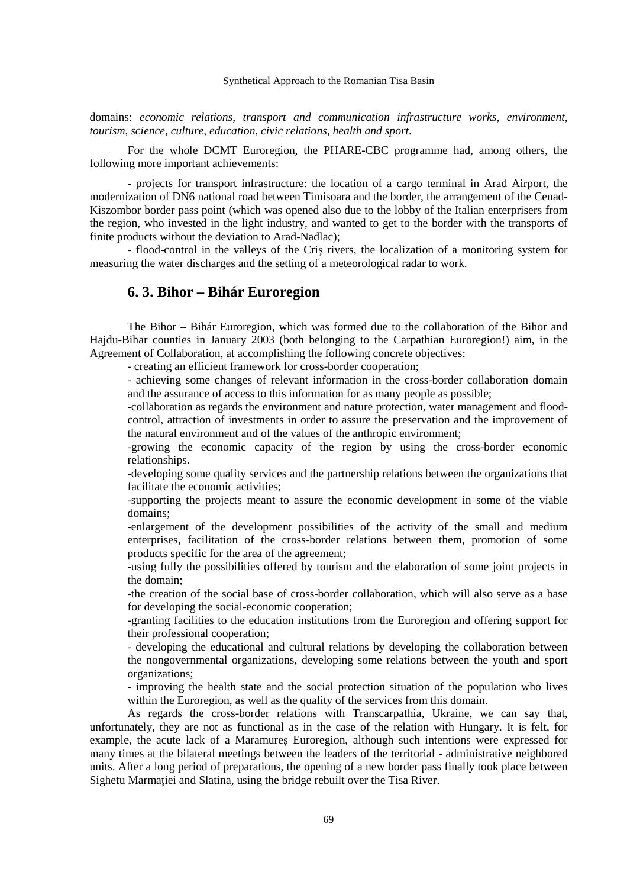domains: *economic relations*, *transport and communication infrastructure works*, *environment*, *tourism*, *science*, *culture*, *education*, *civic relations*, *health and sport*.

 For the whole DCMT Euroregion, the PHARE-CBC programme had, among others, the following more important achievements:

 - projects for transport infrastructure: the location of a cargo terminal in Arad Airport, the modernization of DN6 national road between Timisoara and the border, the arrangement of the Cenad-Kiszombor border pass point (which was opened also due to the lobby of the Italian enterprisers from the region, who invested in the light industry, and wanted to get to the border with the transports of finite products without the deviation to Arad-Nadlac);

- flood-control in the valleys of the Criş rivers, the localization of a monitoring system for measuring the water discharges and the setting of a meteorological radar to work.

## **6. 3. Bihor – Bihár Euroregion**

The Bihor – Bihár Euroregion, which was formed due to the collaboration of the Bihor and Hajdu-Bihar counties in January 2003 (both belonging to the Carpathian Euroregion!) aim, in the Agreement of Collaboration, at accomplishing the following concrete objectives:

- creating an efficient framework for cross-border cooperation;

- achieving some changes of relevant information in the cross-border collaboration domain and the assurance of access to this information for as many people as possible;

-collaboration as regards the environment and nature protection, water management and floodcontrol, attraction of investments in order to assure the preservation and the improvement of the natural environment and of the values of the anthropic environment;

-growing the economic capacity of the region by using the cross-border economic relationships.

-developing some quality services and the partnership relations between the organizations that facilitate the economic activities;

-supporting the projects meant to assure the economic development in some of the viable domains;

-enlargement of the development possibilities of the activity of the small and medium enterprises, facilitation of the cross-border relations between them, promotion of some products specific for the area of the agreement;

-using fully the possibilities offered by tourism and the elaboration of some joint projects in the domain;

-the creation of the social base of cross-border collaboration, which will also serve as a base for developing the social-economic cooperation;

-granting facilities to the education institutions from the Euroregion and offering support for their professional cooperation;

- developing the educational and cultural relations by developing the collaboration between the nongovernmental organizations, developing some relations between the youth and sport organizations;

- improving the health state and the social protection situation of the population who lives within the Euroregion, as well as the quality of the services from this domain.

As regards the cross-border relations with Transcarpathia, Ukraine, we can say that, unfortunately, they are not as functional as in the case of the relation with Hungary. It is felt, for example, the acute lack of a Maramureş Euroregion, although such intentions were expressed for many times at the bilateral meetings between the leaders of the territorial - administrative neighbored units. After a long period of preparations, the opening of a new border pass finally took place between Sighetu Marmatiei and Slatina, using the bridge rebuilt over the Tisa River.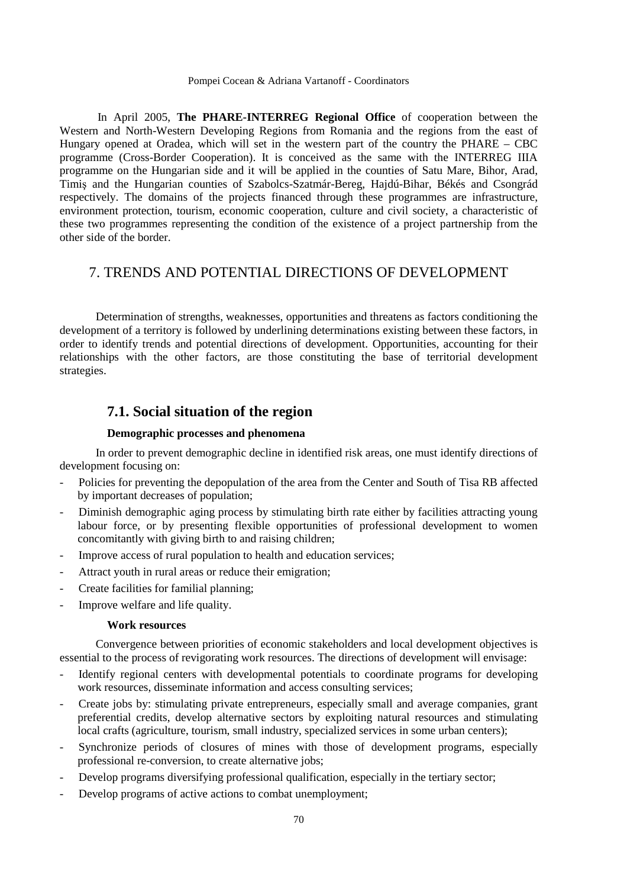In April 2005, **The PHARE-INTERREG Regional Office** of cooperation between the Western and North-Western Developing Regions from Romania and the regions from the east of Hungary opened at Oradea, which will set in the western part of the country the PHARE – CBC programme (Cross-Border Cooperation). It is conceived as the same with the INTERREG IIIA programme on the Hungarian side and it will be applied in the counties of Satu Mare, Bihor, Arad, Timiş and the Hungarian counties of Szabolcs-Szatmár-Bereg, Hajdú-Bihar, Békés and Csongrád respectively. The domains of the projects financed through these programmes are infrastructure, environment protection, tourism, economic cooperation, culture and civil society, a characteristic of these two programmes representing the condition of the existence of a project partnership from the other side of the border.

# 7. TRENDS AND POTENTIAL DIRECTIONS OF DEVELOPMENT

Determination of strengths, weaknesses, opportunities and threatens as factors conditioning the development of a territory is followed by underlining determinations existing between these factors, in order to identify trends and potential directions of development. Opportunities, accounting for their relationships with the other factors, are those constituting the base of territorial development strategies.

# **7.1. Social situation of the region**

## **Demographic processes and phenomena**

In order to prevent demographic decline in identified risk areas, one must identify directions of development focusing on:

- Policies for preventing the depopulation of the area from the Center and South of Tisa RB affected by important decreases of population;
- Diminish demographic aging process by stimulating birth rate either by facilities attracting young labour force, or by presenting flexible opportunities of professional development to women concomitantly with giving birth to and raising children;
- Improve access of rural population to health and education services;
- Attract youth in rural areas or reduce their emigration;
- Create facilities for familial planning;
- Improve welfare and life quality.

#### **Work resources**

Convergence between priorities of economic stakeholders and local development objectives is essential to the process of revigorating work resources. The directions of development will envisage:

- Identify regional centers with developmental potentials to coordinate programs for developing work resources, disseminate information and access consulting services;
- Create jobs by: stimulating private entrepreneurs, especially small and average companies, grant preferential credits, develop alternative sectors by exploiting natural resources and stimulating local crafts (agriculture, tourism, small industry, specialized services in some urban centers);
- Synchronize periods of closures of mines with those of development programs, especially professional re-conversion, to create alternative jobs;
- Develop programs diversifying professional qualification, especially in the tertiary sector;
- Develop programs of active actions to combat unemployment: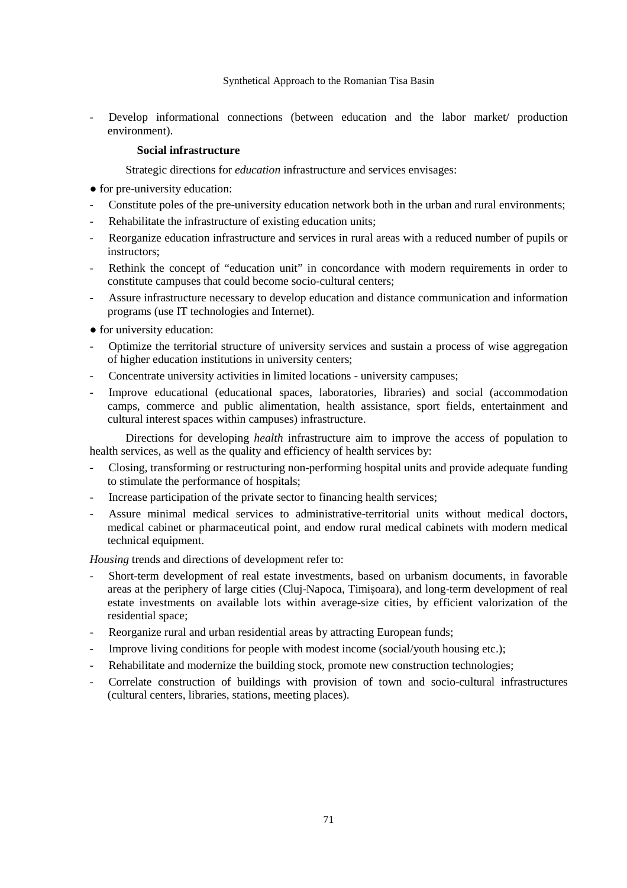Develop informational connections (between education and the labor market/ production environment).

## **Social infrastructure**

Strategic directions for *education* infrastructure and services envisages:

- for pre-university education:
- Constitute poles of the pre-university education network both in the urban and rural environments;
- Rehabilitate the infrastructure of existing education units;
- Reorganize education infrastructure and services in rural areas with a reduced number of pupils or instructors;
- Rethink the concept of "education unit" in concordance with modern requirements in order to constitute campuses that could become socio-cultural centers;
- Assure infrastructure necessary to develop education and distance communication and information programs (use IT technologies and Internet).
- for university education:
- Optimize the territorial structure of university services and sustain a process of wise aggregation of higher education institutions in university centers;
- Concentrate university activities in limited locations university campuses;
- Improve educational (educational spaces, laboratories, libraries) and social (accommodation camps, commerce and public alimentation, health assistance, sport fields, entertainment and cultural interest spaces within campuses) infrastructure.

Directions for developing *health* infrastructure aim to improve the access of population to health services, as well as the quality and efficiency of health services by:

- Closing, transforming or restructuring non-performing hospital units and provide adequate funding to stimulate the performance of hospitals;
- Increase participation of the private sector to financing health services;
- Assure minimal medical services to administrative-territorial units without medical doctors, medical cabinet or pharmaceutical point, and endow rural medical cabinets with modern medical technical equipment.

*Housing trends and directions of development refer to:* 

- Short-term development of real estate investments, based on urbanism documents, in favorable areas at the periphery of large cities (Cluj-Napoca, Timişoara), and long-term development of real estate investments on available lots within average-size cities, by efficient valorization of the residential space;
- Reorganize rural and urban residential areas by attracting European funds;
- Improve living conditions for people with modest income (social/youth housing etc.);
- Rehabilitate and modernize the building stock, promote new construction technologies;
- Correlate construction of buildings with provision of town and socio-cultural infrastructures (cultural centers, libraries, stations, meeting places).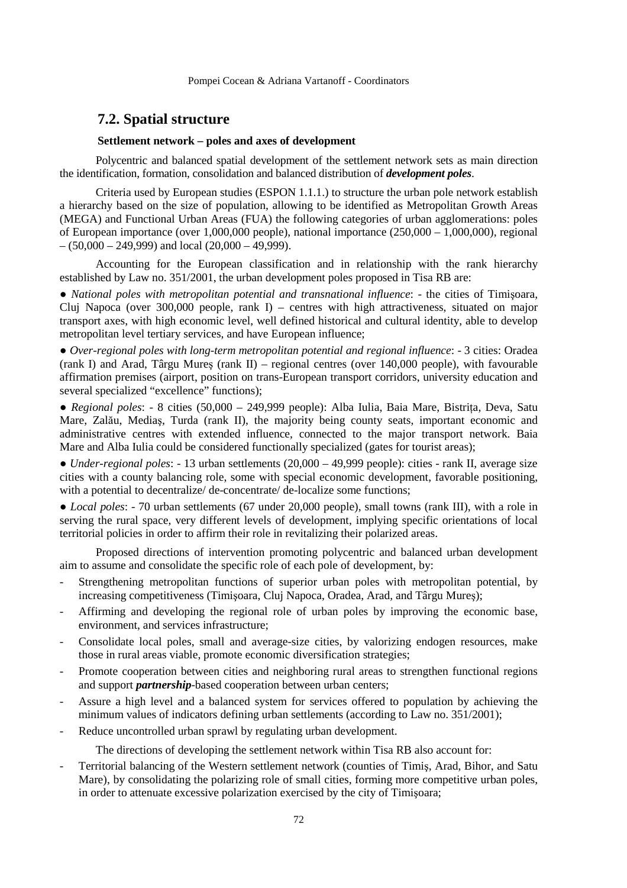# **7.2. Spatial structure**

## **Settlement network – poles and axes of development**

Polycentric and balanced spatial development of the settlement network sets as main direction the identification, formation, consolidation and balanced distribution of *development poles*.

Criteria used by European studies (ESPON 1.1.1.) to structure the urban pole network establish a hierarchy based on the size of population, allowing to be identified as Metropolitan Growth Areas (MEGA) and Functional Urban Areas (FUA) the following categories of urban agglomerations: poles of European importance (over 1,000,000 people), national importance (250,000 – 1,000,000), regional  $- (50,000 - 249,999)$  and local (20,000 - 49,999).

Accounting for the European classification and in relationship with the rank hierarchy established by Law no. 351/2001, the urban development poles proposed in Tisa RB are:

● *National poles with metropolitan potential and transnational influence*: - the cities of Timişoara, Cluj Napoca (over 300,000 people, rank I) – centres with high attractiveness, situated on major transport axes, with high economic level, well defined historical and cultural identity, able to develop metropolitan level tertiary services, and have European influence;

● *Over-regional poles with long-term metropolitan potential and regional influence*: - 3 cities: Oradea (rank I) and Arad, Târgu Mureş (rank II) – regional centres (over 140,000 people), with favourable affirmation premises (airport, position on trans-European transport corridors, university education and several specialized "excellence" functions);

• Regional poles: - 8 cities (50,000 - 249,999 people): Alba Iulia, Baia Mare, Bistrița, Deva, Satu Mare, Zalău, Mediaş, Turda (rank II), the majority being county seats, important economic and administrative centres with extended influence, connected to the major transport network. Baia Mare and Alba Iulia could be considered functionally specialized (gates for tourist areas);

● *Under-regional poles*: - 13 urban settlements (20,000 – 49,999 people): cities - rank II, average size cities with a county balancing role, some with special economic development, favorable positioning, with a potential to decentralize/ de-concentrate/ de-localize some functions;

● *Local poles*: - 70 urban settlements (67 under 20,000 people), small towns (rank III), with a role in serving the rural space, very different levels of development, implying specific orientations of local territorial policies in order to affirm their role in revitalizing their polarized areas.

Proposed directions of intervention promoting polycentric and balanced urban development aim to assume and consolidate the specific role of each pole of development, by:

- Strengthening metropolitan functions of superior urban poles with metropolitan potential, by increasing competitiveness (Timişoara, Cluj Napoca, Oradea, Arad, and Târgu Mureş);
- Affirming and developing the regional role of urban poles by improving the economic base, environment, and services infrastructure;
- Consolidate local poles, small and average-size cities, by valorizing endogen resources, make those in rural areas viable, promote economic diversification strategies;
- Promote cooperation between cities and neighboring rural areas to strengthen functional regions and support *partnership*-based cooperation between urban centers;
- Assure a high level and a balanced system for services offered to population by achieving the minimum values of indicators defining urban settlements (according to Law no. 351/2001);
- Reduce uncontrolled urban sprawl by regulating urban development.

The directions of developing the settlement network within Tisa RB also account for:

- Territorial balancing of the Western settlement network (counties of Timiş, Arad, Bihor, and Satu Mare), by consolidating the polarizing role of small cities, forming more competitive urban poles, in order to attenuate excessive polarization exercised by the city of Timişoara;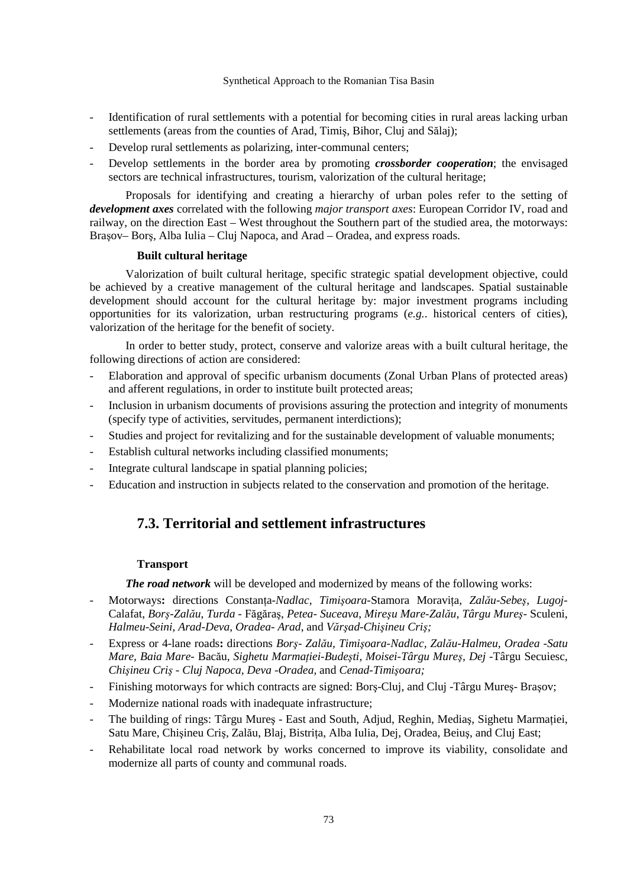- Identification of rural settlements with a potential for becoming cities in rural areas lacking urban settlements (areas from the counties of Arad, Timiş, Bihor, Cluj and Sălaj);
- Develop rural settlements as polarizing, inter-communal centers;
- Develop settlements in the border area by promoting *crossborder cooperation*; the envisaged sectors are technical infrastructures, tourism, valorization of the cultural heritage;

Proposals for identifying and creating a hierarchy of urban poles refer to the setting of *development axes* correlated with the following *major transport axes*: European Corridor IV, road and railway, on the direction East – West throughout the Southern part of the studied area, the motorways: Braşov– Borş, Alba Iulia – Cluj Napoca, and Arad – Oradea, and express roads.

### **Built cultural heritage**

Valorization of built cultural heritage, specific strategic spatial development objective, could be achieved by a creative management of the cultural heritage and landscapes. Spatial sustainable development should account for the cultural heritage by: major investment programs including opportunities for its valorization, urban restructuring programs (*e.g.*. historical centers of cities), valorization of the heritage for the benefit of society.

In order to better study, protect, conserve and valorize areas with a built cultural heritage, the following directions of action are considered:

- Elaboration and approval of specific urbanism documents (Zonal Urban Plans of protected areas) and afferent regulations, in order to institute built protected areas;
- Inclusion in urbanism documents of provisions assuring the protection and integrity of monuments (specify type of activities, servitudes, permanent interdictions);
- Studies and project for revitalizing and for the sustainable development of valuable monuments;
- Establish cultural networks including classified monuments;
- Integrate cultural landscape in spatial planning policies;
- Education and instruction in subjects related to the conservation and promotion of the heritage.

# **7.3. Territorial and settlement infrastructures**

### **Transport**

*The road network* will be developed and modernized by means of the following works:

- Motorways: directions Constanta-Nadlac, Timis<sub>para</sub>-Stamora Moravita, Zalău-Sebes, Lugoj-Calafat, *Borş-Zalău*, *Turda -* Făgăraş, *Petea- Suceava*, *Mireşu Mare-Zalău*, *Târgu Mureş-* Sculeni, *Halmeu-Seini*, *Arad-Deva*, *Oradea- Arad*, and *Vărşad-Chişineu Criş;*
- Express or 4-lane roads**:** directions *Borş Zalău, Timişoara-Nadlac, Zalău-Halmeu, Oradea -Satu Mare, Baia Mare-* Bacău*, Sighetu MarmaŃiei-Budeşti, Moisei-Târgu Mureş, Dej -*Târgu Secuiesc*, Chişineu Criş - Cluj Napoca, Deva -Oradea,* and *Cenad-Timişoara;*
- Finishing motorways for which contracts are signed: Borş-Cluj, and Cluj -Târgu Mureş- Braşov;
- Modernize national roads with inadequate infrastructure;
- The building of rings: Târgu Mures East and South, Adjud, Reghin, Medias, Sighetu Marmației, Satu Mare, Chisineu Cris, Zalău, Blaj, Bistrita, Alba Iulia, Dej, Oradea, Beius, and Cluj East;
- Rehabilitate local road network by works concerned to improve its viability, consolidate and modernize all parts of county and communal roads.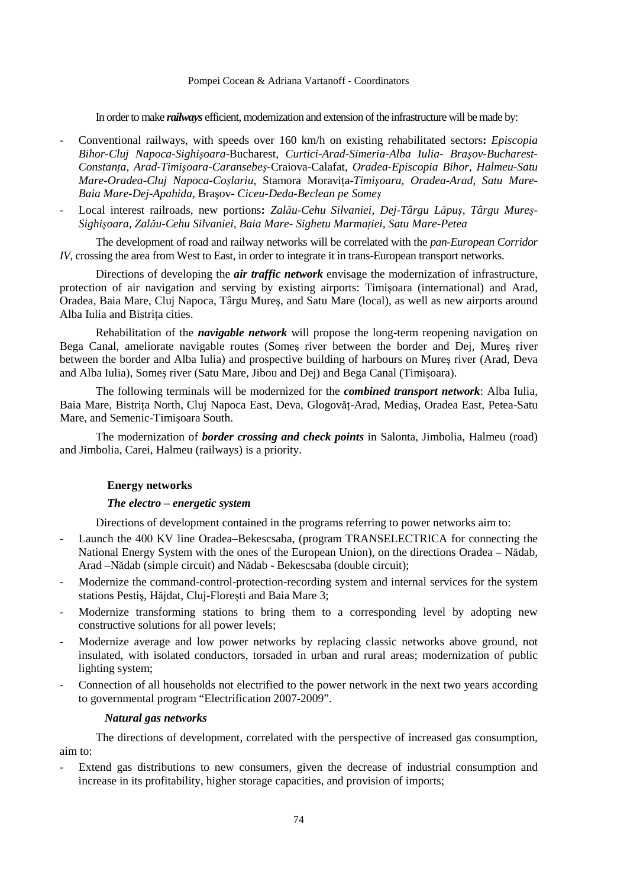In order to make *railways* efficient, modernization and extension of the infrastructure will be made by:

- Conventional railways, with speeds over 160 km/h on existing rehabilitated sectors**:** *Episcopia Bihor-Cluj Napoca-Sighişoara*-Bucharest, *Curtici-Arad-Simeria-Alba Iulia- Braşov-Bucharest-ConstanŃa, Arad-Timişoara-Caransebeş-*Craiova-Calafat*, Oradea-Episcopia Bihor, Halmeu-Satu*   $M$ are-Oradea-Cluj Napoca-Coslariu, Stamora Moravita-Timisoara, Oradea-Arad, Satu Mare-*Baia Mare-Dej-Apahida,* Braşov- *Ciceu-Deda-Beclean pe Someş*
- Local interest railroads, new portions**:** *Zalău-Cehu Silvaniei, Dej-Târgu Lăpuş, Târgu Mureş-* $S$ *ighișoara, Zalău-Cehu Silvaniei, Baia Mare- Sighetu Marmației, Satu Mare-Petea*

The development of road and railway networks will be correlated with the *pan-European Corridor IV*, crossing the area from West to East, in order to integrate it in trans-European transport networks.

Directions of developing the *air traffic network* envisage the modernization of infrastructure, protection of air navigation and serving by existing airports: Timişoara (international) and Arad, Oradea, Baia Mare, Cluj Napoca, Târgu Mureş, and Satu Mare (local), as well as new airports around Alba Iulia and Bistrita cities.

Rehabilitation of the *navigable network* will propose the long-term reopening navigation on Bega Canal, ameliorate navigable routes (Someş river between the border and Dej, Mureş river between the border and Alba Iulia) and prospective building of harbours on Mureş river (Arad, Deva and Alba Iulia), Someş river (Satu Mare, Jibou and Dej) and Bega Canal (Timişoara).

The following terminals will be modernized for the *combined transport network*: Alba Iulia, Baia Mare, Bistrita North, Cluj Napoca East, Deva, Glogovăt-Arad, Mediaș, Oradea East, Petea-Satu Mare, and Semenic-Timişoara South.

The modernization of *border crossing and check points* in Salonta, Jimbolia, Halmeu (road) and Jimbolia, Carei, Halmeu (railways) is a priority.

### **Energy networks**

### *The electro – energetic system*

Directions of development contained in the programs referring to power networks aim to:

- Launch the 400 KV line Oradea–Bekescsaba, (program TRANSELECTRICA for connecting the National Energy System with the ones of the European Union), on the directions Oradea – Nădab, Arad –Nădab (simple circuit) and Nădab - Bekescsaba (double circuit);
- Modernize the command-control-protection-recording system and internal services for the system stations Pestiş, Hăjdat, Cluj-Floreşti and Baia Mare 3;
- Modernize transforming stations to bring them to a corresponding level by adopting new constructive solutions for all power levels;
- Modernize average and low power networks by replacing classic networks above ground, not insulated, with isolated conductors, torsaded in urban and rural areas; modernization of public lighting system;
- Connection of all households not electrified to the power network in the next two years according to governmental program "Electrification 2007-2009".

#### *Natural gas networks*

The directions of development, correlated with the perspective of increased gas consumption, aim to:

Extend gas distributions to new consumers, given the decrease of industrial consumption and increase in its profitability, higher storage capacities, and provision of imports;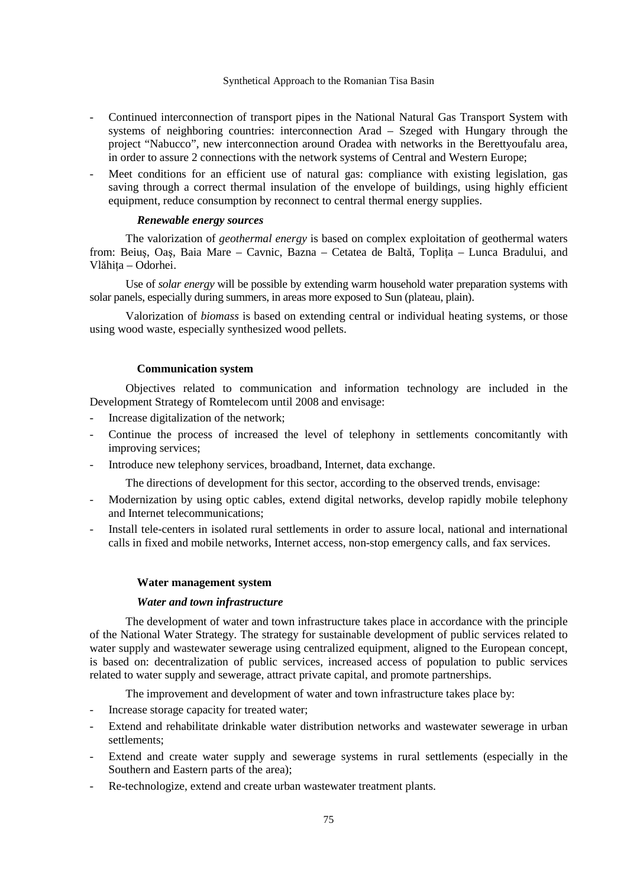- Continued interconnection of transport pipes in the National Natural Gas Transport System with systems of neighboring countries: interconnection Arad – Szeged with Hungary through the project "Nabucco", new interconnection around Oradea with networks in the Berettyoufalu area, in order to assure 2 connections with the network systems of Central and Western Europe;
- Meet conditions for an efficient use of natural gas: compliance with existing legislation, gas saving through a correct thermal insulation of the envelope of buildings, using highly efficient equipment, reduce consumption by reconnect to central thermal energy supplies.

## *Renewable energy sources*

The valorization of *geothermal energy* is based on complex exploitation of geothermal waters from: Beius, Oas, Baia Mare – Cavnic, Bazna – Cetatea de Baltă, Toplita – Lunca Bradului, and Vlăhița – Odorhei.

Use of *solar energy* will be possible by extending warm household water preparation systems with solar panels, especially during summers, in areas more exposed to Sun (plateau, plain).

Valorization of *biomass* is based on extending central or individual heating systems, or those using wood waste, especially synthesized wood pellets.

### **Communication system**

Objectives related to communication and information technology are included in the Development Strategy of Romtelecom until 2008 and envisage:

- Increase digitalization of the network;
- Continue the process of increased the level of telephony in settlements concomitantly with improving services;
- Introduce new telephony services, broadband, Internet, data exchange.

The directions of development for this sector, according to the observed trends, envisage:

- Modernization by using optic cables, extend digital networks, develop rapidly mobile telephony and Internet telecommunications;
- Install tele-centers in isolated rural settlements in order to assure local, national and international calls in fixed and mobile networks, Internet access, non-stop emergency calls, and fax services.

#### **Water management system**

#### *Water and town infrastructure*

The development of water and town infrastructure takes place in accordance with the principle of the National Water Strategy. The strategy for sustainable development of public services related to water supply and wastewater sewerage using centralized equipment, aligned to the European concept, is based on: decentralization of public services, increased access of population to public services related to water supply and sewerage, attract private capital, and promote partnerships.

The improvement and development of water and town infrastructure takes place by:

- Increase storage capacity for treated water;
- Extend and rehabilitate drinkable water distribution networks and wastewater sewerage in urban settlements;
- Extend and create water supply and sewerage systems in rural settlements (especially in the Southern and Eastern parts of the area);
- Re-technologize, extend and create urban wastewater treatment plants.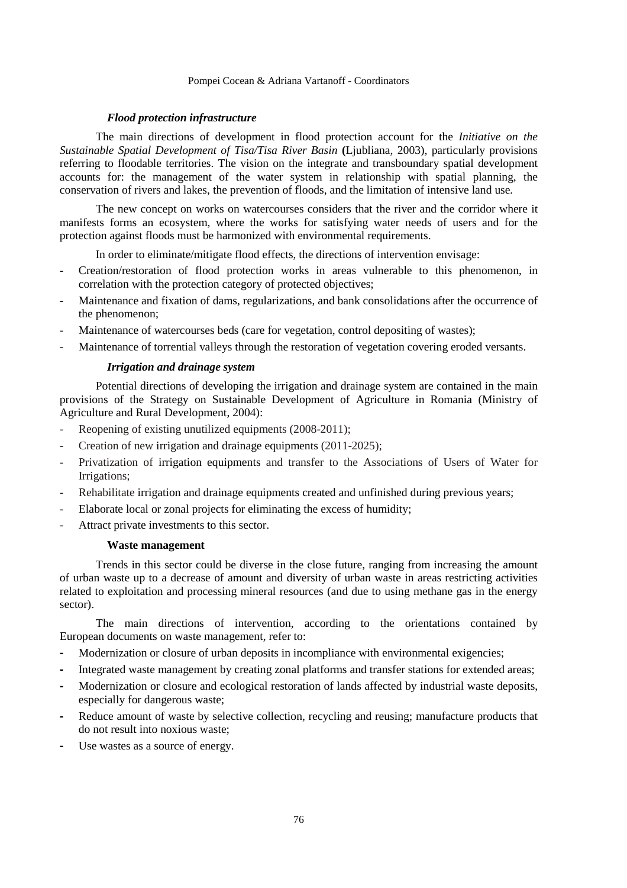### *Flood protection infrastructure*

The main directions of development in flood protection account for the *Initiative on the Sustainable Spatial Development of Tisa/Tisa River Basin* **(**Ljubliana, 2003), particularly provisions referring to floodable territories. The vision on the integrate and transboundary spatial development accounts for: the management of the water system in relationship with spatial planning, the conservation of rivers and lakes, the prevention of floods, and the limitation of intensive land use*.* 

The new concept on works on watercourses considers that the river and the corridor where it manifests forms an ecosystem, where the works for satisfying water needs of users and for the protection against floods must be harmonized with environmental requirements.

In order to eliminate/mitigate flood effects, the directions of intervention envisage:

- Creation/restoration of flood protection works in areas vulnerable to this phenomenon, in correlation with the protection category of protected objectives;
- Maintenance and fixation of dams, regularizations, and bank consolidations after the occurrence of the phenomenon;
- Maintenance of watercourses beds (care for vegetation, control depositing of wastes);
- Maintenance of torrential valleys through the restoration of vegetation covering eroded versants.

### *Irrigation and drainage system*

Potential directions of developing the irrigation and drainage system are contained in the main provisions of the Strategy on Sustainable Development of Agriculture in Romania (Ministry of Agriculture and Rural Development, 2004):

- Reopening of existing unutilized equipments (2008-2011);
- Creation of new irrigation and drainage equipments (2011-2025);
- Privatization of irrigation equipments and transfer to the Associations of Users of Water for Irrigations;
- Rehabilitate irrigation and drainage equipments created and unfinished during previous years;
- Elaborate local or zonal projects for eliminating the excess of humidity;
- Attract private investments to this sector.

#### **Waste management**

Trends in this sector could be diverse in the close future, ranging from increasing the amount of urban waste up to a decrease of amount and diversity of urban waste in areas restricting activities related to exploitation and processing mineral resources (and due to using methane gas in the energy sector).

The main directions of intervention, according to the orientations contained by European documents on waste management, refer to:

- Modernization or closure of urban deposits in incompliance with environmental exigencies;
- Integrated waste management by creating zonal platforms and transfer stations for extended areas;
- Modernization or closure and ecological restoration of lands affected by industrial waste deposits, especially for dangerous waste;
- Reduce amount of waste by selective collection, recycling and reusing; manufacture products that do not result into noxious waste;
- Use wastes as a source of energy.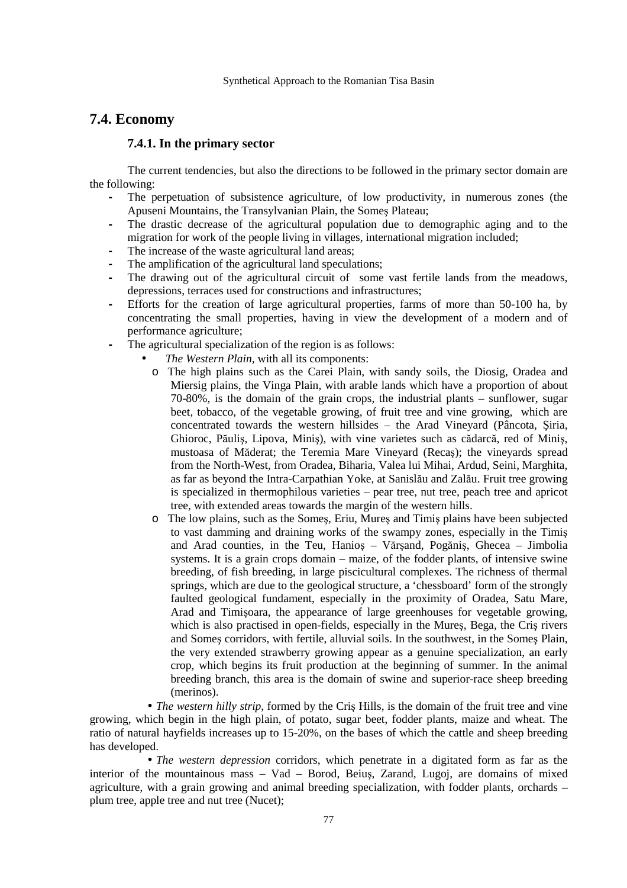# **7.4. Economy**

### **7.4.1. In the primary sector**

The current tendencies, but also the directions to be followed in the primary sector domain are the following:

- The perpetuation of subsistence agriculture, of low productivity, in numerous zones (the Apuseni Mountains, the Transylvanian Plain, the Someş Plateau;
- The drastic decrease of the agricultural population due to demographic aging and to the migration for work of the people living in villages, international migration included;
- The increase of the waste agricultural land areas;
- The amplification of the agricultural land speculations;
- The drawing out of the agricultural circuit of some vast fertile lands from the meadows, depressions, terraces used for constructions and infrastructures;
- Efforts for the creation of large agricultural properties, farms of more than 50-100 ha, by concentrating the small properties, having in view the development of a modern and of performance agriculture;
- The agricultural specialization of the region is as follows:
	- *The Western Plain,* with all its components:
	- o The high plains such as the Carei Plain, with sandy soils, the Diosig, Oradea and Miersig plains, the Vinga Plain, with arable lands which have a proportion of about 70-80%, is the domain of the grain crops, the industrial plants – sunflower, sugar beet, tobacco, of the vegetable growing, of fruit tree and vine growing, which are concentrated towards the western hillsides – the Arad Vineyard (Pâncota, Şiria, Ghioroc, Păuliş, Lipova, Miniş), with vine varietes such as cădarcă, red of Miniş, mustoasa of Măderat; the Teremia Mare Vineyard (Recaş); the vineyards spread from the North-West, from Oradea, Biharia, Valea lui Mihai, Ardud, Seini, Marghita, as far as beyond the Intra-Carpathian Yoke, at Sanislău and Zalău. Fruit tree growing is specialized in thermophilous varieties – pear tree, nut tree, peach tree and apricot tree, with extended areas towards the margin of the western hills.
	- o The low plains, such as the Someş, Eriu, Mureş and Timiş plains have been subjected to vast damming and draining works of the swampy zones, especially in the Timiş and Arad counties, in the Teu, Hanioş – Vărşand, Pogăniş, Ghecea – Jimbolia systems. It is a grain crops domain – maize, of the fodder plants, of intensive swine breeding, of fish breeding, in large piscicultural complexes. The richness of thermal springs, which are due to the geological structure, a 'chessboard' form of the strongly faulted geological fundament, especially in the proximity of Oradea, Satu Mare, Arad and Timişoara, the appearance of large greenhouses for vegetable growing, which is also practised in open-fields, especially in the Mureş, Bega, the Criş rivers and Someş corridors, with fertile, alluvial soils. In the southwest, in the Someş Plain, the very extended strawberry growing appear as a genuine specialization, an early crop, which begins its fruit production at the beginning of summer. In the animal breeding branch, this area is the domain of swine and superior-race sheep breeding (merinos).

• *The western hilly strip*, formed by the Cris Hills, is the domain of the fruit tree and vine growing, which begin in the high plain, of potato, sugar beet, fodder plants, maize and wheat. The ratio of natural hayfields increases up to 15-20%, on the bases of which the cattle and sheep breeding has developed.

• *The western depression* corridors, which penetrate in a digitated form as far as the interior of the mountainous mass – Vad – Borod, Beiuş, Zarand, Lugoj, are domains of mixed agriculture, with a grain growing and animal breeding specialization, with fodder plants, orchards – plum tree, apple tree and nut tree (Nucet);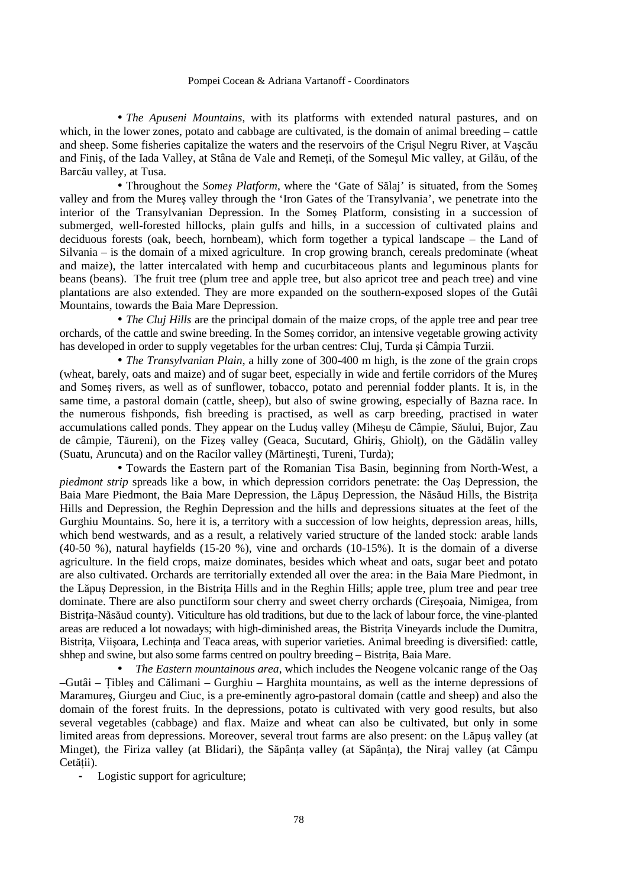• *The Apuseni Mountains*, with its platforms with extended natural pastures, and on which, in the lower zones, potato and cabbage are cultivated, is the domain of animal breeding – cattle and sheep. Some fisheries capitalize the waters and the reservoirs of the Crişul Negru River, at Vaşcău and Finis, of the Iada Valley, at Stâna de Vale and Remeti, of the Somesul Mic valley, at Gilău, of the Barcău valley, at Tusa.

• Throughout the *Someş Platform*, where the 'Gate of Sălaj' is situated, from the Someş valley and from the Mureş valley through the 'Iron Gates of the Transylvania', we penetrate into the interior of the Transylvanian Depression. In the Someş Platform, consisting in a succession of submerged, well-forested hillocks, plain gulfs and hills, in a succession of cultivated plains and deciduous forests (oak, beech, hornbeam), which form together a typical landscape – the Land of Silvania – is the domain of a mixed agriculture. In crop growing branch, cereals predominate (wheat and maize), the latter intercalated with hemp and cucurbitaceous plants and leguminous plants for beans (beans). The fruit tree (plum tree and apple tree, but also apricot tree and peach tree) and vine plantations are also extended. They are more expanded on the southern-exposed slopes of the Gutâi Mountains, towards the Baia Mare Depression.

• *The Cluj Hills* are the principal domain of the maize crops, of the apple tree and pear tree orchards, of the cattle and swine breeding. In the Someş corridor, an intensive vegetable growing activity has developed in order to supply vegetables for the urban centres: Cluj, Turda şi Câmpia Turzii.

• *The Transylvanian Plain*, a hilly zone of 300-400 m high, is the zone of the grain crops (wheat, barely, oats and maize) and of sugar beet, especially in wide and fertile corridors of the Mureş and Someş rivers, as well as of sunflower, tobacco, potato and perennial fodder plants. It is, in the same time, a pastoral domain (cattle, sheep), but also of swine growing, especially of Bazna race. In the numerous fishponds, fish breeding is practised, as well as carp breeding, practised in water accumulations called ponds. They appear on the Luduş valley (Miheşu de Câmpie, Săului, Bujor, Zau de câmpie, Tăureni), on the Fizes valley (Geaca, Sucutard, Ghiris, Ghiolt), on the Gădălin valley (Suatu, Aruncuta) and on the Racilor valley (Mărtineşti, Tureni, Turda);

• Towards the Eastern part of the Romanian Tisa Basin, beginning from North-West, a *piedmont strip* spreads like a bow, in which depression corridors penetrate: the Oaş Depression, the Baia Mare Piedmont, the Baia Mare Depression, the Lăpus Depression, the Năsăud Hills, the Bistrita Hills and Depression, the Reghin Depression and the hills and depressions situates at the feet of the Gurghiu Mountains. So, here it is, a territory with a succession of low heights, depression areas, hills, which bend westwards, and as a result, a relatively varied structure of the landed stock: arable lands (40-50 %), natural hayfields (15-20 %), vine and orchards (10-15%). It is the domain of a diverse agriculture. In the field crops, maize dominates, besides which wheat and oats, sugar beet and potato are also cultivated. Orchards are territorially extended all over the area: in the Baia Mare Piedmont, in the Lăpus Depression, in the Bistrita Hills and in the Reghin Hills; apple tree, plum tree and pear tree dominate. There are also punctiform sour cherry and sweet cherry orchards (Cireşoaia, Nimigea, from Bistrița-Năsăud county). Viticulture has old traditions, but due to the lack of labour force, the vine-planted areas are reduced a lot nowadays; with high-diminished areas, the Bistrița Vineyards include the Dumitra, Bistrita, Viisoara, Lechinta and Teaca areas, with superior varieties. Animal breeding is diversified: cattle, shhep and swine, but also some farms centred on poultry breeding – Bistrița, Baia Mare.

• *The Eastern mountainous area*, which includes the Neogene volcanic range of the Oaş –Gutâi – łibleş and Călimani – Gurghiu – Harghita mountains, as well as the interne depressions of Maramureş, Giurgeu and Ciuc, is a pre-eminently agro-pastoral domain (cattle and sheep) and also the domain of the forest fruits. In the depressions, potato is cultivated with very good results, but also several vegetables (cabbage) and flax. Maize and wheat can also be cultivated, but only in some limited areas from depressions. Moreover, several trout farms are also present: on the Lăpuş valley (at Minget), the Firiza valley (at Blidari), the Săpânța valley (at Săpânța), the Niraj valley (at Câmpu Cetății).

**-** Logistic support for agriculture;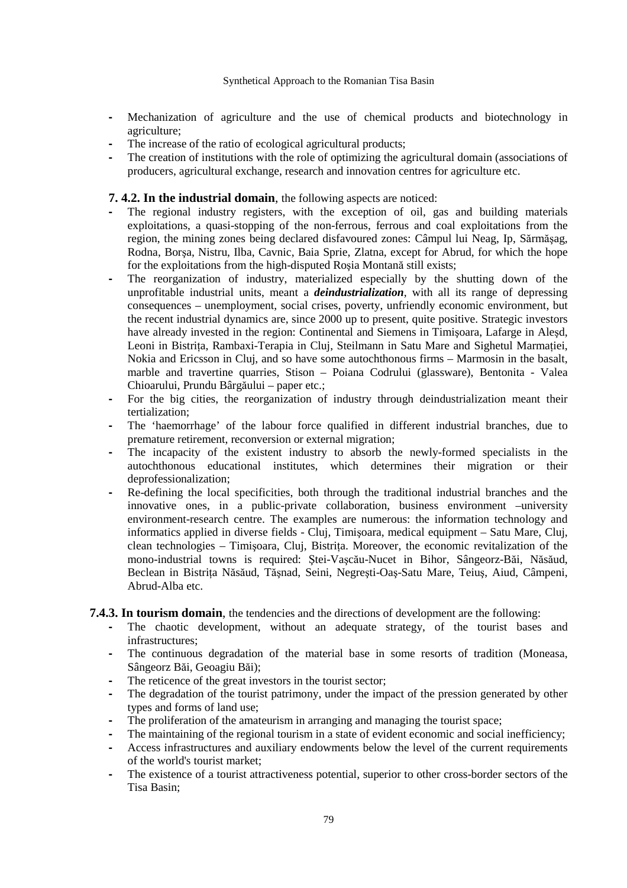- Mechanization of agriculture and the use of chemical products and biotechnology in agriculture;
- The increase of the ratio of ecological agricultural products;
- The creation of institutions with the role of optimizing the agricultural domain (associations of producers, agricultural exchange, research and innovation centres for agriculture etc.

**7. 4.2. In the industrial domain**, the following aspects are noticed:

- The regional industry registers, with the exception of oil, gas and building materials exploitations, a quasi-stopping of the non-ferrous, ferrous and coal exploitations from the region, the mining zones being declared disfavoured zones: Câmpul lui Neag, Ip, Sărmăşag, Rodna, Borşa, Nistru, Ilba, Cavnic, Baia Sprie, Zlatna, except for Abrud, for which the hope for the exploitations from the high-disputed Roşia Montană still exists;
- The reorganization of industry, materialized especially by the shutting down of the unprofitable industrial units, meant a *deindustrialization*, with all its range of depressing consequences – unemployment, social crises, poverty, unfriendly economic environment, but the recent industrial dynamics are, since 2000 up to present, quite positive. Strategic investors have already invested in the region: Continental and Siemens in Timişoara, Lafarge in Aleşd, Leoni in Bistrita, Rambaxi-Terapia in Cluj, Steilmann in Satu Mare and Sighetul Marmatiei, Nokia and Ericsson in Cluj, and so have some autochthonous firms – Marmosin in the basalt, marble and travertine quarries, Stison – Poiana Codrului (glassware), Bentonita - Valea Chioarului, Prundu Bârgăului – paper etc.;
- For the big cities, the reorganization of industry through deindustrialization meant their tertialization;
- The 'haemorrhage' of the labour force qualified in different industrial branches, due to premature retirement, reconversion or external migration;
- The incapacity of the existent industry to absorb the newly-formed specialists in the autochthonous educational institutes, which determines their migration or their deprofessionalization;
- Re-defining the local specificities, both through the traditional industrial branches and the innovative ones, in a public-private collaboration, business environment –university environment-research centre. The examples are numerous: the information technology and informatics applied in diverse fields - Cluj, Timişoara, medical equipment – Satu Mare, Cluj, clean technologies – Timișoara, Cluj, Bistrița. Moreover, the economic revitalization of the mono-industrial towns is required: Ştei-Vaşcău-Nucet in Bihor, Sângeorz-Băi, Năsăud, Beclean in Bistrița Năsăud, Tășnad, Seini, Negrești-Oaș-Satu Mare, Teiuș, Aiud, Câmpeni, Abrud-Alba etc.

### **7.4.3. In tourism domain**, the tendencies and the directions of development are the following:

- The chaotic development, without an adequate strategy, of the tourist bases and infrastructures;
- The continuous degradation of the material base in some resorts of tradition (Moneasa, Sângeorz Băi, Geoagiu Băi);
- The reticence of the great investors in the tourist sector;
- The degradation of the tourist patrimony, under the impact of the pression generated by other types and forms of land use;
- The proliferation of the amateurism in arranging and managing the tourist space;
- The maintaining of the regional tourism in a state of evident economic and social inefficiency;
- Access infrastructures and auxiliary endowments below the level of the current requirements of the world's tourist market;
- The existence of a tourist attractiveness potential, superior to other cross-border sectors of the Tisa Basin;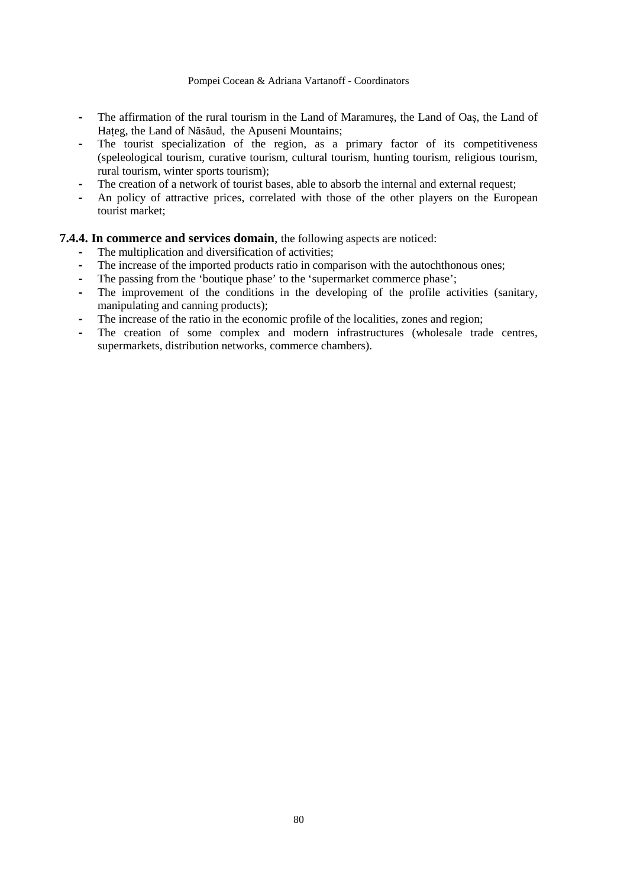- The affirmation of the rural tourism in the Land of Maramureş, the Land of Oaş, the Land of Hateg, the Land of Năsăud, the Apuseni Mountains;
- The tourist specialization of the region, as a primary factor of its competitiveness (speleological tourism, curative tourism, cultural tourism, hunting tourism, religious tourism, rural tourism, winter sports tourism);
- The creation of a network of tourist bases, able to absorb the internal and external request;
- An policy of attractive prices, correlated with those of the other players on the European tourist market;

# **7.4.4. In commerce and services domain**, the following aspects are noticed:

- The multiplication and diversification of activities;
- The increase of the imported products ratio in comparison with the autochthonous ones;
- The passing from the 'boutique phase' to the 'supermarket commerce phase';
- The improvement of the conditions in the developing of the profile activities (sanitary, manipulating and canning products);
- **-** The increase of the ratio in the economic profile of the localities, zones and region;<br>The creation of some complex and modern infrastructures (wholesale trac
- The creation of some complex and modern infrastructures (wholesale trade centres, supermarkets, distribution networks, commerce chambers).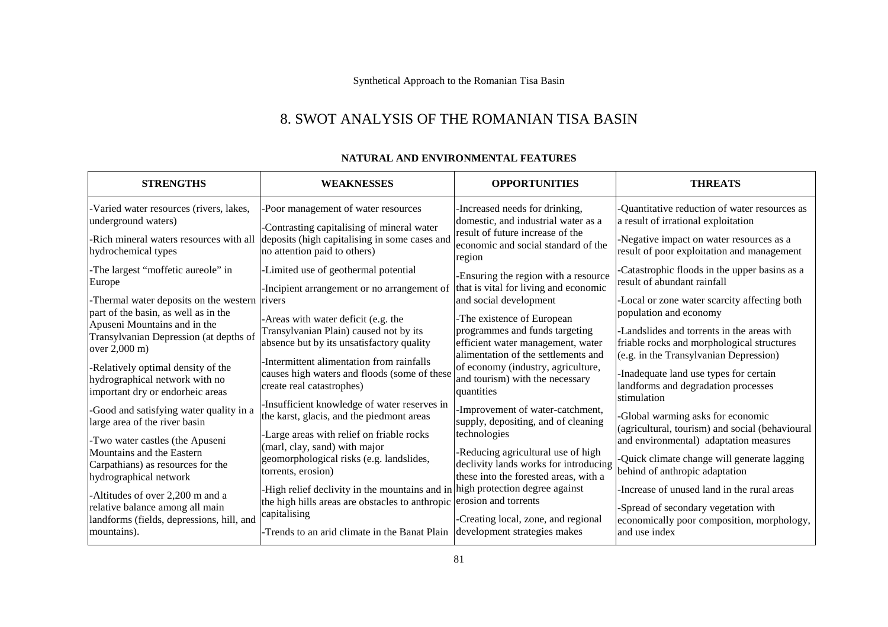# 8. SWOT ANALYSIS OF THE ROMANIAN TISA BASIN

| <b>STRENGTHS</b>                                                                        | <b>WEAKNESSES</b>                                                                   | <b>OPPORTUNITIES</b>                                                                                       | <b>THREATS</b>                                                                                                                    |
|-----------------------------------------------------------------------------------------|-------------------------------------------------------------------------------------|------------------------------------------------------------------------------------------------------------|-----------------------------------------------------------------------------------------------------------------------------------|
| -Varied water resources (rivers, lakes,                                                 | -Poor management of water resources                                                 | Increased needs for drinking,                                                                              | Quantitative reduction of water resources as                                                                                      |
| underground waters)                                                                     | -Contrasting capitalising of mineral water                                          | domestic, and industrial water as a                                                                        | a result of irrational exploitation                                                                                               |
| -Rich mineral waters resources with all<br>hydrochemical types                          | deposits (high capitalising in some cases and<br>no attention paid to others)       | result of future increase of the<br>economic and social standard of the<br>region                          | Negative impact on water resources as a<br>result of poor exploitation and management                                             |
| -The largest "moffetic aureole" in                                                      | -Limited use of geothermal potential                                                | Ensuring the region with a resource                                                                        | Catastrophic floods in the upper basins as a                                                                                      |
| Europe                                                                                  | -Incipient arrangement or no arrangement of                                         | that is vital for living and economic                                                                      | result of abundant rainfall                                                                                                       |
| -Thermal water deposits on the western rivers                                           | -Areas with water deficit (e.g. the                                                 | and social development                                                                                     | Local or zone water scarcity affecting both                                                                                       |
| part of the basin, as well as in the                                                    |                                                                                     | -The existence of European                                                                                 | population and economy                                                                                                            |
| Apuseni Mountains and in the<br>Transylvanian Depression (at depths of<br>over 2,000 m) | Transylvanian Plain) caused not by its<br>absence but by its unsatisfactory quality | programmes and funds targeting<br>efficient water management, water<br>alimentation of the settlements and | Landslides and torrents in the areas with<br>friable rocks and morphological structures<br>(e.g. in the Transylvanian Depression) |
| -Relatively optimal density of the                                                      | Intermittent alimentation from rainfalls                                            | of economy (industry, agriculture,                                                                         | -Inadequate land use types for certain                                                                                            |
| hydrographical network with no                                                          | causes high waters and floods (some of these                                        | and tourism) with the necessary                                                                            | landforms and degradation processes                                                                                               |
| important dry or endorheic areas                                                        | create real catastrophes)                                                           | quantities                                                                                                 | stimulation                                                                                                                       |
| -Good and satisfying water quality in a                                                 | Insufficient knowledge of water reserves in                                         | -Improvement of water-catchment,                                                                           | Global warming asks for economic                                                                                                  |
| large area of the river basin                                                           | the karst, glacis, and the piedmont areas                                           | supply, depositing, and of cleaning                                                                        | (agricultural, tourism) and social (behavioural                                                                                   |
| -Two water castles (the Apuseni                                                         | Large areas with relief on friable rocks                                            | technologies                                                                                               | and environmental) adaptation measures                                                                                            |
| Mountains and the Eastern                                                               | (marl, clay, sand) with major                                                       | -Reducing agricultural use of high                                                                         |                                                                                                                                   |
| Carpathians) as resources for the                                                       | geomorphological risks (e.g. landslides,                                            | declivity lands works for introducing                                                                      | Quick climate change will generate lagging                                                                                        |
| hydrographical network                                                                  | torrents, erosion)                                                                  | these into the forested areas, with a                                                                      | behind of anthropic adaptation                                                                                                    |
| -Altitudes of over 2,200 m and a                                                        | High relief declivity in the mountains and in high protection degree against        | -Creating local, zone, and regional                                                                        | Increase of unused land in the rural areas                                                                                        |
| relative balance among all main                                                         | the high hills areas are obstacles to anthropic erosion and torrents                |                                                                                                            | -Spread of secondary vegetation with                                                                                              |
| landforms (fields, depressions, hill, and                                               | capitalising                                                                        |                                                                                                            | economically poor composition, morphology,                                                                                        |
| mountains).                                                                             | -Trends to an arid climate in the Banat Plain                                       | development strategies makes                                                                               | and use index                                                                                                                     |

### **NATURAL AND ENVIRONMENTAL FEATURES**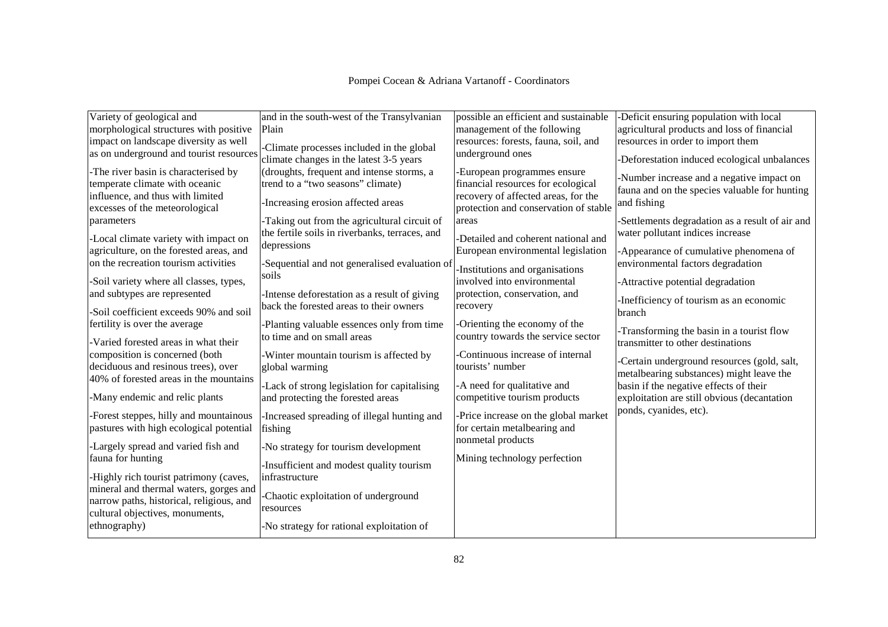| Pompei Cocean & Adriana Vartanoff - Coordinators |  |  |
|--------------------------------------------------|--|--|
|--------------------------------------------------|--|--|

| Variety of geological and                | and in the south-west of the Transylvanian     | possible an efficient and sustainable | -Deficit ensuring population with local         |
|------------------------------------------|------------------------------------------------|---------------------------------------|-------------------------------------------------|
| morphological structures with positive   | Plain                                          | management of the following           | agricultural products and loss of financial     |
| impact on landscape diversity as well    | -Climate processes included in the global      | resources: forests, fauna, soil, and  | resources in order to import them               |
| as on underground and tourist resources  | climate changes in the latest 3-5 years        | underground ones                      | -Deforestation induced ecological unbalances    |
| -The river basin is characterised by     | (droughts, frequent and intense storms, a      | -European programmes ensure           | -Number increase and a negative impact on       |
| temperate climate with oceanic           | trend to a "two seasons" climate)              | financial resources for ecological    | fauna and on the species valuable for hunting   |
| influence, and thus with limited         | -Increasing erosion affected areas             | recovery of affected areas, for the   | and fishing                                     |
| excesses of the meteorological           |                                                | protection and conservation of stable |                                                 |
| parameters                               | -Taking out from the agricultural circuit of   | areas                                 | -Settlements degradation as a result of air and |
| -Local climate variety with impact on    | the fertile soils in riverbanks, terraces, and | -Detailed and coherent national and   | water pollutant indices increase                |
| agriculture, on the forested areas, and  | depressions                                    | European environmental legislation    | -Appearance of cumulative phenomena of          |
| on the recreation tourism activities     | -Sequential and not generalised evaluation of  |                                       | environmental factors degradation               |
|                                          | soils                                          | -Institutions and organisations       |                                                 |
| -Soil variety where all classes, types,  |                                                | involved into environmental           | -Attractive potential degradation               |
| and subtypes are represented             | -Intense deforestation as a result of giving   | protection, conservation, and         | -Inefficiency of tourism as an economic         |
| -Soil coefficient exceeds 90% and soil   | back the forested areas to their owners        | recovery                              | branch                                          |
| fertility is over the average            | -Planting valuable essences only from time     | -Orienting the economy of the         |                                                 |
|                                          | to time and on small areas                     | country towards the service sector    | Transforming the basin in a tourist flow        |
| Varied forested areas in what their      |                                                |                                       | transmitter to other destinations               |
| composition is concerned (both           | -Winter mountain tourism is affected by        | Continuous increase of internal       | -Certain underground resources (gold, salt,     |
| deciduous and resinous trees), over      | global warming                                 | tourists' number                      | metalbearing substances) might leave the        |
| 40% of forested areas in the mountains   | -Lack of strong legislation for capitalising   | -A need for qualitative and           | basin if the negative effects of their          |
| -Many endemic and relic plants           | and protecting the forested areas              | competitive tourism products          | exploitation are still obvious (decantation     |
|                                          |                                                |                                       | ponds, cyanides, etc).                          |
| -Forest steppes, hilly and mountainous   | -Increased spreading of illegal hunting and    | -Price increase on the global market  |                                                 |
| pastures with high ecological potential  | fishing                                        | for certain metalbearing and          |                                                 |
| -Largely spread and varied fish and      | -No strategy for tourism development           | nonmetal products                     |                                                 |
| fauna for hunting                        |                                                | Mining technology perfection          |                                                 |
|                                          | -Insufficient and modest quality tourism       |                                       |                                                 |
| -Highly rich tourist patrimony (caves,   | infrastructure                                 |                                       |                                                 |
| mineral and thermal waters, gorges and   | Chaotic exploitation of underground            |                                       |                                                 |
| narrow paths, historical, religious, and | resources                                      |                                       |                                                 |
| cultural objectives, monuments,          |                                                |                                       |                                                 |
| ethnography)                             | -No strategy for rational exploitation of      |                                       |                                                 |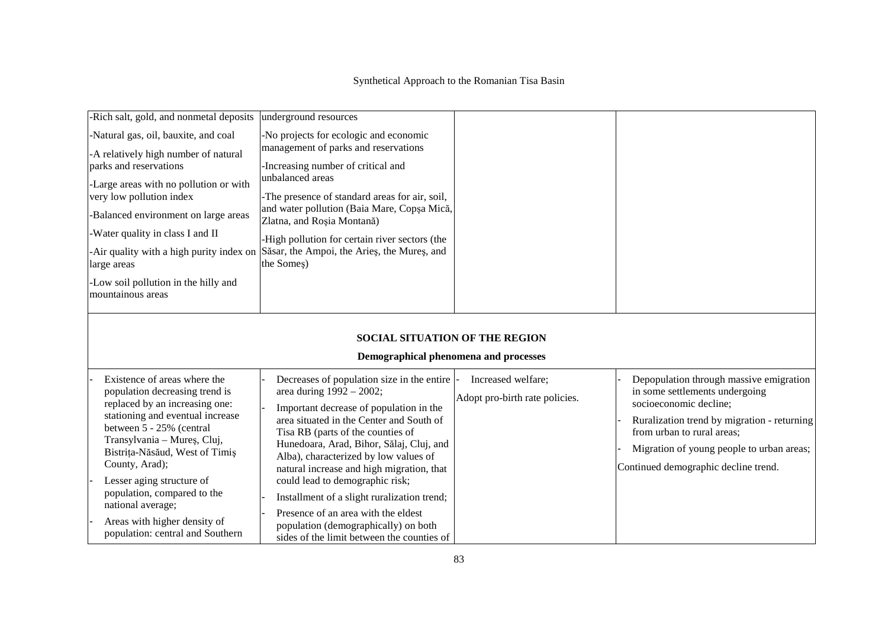| -Rich salt, gold, and nonmetal deposits                                                                                                                                                                                                                                                                                                                                                                  | underground resources                                                                                                                                                                                                                                                                                                                                                                                                                                                                                                                               |                                                      |                                                                                                                                                                                                                                                                       |
|----------------------------------------------------------------------------------------------------------------------------------------------------------------------------------------------------------------------------------------------------------------------------------------------------------------------------------------------------------------------------------------------------------|-----------------------------------------------------------------------------------------------------------------------------------------------------------------------------------------------------------------------------------------------------------------------------------------------------------------------------------------------------------------------------------------------------------------------------------------------------------------------------------------------------------------------------------------------------|------------------------------------------------------|-----------------------------------------------------------------------------------------------------------------------------------------------------------------------------------------------------------------------------------------------------------------------|
| -Natural gas, oil, bauxite, and coal<br>-A relatively high number of natural<br>parks and reservations<br>-Large areas with no pollution or with<br>very low pollution index<br>-Balanced environment on large areas<br>-Water quality in class I and II<br>large areas                                                                                                                                  | -No projects for ecologic and economic<br>management of parks and reservations<br>-Increasing number of critical and<br>unbalanced areas<br>-The presence of standard areas for air, soil,<br>and water pollution (Baia Mare, Copșa Mică,<br>Zlatna, and Roșia Montană)<br>-High pollution for certain river sectors (the<br>-Air quality with a high purity index on Săsar, the Ampoi, the Aries, the Mures, and<br>the Somes)                                                                                                                     |                                                      |                                                                                                                                                                                                                                                                       |
| -Low soil pollution in the hilly and<br>mountainous areas                                                                                                                                                                                                                                                                                                                                                | <b>SOCIAL SITUATION OF THE REGION</b><br>Demographical phenomena and processes                                                                                                                                                                                                                                                                                                                                                                                                                                                                      |                                                      |                                                                                                                                                                                                                                                                       |
| Existence of areas where the<br>population decreasing trend is<br>replaced by an increasing one:<br>stationing and eventual increase<br>between 5 - 25% (central<br>Transylvania - Mureș, Cluj,<br>Bistrița-Năsăud, West of Timiș<br>County, Arad);<br>Lesser aging structure of<br>population, compared to the<br>national average;<br>Areas with higher density of<br>population: central and Southern | Decreases of population size in the entire<br>area during 1992 - 2002;<br>Important decrease of population in the<br>area situated in the Center and South of<br>Tisa RB (parts of the counties of<br>Hunedoara, Arad, Bihor, Sălaj, Cluj, and<br>Alba), characterized by low values of<br>natural increase and high migration, that<br>could lead to demographic risk;<br>Installment of a slight ruralization trend;<br>Presence of an area with the eldest<br>population (demographically) on both<br>sides of the limit between the counties of | Increased welfare;<br>Adopt pro-birth rate policies. | Depopulation through massive emigration<br>in some settlements undergoing<br>socioeconomic decline;<br>Ruralization trend by migration - returning<br>from urban to rural areas;<br>Migration of young people to urban areas;<br>Continued demographic decline trend. |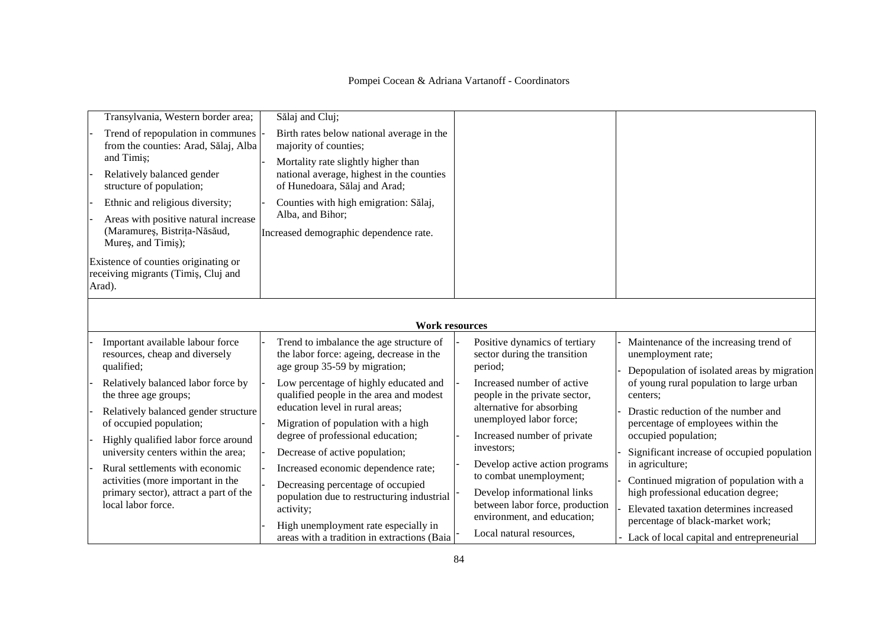| Transylvania, Western border area;<br>Trend of repopulation in communes<br>from the counties: Arad, Sălaj, Alba<br>and Timis;<br>Relatively balanced gender<br>structure of population;<br>Ethnic and religious diversity;<br>Areas with positive natural increase<br>(Maramureș, Bistrița-Năsăud,<br>Mures, and Timis);                             | Sălaj and Cluj;<br>Birth rates below national average in the<br>majority of counties;<br>Mortality rate slightly higher than<br>national average, highest in the counties<br>of Hunedoara, Sălaj and Arad;<br>Counties with high emigration: Sălaj,<br>Alba, and Bihor;<br>Increased demographic dependence rate.                                                                                                |                                                                                                                                                                                                                                                                                                                                |                                                                                                                                                                                                                                                                                                                                                                                              |
|------------------------------------------------------------------------------------------------------------------------------------------------------------------------------------------------------------------------------------------------------------------------------------------------------------------------------------------------------|------------------------------------------------------------------------------------------------------------------------------------------------------------------------------------------------------------------------------------------------------------------------------------------------------------------------------------------------------------------------------------------------------------------|--------------------------------------------------------------------------------------------------------------------------------------------------------------------------------------------------------------------------------------------------------------------------------------------------------------------------------|----------------------------------------------------------------------------------------------------------------------------------------------------------------------------------------------------------------------------------------------------------------------------------------------------------------------------------------------------------------------------------------------|
| Existence of counties originating or<br>receiving migrants (Timiş, Cluj and<br>Arad).                                                                                                                                                                                                                                                                |                                                                                                                                                                                                                                                                                                                                                                                                                  |                                                                                                                                                                                                                                                                                                                                |                                                                                                                                                                                                                                                                                                                                                                                              |
|                                                                                                                                                                                                                                                                                                                                                      | <b>Work resources</b>                                                                                                                                                                                                                                                                                                                                                                                            |                                                                                                                                                                                                                                                                                                                                |                                                                                                                                                                                                                                                                                                                                                                                              |
| Important available labour force<br>resources, cheap and diversely<br>qualified;                                                                                                                                                                                                                                                                     | Trend to imbalance the age structure of<br>the labor force: ageing, decrease in the<br>age group 35-59 by migration;                                                                                                                                                                                                                                                                                             | Positive dynamics of tertiary<br>sector during the transition<br>period;                                                                                                                                                                                                                                                       | Maintenance of the increasing trend of<br>unemployment rate;<br>Depopulation of isolated areas by migration                                                                                                                                                                                                                                                                                  |
| Relatively balanced labor force by<br>the three age groups;<br>Relatively balanced gender structure<br>of occupied population;<br>Highly qualified labor force around<br>university centers within the area;<br>Rural settlements with economic<br>activities (more important in the<br>primary sector), attract a part of the<br>local labor force. | Low percentage of highly educated and<br>qualified people in the area and modest<br>education level in rural areas;<br>Migration of population with a high<br>degree of professional education;<br>Decrease of active population;<br>Increased economic dependence rate;<br>Decreasing percentage of occupied<br>population due to restructuring industrial<br>activity;<br>High unemployment rate especially in | Increased number of active<br>people in the private sector,<br>alternative for absorbing<br>unemployed labor force;<br>Increased number of private<br>investors;<br>Develop active action programs<br>to combat unemployment;<br>Develop informational links<br>between labor force, production<br>environment, and education; | of young rural population to large urban<br>centers:<br>Drastic reduction of the number and<br>percentage of employees within the<br>occupied population;<br>Significant increase of occupied population<br>in agriculture;<br>Continued migration of population with a<br>high professional education degree;<br>Elevated taxation determines increased<br>percentage of black-market work; |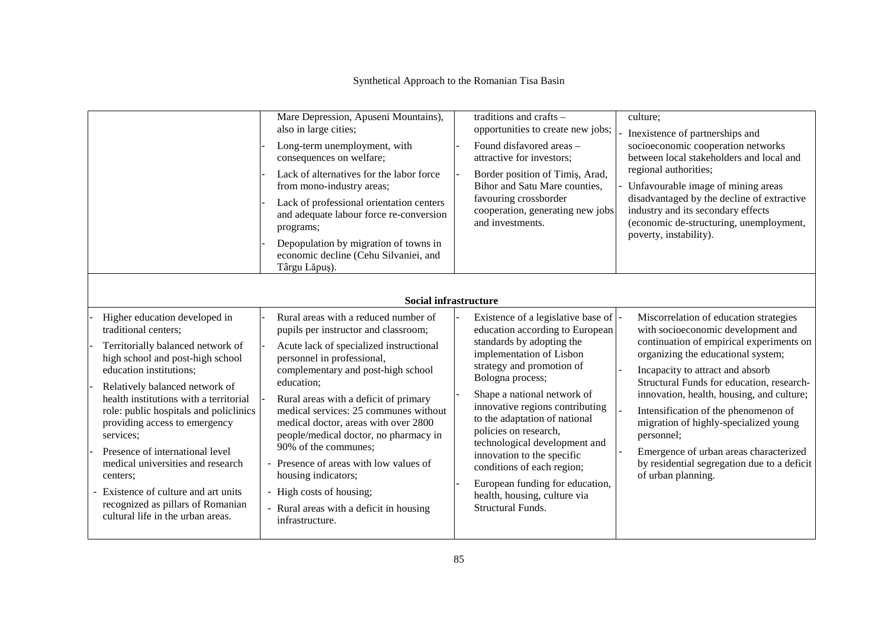|                                                                                                                                                                                                                                                                                                                                                                                                                                                                                                                                   | Mare Depression, Apuseni Mountains),<br>also in large cities;<br>Long-term unemployment, with<br>consequences on welfare;<br>Lack of alternatives for the labor force<br>from mono-industry areas;<br>Lack of professional orientation centers<br>and adequate labour force re-conversion<br>programs;<br>Depopulation by migration of towns in<br>economic decline (Cehu Silvaniei, and<br>Târgu Lăpuș).<br><b>Social infrastructure</b>                                                                                                                       | traditions and crafts $-$<br>opportunities to create new jobs;<br>Found disfavored areas -<br>attractive for investors;<br>Border position of Timiş, Arad,<br>Bihor and Satu Mare counties,<br>favouring crossborder<br>cooperation, generating new jobs<br>and investments.                                                                                                                                                                                                                               | culture;<br>Inexistence of partnerships and<br>socioeconomic cooperation networks<br>between local stakeholders and local and<br>regional authorities;<br>Unfavourable image of mining areas<br>disadvantaged by the decline of extractive<br>industry and its secondary effects<br>(economic de-structuring, unemployment,<br>poverty, instability).                                                                                                                                                      |
|-----------------------------------------------------------------------------------------------------------------------------------------------------------------------------------------------------------------------------------------------------------------------------------------------------------------------------------------------------------------------------------------------------------------------------------------------------------------------------------------------------------------------------------|-----------------------------------------------------------------------------------------------------------------------------------------------------------------------------------------------------------------------------------------------------------------------------------------------------------------------------------------------------------------------------------------------------------------------------------------------------------------------------------------------------------------------------------------------------------------|------------------------------------------------------------------------------------------------------------------------------------------------------------------------------------------------------------------------------------------------------------------------------------------------------------------------------------------------------------------------------------------------------------------------------------------------------------------------------------------------------------|------------------------------------------------------------------------------------------------------------------------------------------------------------------------------------------------------------------------------------------------------------------------------------------------------------------------------------------------------------------------------------------------------------------------------------------------------------------------------------------------------------|
| Higher education developed in<br>traditional centers;<br>Territorially balanced network of<br>high school and post-high school<br>education institutions;<br>Relatively balanced network of<br>health institutions with a territorial<br>role: public hospitals and policlinics<br>providing access to emergency<br>services;<br>Presence of international level<br>medical universities and research<br>centers:<br>Existence of culture and art units<br>recognized as pillars of Romanian<br>cultural life in the urban areas. | Rural areas with a reduced number of<br>pupils per instructor and classroom;<br>Acute lack of specialized instructional<br>personnel in professional,<br>complementary and post-high school<br>education;<br>Rural areas with a deficit of primary<br>medical services: 25 communes without<br>medical doctor, areas with over 2800<br>people/medical doctor, no pharmacy in<br>90% of the communes;<br>- Presence of areas with low values of<br>housing indicators;<br>- High costs of housing;<br>- Rural areas with a deficit in housing<br>infrastructure. | Existence of a legislative base of  -<br>education according to European<br>standards by adopting the<br>implementation of Lisbon<br>strategy and promotion of<br>Bologna process;<br>Shape a national network of<br>innovative regions contributing<br>to the adaptation of national<br>policies on research,<br>technological development and<br>innovation to the specific<br>conditions of each region;<br>European funding for education,<br>health, housing, culture via<br><b>Structural Funds.</b> | Miscorrelation of education strategies<br>with socioeconomic development and<br>continuation of empirical experiments on<br>organizing the educational system;<br>Incapacity to attract and absorb<br>Structural Funds for education, research-<br>innovation, health, housing, and culture;<br>Intensification of the phenomenon of<br>migration of highly-specialized young<br>personnel;<br>Emergence of urban areas characterized<br>by residential segregation due to a deficit<br>of urban planning. |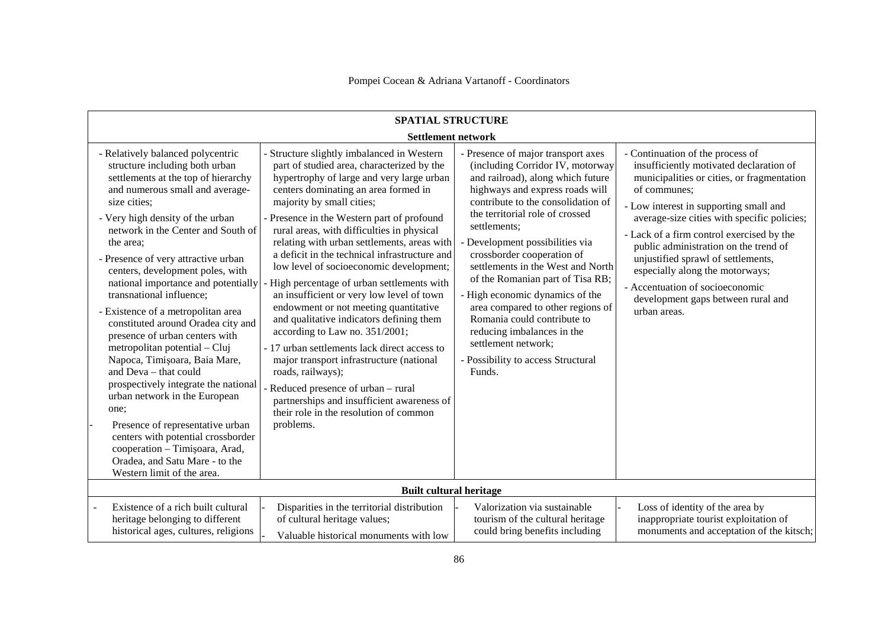| <b>SPATIAL STRUCTURE</b><br><b>Settlement network</b>                                                                                                                                                                                                                                                                                                                                                                                                                                                                                                                                                                                                                                                                                                                                                                                                                    |                                                                                                                                                                                                                                                                                                                                                                                                                                                                                                                                                                                                                                                                                                                                                                                                                                                                                                                             |                                                                                                                                                                                                                                                                                                                                                                                                                                                                                                                                                                                             |                                                                                                                                                                                                                                                                                                                                                                                                                                                                                            |
|--------------------------------------------------------------------------------------------------------------------------------------------------------------------------------------------------------------------------------------------------------------------------------------------------------------------------------------------------------------------------------------------------------------------------------------------------------------------------------------------------------------------------------------------------------------------------------------------------------------------------------------------------------------------------------------------------------------------------------------------------------------------------------------------------------------------------------------------------------------------------|-----------------------------------------------------------------------------------------------------------------------------------------------------------------------------------------------------------------------------------------------------------------------------------------------------------------------------------------------------------------------------------------------------------------------------------------------------------------------------------------------------------------------------------------------------------------------------------------------------------------------------------------------------------------------------------------------------------------------------------------------------------------------------------------------------------------------------------------------------------------------------------------------------------------------------|---------------------------------------------------------------------------------------------------------------------------------------------------------------------------------------------------------------------------------------------------------------------------------------------------------------------------------------------------------------------------------------------------------------------------------------------------------------------------------------------------------------------------------------------------------------------------------------------|--------------------------------------------------------------------------------------------------------------------------------------------------------------------------------------------------------------------------------------------------------------------------------------------------------------------------------------------------------------------------------------------------------------------------------------------------------------------------------------------|
| - Relatively balanced polycentric<br>structure including both urban<br>settlements at the top of hierarchy<br>and numerous small and average-<br>size cities;<br>- Very high density of the urban<br>network in the Center and South of<br>the area:<br>- Presence of very attractive urban<br>centers, development poles, with<br>national importance and potentially<br>transnational influence;<br>- Existence of a metropolitan area<br>constituted around Oradea city and<br>presence of urban centers with<br>metropolitan potential - Cluj<br>Napoca, Timișoara, Baia Mare,<br>and Deva - that could<br>prospectively integrate the national<br>urban network in the European<br>one;<br>Presence of representative urban<br>centers with potential crossborder<br>cooperation - Timișoara, Arad,<br>Oradea, and Satu Mare - to the<br>Western limit of the area. | Structure slightly imbalanced in Western<br>part of studied area, characterized by the<br>hypertrophy of large and very large urban<br>centers dominating an area formed in<br>majority by small cities;<br>- Presence in the Western part of profound<br>rural areas, with difficulties in physical<br>relating with urban settlements, areas with<br>a deficit in the technical infrastructure and<br>low level of socioeconomic development;<br>High percentage of urban settlements with<br>an insufficient or very low level of town<br>endowment or not meeting quantitative<br>and qualitative indicators defining them<br>according to Law no. 351/2001;<br>- 17 urban settlements lack direct access to<br>major transport infrastructure (national<br>roads, railways);<br>Reduced presence of urban - rural<br>partnerships and insufficient awareness of<br>their role in the resolution of common<br>problems. | - Presence of major transport axes<br>(including Corridor IV, motorway<br>and railroad), along which future<br>highways and express roads will<br>contribute to the consolidation of<br>the territorial role of crossed<br>settlements;<br>Development possibilities via<br>crossborder cooperation of<br>settlements in the West and North<br>of the Romanian part of Tisa RB;<br>- High economic dynamics of the<br>area compared to other regions of<br>Romania could contribute to<br>reducing imbalances in the<br>settlement network;<br>- Possibility to access Structural<br>Funds. | - Continuation of the process of<br>insufficiently motivated declaration of<br>municipalities or cities, or fragmentation<br>of communes;<br>- Low interest in supporting small and<br>average-size cities with specific policies;<br>- Lack of a firm control exercised by the<br>public administration on the trend of<br>unjustified sprawl of settlements,<br>especially along the motorways;<br>- Accentuation of socioeconomic<br>development gaps between rural and<br>urban areas. |
|                                                                                                                                                                                                                                                                                                                                                                                                                                                                                                                                                                                                                                                                                                                                                                                                                                                                          | <b>Built cultural heritage</b>                                                                                                                                                                                                                                                                                                                                                                                                                                                                                                                                                                                                                                                                                                                                                                                                                                                                                              |                                                                                                                                                                                                                                                                                                                                                                                                                                                                                                                                                                                             |                                                                                                                                                                                                                                                                                                                                                                                                                                                                                            |
| Existence of a rich built cultural<br>heritage belonging to different<br>historical ages, cultures, religions                                                                                                                                                                                                                                                                                                                                                                                                                                                                                                                                                                                                                                                                                                                                                            | Disparities in the territorial distribution<br>of cultural heritage values;<br>Valuable historical monuments with low                                                                                                                                                                                                                                                                                                                                                                                                                                                                                                                                                                                                                                                                                                                                                                                                       | Valorization via sustainable<br>tourism of the cultural heritage<br>could bring benefits including                                                                                                                                                                                                                                                                                                                                                                                                                                                                                          | Loss of identity of the area by<br>inappropriate tourist exploitation of<br>monuments and acceptation of the kitsch;                                                                                                                                                                                                                                                                                                                                                                       |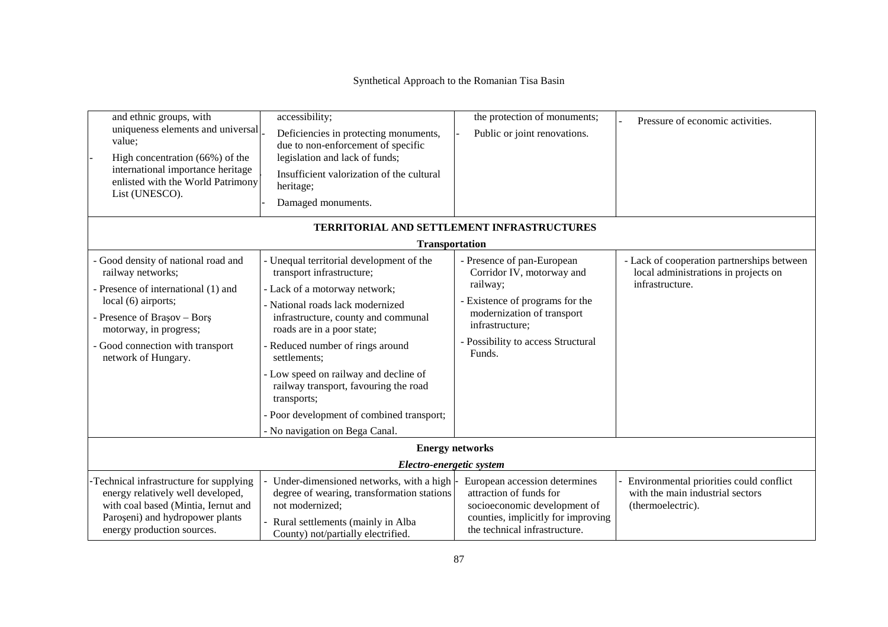| and ethnic groups, with<br>uniqueness elements and universal<br>value;<br>High concentration (66%) of the<br>international importance heritage<br>enlisted with the World Patrimony<br>List (UNESCO). | accessibility;<br>Deficiencies in protecting monuments,<br>due to non-enforcement of specific<br>legislation and lack of funds;<br>Insufficient valorization of the cultural<br>heritage;<br>Damaged monuments. | the protection of monuments;<br>Public or joint renovations.                                                                                                    | Pressure of economic activities.                                                                      |  |
|-------------------------------------------------------------------------------------------------------------------------------------------------------------------------------------------------------|-----------------------------------------------------------------------------------------------------------------------------------------------------------------------------------------------------------------|-----------------------------------------------------------------------------------------------------------------------------------------------------------------|-------------------------------------------------------------------------------------------------------|--|
|                                                                                                                                                                                                       |                                                                                                                                                                                                                 | TERRITORIAL AND SETTLEMENT INFRASTRUCTURES                                                                                                                      |                                                                                                       |  |
|                                                                                                                                                                                                       | <b>Transportation</b>                                                                                                                                                                                           |                                                                                                                                                                 |                                                                                                       |  |
| - Good density of national road and<br>railway networks;                                                                                                                                              | Unequal territorial development of the<br>transport infrastructure;                                                                                                                                             | - Presence of pan-European<br>Corridor IV, motorway and<br>railway;                                                                                             | - Lack of cooperation partnerships between<br>local administrations in projects on<br>infrastructure. |  |
| - Presence of international (1) and                                                                                                                                                                   | - Lack of a motorway network;                                                                                                                                                                                   |                                                                                                                                                                 |                                                                                                       |  |
| local (6) airports;<br>- Presence of Brașov - Borș<br>motorway, in progress;                                                                                                                          | - National roads lack modernized<br>infrastructure, county and communal<br>roads are in a poor state;                                                                                                           | - Existence of programs for the<br>modernization of transport<br>infrastructure;                                                                                |                                                                                                       |  |
| - Good connection with transport<br>network of Hungary.                                                                                                                                               | - Reduced number of rings around<br>settlements;                                                                                                                                                                | - Possibility to access Structural<br>Funds.                                                                                                                    |                                                                                                       |  |
|                                                                                                                                                                                                       | - Low speed on railway and decline of<br>railway transport, favouring the road<br>transports;                                                                                                                   |                                                                                                                                                                 |                                                                                                       |  |
|                                                                                                                                                                                                       | - Poor development of combined transport;                                                                                                                                                                       |                                                                                                                                                                 |                                                                                                       |  |
|                                                                                                                                                                                                       | - No navigation on Bega Canal.                                                                                                                                                                                  |                                                                                                                                                                 |                                                                                                       |  |
|                                                                                                                                                                                                       |                                                                                                                                                                                                                 | <b>Energy networks</b>                                                                                                                                          |                                                                                                       |  |
|                                                                                                                                                                                                       | Electro-energetic system                                                                                                                                                                                        |                                                                                                                                                                 |                                                                                                       |  |
| -Technical infrastructure for supplying<br>energy relatively well developed,<br>with coal based (Mintia, Iernut and<br>Paroseni) and hydropower plants<br>energy production sources.                  | Under-dimensioned networks, with a high<br>degree of wearing, transformation stations<br>not modernized:<br>Rural settlements (mainly in Alba<br>County) not/partially electrified.                             | European accession determines<br>attraction of funds for<br>socioeconomic development of<br>counties, implicitly for improving<br>the technical infrastructure. | Environmental priorities could conflict<br>with the main industrial sectors<br>(thermoelectric).      |  |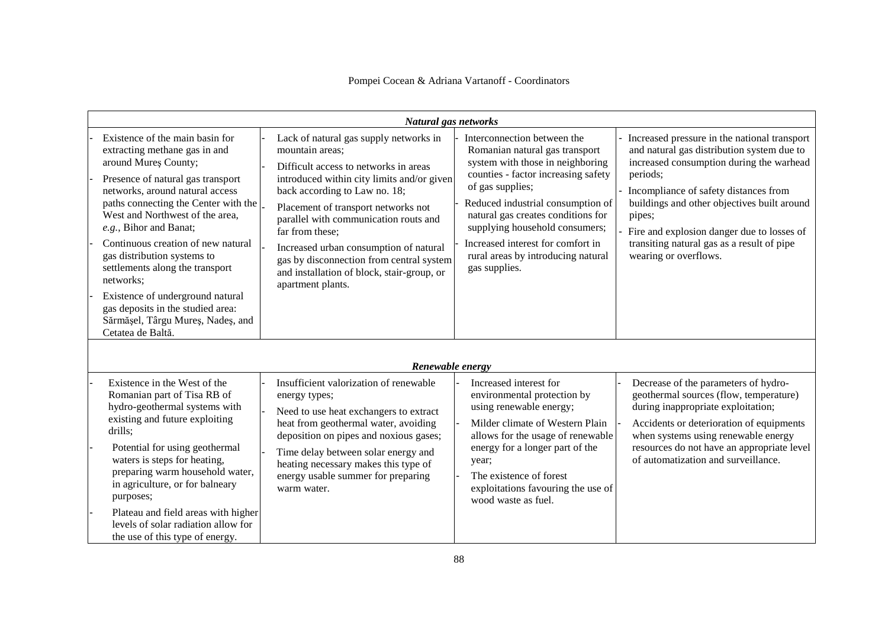|                                                                                                                                                                                                                                                                                                                                                                                                                                                                                                                               | Natural gas networks                                                                                                                                                                                                                                                                                                                                                                                                                          |                                                                                                                                                                                                                                                                                                                                                                       |                                                                                                                                                                                                                                                                                                                                                                           |
|-------------------------------------------------------------------------------------------------------------------------------------------------------------------------------------------------------------------------------------------------------------------------------------------------------------------------------------------------------------------------------------------------------------------------------------------------------------------------------------------------------------------------------|-----------------------------------------------------------------------------------------------------------------------------------------------------------------------------------------------------------------------------------------------------------------------------------------------------------------------------------------------------------------------------------------------------------------------------------------------|-----------------------------------------------------------------------------------------------------------------------------------------------------------------------------------------------------------------------------------------------------------------------------------------------------------------------------------------------------------------------|---------------------------------------------------------------------------------------------------------------------------------------------------------------------------------------------------------------------------------------------------------------------------------------------------------------------------------------------------------------------------|
| Existence of the main basin for<br>extracting methane gas in and<br>around Mureș County;<br>Presence of natural gas transport<br>networks, around natural access<br>paths connecting the Center with the<br>West and Northwest of the area,<br>e.g., Bihor and Banat;<br>Continuous creation of new natural<br>gas distribution systems to<br>settlements along the transport<br>networks:<br>Existence of underground natural<br>gas deposits in the studied area:<br>Sărmășel, Târgu Mureș, Nadeș, and<br>Cetatea de Baltă. | Lack of natural gas supply networks in<br>mountain areas;<br>Difficult access to networks in areas<br>introduced within city limits and/or given<br>back according to Law no. 18;<br>Placement of transport networks not<br>parallel with communication routs and<br>far from these;<br>Increased urban consumption of natural<br>gas by disconnection from central system<br>and installation of block, stair-group, or<br>apartment plants. | Interconnection between the<br>Romanian natural gas transport<br>system with those in neighboring<br>counties - factor increasing safety<br>of gas supplies;<br>Reduced industrial consumption of<br>natural gas creates conditions for<br>supplying household consumers;<br>Increased interest for comfort in<br>rural areas by introducing natural<br>gas supplies. | Increased pressure in the national transport<br>and natural gas distribution system due to<br>increased consumption during the warhead<br>periods;<br>Incompliance of safety distances from<br>buildings and other objectives built around<br>pipes;<br>Fire and explosion danger due to losses of<br>transiting natural gas as a result of pipe<br>wearing or overflows. |
|                                                                                                                                                                                                                                                                                                                                                                                                                                                                                                                               | Renewable energy                                                                                                                                                                                                                                                                                                                                                                                                                              |                                                                                                                                                                                                                                                                                                                                                                       |                                                                                                                                                                                                                                                                                                                                                                           |
| Existence in the West of the<br>Romanian part of Tisa RB of<br>hydro-geothermal systems with<br>existing and future exploiting<br>drills;<br>Potential for using geothermal<br>waters is steps for heating,<br>preparing warm household water,<br>in agriculture, or for balneary<br>purposes;<br>Plateau and field areas with higher<br>levels of solar radiation allow for<br>the use of this type of energy.                                                                                                               | Insufficient valorization of renewable<br>energy types;<br>Need to use heat exchangers to extract<br>heat from geothermal water, avoiding<br>deposition on pipes and noxious gases;<br>Time delay between solar energy and<br>heating necessary makes this type of<br>energy usable summer for preparing<br>warm water.                                                                                                                       | Increased interest for<br>environmental protection by<br>using renewable energy;<br>Milder climate of Western Plain<br>allows for the usage of renewable<br>energy for a longer part of the<br>year;<br>The existence of forest<br>exploitations favouring the use of<br>wood waste as fuel.                                                                          | Decrease of the parameters of hydro-<br>geothermal sources (flow, temperature)<br>during inappropriate exploitation;<br>Accidents or deterioration of equipments<br>when systems using renewable energy<br>resources do not have an appropriate level<br>of automatization and surveillance.                                                                              |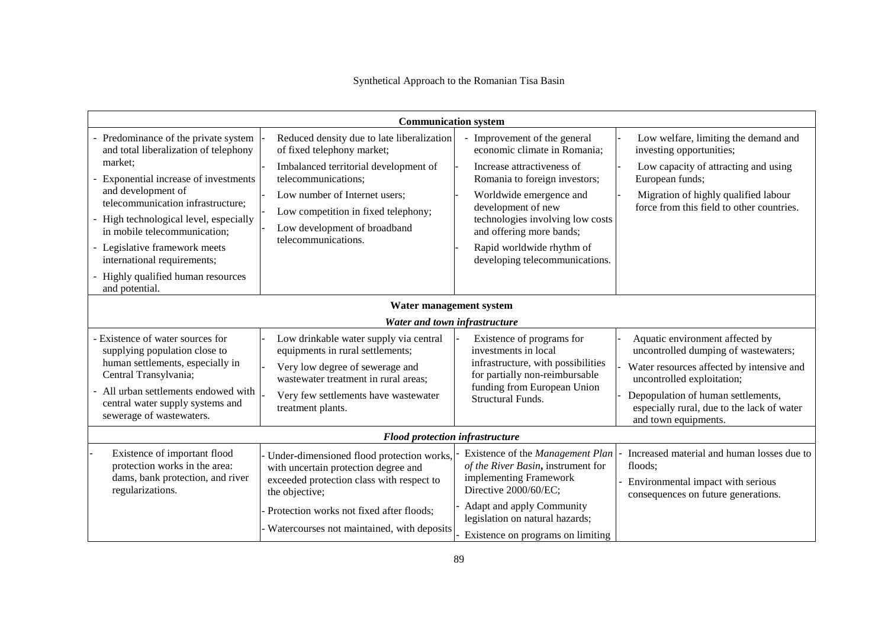|                                                                                                                                                                                                                                                                                                                                                                          | <b>Communication system</b>                                                                                                                                                                                                                                             |                                                                                                                                                                                                                                                                                                             |                                                                                                                                                                                                                                                                |  |
|--------------------------------------------------------------------------------------------------------------------------------------------------------------------------------------------------------------------------------------------------------------------------------------------------------------------------------------------------------------------------|-------------------------------------------------------------------------------------------------------------------------------------------------------------------------------------------------------------------------------------------------------------------------|-------------------------------------------------------------------------------------------------------------------------------------------------------------------------------------------------------------------------------------------------------------------------------------------------------------|----------------------------------------------------------------------------------------------------------------------------------------------------------------------------------------------------------------------------------------------------------------|--|
| - Predominance of the private system<br>and total liberalization of telephony<br>market;<br>Exponential increase of investments<br>and development of<br>telecommunication infrastructure;<br>High technological level, especially<br>in mobile telecommunication;<br>- Legislative framework meets<br>international requirements;<br>- Highly qualified human resources | Reduced density due to late liberalization<br>of fixed telephony market;<br>Imbalanced territorial development of<br>telecommunications;<br>Low number of Internet users;<br>Low competition in fixed telephony;<br>Low development of broadband<br>telecommunications. | - Improvement of the general<br>economic climate in Romania;<br>Increase attractiveness of<br>Romania to foreign investors;<br>Worldwide emergence and<br>development of new<br>technologies involving low costs<br>and offering more bands;<br>Rapid worldwide rhythm of<br>developing telecommunications. | Low welfare, limiting the demand and<br>investing opportunities;<br>Low capacity of attracting and using<br>European funds;<br>Migration of highly qualified labour<br>force from this field to other countries.                                               |  |
| and potential.                                                                                                                                                                                                                                                                                                                                                           |                                                                                                                                                                                                                                                                         |                                                                                                                                                                                                                                                                                                             |                                                                                                                                                                                                                                                                |  |
| Water management system<br>Water and town infrastructure                                                                                                                                                                                                                                                                                                                 |                                                                                                                                                                                                                                                                         |                                                                                                                                                                                                                                                                                                             |                                                                                                                                                                                                                                                                |  |
| - Existence of water sources for<br>supplying population close to<br>human settlements, especially in<br>Central Transylvania;<br>All urban settlements endowed with<br>central water supply systems and<br>sewerage of wastewaters.                                                                                                                                     | Low drinkable water supply via central<br>equipments in rural settlements;<br>Very low degree of sewerage and<br>wastewater treatment in rural areas;<br>Very few settlements have wastewater<br>treatment plants.                                                      | Existence of programs for<br>investments in local<br>infrastructure, with possibilities<br>for partially non-reimbursable<br>funding from European Union<br>Structural Funds.                                                                                                                               | Aquatic environment affected by<br>uncontrolled dumping of wastewaters;<br>Water resources affected by intensive and<br>uncontrolled exploitation;<br>Depopulation of human settlements,<br>especially rural, due to the lack of water<br>and town equipments. |  |
| <b>Flood protection infrastructure</b>                                                                                                                                                                                                                                                                                                                                   |                                                                                                                                                                                                                                                                         |                                                                                                                                                                                                                                                                                                             |                                                                                                                                                                                                                                                                |  |
| Existence of important flood<br>protection works in the area:<br>dams, bank protection, and river<br>regularizations.                                                                                                                                                                                                                                                    | Under-dimensioned flood protection works,<br>with uncertain protection degree and<br>exceeded protection class with respect to<br>the objective;<br>Protection works not fixed after floods;                                                                            | Existence of the Management Plan<br>of the River Basin, instrument for<br>implementing Framework<br>Directive 2000/60/EC;<br>Adapt and apply Community<br>legislation on natural hazards;                                                                                                                   | Increased material and human losses due to<br>floods;<br>Environmental impact with serious<br>consequences on future generations.                                                                                                                              |  |
|                                                                                                                                                                                                                                                                                                                                                                          | Watercourses not maintained, with deposits                                                                                                                                                                                                                              | Existence on programs on limiting                                                                                                                                                                                                                                                                           |                                                                                                                                                                                                                                                                |  |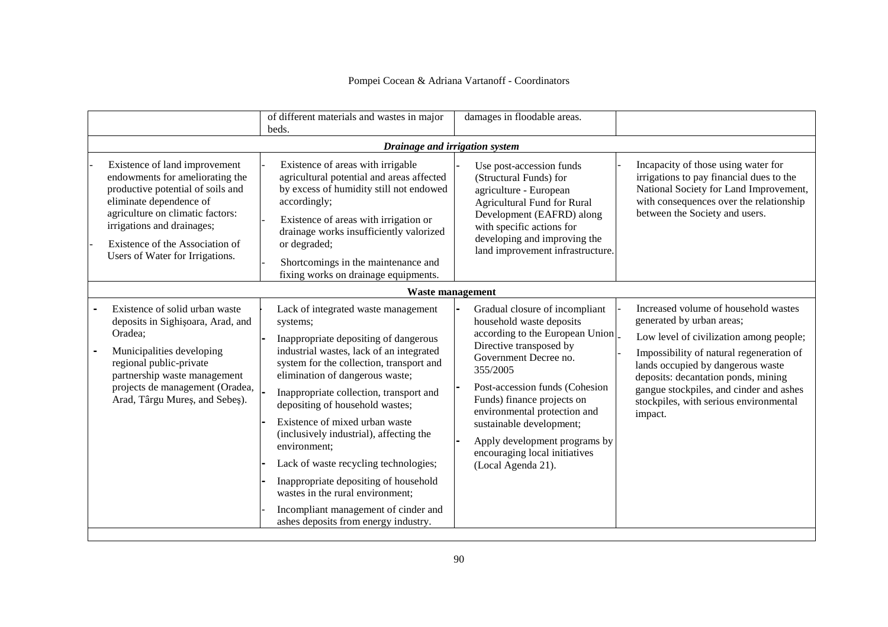|                                                                                                                                                                                                                                                                          | of different materials and wastes in major<br>beds.                                                                                                                                                                                                                                                                                                                                                                                                                                                                                                                                                  | damages in floodable areas.                                                                                                                                                                                                                                                                                                                                                       |                                                                                                                                                                                                                                                                                                                                      |
|--------------------------------------------------------------------------------------------------------------------------------------------------------------------------------------------------------------------------------------------------------------------------|------------------------------------------------------------------------------------------------------------------------------------------------------------------------------------------------------------------------------------------------------------------------------------------------------------------------------------------------------------------------------------------------------------------------------------------------------------------------------------------------------------------------------------------------------------------------------------------------------|-----------------------------------------------------------------------------------------------------------------------------------------------------------------------------------------------------------------------------------------------------------------------------------------------------------------------------------------------------------------------------------|--------------------------------------------------------------------------------------------------------------------------------------------------------------------------------------------------------------------------------------------------------------------------------------------------------------------------------------|
|                                                                                                                                                                                                                                                                          | Drainage and irrigation system                                                                                                                                                                                                                                                                                                                                                                                                                                                                                                                                                                       |                                                                                                                                                                                                                                                                                                                                                                                   |                                                                                                                                                                                                                                                                                                                                      |
| Existence of land improvement<br>endowments for ameliorating the<br>productive potential of soils and<br>eliminate dependence of<br>agriculture on climatic factors:<br>irrigations and drainages;<br>Existence of the Association of<br>Users of Water for Irrigations. | Existence of areas with irrigable<br>agricultural potential and areas affected<br>by excess of humidity still not endowed<br>accordingly;<br>Existence of areas with irrigation or<br>drainage works insufficiently valorized<br>or degraded;<br>Shortcomings in the maintenance and<br>fixing works on drainage equipments.                                                                                                                                                                                                                                                                         | Use post-accession funds<br>(Structural Funds) for<br>agriculture - European<br><b>Agricultural Fund for Rural</b><br>Development (EAFRD) along<br>with specific actions for<br>developing and improving the<br>land improvement infrastructure.                                                                                                                                  | Incapacity of those using water for<br>irrigations to pay financial dues to the<br>National Society for Land Improvement,<br>with consequences over the relationship<br>between the Society and users.                                                                                                                               |
|                                                                                                                                                                                                                                                                          | <b>Waste management</b>                                                                                                                                                                                                                                                                                                                                                                                                                                                                                                                                                                              |                                                                                                                                                                                                                                                                                                                                                                                   |                                                                                                                                                                                                                                                                                                                                      |
| Existence of solid urban waste<br>deposits in Sighisoara, Arad, and<br>Oradea:<br>Municipalities developing<br>regional public-private<br>partnership waste management<br>projects de management (Oradea,<br>Arad, Târgu Mures, and Sebes).                              | Lack of integrated waste management<br>systems;<br>Inappropriate depositing of dangerous<br>industrial wastes, lack of an integrated<br>system for the collection, transport and<br>elimination of dangerous waste;<br>Inappropriate collection, transport and<br>depositing of household wastes;<br>Existence of mixed urban waste<br>(inclusively industrial), affecting the<br>environment;<br>Lack of waste recycling technologies;<br>Inappropriate depositing of household<br>wastes in the rural environment;<br>Incompliant management of cinder and<br>ashes deposits from energy industry. | Gradual closure of incompliant<br>household waste deposits<br>according to the European Union<br>Directive transposed by<br>Government Decree no.<br>355/2005<br>Post-accession funds (Cohesion<br>Funds) finance projects on<br>environmental protection and<br>sustainable development;<br>Apply development programs by<br>encouraging local initiatives<br>(Local Agenda 21). | Increased volume of household wastes<br>generated by urban areas;<br>Low level of civilization among people;<br>Impossibility of natural regeneration of<br>lands occupied by dangerous waste<br>deposits: decantation ponds, mining<br>gangue stockpiles, and cinder and ashes<br>stockpiles, with serious environmental<br>impact. |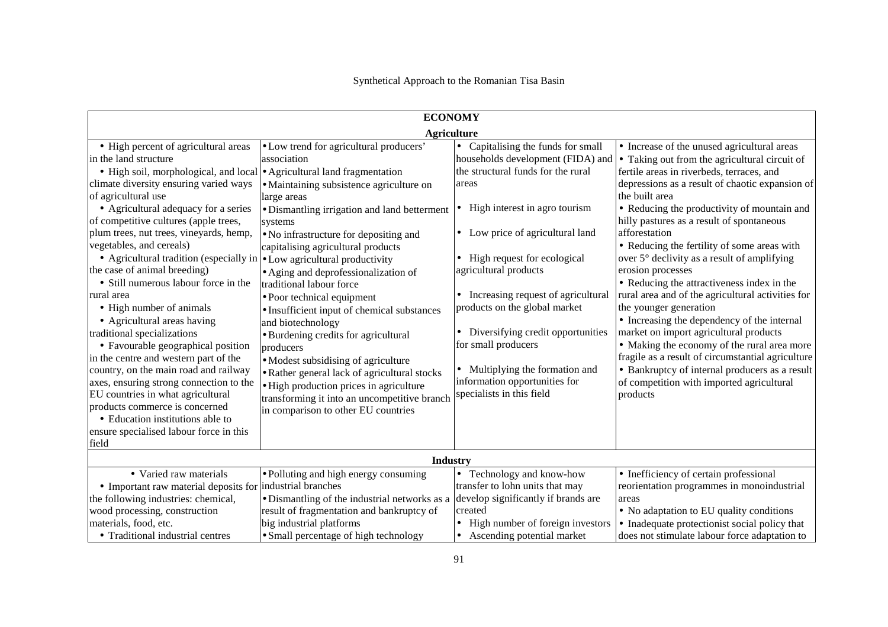| <b>ECONOMY</b>                                                                                                                                                                                                                                                                                                                                                                                                                                                                                                                                                                                                                                                                                                                                                                                                                                                                                                                                              |                                                                                                                                                                                                                                                                                                                                                                                                                                                                                                                                                                                                                                                                                                                  |                                                                                                                                                                                                                                                                                                                                                                                                                                                                                                      |                                                                                                                                                                                                                                                                                                                                                                                                                                                                                                                                                                                                                                                                                                                                                                                                                                                                                     |  |
|-------------------------------------------------------------------------------------------------------------------------------------------------------------------------------------------------------------------------------------------------------------------------------------------------------------------------------------------------------------------------------------------------------------------------------------------------------------------------------------------------------------------------------------------------------------------------------------------------------------------------------------------------------------------------------------------------------------------------------------------------------------------------------------------------------------------------------------------------------------------------------------------------------------------------------------------------------------|------------------------------------------------------------------------------------------------------------------------------------------------------------------------------------------------------------------------------------------------------------------------------------------------------------------------------------------------------------------------------------------------------------------------------------------------------------------------------------------------------------------------------------------------------------------------------------------------------------------------------------------------------------------------------------------------------------------|------------------------------------------------------------------------------------------------------------------------------------------------------------------------------------------------------------------------------------------------------------------------------------------------------------------------------------------------------------------------------------------------------------------------------------------------------------------------------------------------------|-------------------------------------------------------------------------------------------------------------------------------------------------------------------------------------------------------------------------------------------------------------------------------------------------------------------------------------------------------------------------------------------------------------------------------------------------------------------------------------------------------------------------------------------------------------------------------------------------------------------------------------------------------------------------------------------------------------------------------------------------------------------------------------------------------------------------------------------------------------------------------------|--|
|                                                                                                                                                                                                                                                                                                                                                                                                                                                                                                                                                                                                                                                                                                                                                                                                                                                                                                                                                             | <b>Agriculture</b>                                                                                                                                                                                                                                                                                                                                                                                                                                                                                                                                                                                                                                                                                               |                                                                                                                                                                                                                                                                                                                                                                                                                                                                                                      |                                                                                                                                                                                                                                                                                                                                                                                                                                                                                                                                                                                                                                                                                                                                                                                                                                                                                     |  |
| • High percent of agricultural areas<br>in the land structure<br>• High soil, morphological, and local • Agricultural land fragmentation<br>climate diversity ensuring varied ways<br>of agricultural use<br>• Agricultural adequacy for a series<br>of competitive cultures (apple trees,<br>plum trees, nut trees, vineyards, hemp,<br>vegetables, and cereals)<br>• Agricultural tradition (especially in $\cdot$ Low agricultural productivity<br>the case of animal breeding)<br>• Still numerous labour force in the<br>rural area<br>• High number of animals<br>• Agricultural areas having<br>traditional specializations<br>• Favourable geographical position<br>in the centre and western part of the<br>country, on the main road and railway<br>axes, ensuring strong connection to the<br>EU countries in what agricultural<br>products commerce is concerned<br>• Education institutions able to<br>ensure specialised labour force in this | • Low trend for agricultural producers'<br>association<br>• Maintaining subsistence agriculture on<br>large areas<br>• Dismantling irrigation and land betterment<br>systems<br>• No infrastructure for depositing and<br>capitalising agricultural products<br>• Aging and deprofessionalization of<br>traditional labour force<br>• Poor technical equipment<br>• Insufficient input of chemical substances<br>and biotechnology<br>• Burdening credits for agricultural<br>producers<br>• Modest subsidising of agriculture<br>• Rather general lack of agricultural stocks<br>• High production prices in agriculture<br>transforming it into an uncompetitive branch<br>in comparison to other EU countries | • Capitalising the funds for small<br>households development (FIDA) and<br>the structural funds for the rural<br>areas<br>High interest in agro tourism<br>$\bullet$<br>• Low price of agricultural land<br>• High request for ecological<br>agricultural products<br>Increasing request of agricultural<br>products on the global market<br>Diversifying credit opportunities<br>for small producers<br>Multiplying the formation and<br>information opportunities for<br>specialists in this field | • Increase of the unused agricultural areas<br>• Taking out from the agricultural circuit of<br>fertile areas in riverbeds, terraces, and<br>depressions as a result of chaotic expansion of<br>the built area<br>• Reducing the productivity of mountain and<br>hilly pastures as a result of spontaneous<br>afforestation<br>• Reducing the fertility of some areas with<br>over 5° declivity as a result of amplifying<br>erosion processes<br>• Reducing the attractiveness index in the<br>rural area and of the agricultural activities for<br>the younger generation<br>• Increasing the dependency of the internal<br>market on import agricultural products<br>• Making the economy of the rural area more<br>fragile as a result of circumstantial agriculture<br>• Bankruptcy of internal producers as a result<br>of competition with imported agricultural<br>products |  |
| field                                                                                                                                                                                                                                                                                                                                                                                                                                                                                                                                                                                                                                                                                                                                                                                                                                                                                                                                                       |                                                                                                                                                                                                                                                                                                                                                                                                                                                                                                                                                                                                                                                                                                                  |                                                                                                                                                                                                                                                                                                                                                                                                                                                                                                      |                                                                                                                                                                                                                                                                                                                                                                                                                                                                                                                                                                                                                                                                                                                                                                                                                                                                                     |  |
| Industry                                                                                                                                                                                                                                                                                                                                                                                                                                                                                                                                                                                                                                                                                                                                                                                                                                                                                                                                                    |                                                                                                                                                                                                                                                                                                                                                                                                                                                                                                                                                                                                                                                                                                                  |                                                                                                                                                                                                                                                                                                                                                                                                                                                                                                      |                                                                                                                                                                                                                                                                                                                                                                                                                                                                                                                                                                                                                                                                                                                                                                                                                                                                                     |  |
| • Varied raw materials<br>• Important raw material deposits for industrial branches                                                                                                                                                                                                                                                                                                                                                                                                                                                                                                                                                                                                                                                                                                                                                                                                                                                                         | • Polluting and high energy consuming                                                                                                                                                                                                                                                                                                                                                                                                                                                                                                                                                                                                                                                                            | • Technology and know-how<br>transfer to lohn units that may                                                                                                                                                                                                                                                                                                                                                                                                                                         | • Inefficiency of certain professional<br>reorientation programmes in monoindustrial                                                                                                                                                                                                                                                                                                                                                                                                                                                                                                                                                                                                                                                                                                                                                                                                |  |
| the following industries: chemical,<br>wood processing, construction<br>materials, food, etc.                                                                                                                                                                                                                                                                                                                                                                                                                                                                                                                                                                                                                                                                                                                                                                                                                                                               | • Dismantling of the industrial networks as a<br>result of fragmentation and bankruptcy of<br>big industrial platforms                                                                                                                                                                                                                                                                                                                                                                                                                                                                                                                                                                                           | develop significantly if brands are<br>created<br>• High number of foreign investors                                                                                                                                                                                                                                                                                                                                                                                                                 | areas<br>• No adaptation to EU quality conditions<br>• Inadequate protectionist social policy that                                                                                                                                                                                                                                                                                                                                                                                                                                                                                                                                                                                                                                                                                                                                                                                  |  |
| • Traditional industrial centres                                                                                                                                                                                                                                                                                                                                                                                                                                                                                                                                                                                                                                                                                                                                                                                                                                                                                                                            | • Small percentage of high technology                                                                                                                                                                                                                                                                                                                                                                                                                                                                                                                                                                                                                                                                            | • Ascending potential market                                                                                                                                                                                                                                                                                                                                                                                                                                                                         | does not stimulate labour force adaptation to                                                                                                                                                                                                                                                                                                                                                                                                                                                                                                                                                                                                                                                                                                                                                                                                                                       |  |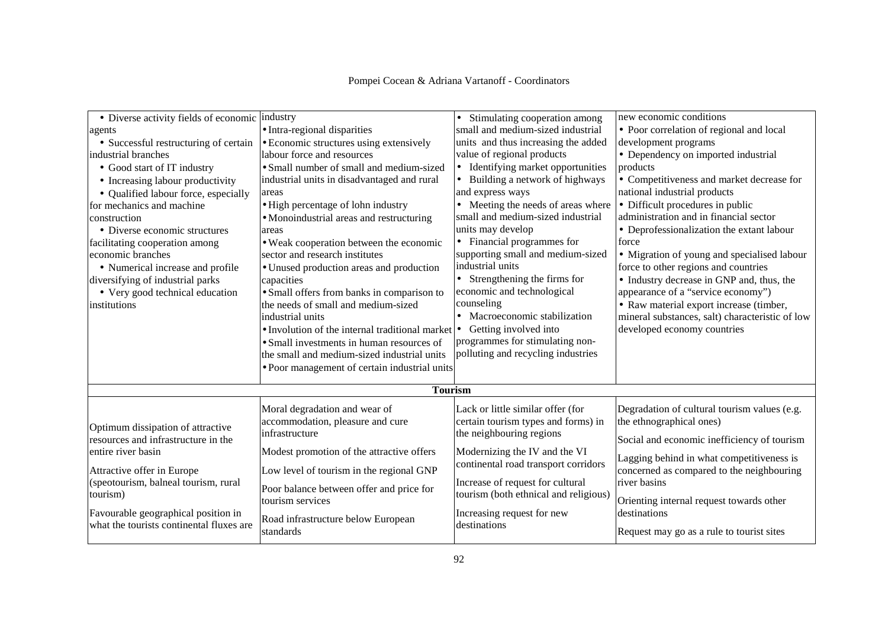| • Diverse activity fields of economic industry                                  |                                                                   | • Stimulating cooperation among            | new economic conditions                         |  |  |
|---------------------------------------------------------------------------------|-------------------------------------------------------------------|--------------------------------------------|-------------------------------------------------|--|--|
| agents                                                                          | • Intra-regional disparities                                      | small and medium-sized industrial          | • Poor correlation of regional and local        |  |  |
| • Successful restructuring of certain                                           | • Economic structures using extensively                           | units and thus increasing the added        | development programs                            |  |  |
| industrial branches                                                             | labour force and resources                                        | value of regional products                 | • Dependency on imported industrial             |  |  |
| • Good start of IT industry                                                     | • Small number of small and medium-sized                          | • Identifying market opportunities         | products                                        |  |  |
| • Increasing labour productivity                                                | industrial units in disadvantaged and rural                       | • Building a network of highways           | • Competitiveness and market decrease for       |  |  |
| • Qualified labour force, especially                                            | areas                                                             | and express ways                           | national industrial products                    |  |  |
| for mechanics and machine                                                       | • High percentage of lohn industry                                | • Meeting the needs of areas where         | • Difficult procedures in public                |  |  |
| construction                                                                    | • Monoindustrial areas and restructuring                          | small and medium-sized industrial          | administration and in financial sector          |  |  |
| • Diverse economic structures                                                   | areas                                                             | units may develop                          | • Deprofessionalization the extant labour       |  |  |
| facilitating cooperation among                                                  | • Weak cooperation between the economic                           | • Financial programmes for                 | force                                           |  |  |
| economic branches                                                               | sector and research institutes                                    | supporting small and medium-sized          | • Migration of young and specialised labour     |  |  |
| • Numerical increase and profile                                                | • Unused production areas and production                          | industrial units                           | force to other regions and countries            |  |  |
| diversifying of industrial parks                                                | capacities                                                        | • Strengthening the firms for              | • Industry decrease in GNP and, thus, the       |  |  |
| • Very good technical education                                                 | • Small offers from banks in comparison to                        | economic and technological                 | appearance of a "service economy")              |  |  |
| institutions                                                                    | the needs of small and medium-sized                               | counseling                                 | • Raw material export increase (timber,         |  |  |
|                                                                                 | industrial units                                                  | • Macroeconomic stabilization              | mineral substances, salt) characteristic of low |  |  |
|                                                                                 | $\bullet$ Involution of the internal traditional market $\bullet$ | Getting involved into                      | developed economy countries                     |  |  |
|                                                                                 | • Small investments in human resources of                         | programmes for stimulating non-            |                                                 |  |  |
|                                                                                 | the small and medium-sized industrial units                       | polluting and recycling industries         |                                                 |  |  |
|                                                                                 | • Poor management of certain industrial units                     |                                            |                                                 |  |  |
|                                                                                 | <b>Tourism</b>                                                    |                                            |                                                 |  |  |
|                                                                                 |                                                                   |                                            |                                                 |  |  |
|                                                                                 | Moral degradation and wear of                                     | Lack or little similar offer (for          | Degradation of cultural tourism values (e.g.    |  |  |
| Optimum dissipation of attractive                                               | accommodation, pleasure and cure                                  | certain tourism types and forms) in        | the ethnographical ones)                        |  |  |
| resources and infrastructure in the                                             | infrastructure                                                    | the neighbouring regions                   | Social and economic inefficiency of tourism     |  |  |
| entire river basin                                                              | Modest promotion of the attractive offers                         | Modernizing the IV and the VI              |                                                 |  |  |
|                                                                                 |                                                                   | continental road transport corridors       | Lagging behind in what competitiveness is       |  |  |
| Attractive offer in Europe                                                      | Low level of tourism in the regional GNP                          |                                            | concerned as compared to the neighbouring       |  |  |
| (speotourism, balneal tourism, rural                                            | Poor balance between offer and price for                          | Increase of request for cultural           | river basins                                    |  |  |
| tourism)                                                                        | tourism services                                                  | tourism (both ethnical and religious)      | Orienting internal request towards other        |  |  |
| Favourable geographical position in<br>what the tourists continental fluxes are | Road infrastructure below European<br>standards                   | Increasing request for new<br>destinations | destinations                                    |  |  |
|                                                                                 |                                                                   |                                            | Request may go as a rule to tourist sites       |  |  |
|                                                                                 |                                                                   |                                            |                                                 |  |  |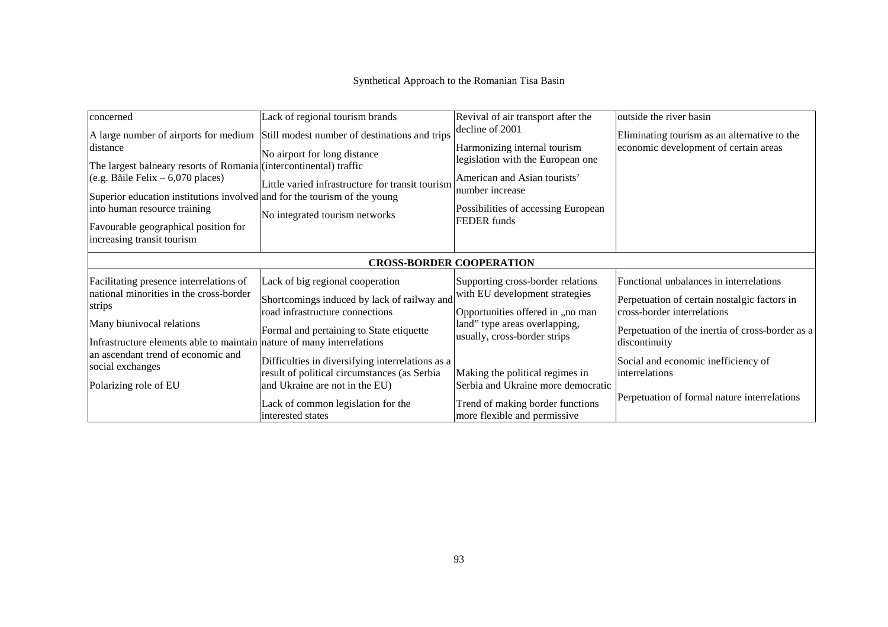| concerned<br>distance<br>The largest balneary resorts of Romania (intercontinental) traffic<br>(e.g. Băile Felix – 6,070 places)<br>Superior education institutions involved and for the tourism of the young | Lack of regional tourism brands<br>A large number of airports for medium Still modest number of destinations and trips<br>No airport for long distance<br>Little varied infrastructure for transit tourism | Revival of air transport after the<br>decline of 2001<br>Harmonizing internal tourism<br>legislation with the European one<br>American and Asian tourists'<br>number increase | outside the river basin<br>Eliminating tourism as an alternative to the<br>economic development of certain areas                                                                            |  |  |
|---------------------------------------------------------------------------------------------------------------------------------------------------------------------------------------------------------------|------------------------------------------------------------------------------------------------------------------------------------------------------------------------------------------------------------|-------------------------------------------------------------------------------------------------------------------------------------------------------------------------------|---------------------------------------------------------------------------------------------------------------------------------------------------------------------------------------------|--|--|
| into human resource training<br>Favourable geographical position for<br>increasing transit tourism                                                                                                            | No integrated tourism networks                                                                                                                                                                             | Possibilities of accessing European<br><b>FEDER</b> funds                                                                                                                     |                                                                                                                                                                                             |  |  |
| <b>CROSS-BORDER COOPERATION</b>                                                                                                                                                                               |                                                                                                                                                                                                            |                                                                                                                                                                               |                                                                                                                                                                                             |  |  |
| Facilitating presence interrelations of<br>national minorities in the cross-border<br>strips<br>Many biunivocal relations<br>Infrastructure elements able to maintain nature of many interrelations           | Lack of big regional cooperation<br>Shortcomings induced by lack of railway and<br>road infrastructure connections<br>Formal and pertaining to State etiquette                                             | Supporting cross-border relations<br>with EU development strategies<br>Opportunities offered in "no man<br>land" type areas overlapping,<br>usually, cross-border strips      | Functional unbalances in interrelations<br>Perpetuation of certain nostalgic factors in<br>cross-border interrelations<br>Perpetuation of the inertia of cross-border as a<br>discontinuity |  |  |
| an ascendant trend of economic and<br>social exchanges<br>Polarizing role of EU                                                                                                                               | Difficulties in diversifying interrelations as a<br>result of political circumstances (as Serbia<br>and Ukraine are not in the EU)<br>Lack of common legislation for the<br>interested states              | Making the political regimes in<br>Serbia and Ukraine more democratic<br>Trend of making border functions<br>more flexible and permissive                                     | Social and economic inefficiency of<br>interrelations<br>Perpetuation of formal nature interrelations                                                                                       |  |  |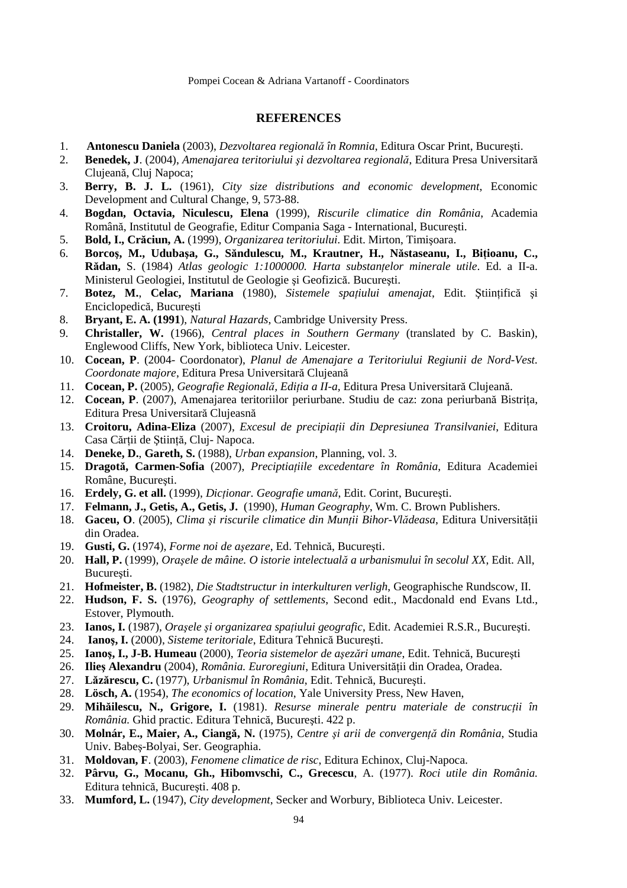### **REFERENCES**

- 1. **Antonescu Daniela** (2003), *Dezvoltarea regională în Romnia*, Editura Oscar Print, Bucureşti.
- 2. **Benedek, J**. (2004), *Amenajarea teritoriului şi dezvoltarea regională*, Editura Presa Universitară Clujeană, Cluj Napoca;
- 3. **Berry, B. J. L.** (1961), *City size distributions and economic development*, Economic Development and Cultural Change, 9, 573-88.
- 4. **Bogdan, Octavia, Niculescu, Elena** (1999), *Riscurile climatice din România*, Academia Română, Institutul de Geografie, Editur Compania Saga - International, Bucureşti.
- 5. **Bold, I., Crăciun, A.** (1999), *Organizarea teritoriului*. Edit. Mirton, Timişoara.
- 6. **Borcoş, M., Udubaşa, G., Săndulescu, M., Krautner, H., Năstaseanu, I., BiŃioanu, C., Rădan,** S. (1984) *Atlas geologic 1:1000000. Harta substantelor minerale utile*. Ed. a II-a. Ministerul Geologiei, Institutul de Geologie şi Geofizică. Bucureşti.
- 7. **Botez, M., Celac, Mariana** (1980), *Sistemele spațiului amenajat*, Edit. Științifică și Enciclopedică, Bucureşti
- 8. **Bryant, E. A. (1991**), *Natural Hazards*, Cambridge University Press.
- 9. **Christaller, W.** (1966), *Central places in Southern Germany* (translated by C. Baskin), Englewood Cliffs, New York, biblioteca Univ. Leicester.
- 10. **Cocean, P**. (2004- Coordonator), *Planul de Amenajare a Teritoriului Regiunii de Nord-Vest. Coordonate majore*, Editura Presa Universitară Clujeană
- 11. **Cocean, P.** (2005), *Geografie Regională, EdiŃia a II-a,* Editura Presa Universitară Clujeană.
- 12. **Cocean, P**. (2007), Amenajarea teritoriilor periurbane. Studiu de caz: zona periurbană Bistrita, Editura Presa Universitară Clujeasnă
- 13. **Croitoru, Adina-Eliza** (2007), *Excesul de precipiaŃii din Depresiunea Transilvaniei*, Editura Casa Cărții de Știință, Cluj- Napoca.
- 14. **Deneke, D.**, **Gareth, S.** (1988), *Urban expansion*, Planning, vol. 3.
- 15. **Dragotă, Carmen-Sofia** (2007), *Preciptiațiile excedentare în România*, Editura Academiei Române, Bucureşti.
- 16. **Erdely, G. et all.** (1999), *Dicționar. Geografie umană*, Edit. Corint, București.
- 17. **Felmann, J., Getis, A., Getis, J.** (1990), *Human Geography*, Wm. C. Brown Publishers.
- 18. **Gaceu, O**. (2005), *Clima și riscurile climatice din Munții Bihor-Vlădeasa*, Editura Universității din Oradea.
- 19. **Gusti, G.** (1974), *Forme noi de aşezare*, Ed. Tehnică, Bucureşti.
- 20. **Hall, P.** (1999), *Oraşele de mâine. O istorie intelectuală a urbanismului în secolul XX*, Edit. All, Bucureşti.
- 21. **Hofmeister, B.** (1982), *Die Stadtstructur in interkulturen verligh*, Geographische Rundscow, II.
- 22. **Hudson, F. S.** (1976), *Geography of settlements*, Second edit., Macdonald end Evans Ltd., Estover, Plymouth.
- 23. **Ianos, I.** (1987), *Oraşele şi organizarea spaŃiului geografic*, Edit. Academiei R.S.R., Bucureşti.
- 24. **Ianoş, I.** (2000), *Sisteme teritoriale*, Editura Tehnică Bucureşti.
- 25. **Ianoş, I., J-B. Humeau** (2000), *Teoria sistemelor de aşezări umane*, Edit. Tehnică, Bucureşti
- 26. **Ilies Alexandru** (2004), *România. Euroregiuni*, Editura Universității din Oradea, Oradea.
- 27. **Lăzărescu, C.** (1977), *Urbanismul în România*, Edit. Tehnică, Bucureşti.
- 28. **Lösch, A.** (1954), *The economics of location*, Yale University Press, New Haven,
- 29. **Mihăilescu, N., Grigore, I.** (1981). Resurse minerale pentru materiale de construcții în *România.* Ghid practic. Editura Tehnică, Bucureşti. 422 p.
- 30. **Molnár, E., Maier, A., Ciangă, N.** (1975), *Centre şi arii de convergenŃă din România*, Studia Univ. Babeş-Bolyai, Ser. Geographia.
- 31. **Moldovan, F**. (2003), *Fenomene climatice de risc*, Editura Echinox, Cluj-Napoca.
- 32. **Pârvu, G., Mocanu, Gh., Hibomvschi, C., Grecescu**, A. (1977). *Roci utile din România.* Editura tehnică, Bucureşti. 408 p.
- 33. **Mumford, L.** (1947), *City development*, Secker and Worbury, Biblioteca Univ. Leicester.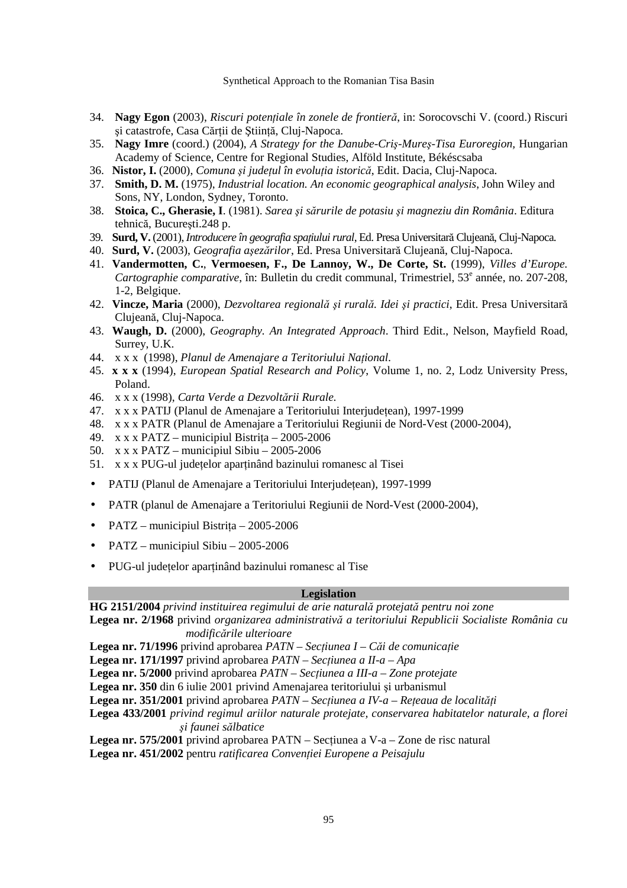- 34. **Nagy Egon** (2003), *Riscuri potențiale în zonele de frontieră*, in: Sorocovschi V. (coord.) Riscuri și catastrofe, Casa Cărții de Știință, Cluj-Napoca.
- 35. **Nagy Imre** (coord.) (2004), *A Strategy for the Danube-Criş-Mureş-Tisa Euroregion,* Hungarian Academy of Science, Centre for Regional Studies, Alföld Institute, Békéscsaba
- 36. **Nistor, I.** (2000), *Comuna şi judeŃul în evoluŃia istorică*, Edit. Dacia, Cluj-Napoca.
- 37. **Smith, D. M.** (1975), *Industrial location. An economic geographical analysis*, John Wiley and Sons, NY, London, Sydney, Toronto.
- 38. **Stoica, C., Gherasie, I**. (1981). *Sarea şi sărurile de potasiu şi magneziu din România*. Editura tehnică, Bucureşti.248 p.
- 39. **Surd, V.** (2001), *Introducere în geografia spațiului rural*, Ed. Presa Universitară Clujeană, Cluj-Napoca.
- 40. **Surd, V.** (2003), *Geografia aşezărilor*, Ed. Presa Universitară Clujeană, Cluj-Napoca.
- 41. **Vandermotten, C.**, **Vermoesen, F., De Lannoy, W., De Corte, St.** (1999), *Villes d'Europe.*  Cartographie comparative, în: Bulletin du credit communal, Trimestriel, 53<sup>e</sup> année, no. 207-208, 1-2, Belgique.
- 42. **Vincze, Maria** (2000), *Dezvoltarea regională şi rurală. Idei şi practici*, Edit. Presa Universitară Clujeană, Cluj-Napoca.
- 43. **Waugh, D.** (2000), *Geography. An Integrated Approach*. Third Edit., Nelson, Mayfield Road, Surrey, U.K.
- 44. x x x (1998), Planul de Amenajare a Teritoriului National.
- 45. **x x x** (1994), *European Spatial Research and Policy*, Volume 1, no. 2, Lodz University Press, Poland.
- 46. x x x (1998), *Carta Verde a Dezvoltării Rurale.*
- 47. x x x PATIJ (Planul de Amenaiare a Teritoriului Interjudetean), 1997-1999
- 48. x x x PATR (Planul de Amenajare a Teritoriului Regiunii de Nord-Vest (2000-2004),
- 49. x x x PATZ municipiul Bistrita 2005-2006
- 50. x x x PATZ municipiul Sibiu 2005-2006
- 51. x x x PUG-ul județelor aparținând bazinului romanesc al Tisei
- PATIJ (Planul de Amenajare a Teritoriului Interjudețean), 1997-1999
- PATR (planul de Amenajare a Teritoriului Regiunii de Nord-Vest (2000-2004),
- PATZ municipiul Bistrita  $2005-2006$
- PATZ municipiul Sibiu 2005-2006
- PUG-ul județelor aparținând bazinului romanesc al Tise

### **Legislation**

**HG 2151/2004** *privind instituirea regimului de arie naturală protejată pentru noi zone* 

**Legea nr. 2/1968** privind *organizarea administrativă a teritoriului Republicii Socialiste România cu modificările ulterioare* 

**Legea nr. 71/1996** privind aprobarea *PATN – Secțiunea I – Căi de comunicație* 

**Legea nr. 171/1997** privind aprobarea *PATN – Secțiunea a II-a – Apa* 

**Legea nr. 5/2000** privind aprobarea *PATN* – Sec*țiunea a III-a* – Zone protejate

**Legea nr. 350** din 6 iulie 2001 privind Amenajarea teritoriului şi urbanismul

**Legea nr. 351/2001** privind aprobarea *PATN – Secțiunea a IV-a – Rețeaua de localități* 

- **Legea 433/2001** *privind regimul ariilor naturale protejate, conservarea habitatelor naturale, a florei şi faunei sălbatice*
- **Legea nr. 575/2001** privind aprobarea PATN Sectiunea a V-a Zone de risc natural

Legea nr. 451/2002 pentru *ratificarea Convenției Europene a Peisajulu*